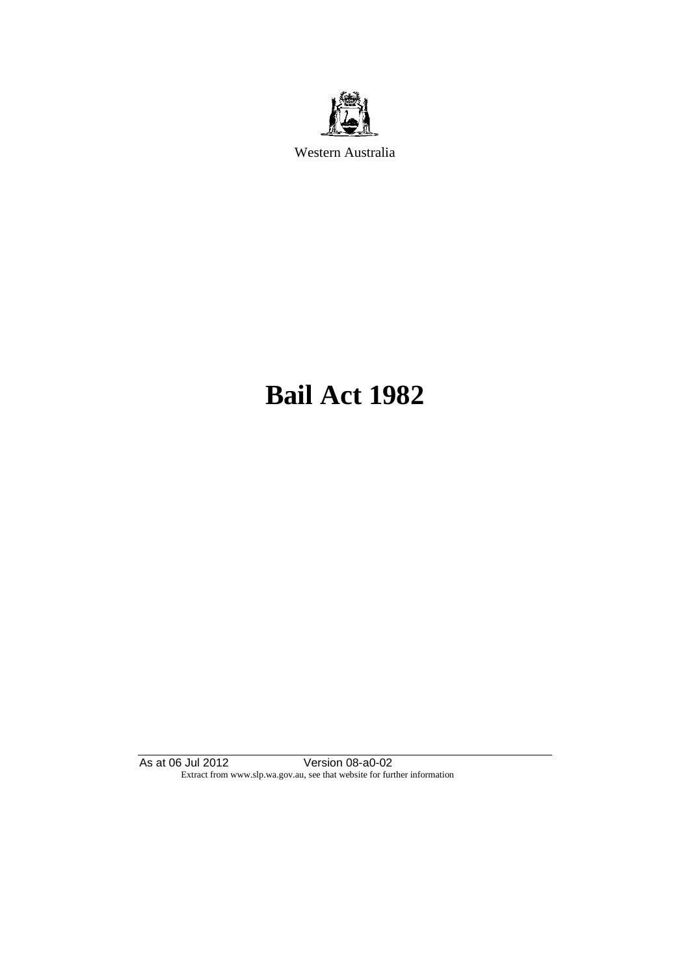

Western Australia

# **Bail Act 1982**

As at 06 Jul 2012 Version 08-a0-02 Extract from www.slp.wa.gov.au, see that website for further information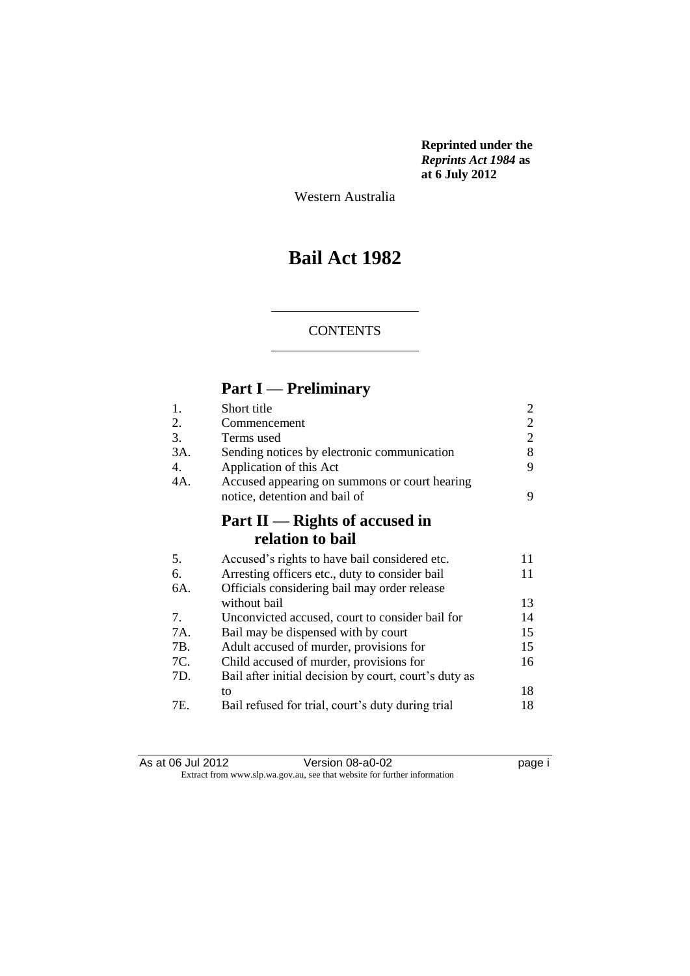**Reprinted under the**  *Reprints Act 1984* **as at 6 July 2012**

Western Australia

### **Bail Act 1982**

#### **CONTENTS**

### **Part I — Preliminary**

| 1.  | Short title                                           | 2              |
|-----|-------------------------------------------------------|----------------|
| 2.  | Commencement                                          | $\overline{c}$ |
| 3.  | Terms used                                            | $\overline{2}$ |
| 3A. | Sending notices by electronic communication           | 8              |
| 4.  | Application of this Act                               | 9              |
| 4A. | Accused appearing on summons or court hearing         |                |
|     | notice, detention and bail of                         | 9              |
|     | Part II — Rights of accused in                        |                |
|     | relation to bail                                      |                |
| 5.  | Accused's rights to have bail considered etc.         | 11             |
| 6.  | Arresting officers etc., duty to consider bail        | 11             |
| 6A. | Officials considering bail may order release          |                |
|     | without bail                                          | 13             |
| 7.  | Unconvicted accused, court to consider bail for       | 14             |
| 7A. | Bail may be dispensed with by court                   | 15             |
| 7B. | Adult accused of murder, provisions for               | 15             |
| 7C. | Child accused of murder, provisions for               | 16             |
| 7D. | Bail after initial decision by court, court's duty as |                |
|     | to                                                    | 18             |
| 7E. | Bail refused for trial, court's duty during trial     | 18             |

| As at 06 Jul 2012 | Version 08-a0-02                                                         | page i |
|-------------------|--------------------------------------------------------------------------|--------|
|                   | Extract from www.slp.wa.gov.au, see that website for further information |        |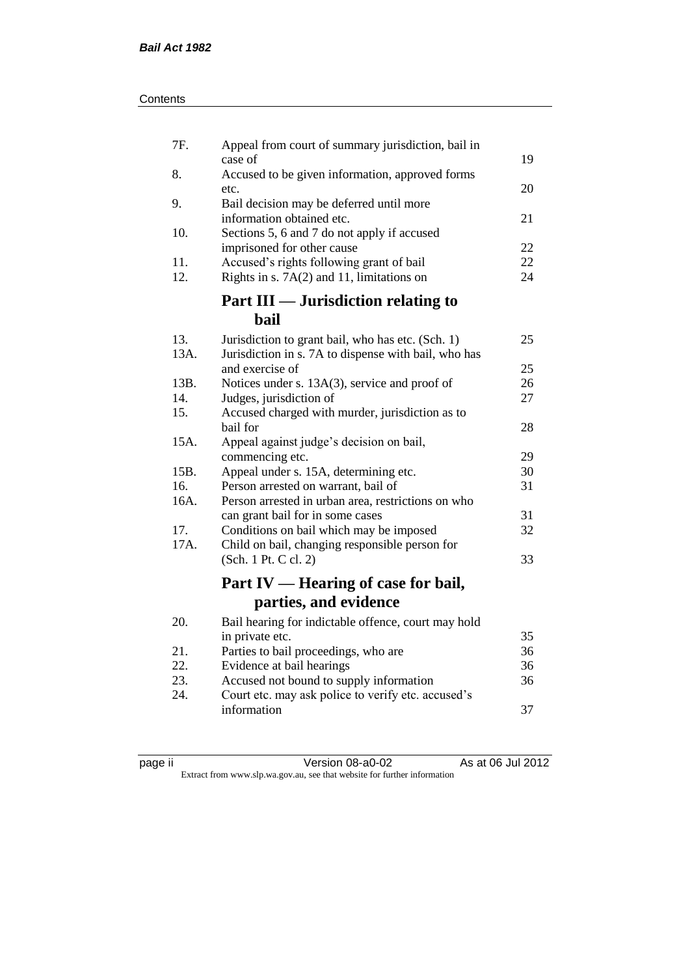| Contents |
|----------|
|----------|

| 7F.         | Appeal from court of summary jurisdiction, bail in                                            |          |
|-------------|-----------------------------------------------------------------------------------------------|----------|
| 8.          | case of<br>Accused to be given information, approved forms                                    | 19       |
|             | etc.                                                                                          | 20       |
| 9.          | Bail decision may be deferred until more<br>information obtained etc.                         | 21       |
| 10.         | Sections 5, 6 and 7 do not apply if accused                                                   |          |
| 11.         | imprisoned for other cause<br>Accused's rights following grant of bail                        | 22<br>22 |
| 12.         | Rights in s. $7A(2)$ and 11, limitations on                                                   | 24       |
|             | <b>Part III — Jurisdiction relating to</b>                                                    |          |
|             | <b>bail</b>                                                                                   |          |
| 13.         | Jurisdiction to grant bail, who has etc. (Sch. 1)                                             | 25       |
| 13A.        | Jurisdiction in s. 7A to dispense with bail, who has<br>and exercise of                       | 25       |
| 13B.        | Notices under s. 13A(3), service and proof of                                                 | 26       |
| 14.         | Judges, jurisdiction of                                                                       | 27       |
| 15.         | Accused charged with murder, jurisdiction as to<br>bail for                                   | 28       |
| 15A.        | Appeal against judge's decision on bail,                                                      |          |
|             | commencing etc.                                                                               | 29       |
| 15B.        | Appeal under s. 15A, determining etc.                                                         | 30       |
| 16.<br>16A. | Person arrested on warrant, bail of<br>Person arrested in urban area, restrictions on who     | 31       |
|             | can grant bail for in some cases                                                              | 31       |
| 17.         | Conditions on bail which may be imposed                                                       | 32       |
| 17A.        | Child on bail, changing responsible person for<br>(Sch. 1 Pt. C cl. 2)                        | 33       |
|             |                                                                                               |          |
|             | Part IV — Hearing of case for bail,<br>parties, and evidence                                  |          |
| 20.         |                                                                                               |          |
|             | Bail hearing for indictable offence, court may hold<br>in private etc.                        | 35       |
| 21.         | Parties to bail proceedings, who are                                                          | 36       |
| 22.         | Evidence at bail hearings                                                                     | 36       |
| 23.<br>24.  | Accused not bound to supply information<br>Court etc. may ask police to verify etc. accused's | 36       |
|             | information                                                                                   | 37       |
|             |                                                                                               |          |

| ∽ |  |
|---|--|
| Ξ |  |
|   |  |
|   |  |

page ii Version 08-a0-02 As at 06 Jul 2012 Extract from www.slp.wa.gov.au, see that website for further information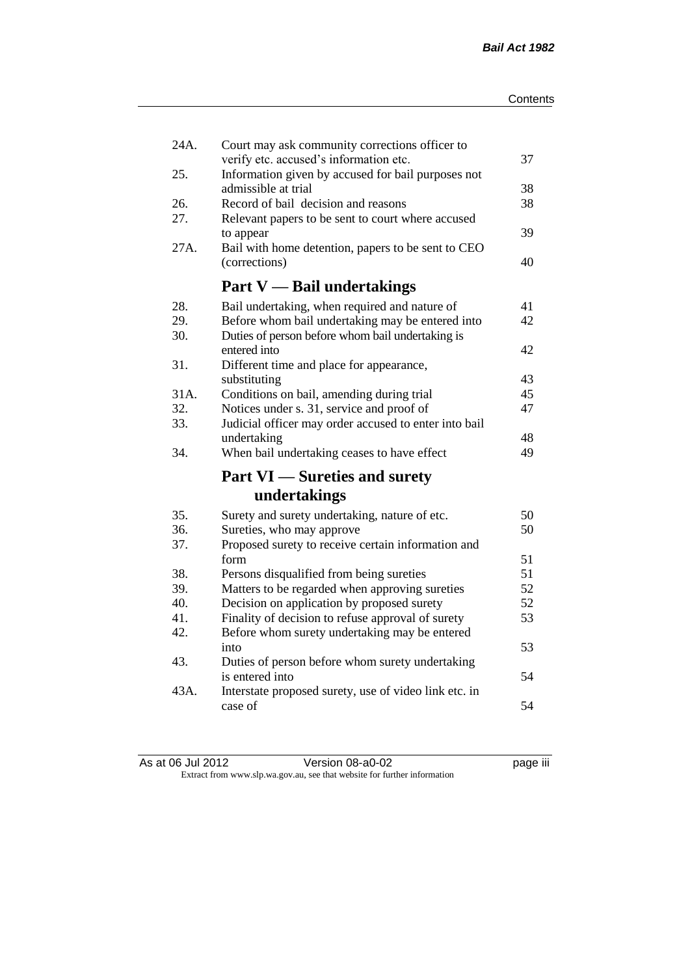| 24A.<br>25. | Court may ask community corrections officer to<br>verify etc. accused's information etc. | 37 |
|-------------|------------------------------------------------------------------------------------------|----|
|             | Information given by accused for bail purposes not<br>admissible at trial                | 38 |
| 26.         | Record of bail decision and reasons                                                      | 38 |
| 27.         | Relevant papers to be sent to court where accused                                        |    |
|             | to appear                                                                                | 39 |
| 27A.        | Bail with home detention, papers to be sent to CEO                                       |    |
|             | (corrections)                                                                            | 40 |
|             | <b>Part V</b> — Bail undertakings                                                        |    |
| 28.         | Bail undertaking, when required and nature of                                            | 41 |
| 29.         | Before whom bail undertaking may be entered into                                         | 42 |
| 30.         | Duties of person before whom bail undertaking is                                         |    |
|             | entered into                                                                             | 42 |
| 31.         | Different time and place for appearance,                                                 |    |
|             | substituting                                                                             | 43 |
| 31A.        | Conditions on bail, amending during trial                                                | 45 |
| 32.         | Notices under s. 31, service and proof of                                                | 47 |
| 33.         | Judicial officer may order accused to enter into bail                                    |    |
|             | undertaking                                                                              | 48 |
| 34.         | When bail undertaking ceases to have effect                                              | 49 |
|             | <b>Part VI</b> — Sureties and surety                                                     |    |
|             | undertakings                                                                             |    |
| 35.         | Surety and surety undertaking, nature of etc.                                            | 50 |
| 36.         | Sureties, who may approve                                                                | 50 |
| 37.         | Proposed surety to receive certain information and                                       |    |
|             | form                                                                                     | 51 |
| 38.         | Persons disqualified from being sureties                                                 | 51 |
| 39.         | Matters to be regarded when approving sureties                                           | 52 |
| 40.         | Decision on application by proposed surety                                               | 52 |
| 41.         | Finality of decision to refuse approval of surety                                        | 53 |
| 42.         | Before whom surety undertaking may be entered                                            |    |
|             | into                                                                                     | 53 |
| 43.         | Duties of person before whom surety undertaking                                          |    |
|             | is entered into                                                                          | 54 |
| 43A.        | Interstate proposed surety, use of video link etc. in                                    |    |
|             | case of                                                                                  | 54 |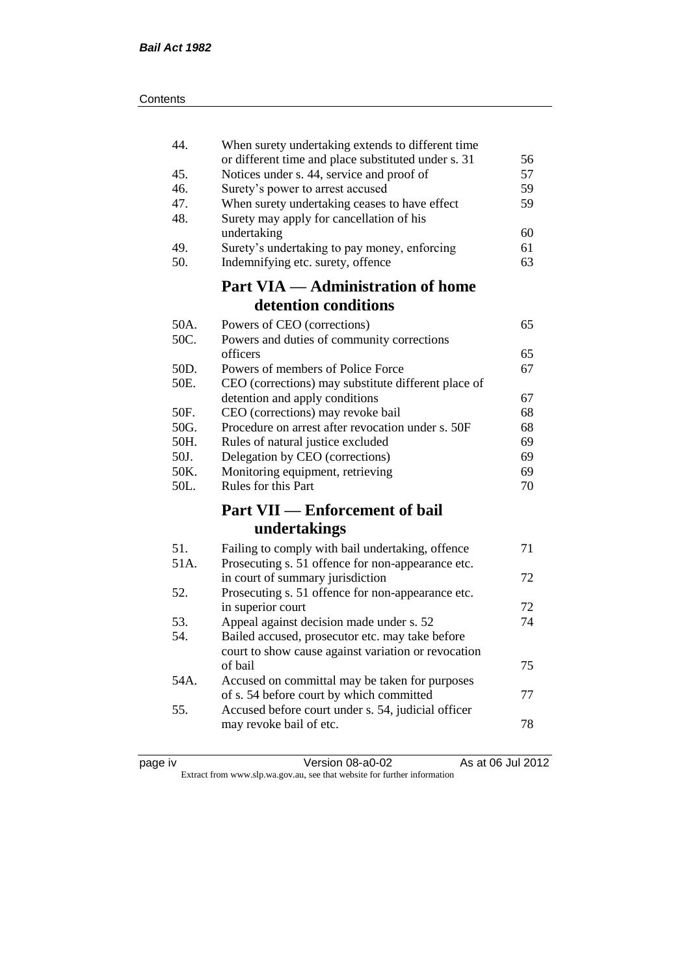| 44.  | When surety undertaking extends to different time   |    |
|------|-----------------------------------------------------|----|
|      | or different time and place substituted under s. 31 | 56 |
| 45.  | Notices under s. 44, service and proof of           | 57 |
| 46.  | Surety's power to arrest accused                    | 59 |
| 47.  | When surety undertaking ceases to have effect       | 59 |
| 48.  | Surety may apply for cancellation of his            |    |
|      | undertaking                                         | 60 |
| 49.  | Surety's undertaking to pay money, enforcing        | 61 |
| 50.  | Indemnifying etc. surety, offence                   | 63 |
|      | <b>Part VIA — Administration of home</b>            |    |
|      | detention conditions                                |    |
| 50A. | Powers of CEO (corrections)                         | 65 |
| 50C. | Powers and duties of community corrections          |    |
|      | officers                                            | 65 |
| 50D. | Powers of members of Police Force                   | 67 |
| 50E. | CEO (corrections) may substitute different place of |    |
|      | detention and apply conditions                      | 67 |
| 50F. | CEO (corrections) may revoke bail                   | 68 |
| 50G. | Procedure on arrest after revocation under s. 50F   | 68 |
| 50H. | Rules of natural justice excluded                   | 69 |
| 50J. | Delegation by CEO (corrections)                     | 69 |
| 50K. | Monitoring equipment, retrieving                    | 69 |
| 50L. | Rules for this Part                                 | 70 |
|      | <b>Part VII — Enforcement of bail</b>               |    |
|      | undertakings                                        |    |
| 51.  | Failing to comply with bail undertaking, offence    | 71 |
| 51A. | Prosecuting s. 51 offence for non-appearance etc.   |    |
|      | in court of summary jurisdiction                    | 72 |
| 52.  | Prosecuting s. 51 offence for non-appearance etc.   |    |
|      | in superior court                                   | 72 |
| 53.  | Appeal against decision made under s. 52            | 74 |
| 54.  | Bailed accused, prosecutor etc. may take before     |    |
|      | court to show cause against variation or revocation |    |
|      | of bail                                             | 75 |
| 54A. | Accused on committal may be taken for purposes      |    |
|      | of s. 54 before court by which committed            | 77 |
| 55.  | Accused before court under s. 54, judicial officer  |    |
|      | may revoke bail of etc.                             | 78 |
|      |                                                     |    |

| page iv |  |
|---------|--|
|         |  |
|         |  |
|         |  |

page iv Version 08-a0-02 As at 06 Jul 2012 Extract from www.slp.wa.gov.au, see that website for further information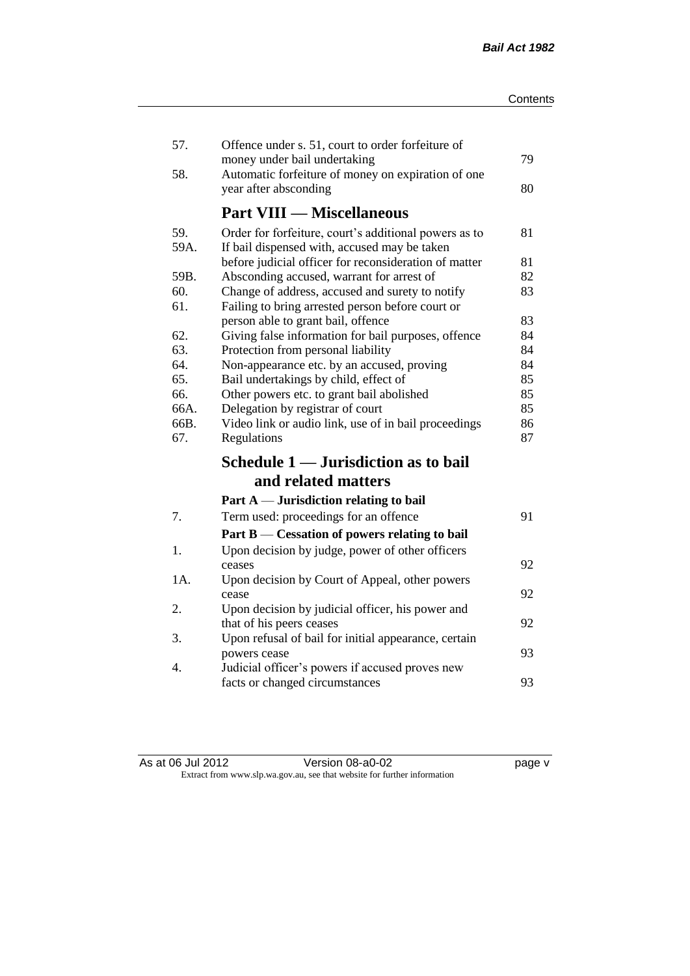| 57.  | Offence under s. 51, court to order forfeiture of<br>money under bail undertaking            | 79       |
|------|----------------------------------------------------------------------------------------------|----------|
| 58.  | Automatic forfeiture of money on expiration of one<br>year after absconding                  | 80       |
|      | <b>Part VIII — Miscellaneous</b>                                                             |          |
| 59.  | Order for forfeiture, court's additional powers as to                                        | 81       |
| 59A. | If bail dispensed with, accused may be taken                                                 |          |
| 59B. | before judicial officer for reconsideration of matter                                        | 81<br>82 |
| 60.  | Absconding accused, warrant for arrest of<br>Change of address, accused and surety to notify | 83       |
| 61.  | Failing to bring arrested person before court or                                             |          |
|      | person able to grant bail, offence                                                           | 83       |
| 62.  | Giving false information for bail purposes, offence                                          | 84       |
| 63.  | Protection from personal liability                                                           | 84       |
| 64.  | Non-appearance etc. by an accused, proving                                                   | 84       |
| 65.  | Bail undertakings by child, effect of                                                        | 85       |
| 66.  | Other powers etc. to grant bail abolished                                                    | 85       |
| 66A. | Delegation by registrar of court                                                             | 85       |
| 66B. | Video link or audio link, use of in bail proceedings                                         | 86       |
| 67.  | Regulations                                                                                  | 87       |
|      | Schedule 1 — Jurisdiction as to bail                                                         |          |
|      | and related matters                                                                          |          |
|      | Part A — Jurisdiction relating to bail                                                       |          |
| 7.   | Term used: proceedings for an offence                                                        | 91       |
|      | Part B — Cessation of powers relating to bail                                                |          |
| 1.   | Upon decision by judge, power of other officers                                              |          |
|      | ceases                                                                                       | 92       |
| 1A.  | Upon decision by Court of Appeal, other powers                                               |          |
|      | cease                                                                                        | 92       |
| 2.   | Upon decision by judicial officer, his power and                                             |          |
|      | that of his peers ceases                                                                     | 92       |
| 3.   | Upon refusal of bail for initial appearance, certain<br>powers cease                         | 93       |
| 4.   | Judicial officer's powers if accused proves new                                              |          |
|      | facts or changed circumstances                                                               | 93       |
|      |                                                                                              |          |

As at 06 Jul 2012 **Version 08-a0-02 page v** Extract from www.slp.wa.gov.au, see that website for further information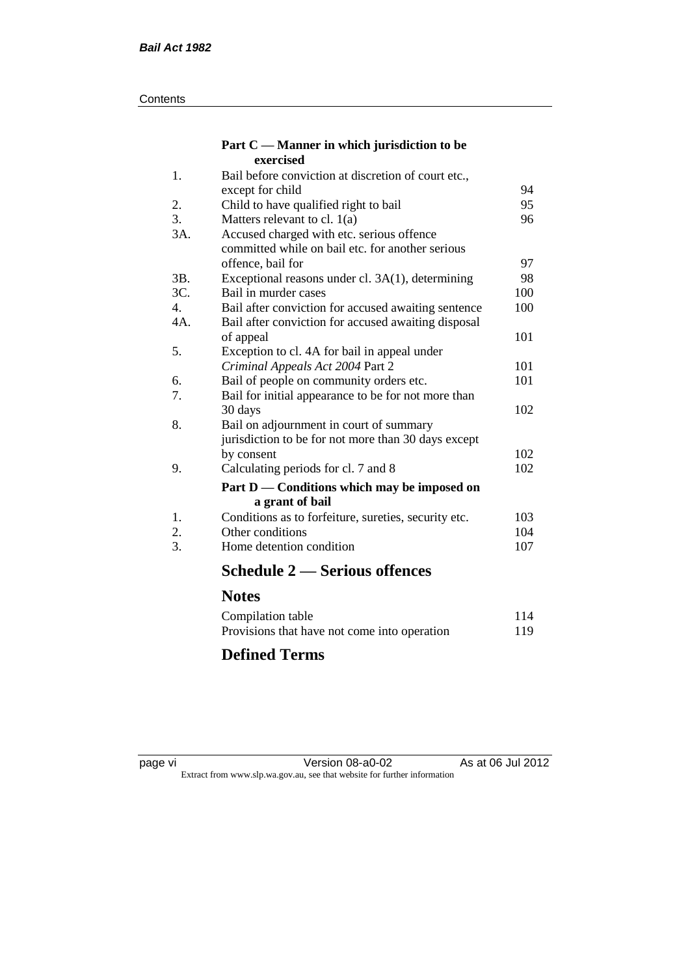#### **Contents**

#### **Part C — Manner in which jurisdiction to be exercised**

| 1.  | Bail before conviction at discretion of court etc.,  |     |
|-----|------------------------------------------------------|-----|
|     | except for child                                     | 94  |
| 2.  | Child to have qualified right to bail                | 95  |
| 3.  | Matters relevant to cl. $1(a)$                       | 96  |
| 3A. | Accused charged with etc. serious offence            |     |
|     | committed while on bail etc. for another serious     |     |
|     | offence, bail for                                    | 97  |
| 3B. | Exceptional reasons under cl. 3A(1), determining     | 98  |
| 3C. | Bail in murder cases                                 | 100 |
| 4.  | Bail after conviction for accused awaiting sentence  | 100 |
| 4A. | Bail after conviction for accused awaiting disposal  |     |
|     | of appeal                                            | 101 |
| 5.  | Exception to cl. 4A for bail in appeal under         |     |
|     | Criminal Appeals Act 2004 Part 2                     | 101 |
| 6.  | Bail of people on community orders etc.              | 101 |
| 7.  | Bail for initial appearance to be for not more than  |     |
|     | 30 days                                              | 102 |
| 8.  | Bail on adjournment in court of summary              |     |
|     | jurisdiction to be for not more than 30 days except  |     |
|     | by consent                                           | 102 |
| 9.  | Calculating periods for cl. 7 and 8                  | 102 |
|     | Part D — Conditions which may be imposed on          |     |
|     | a grant of bail                                      |     |
| 1.  | Conditions as to forfeiture, sureties, security etc. | 103 |
| 2.  | Other conditions                                     | 104 |
| 3.  | Home detention condition                             | 107 |
|     | <b>Schedule 2 – Serious offences</b>                 |     |
|     | <b>Notes</b>                                         |     |
|     | Compilation table                                    | 114 |

### **Defined Terms**

| page |  |
|------|--|
|------|--|

page vi Version 08-a0-02 As at 06 Jul 2012 Extract from www.slp.wa.gov.au, see that website for further information

Provisions that have not come into operation 119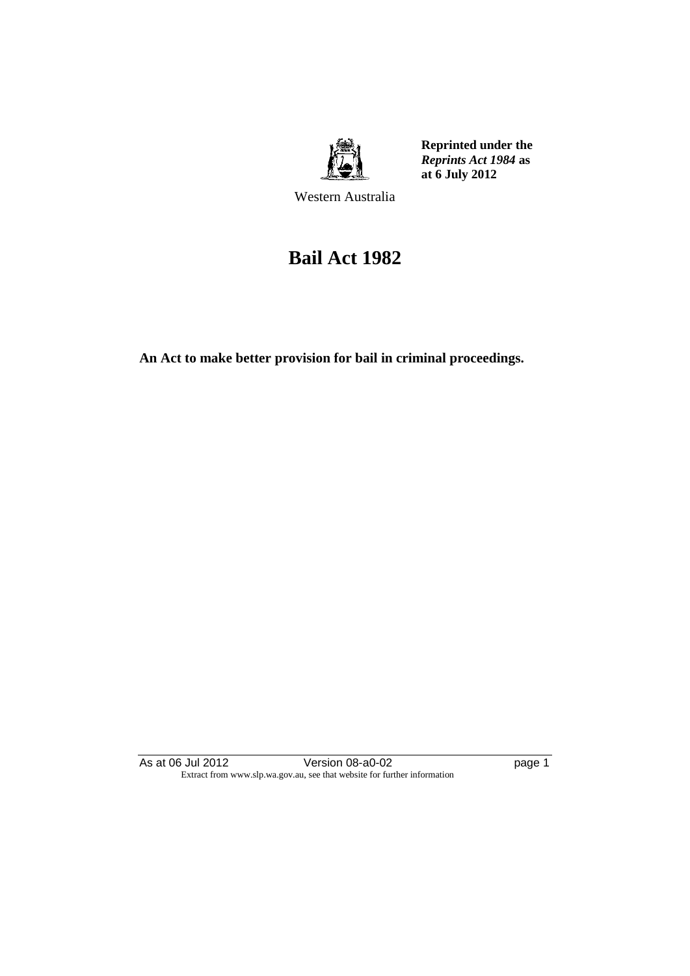

**Reprinted under the**  *Reprints Act 1984* **as at 6 July 2012**

Western Australia

## **Bail Act 1982**

**An Act to make better provision for bail in criminal proceedings.** 

As at 06 Jul 2012 Version 08-a0-02 page 1 Extract from www.slp.wa.gov.au, see that website for further information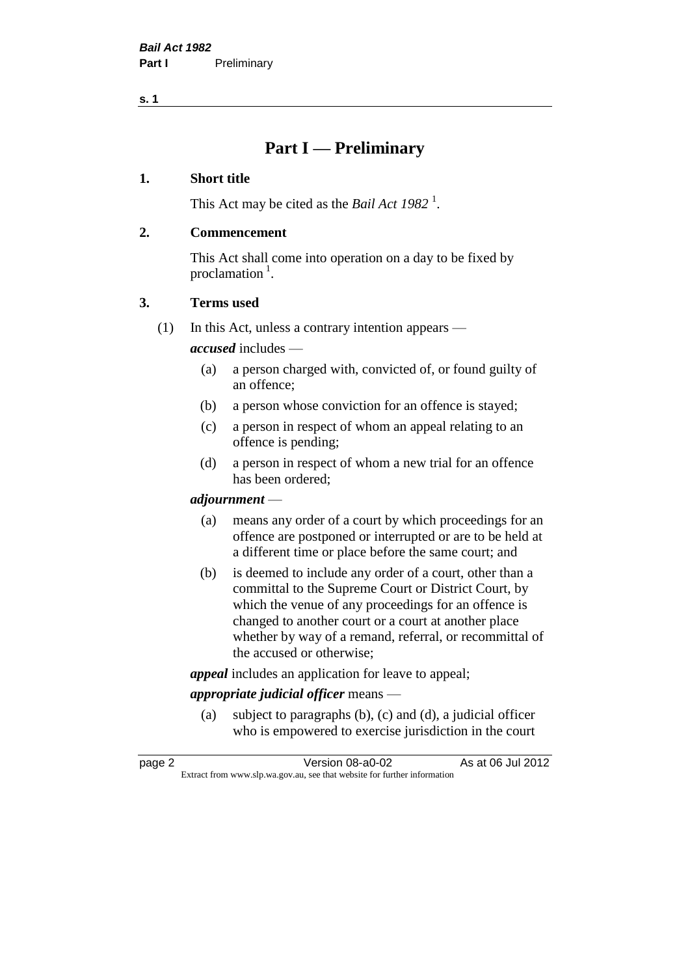**s. 1**

### **Part I — Preliminary**

#### **1. Short title**

This Act may be cited as the *Bail Act* 1982<sup>1</sup>.

#### **2. Commencement**

This Act shall come into operation on a day to be fixed by proclamation  $<sup>1</sup>$ .</sup>

#### **3. Terms used**

(1) In this Act, unless a contrary intention appears —

*accused* includes —

- (a) a person charged with, convicted of, or found guilty of an offence;
- (b) a person whose conviction for an offence is stayed;
- (c) a person in respect of whom an appeal relating to an offence is pending;
- (d) a person in respect of whom a new trial for an offence has been ordered;

#### *adjournment* —

- (a) means any order of a court by which proceedings for an offence are postponed or interrupted or are to be held at a different time or place before the same court; and
- (b) is deemed to include any order of a court, other than a committal to the Supreme Court or District Court, by which the venue of any proceedings for an offence is changed to another court or a court at another place whether by way of a remand, referral, or recommittal of the accused or otherwise;

*appeal* includes an application for leave to appeal;

#### *appropriate judicial officer* means —

(a) subject to paragraphs (b), (c) and (d), a judicial officer who is empowered to exercise jurisdiction in the court

| page 2 | Version 08-a0-02                                                         | As at 06 Jul 2012 |
|--------|--------------------------------------------------------------------------|-------------------|
|        | Extract from www.slp.wa.gov.au, see that website for further information |                   |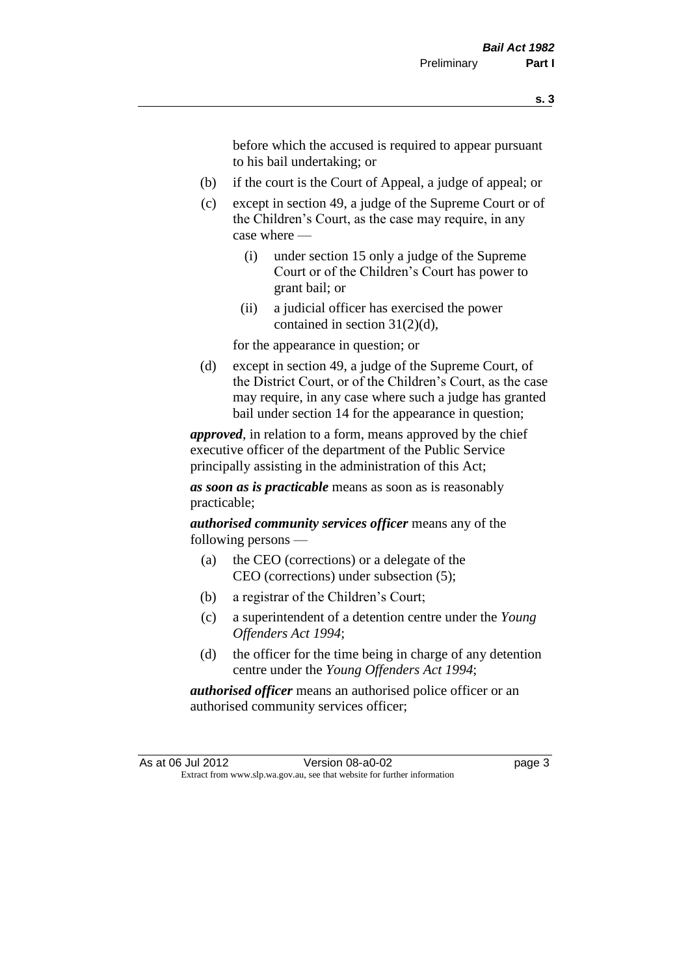before which the accused is required to appear pursuant to his bail undertaking; or

- (b) if the court is the Court of Appeal, a judge of appeal; or
- (c) except in section 49, a judge of the Supreme Court or of the Children's Court, as the case may require, in any case where —
	- (i) under section 15 only a judge of the Supreme Court or of the Children's Court has power to grant bail; or
	- (ii) a judicial officer has exercised the power contained in section 31(2)(d),

for the appearance in question; or

(d) except in section 49, a judge of the Supreme Court, of the District Court, or of the Children's Court, as the case may require, in any case where such a judge has granted bail under section 14 for the appearance in question;

*approved*, in relation to a form, means approved by the chief executive officer of the department of the Public Service principally assisting in the administration of this Act;

*as soon as is practicable* means as soon as is reasonably practicable;

*authorised community services officer* means any of the following persons —

- (a) the CEO (corrections) or a delegate of the CEO (corrections) under subsection (5);
- (b) a registrar of the Children's Court;
- (c) a superintendent of a detention centre under the *Young Offenders Act 1994*;
- (d) the officer for the time being in charge of any detention centre under the *Young Offenders Act 1994*;

*authorised officer* means an authorised police officer or an authorised community services officer;

As at 06 Jul 2012 Version 08-a0-02 Page 3 Extract from www.slp.wa.gov.au, see that website for further information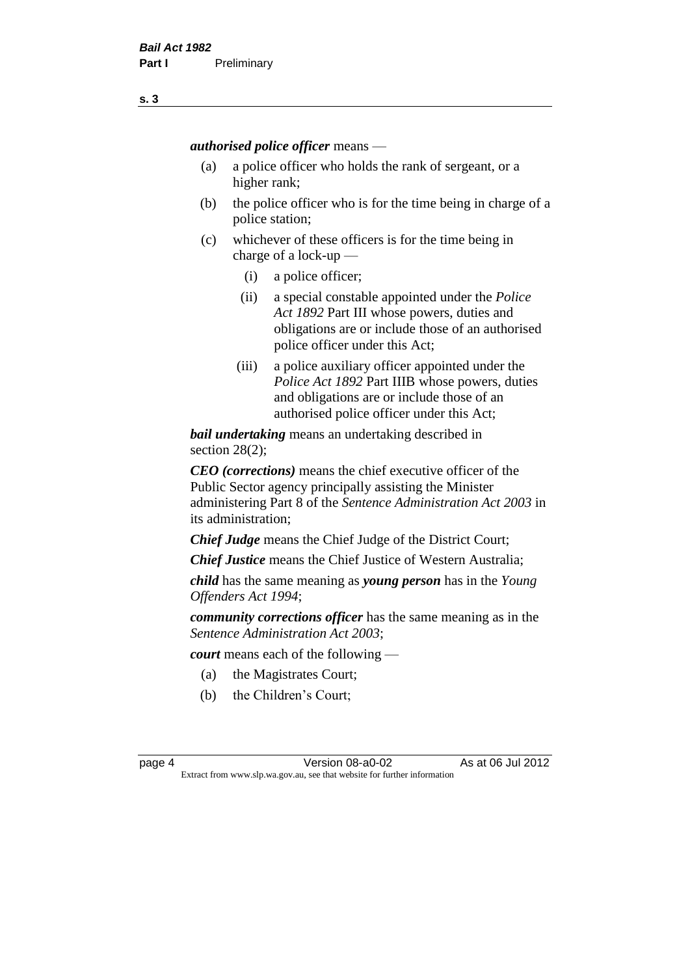*authorised police officer* means —

- (a) a police officer who holds the rank of sergeant, or a higher rank;
- (b) the police officer who is for the time being in charge of a police station;
- (c) whichever of these officers is for the time being in charge of a lock-up —
	- (i) a police officer;
	- (ii) a special constable appointed under the *Police Act 1892* Part III whose powers, duties and obligations are or include those of an authorised police officer under this Act;
	- (iii) a police auxiliary officer appointed under the *Police Act 1892* Part IIIB whose powers, duties and obligations are or include those of an authorised police officer under this Act;

*bail undertaking* means an undertaking described in section 28(2);

*CEO (corrections)* means the chief executive officer of the Public Sector agency principally assisting the Minister administering Part 8 of the *Sentence Administration Act 2003* in its administration;

*Chief Judge* means the Chief Judge of the District Court;

*Chief Justice* means the Chief Justice of Western Australia;

*child* has the same meaning as *young person* has in the *Young Offenders Act 1994*;

*community corrections officer* has the same meaning as in the *Sentence Administration Act 2003*;

*court* means each of the following —

- (a) the Magistrates Court;
- (b) the Children's Court;

page 4 Version 08-a0-02 As at 06 Jul 2012 Extract from www.slp.wa.gov.au, see that website for further information

**s. 3**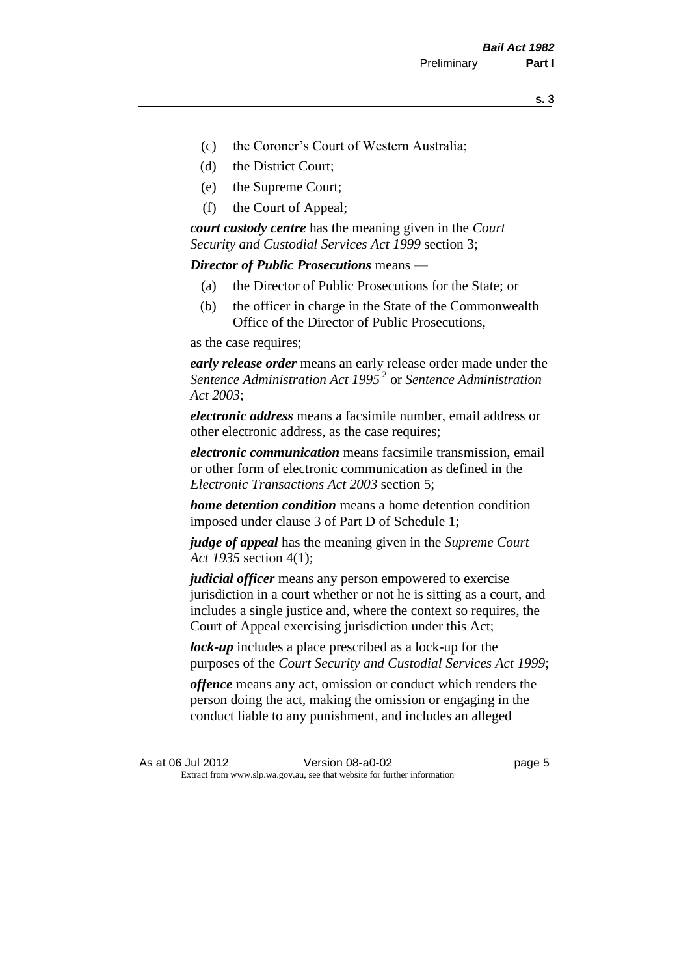- (c) the Coroner's Court of Western Australia;
- (d) the District Court;
- (e) the Supreme Court;
- (f) the Court of Appeal;

*court custody centre* has the meaning given in the *Court Security and Custodial Services Act 1999* section 3;

*Director of Public Prosecutions* means —

- (a) the Director of Public Prosecutions for the State; or
- (b) the officer in charge in the State of the Commonwealth Office of the Director of Public Prosecutions,

as the case requires;

*early release order* means an early release order made under the *Sentence Administration Act 1995* <sup>2</sup> or *Sentence Administration Act 2003*;

*electronic address* means a facsimile number, email address or other electronic address, as the case requires;

*electronic communication* means facsimile transmission, email or other form of electronic communication as defined in the *Electronic Transactions Act 2003* section 5;

*home detention condition* means a home detention condition imposed under clause 3 of Part D of Schedule 1;

*judge of appeal* has the meaning given in the *Supreme Court Act 1935* section 4(1);

*judicial officer* means any person empowered to exercise jurisdiction in a court whether or not he is sitting as a court, and includes a single justice and, where the context so requires, the Court of Appeal exercising jurisdiction under this Act;

*lock-up* includes a place prescribed as a lock-up for the purposes of the *Court Security and Custodial Services Act 1999*;

*offence* means any act, omission or conduct which renders the person doing the act, making the omission or engaging in the conduct liable to any punishment, and includes an alleged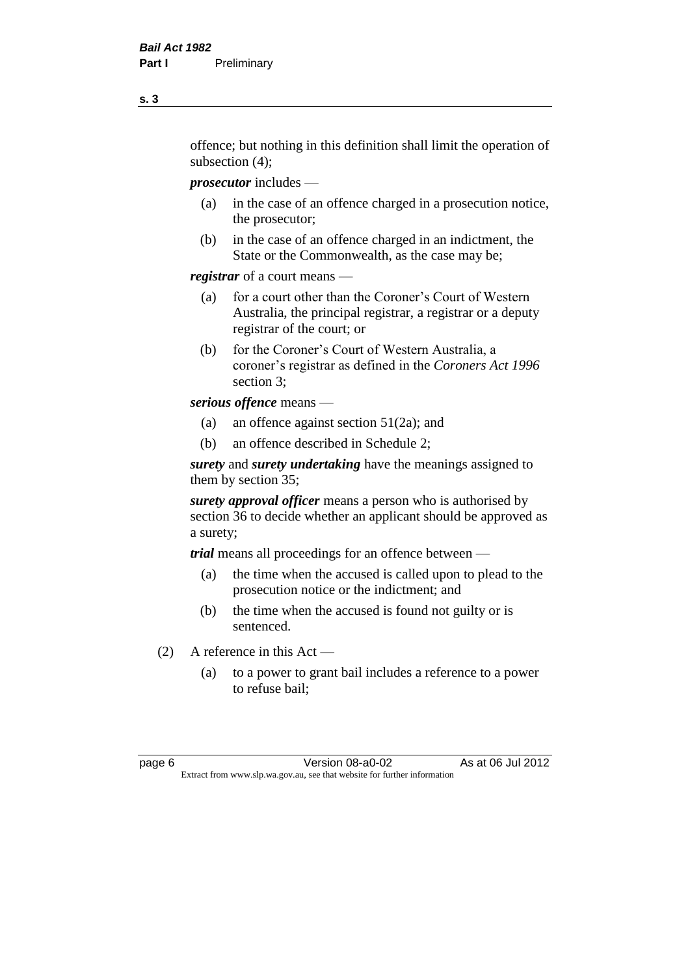offence; but nothing in this definition shall limit the operation of subsection (4);

*prosecutor* includes —

- (a) in the case of an offence charged in a prosecution notice, the prosecutor;
- (b) in the case of an offence charged in an indictment, the State or the Commonwealth, as the case may be;

*registrar* of a court means —

- (a) for a court other than the Coroner's Court of Western Australia, the principal registrar, a registrar or a deputy registrar of the court; or
- (b) for the Coroner's Court of Western Australia, a coroner's registrar as defined in the *Coroners Act 1996* section 3;

*serious offence* means —

- (a) an offence against section 51(2a); and
- (b) an offence described in Schedule 2;

*surety* and *surety undertaking* have the meanings assigned to them by section 35;

*surety approval officer* means a person who is authorised by section 36 to decide whether an applicant should be approved as a surety;

*trial* means all proceedings for an offence between —

- (a) the time when the accused is called upon to plead to the prosecution notice or the indictment; and
- (b) the time when the accused is found not guilty or is sentenced.
- (2) A reference in this Act
	- (a) to a power to grant bail includes a reference to a power to refuse bail;

page 6 Version 08-a0-02 As at 06 Jul 2012 Extract from www.slp.wa.gov.au, see that website for further information

**s. 3**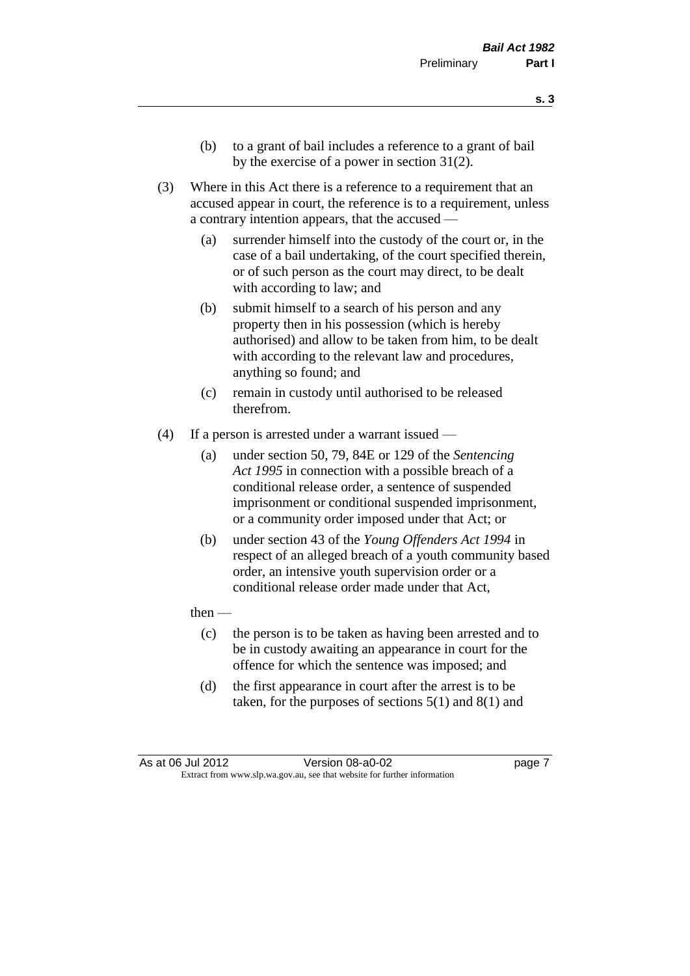- (b) to a grant of bail includes a reference to a grant of bail by the exercise of a power in section 31(2).
- (3) Where in this Act there is a reference to a requirement that an accused appear in court, the reference is to a requirement, unless a contrary intention appears, that the accused —
	- (a) surrender himself into the custody of the court or, in the case of a bail undertaking, of the court specified therein, or of such person as the court may direct, to be dealt with according to law; and
	- (b) submit himself to a search of his person and any property then in his possession (which is hereby authorised) and allow to be taken from him, to be dealt with according to the relevant law and procedures, anything so found; and
	- (c) remain in custody until authorised to be released therefrom.
- (4) If a person is arrested under a warrant issued
	- (a) under section 50, 79, 84E or 129 of the *Sentencing Act 1995* in connection with a possible breach of a conditional release order, a sentence of suspended imprisonment or conditional suspended imprisonment, or a community order imposed under that Act; or
	- (b) under section 43 of the *Young Offenders Act 1994* in respect of an alleged breach of a youth community based order, an intensive youth supervision order or a conditional release order made under that Act,
	- then
		- (c) the person is to be taken as having been arrested and to be in custody awaiting an appearance in court for the offence for which the sentence was imposed; and
		- (d) the first appearance in court after the arrest is to be taken, for the purposes of sections  $5(1)$  and  $8(1)$  and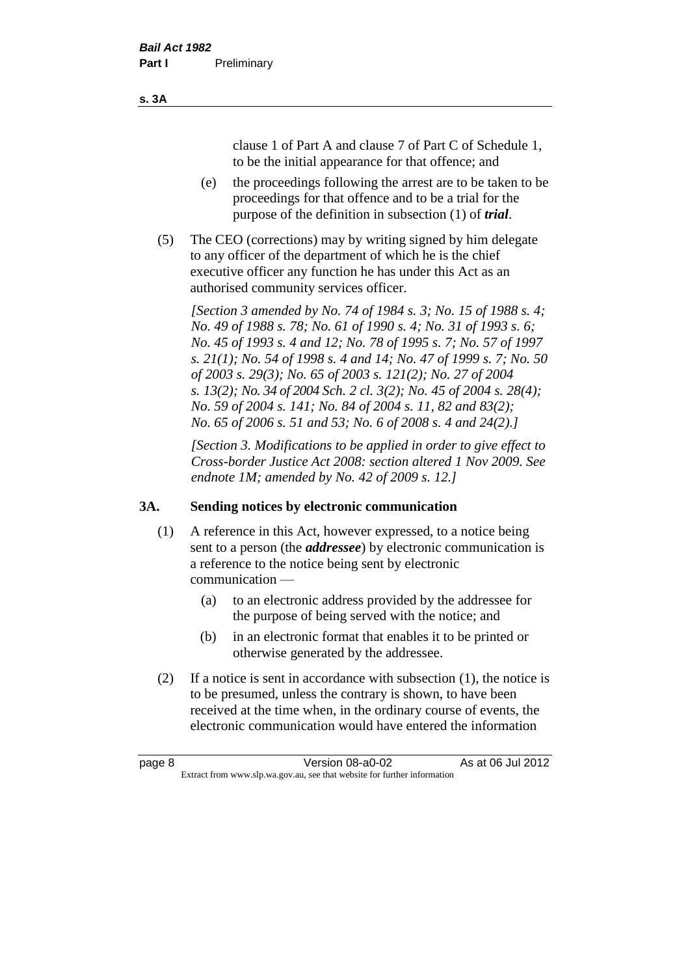clause 1 of Part A and clause 7 of Part C of Schedule 1, to be the initial appearance for that offence; and

- (e) the proceedings following the arrest are to be taken to be proceedings for that offence and to be a trial for the purpose of the definition in subsection (1) of *trial*.
- (5) The CEO (corrections) may by writing signed by him delegate to any officer of the department of which he is the chief executive officer any function he has under this Act as an authorised community services officer.

*[Section 3 amended by No. 74 of 1984 s. 3; No. 15 of 1988 s. 4; No. 49 of 1988 s. 78; No. 61 of 1990 s. 4; No. 31 of 1993 s. 6; No. 45 of 1993 s. 4 and 12; No. 78 of 1995 s. 7; No. 57 of 1997 s. 21(1); No. 54 of 1998 s. 4 and 14; No. 47 of 1999 s. 7; No. 50 of 2003 s. 29(3); No. 65 of 2003 s. 121(2); No. 27 of 2004 s. 13(2); No. 34 of 2004 Sch. 2 cl. 3(2); No. 45 of 2004 s. 28(4); No. 59 of 2004 s. 141; No. 84 of 2004 s. 11, 82 and 83(2); No. 65 of 2006 s. 51 and 53; No. 6 of 2008 s. 4 and 24(2).]* 

*[Section 3. Modifications to be applied in order to give effect to Cross-border Justice Act 2008: section altered 1 Nov 2009. See endnote 1M; amended by No. 42 of 2009 s. 12.]*

#### **3A. Sending notices by electronic communication**

- (1) A reference in this Act, however expressed, to a notice being sent to a person (the *addressee*) by electronic communication is a reference to the notice being sent by electronic communication —
	- (a) to an electronic address provided by the addressee for the purpose of being served with the notice; and
	- (b) in an electronic format that enables it to be printed or otherwise generated by the addressee.
- (2) If a notice is sent in accordance with subsection (1), the notice is to be presumed, unless the contrary is shown, to have been received at the time when, in the ordinary course of events, the electronic communication would have entered the information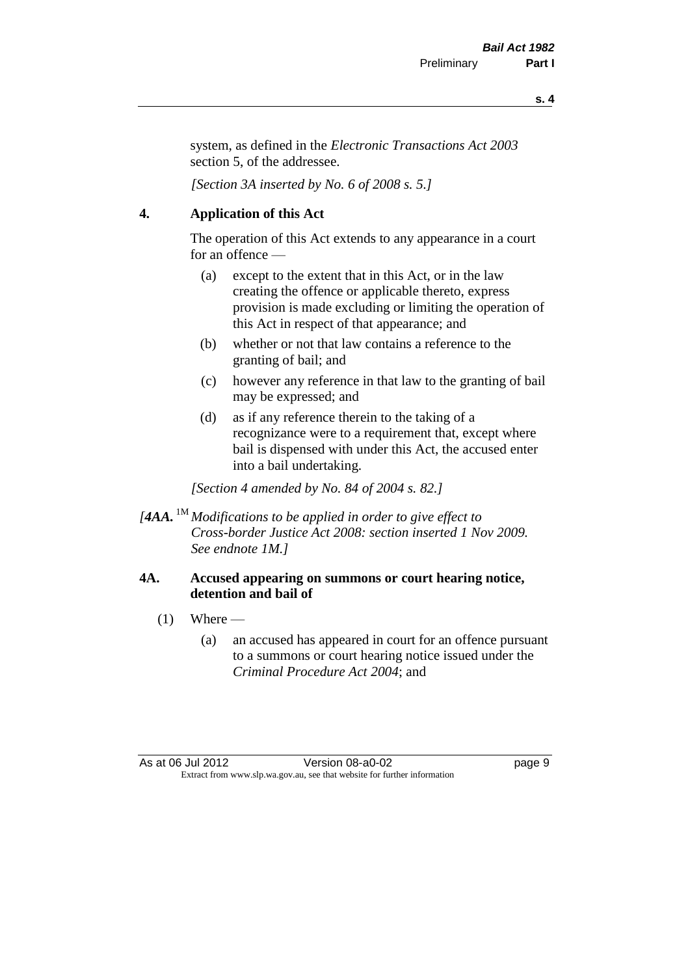**s. 4**

system, as defined in the *Electronic Transactions Act 2003* section 5, of the addressee.

*[Section 3A inserted by No. 6 of 2008 s. 5.]*

#### **4. Application of this Act**

The operation of this Act extends to any appearance in a court for an offence —

- (a) except to the extent that in this Act, or in the law creating the offence or applicable thereto, express provision is made excluding or limiting the operation of this Act in respect of that appearance; and
- (b) whether or not that law contains a reference to the granting of bail; and
- (c) however any reference in that law to the granting of bail may be expressed; and
- (d) as if any reference therein to the taking of a recognizance were to a requirement that, except where bail is dispensed with under this Act, the accused enter into a bail undertaking.

*[Section 4 amended by No. 84 of 2004 s. 82.]*

*[4AA.* 1M *Modifications to be applied in order to give effect to Cross-border Justice Act 2008: section inserted 1 Nov 2009. See endnote 1M.]*

#### **4A. Accused appearing on summons or court hearing notice, detention and bail of**

- $(1)$  Where
	- (a) an accused has appeared in court for an offence pursuant to a summons or court hearing notice issued under the *Criminal Procedure Act 2004*; and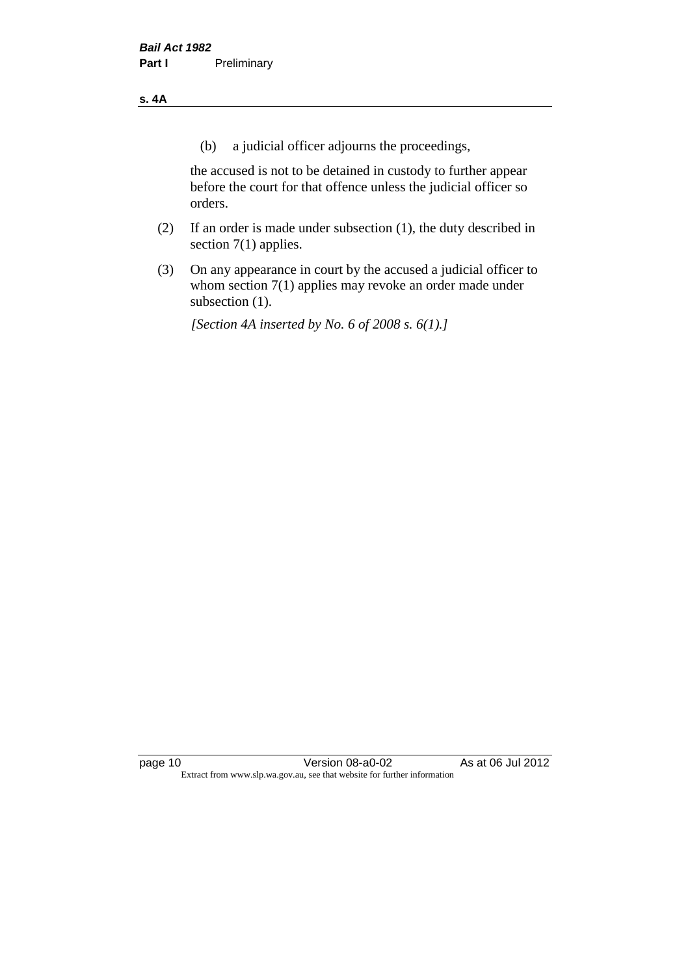#### **s. 4A**

(b) a judicial officer adjourns the proceedings,

the accused is not to be detained in custody to further appear before the court for that offence unless the judicial officer so orders.

- (2) If an order is made under subsection (1), the duty described in section 7(1) applies.
- (3) On any appearance in court by the accused a judicial officer to whom section 7(1) applies may revoke an order made under subsection (1).

*[Section 4A inserted by No. 6 of 2008 s. 6(1).]*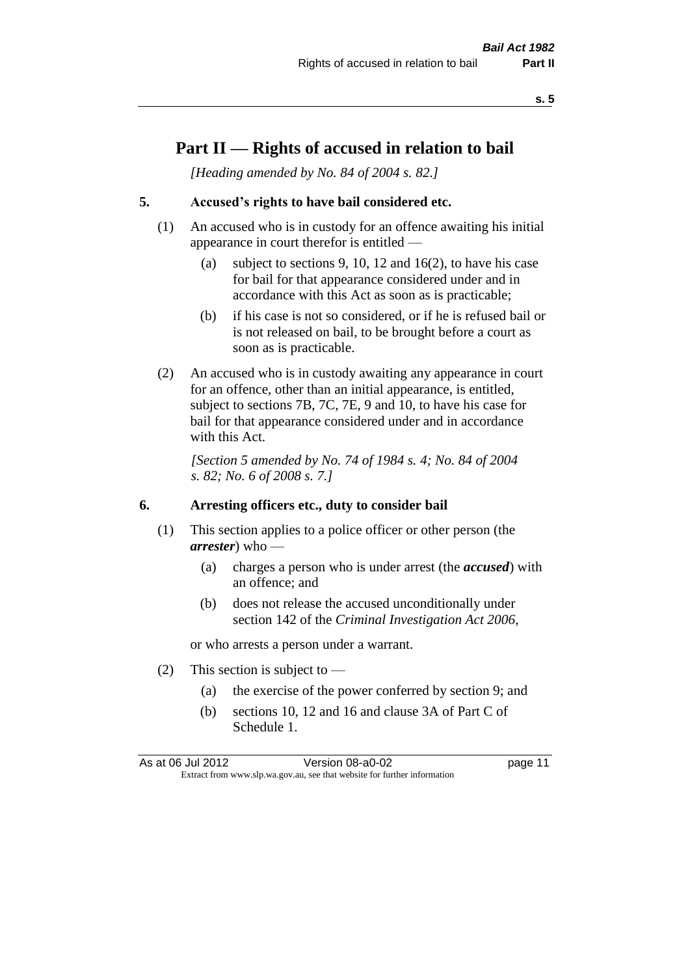### **Part II — Rights of accused in relation to bail**

*[Heading amended by No. 84 of 2004 s. 82.]* 

#### **5. Accused's rights to have bail considered etc.**

- (1) An accused who is in custody for an offence awaiting his initial appearance in court therefor is entitled —
	- (a) subject to sections 9, 10, 12 and 16(2), to have his case for bail for that appearance considered under and in accordance with this Act as soon as is practicable;
	- (b) if his case is not so considered, or if he is refused bail or is not released on bail, to be brought before a court as soon as is practicable.
- (2) An accused who is in custody awaiting any appearance in court for an offence, other than an initial appearance, is entitled, subject to sections 7B, 7C, 7E, 9 and 10, to have his case for bail for that appearance considered under and in accordance with this Act.

*[Section 5 amended by No. 74 of 1984 s. 4; No. 84 of 2004 s. 82; No. 6 of 2008 s. 7.]* 

#### **6. Arresting officers etc., duty to consider bail**

- (1) This section applies to a police officer or other person (the *arrester*) who —
	- (a) charges a person who is under arrest (the *accused*) with an offence; and
	- (b) does not release the accused unconditionally under section 142 of the *Criminal Investigation Act 2006*,

or who arrests a person under a warrant.

- (2) This section is subject to  $-$ 
	- (a) the exercise of the power conferred by section 9; and
	- (b) sections 10, 12 and 16 and clause 3A of Part C of Schedule 1.

As at 06 Jul 2012 Version 08-a0-02 page 11 Extract from www.slp.wa.gov.au, see that website for further information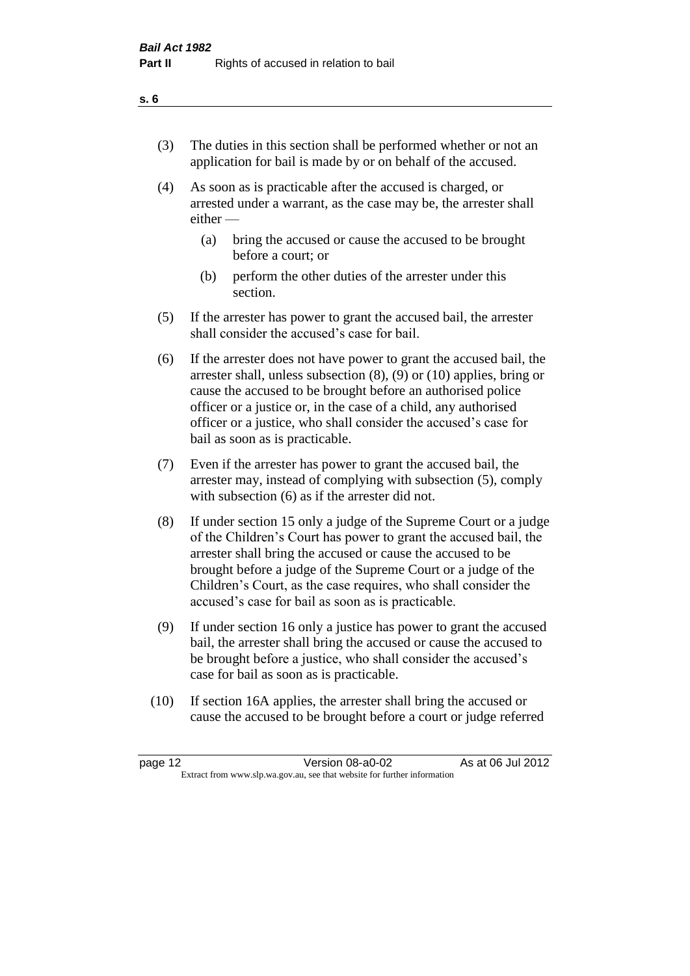- (3) The duties in this section shall be performed whether or not an application for bail is made by or on behalf of the accused.
- (4) As soon as is practicable after the accused is charged, or arrested under a warrant, as the case may be, the arrester shall either —
	- (a) bring the accused or cause the accused to be brought before a court; or
	- (b) perform the other duties of the arrester under this section.
- (5) If the arrester has power to grant the accused bail, the arrester shall consider the accused's case for bail.
- (6) If the arrester does not have power to grant the accused bail, the arrester shall, unless subsection (8), (9) or (10) applies, bring or cause the accused to be brought before an authorised police officer or a justice or, in the case of a child, any authorised officer or a justice, who shall consider the accused's case for bail as soon as is practicable.
- (7) Even if the arrester has power to grant the accused bail, the arrester may, instead of complying with subsection (5), comply with subsection  $(6)$  as if the arrester did not.
- (8) If under section 15 only a judge of the Supreme Court or a judge of the Children's Court has power to grant the accused bail, the arrester shall bring the accused or cause the accused to be brought before a judge of the Supreme Court or a judge of the Children's Court, as the case requires, who shall consider the accused's case for bail as soon as is practicable.
- (9) If under section 16 only a justice has power to grant the accused bail, the arrester shall bring the accused or cause the accused to be brought before a justice, who shall consider the accused's case for bail as soon as is practicable.
- (10) If section 16A applies, the arrester shall bring the accused or cause the accused to be brought before a court or judge referred

| page 12                                                                  | Version 08-a0-02 | As at 06 Jul 2012 |
|--------------------------------------------------------------------------|------------------|-------------------|
| Extract from www.slp.wa.gov.au, see that website for further information |                  |                   |

#### **s. 6**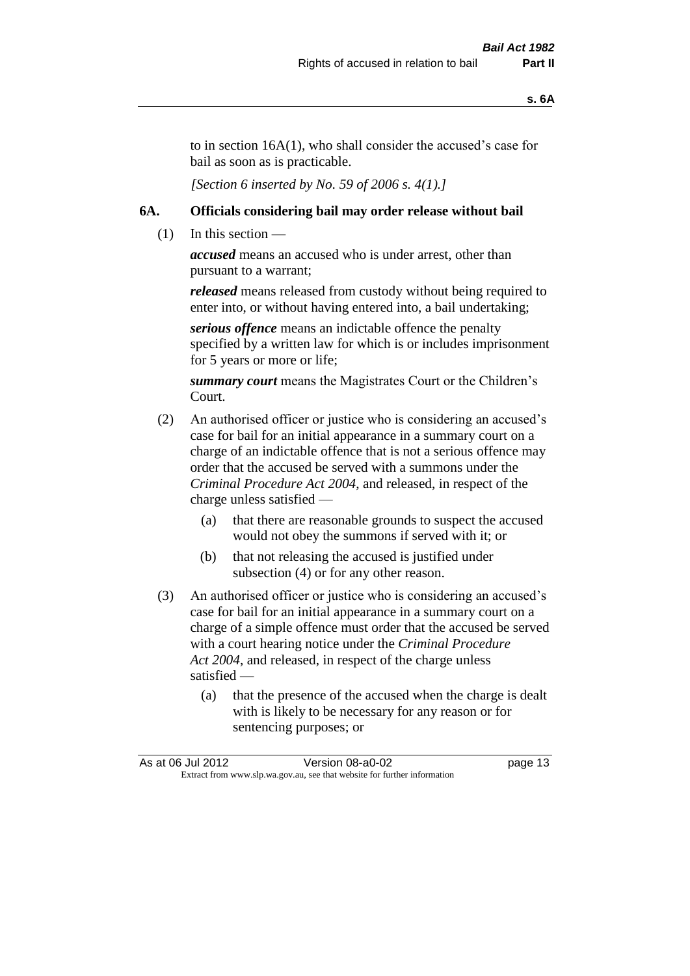to in section 16A(1), who shall consider the accused's case for bail as soon as is practicable.

*[Section 6 inserted by No. 59 of 2006 s. 4(1).]* 

#### **6A. Officials considering bail may order release without bail**

 $(1)$  In this section —

*accused* means an accused who is under arrest, other than pursuant to a warrant;

*released* means released from custody without being required to enter into, or without having entered into, a bail undertaking;

*serious offence* means an indictable offence the penalty specified by a written law for which is or includes imprisonment for 5 years or more or life;

*summary court* means the Magistrates Court or the Children's Court.

- (2) An authorised officer or justice who is considering an accused's case for bail for an initial appearance in a summary court on a charge of an indictable offence that is not a serious offence may order that the accused be served with a summons under the *Criminal Procedure Act 2004*, and released, in respect of the charge unless satisfied —
	- (a) that there are reasonable grounds to suspect the accused would not obey the summons if served with it; or
	- (b) that not releasing the accused is justified under subsection (4) or for any other reason.
- (3) An authorised officer or justice who is considering an accused's case for bail for an initial appearance in a summary court on a charge of a simple offence must order that the accused be served with a court hearing notice under the *Criminal Procedure Act 2004*, and released, in respect of the charge unless satisfied —
	- (a) that the presence of the accused when the charge is dealt with is likely to be necessary for any reason or for sentencing purposes; or

|                                                                          | As at 06 Jul 2012 | Version 08-a0-02 | page 13 |
|--------------------------------------------------------------------------|-------------------|------------------|---------|
| Extract from www.slp.wa.gov.au, see that website for further information |                   |                  |         |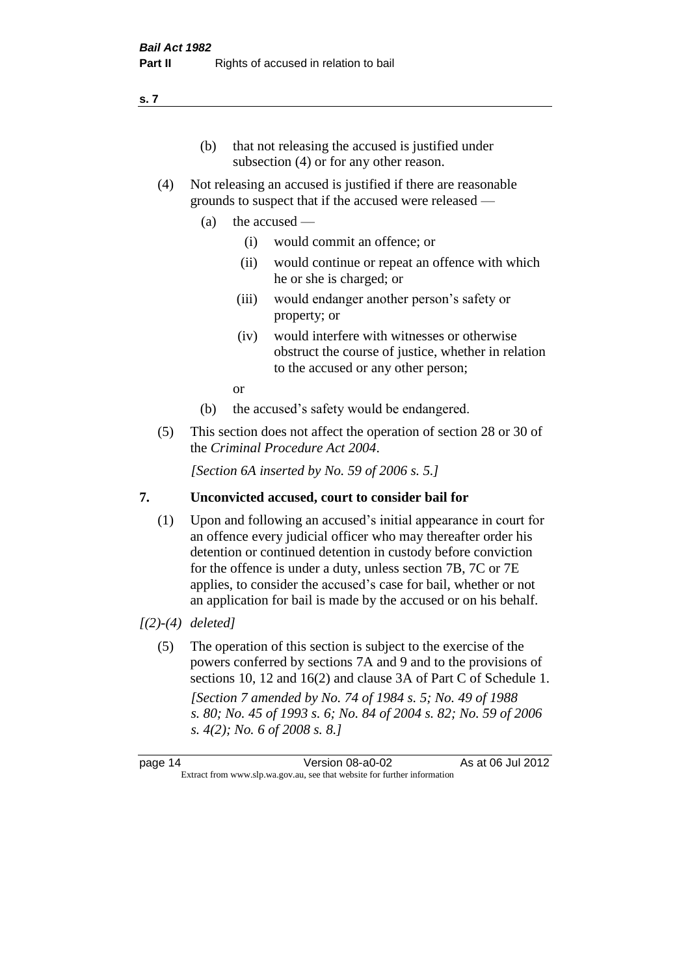- (b) that not releasing the accused is justified under subsection (4) or for any other reason.
- (4) Not releasing an accused is justified if there are reasonable grounds to suspect that if the accused were released —
	- (a) the accused
		- (i) would commit an offence; or
		- (ii) would continue or repeat an offence with which he or she is charged; or
		- (iii) would endanger another person's safety or property; or
		- (iv) would interfere with witnesses or otherwise obstruct the course of justice, whether in relation to the accused or any other person;

or

- (b) the accused's safety would be endangered.
- (5) This section does not affect the operation of section 28 or 30 of the *Criminal Procedure Act 2004*.

*[Section 6A inserted by No. 59 of 2006 s. 5.]* 

#### **7. Unconvicted accused, court to consider bail for**

(1) Upon and following an accused's initial appearance in court for an offence every judicial officer who may thereafter order his detention or continued detention in custody before conviction for the offence is under a duty, unless section 7B, 7C or 7E applies, to consider the accused's case for bail, whether or not an application for bail is made by the accused or on his behalf.

#### *[(2)-(4) deleted]*

(5) The operation of this section is subject to the exercise of the powers conferred by sections 7A and 9 and to the provisions of sections 10, 12 and 16(2) and clause 3A of Part C of Schedule 1. *[Section 7 amended by No. 74 of 1984 s. 5; No. 49 of 1988 s. 80; No. 45 of 1993 s. 6; No. 84 of 2004 s. 82; No. 59 of 2006 s. 4(2); No. 6 of 2008 s. 8.]* 

page 14 Version 08-a0-02 As at 06 Jul 2012 Extract from www.slp.wa.gov.au, see that website for further information

#### **s. 7**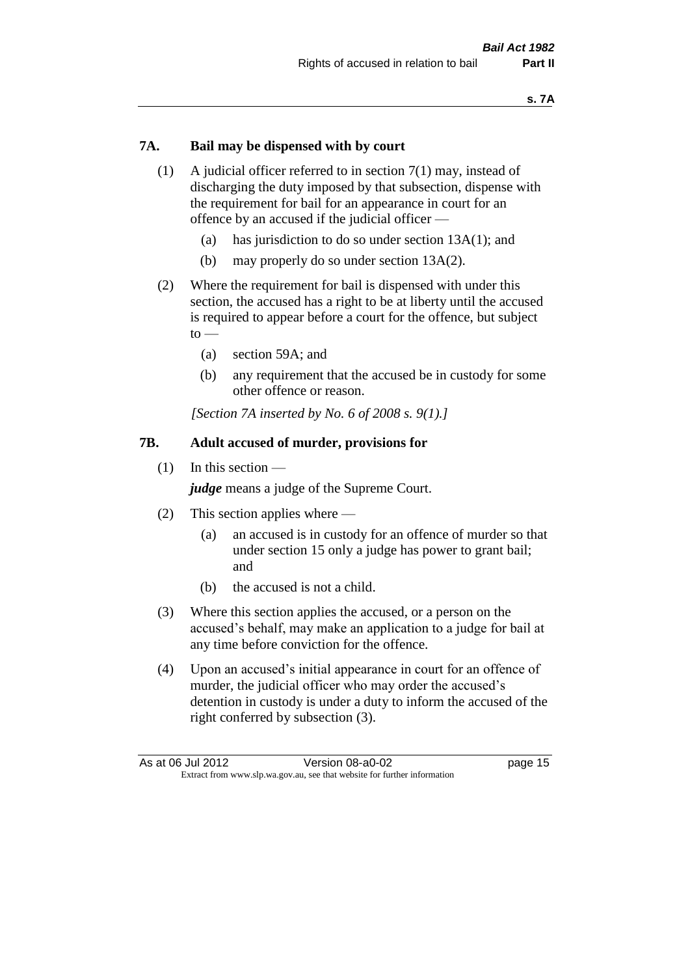#### **7A. Bail may be dispensed with by court**

- (1) A judicial officer referred to in section 7(1) may, instead of discharging the duty imposed by that subsection, dispense with the requirement for bail for an appearance in court for an offence by an accused if the judicial officer —
	- (a) has jurisdiction to do so under section 13A(1); and
	- (b) may properly do so under section 13A(2).
- (2) Where the requirement for bail is dispensed with under this section, the accused has a right to be at liberty until the accused is required to appear before a court for the offence, but subject  $to -$ 
	- (a) section 59A; and
	- (b) any requirement that the accused be in custody for some other offence or reason.

*[Section 7A inserted by No. 6 of 2008 s. 9(1).]*

#### **7B. Adult accused of murder, provisions for**

(1) In this section —

*judge* means a judge of the Supreme Court.

- (2) This section applies where
	- (a) an accused is in custody for an offence of murder so that under section 15 only a judge has power to grant bail; and
	- (b) the accused is not a child.
- (3) Where this section applies the accused, or a person on the accused's behalf, may make an application to a judge for bail at any time before conviction for the offence.
- (4) Upon an accused's initial appearance in court for an offence of murder, the judicial officer who may order the accused's detention in custody is under a duty to inform the accused of the right conferred by subsection (3).

| As at 06 Jul 2012                                                        |  | Version 08-a0-02 | page 15 |
|--------------------------------------------------------------------------|--|------------------|---------|
| Extract from www.slp.wa.gov.au, see that website for further information |  |                  |         |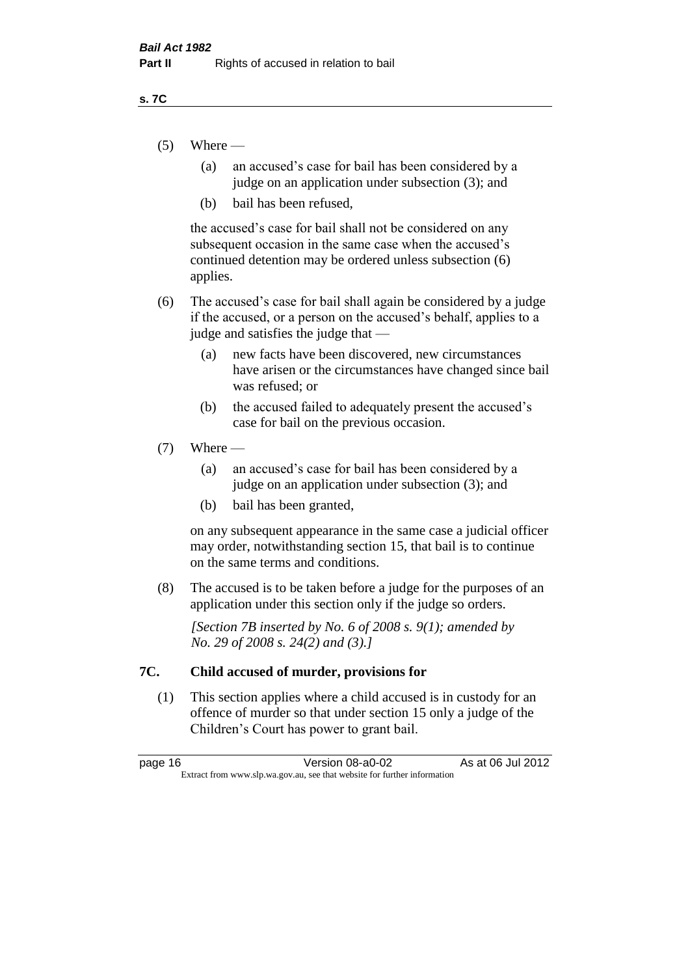#### **s. 7C**

- $(5)$  Where
	- (a) an accused's case for bail has been considered by a judge on an application under subsection (3); and
	- (b) bail has been refused,

the accused's case for bail shall not be considered on any subsequent occasion in the same case when the accused's continued detention may be ordered unless subsection (6) applies.

- (6) The accused's case for bail shall again be considered by a judge if the accused, or a person on the accused's behalf, applies to a judge and satisfies the judge that —
	- (a) new facts have been discovered, new circumstances have arisen or the circumstances have changed since bail was refused; or
	- (b) the accused failed to adequately present the accused's case for bail on the previous occasion.

#### $(7)$  Where —

- (a) an accused's case for bail has been considered by a judge on an application under subsection (3); and
- (b) bail has been granted,

on any subsequent appearance in the same case a judicial officer may order, notwithstanding section 15, that bail is to continue on the same terms and conditions.

(8) The accused is to be taken before a judge for the purposes of an application under this section only if the judge so orders.

*[Section 7B inserted by No. 6 of 2008 s. 9(1); amended by No. 29 of 2008 s. 24(2) and (3).]*

#### **7C. Child accused of murder, provisions for**

(1) This section applies where a child accused is in custody for an offence of murder so that under section 15 only a judge of the Children's Court has power to grant bail.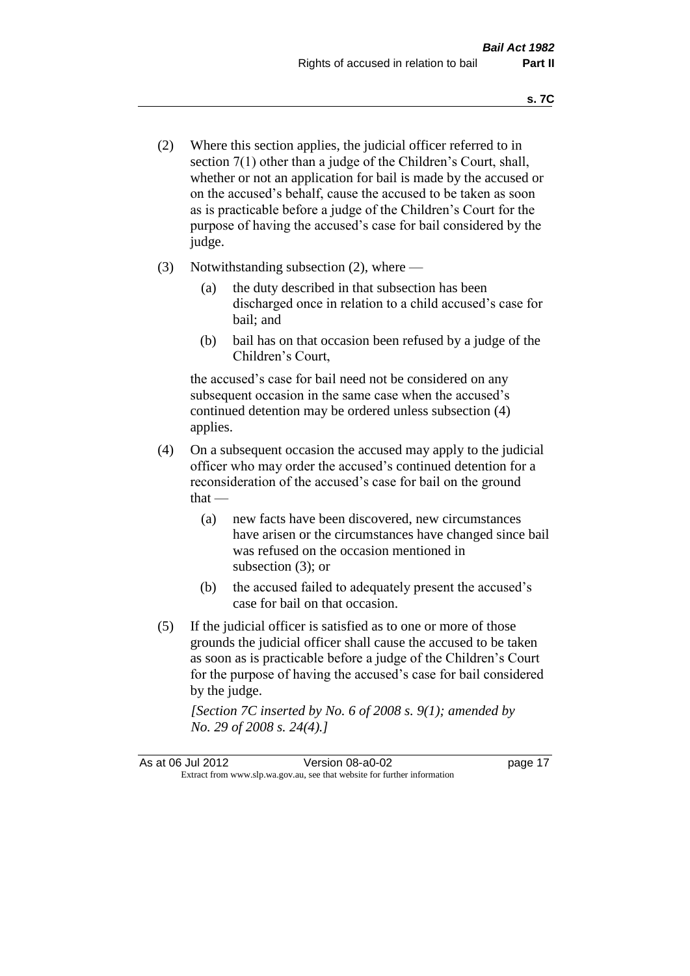- (2) Where this section applies, the judicial officer referred to in section 7(1) other than a judge of the Children's Court, shall, whether or not an application for bail is made by the accused or on the accused's behalf, cause the accused to be taken as soon as is practicable before a judge of the Children's Court for the purpose of having the accused's case for bail considered by the judge.
- (3) Notwithstanding subsection (2), where
	- (a) the duty described in that subsection has been discharged once in relation to a child accused's case for bail; and
	- (b) bail has on that occasion been refused by a judge of the Children's Court,

the accused's case for bail need not be considered on any subsequent occasion in the same case when the accused's continued detention may be ordered unless subsection (4) applies.

- (4) On a subsequent occasion the accused may apply to the judicial officer who may order the accused's continued detention for a reconsideration of the accused's case for bail on the ground  $that -$ 
	- (a) new facts have been discovered, new circumstances have arisen or the circumstances have changed since bail was refused on the occasion mentioned in subsection (3); or
	- (b) the accused failed to adequately present the accused's case for bail on that occasion.
- (5) If the judicial officer is satisfied as to one or more of those grounds the judicial officer shall cause the accused to be taken as soon as is practicable before a judge of the Children's Court for the purpose of having the accused's case for bail considered by the judge.

*[Section 7C inserted by No. 6 of 2008 s. 9(1); amended by No. 29 of 2008 s. 24(4).]*

As at 06 Jul 2012 Version 08-a0-02 page 17 Extract from www.slp.wa.gov.au, see that website for further information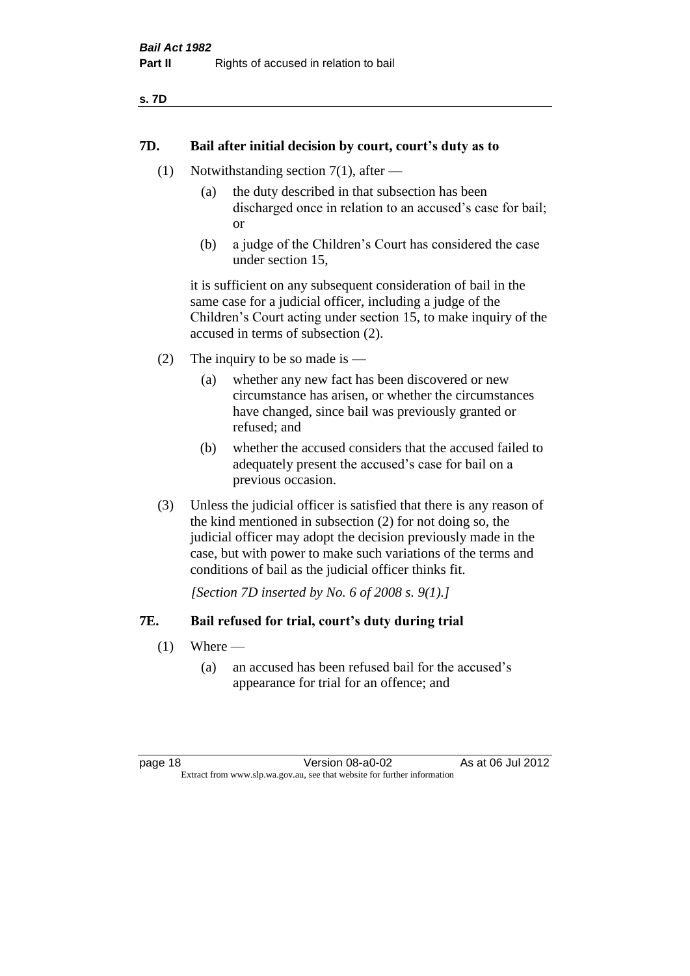| ×<br>×<br>v | ۰. |
|-------------|----|
|-------------|----|

#### **7D. Bail after initial decision by court, court's duty as to**

- (1) Notwithstanding section 7(1), after
	- (a) the duty described in that subsection has been discharged once in relation to an accused's case for bail; or
	- (b) a judge of the Children's Court has considered the case under section 15,

it is sufficient on any subsequent consideration of bail in the same case for a judicial officer, including a judge of the Children's Court acting under section 15, to make inquiry of the accused in terms of subsection (2).

- (2) The inquiry to be so made is  $-$ 
	- (a) whether any new fact has been discovered or new circumstance has arisen, or whether the circumstances have changed, since bail was previously granted or refused; and
	- (b) whether the accused considers that the accused failed to adequately present the accused's case for bail on a previous occasion.
- (3) Unless the judicial officer is satisfied that there is any reason of the kind mentioned in subsection (2) for not doing so, the judicial officer may adopt the decision previously made in the case, but with power to make such variations of the terms and conditions of bail as the judicial officer thinks fit.

*[Section 7D inserted by No. 6 of 2008 s. 9(1).]*

#### **7E. Bail refused for trial, court's duty during trial**

- $(1)$  Where
	- (a) an accused has been refused bail for the accused's appearance for trial for an offence; and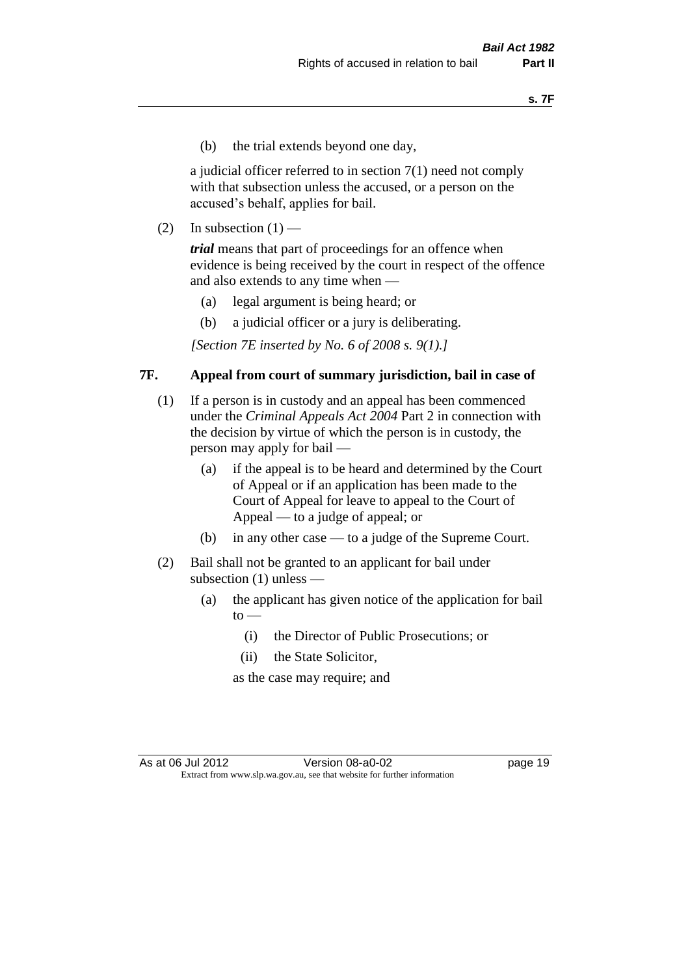(b) the trial extends beyond one day,

a judicial officer referred to in section 7(1) need not comply with that subsection unless the accused, or a person on the accused's behalf, applies for bail.

(2) In subsection  $(1)$  —

*trial* means that part of proceedings for an offence when evidence is being received by the court in respect of the offence and also extends to any time when —

- (a) legal argument is being heard; or
- (b) a judicial officer or a jury is deliberating.

*[Section 7E inserted by No. 6 of 2008 s. 9(1).]*

#### **7F. Appeal from court of summary jurisdiction, bail in case of**

- (1) If a person is in custody and an appeal has been commenced under the *Criminal Appeals Act 2004* Part 2 in connection with the decision by virtue of which the person is in custody, the person may apply for bail —
	- (a) if the appeal is to be heard and determined by the Court of Appeal or if an application has been made to the Court of Appeal for leave to appeal to the Court of Appeal — to a judge of appeal; or
	- (b) in any other case to a judge of the Supreme Court.
- (2) Bail shall not be granted to an applicant for bail under subsection (1) unless —
	- (a) the applicant has given notice of the application for bail  $to -$ 
		- (i) the Director of Public Prosecutions; or
		- (ii) the State Solicitor,

as the case may require; and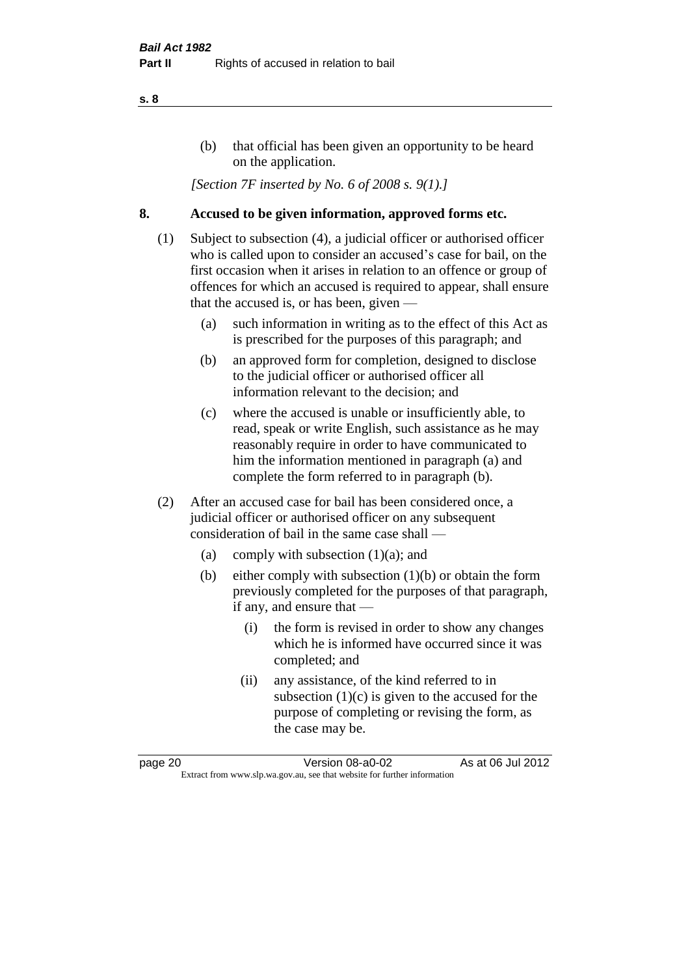#### (b) that official has been given an opportunity to be heard on the application.

*[Section 7F inserted by No. 6 of 2008 s. 9(1).]*

#### **8. Accused to be given information, approved forms etc.**

- (1) Subject to subsection (4), a judicial officer or authorised officer who is called upon to consider an accused's case for bail, on the first occasion when it arises in relation to an offence or group of offences for which an accused is required to appear, shall ensure that the accused is, or has been, given —
	- (a) such information in writing as to the effect of this Act as is prescribed for the purposes of this paragraph; and
	- (b) an approved form for completion, designed to disclose to the judicial officer or authorised officer all information relevant to the decision; and
	- (c) where the accused is unable or insufficiently able, to read, speak or write English, such assistance as he may reasonably require in order to have communicated to him the information mentioned in paragraph (a) and complete the form referred to in paragraph (b).
- (2) After an accused case for bail has been considered once, a judicial officer or authorised officer on any subsequent consideration of bail in the same case shall —
	- (a) comply with subsection (1)(a); and
	- (b) either comply with subsection (1)(b) or obtain the form previously completed for the purposes of that paragraph, if any, and ensure that —
		- (i) the form is revised in order to show any changes which he is informed have occurred since it was completed; and
		- (ii) any assistance, of the kind referred to in subsection  $(1)(c)$  is given to the accused for the purpose of completing or revising the form, as the case may be.

page 20 Version 08-a0-02 As at 06 Jul 2012 Extract from www.slp.wa.gov.au, see that website for further information

#### **s. 8**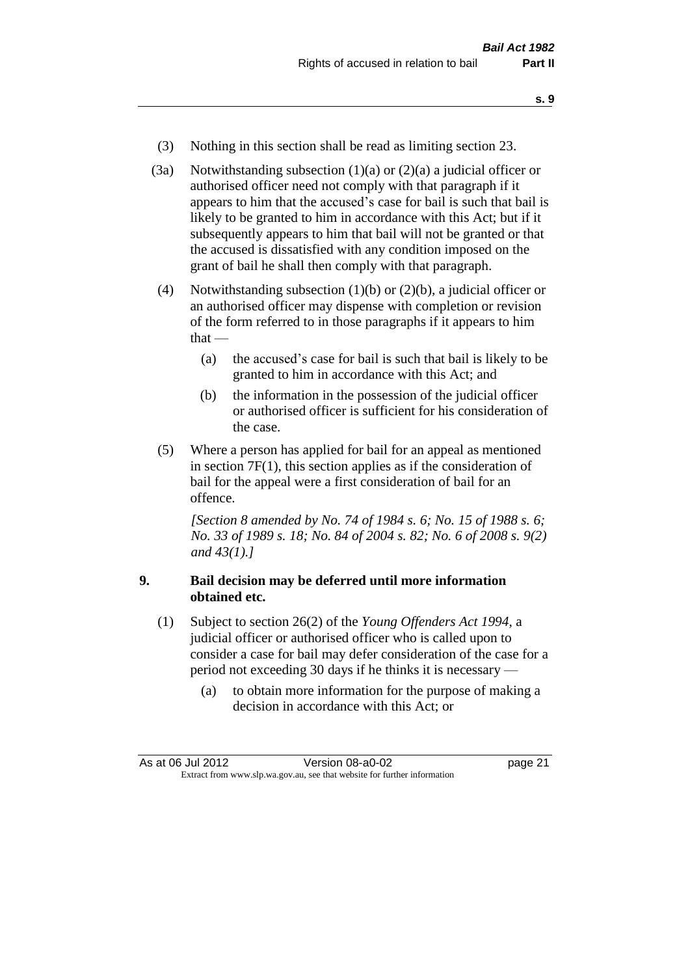- **s. 9**
- (3) Nothing in this section shall be read as limiting section 23.
- (3a) Notwithstanding subsection  $(1)(a)$  or  $(2)(a)$  a judicial officer or authorised officer need not comply with that paragraph if it appears to him that the accused's case for bail is such that bail is likely to be granted to him in accordance with this Act; but if it subsequently appears to him that bail will not be granted or that the accused is dissatisfied with any condition imposed on the grant of bail he shall then comply with that paragraph.
- (4) Notwithstanding subsection (1)(b) or (2)(b), a judicial officer or an authorised officer may dispense with completion or revision of the form referred to in those paragraphs if it appears to him that —
	- (a) the accused's case for bail is such that bail is likely to be granted to him in accordance with this Act; and
	- (b) the information in the possession of the judicial officer or authorised officer is sufficient for his consideration of the case.
- (5) Where a person has applied for bail for an appeal as mentioned in section 7F(1), this section applies as if the consideration of bail for the appeal were a first consideration of bail for an offence.

*[Section 8 amended by No. 74 of 1984 s. 6; No. 15 of 1988 s. 6; No. 33 of 1989 s. 18; No. 84 of 2004 s. 82; No. 6 of 2008 s. 9(2) and 43(1).]* 

#### **9. Bail decision may be deferred until more information obtained etc.**

- (1) Subject to section 26(2) of the *Young Offenders Act 1994*, a judicial officer or authorised officer who is called upon to consider a case for bail may defer consideration of the case for a period not exceeding 30 days if he thinks it is necessary —
	- (a) to obtain more information for the purpose of making a decision in accordance with this Act; or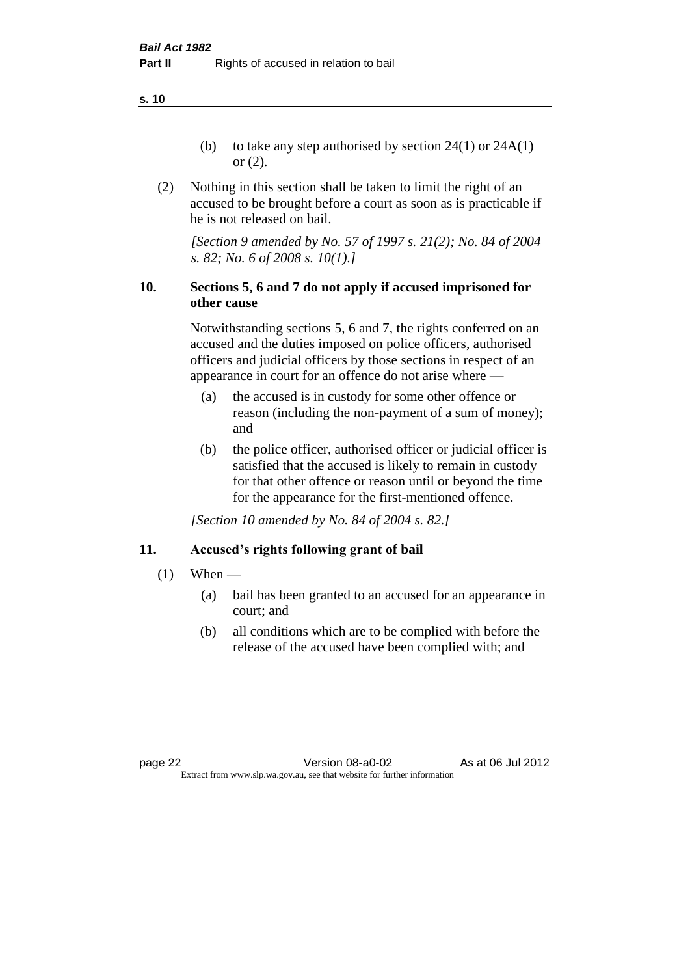**s. 10**

- (b) to take any step authorised by section  $24(1)$  or  $24A(1)$ or (2).
- (2) Nothing in this section shall be taken to limit the right of an accused to be brought before a court as soon as is practicable if he is not released on bail.

*[Section 9 amended by No. 57 of 1997 s. 21(2); No. 84 of 2004 s. 82; No. 6 of 2008 s. 10(1).]*

#### **10. Sections 5, 6 and 7 do not apply if accused imprisoned for other cause**

Notwithstanding sections 5, 6 and 7, the rights conferred on an accused and the duties imposed on police officers, authorised officers and judicial officers by those sections in respect of an appearance in court for an offence do not arise where —

- (a) the accused is in custody for some other offence or reason (including the non-payment of a sum of money); and
- (b) the police officer, authorised officer or judicial officer is satisfied that the accused is likely to remain in custody for that other offence or reason until or beyond the time for the appearance for the first-mentioned offence.

*[Section 10 amended by No. 84 of 2004 s. 82.]*

### **11. Accused's rights following grant of bail**

- $(1)$  When
	- (a) bail has been granted to an accused for an appearance in court; and
	- (b) all conditions which are to be complied with before the release of the accused have been complied with; and

page 22 Version 08-a0-02 As at 06 Jul 2012 Extract from www.slp.wa.gov.au, see that website for further information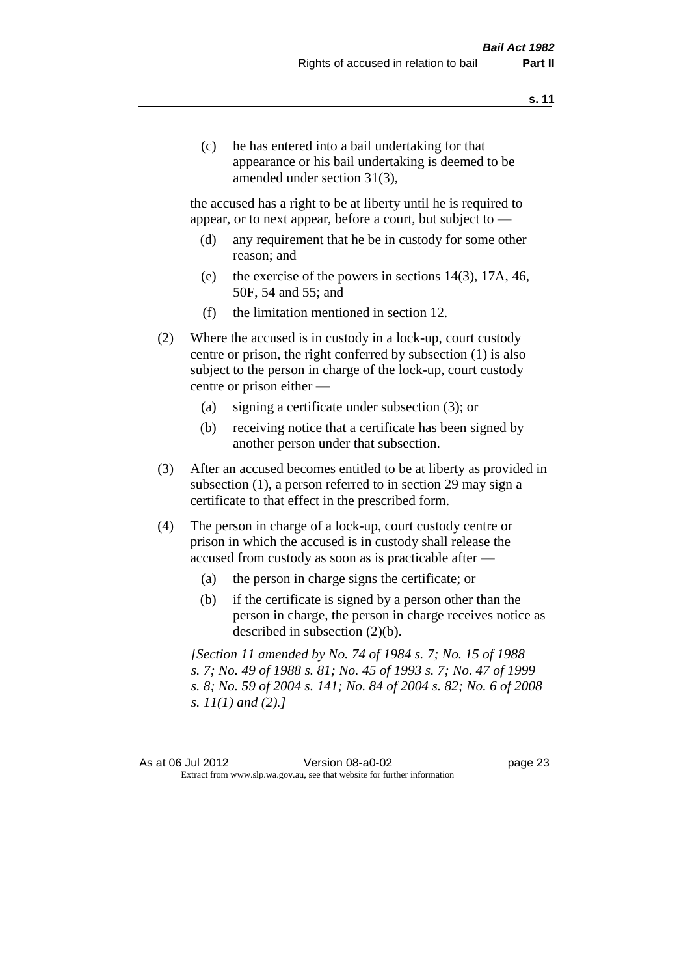(c) he has entered into a bail undertaking for that appearance or his bail undertaking is deemed to be amended under section 31(3),

the accused has a right to be at liberty until he is required to appear, or to next appear, before a court, but subject to —

- (d) any requirement that he be in custody for some other reason; and
- (e) the exercise of the powers in sections 14(3), 17A, 46, 50F, 54 and 55; and
- (f) the limitation mentioned in section 12.
- (2) Where the accused is in custody in a lock-up, court custody centre or prison, the right conferred by subsection (1) is also subject to the person in charge of the lock-up, court custody centre or prison either —
	- (a) signing a certificate under subsection (3); or
	- (b) receiving notice that a certificate has been signed by another person under that subsection.
- (3) After an accused becomes entitled to be at liberty as provided in subsection (1), a person referred to in section 29 may sign a certificate to that effect in the prescribed form.
- (4) The person in charge of a lock-up, court custody centre or prison in which the accused is in custody shall release the accused from custody as soon as is practicable after —
	- (a) the person in charge signs the certificate; or
	- (b) if the certificate is signed by a person other than the person in charge, the person in charge receives notice as described in subsection (2)(b).

*[Section 11 amended by No. 74 of 1984 s. 7; No. 15 of 1988 s. 7; No. 49 of 1988 s. 81; No. 45 of 1993 s. 7; No. 47 of 1999 s. 8; No. 59 of 2004 s. 141; No. 84 of 2004 s. 82; No. 6 of 2008 s. 11(1) and (2).]* 

As at 06 Jul 2012 Version 08-a0-02 page 23 Extract from www.slp.wa.gov.au, see that website for further information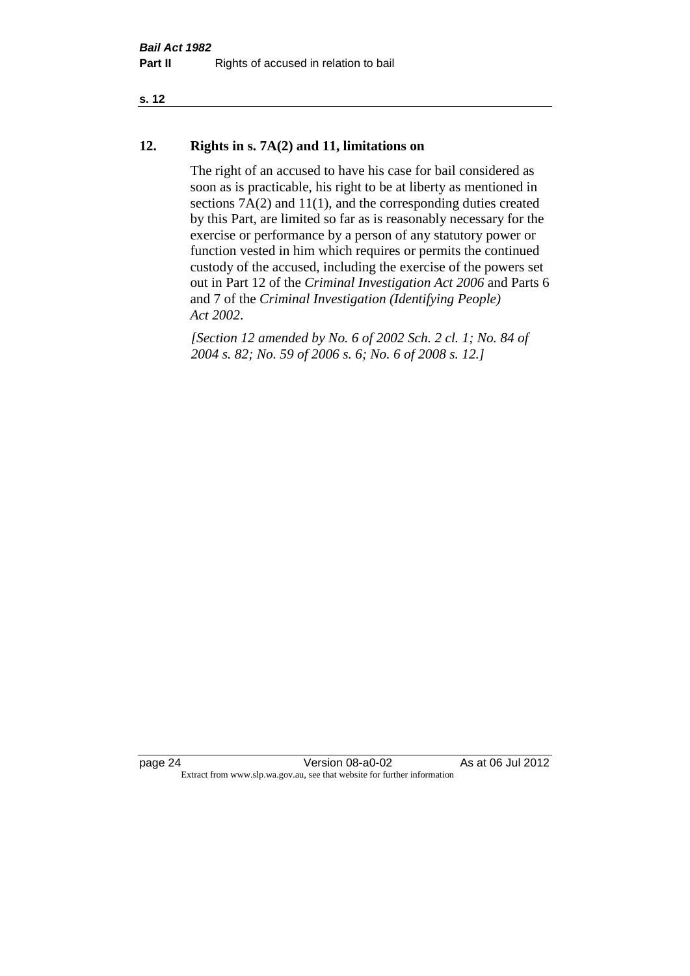#### **s. 12**

#### **12. Rights in s. 7A(2) and 11, limitations on**

The right of an accused to have his case for bail considered as soon as is practicable, his right to be at liberty as mentioned in sections 7A(2) and 11(1), and the corresponding duties created by this Part, are limited so far as is reasonably necessary for the exercise or performance by a person of any statutory power or function vested in him which requires or permits the continued custody of the accused, including the exercise of the powers set out in Part 12 of the *Criminal Investigation Act 2006* and Parts 6 and 7 of the *Criminal Investigation (Identifying People) Act 2002*.

*[Section 12 amended by No. 6 of 2002 Sch. 2 cl. 1; No. 84 of 2004 s. 82; No. 59 of 2006 s. 6; No. 6 of 2008 s. 12.]*

page 24 Version 08-a0-02 As at 06 Jul 2012 Extract from www.slp.wa.gov.au, see that website for further information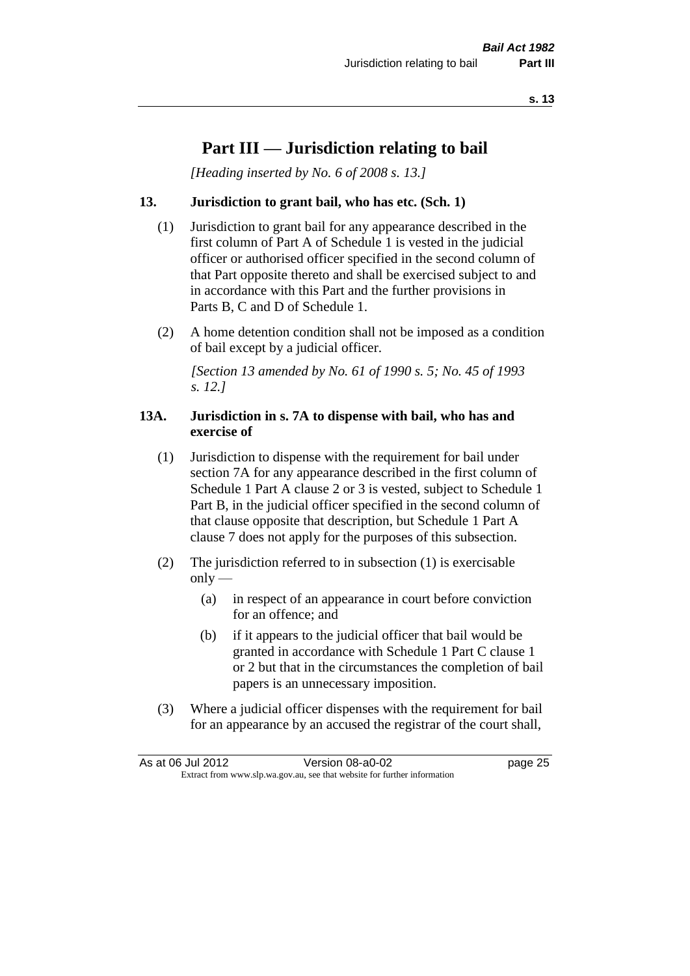### **Part III — Jurisdiction relating to bail**

*[Heading inserted by No. 6 of 2008 s. 13.]*

#### **13. Jurisdiction to grant bail, who has etc. (Sch. 1)**

- (1) Jurisdiction to grant bail for any appearance described in the first column of Part A of Schedule 1 is vested in the judicial officer or authorised officer specified in the second column of that Part opposite thereto and shall be exercised subject to and in accordance with this Part and the further provisions in Parts B, C and D of Schedule 1.
- (2) A home detention condition shall not be imposed as a condition of bail except by a judicial officer.

*[Section 13 amended by No. 61 of 1990 s. 5; No. 45 of 1993 s. 12.]* 

#### **13A. Jurisdiction in s. 7A to dispense with bail, who has and exercise of**

- (1) Jurisdiction to dispense with the requirement for bail under section 7A for any appearance described in the first column of Schedule 1 Part A clause 2 or 3 is vested, subject to Schedule 1 Part B, in the judicial officer specified in the second column of that clause opposite that description, but Schedule 1 Part A clause 7 does not apply for the purposes of this subsection.
- (2) The jurisdiction referred to in subsection (1) is exercisable  $only$ —
	- (a) in respect of an appearance in court before conviction for an offence; and
	- (b) if it appears to the judicial officer that bail would be granted in accordance with Schedule 1 Part C clause 1 or 2 but that in the circumstances the completion of bail papers is an unnecessary imposition.
- (3) Where a judicial officer dispenses with the requirement for bail for an appearance by an accused the registrar of the court shall,

| As at 06 Jul 2012                                                        |  | Version 08-a0-02 | page 25 |
|--------------------------------------------------------------------------|--|------------------|---------|
| Extract from www.slp.wa.gov.au, see that website for further information |  |                  |         |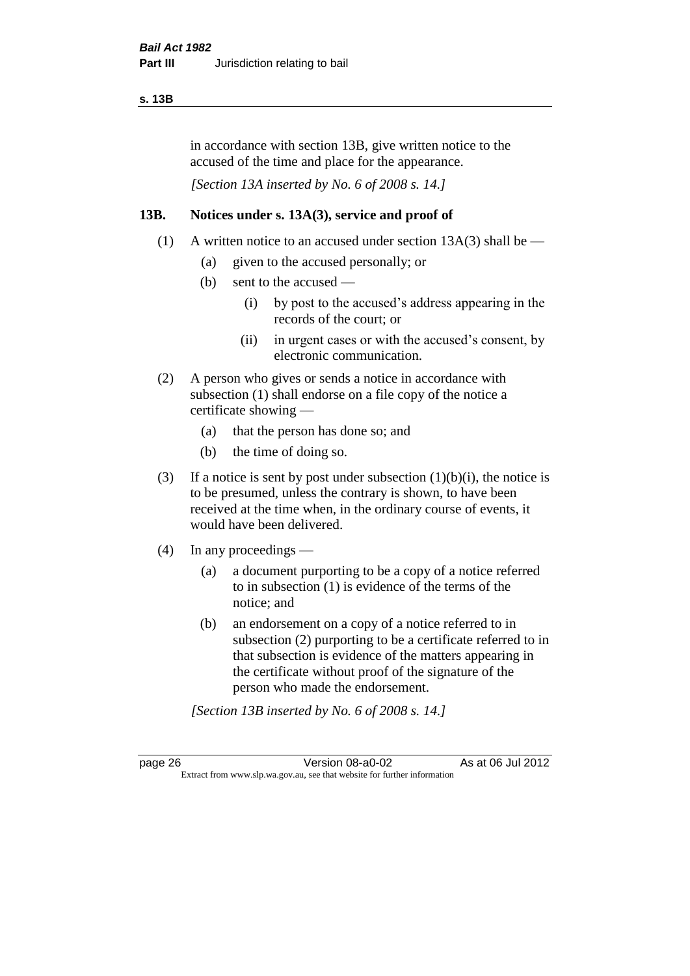#### **s. 13B**

in accordance with section 13B, give written notice to the accused of the time and place for the appearance.

*[Section 13A inserted by No. 6 of 2008 s. 14.]*

#### **13B. Notices under s. 13A(3), service and proof of**

- (1) A written notice to an accused under section  $13A(3)$  shall be
	- (a) given to the accused personally; or
	- (b) sent to the accused
		- (i) by post to the accused's address appearing in the records of the court; or
		- (ii) in urgent cases or with the accused's consent, by electronic communication.
- (2) A person who gives or sends a notice in accordance with subsection (1) shall endorse on a file copy of the notice a certificate showing —
	- (a) that the person has done so; and
	- (b) the time of doing so.
- (3) If a notice is sent by post under subsection  $(1)(b)(i)$ , the notice is to be presumed, unless the contrary is shown, to have been received at the time when, in the ordinary course of events, it would have been delivered.
- (4) In any proceedings
	- (a) a document purporting to be a copy of a notice referred to in subsection (1) is evidence of the terms of the notice; and
	- (b) an endorsement on a copy of a notice referred to in subsection (2) purporting to be a certificate referred to in that subsection is evidence of the matters appearing in the certificate without proof of the signature of the person who made the endorsement.

*[Section 13B inserted by No. 6 of 2008 s. 14.]*

page 26 Version 08-a0-02 As at 06 Jul 2012 Extract from www.slp.wa.gov.au, see that website for further information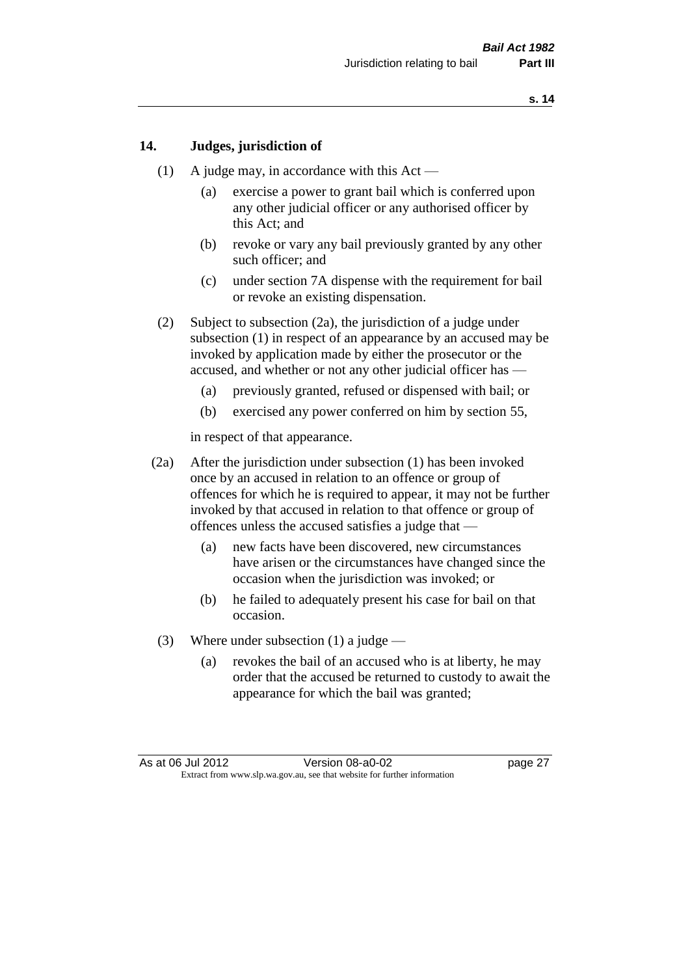#### **14. Judges, jurisdiction of**

- (1) A judge may, in accordance with this  $Act -$ 
	- (a) exercise a power to grant bail which is conferred upon any other judicial officer or any authorised officer by this Act; and
	- (b) revoke or vary any bail previously granted by any other such officer; and
	- (c) under section 7A dispense with the requirement for bail or revoke an existing dispensation.
- (2) Subject to subsection (2a), the jurisdiction of a judge under subsection (1) in respect of an appearance by an accused may be invoked by application made by either the prosecutor or the accused, and whether or not any other judicial officer has —
	- (a) previously granted, refused or dispensed with bail; or
	- (b) exercised any power conferred on him by section 55,

in respect of that appearance.

- (2a) After the jurisdiction under subsection (1) has been invoked once by an accused in relation to an offence or group of offences for which he is required to appear, it may not be further invoked by that accused in relation to that offence or group of offences unless the accused satisfies a judge that —
	- (a) new facts have been discovered, new circumstances have arisen or the circumstances have changed since the occasion when the jurisdiction was invoked; or
	- (b) he failed to adequately present his case for bail on that occasion.
- (3) Where under subsection (1) a judge
	- (a) revokes the bail of an accused who is at liberty, he may order that the accused be returned to custody to await the appearance for which the bail was granted;

As at 06 Jul 2012 Version 08-a0-02 page 27 Extract from www.slp.wa.gov.au, see that website for further information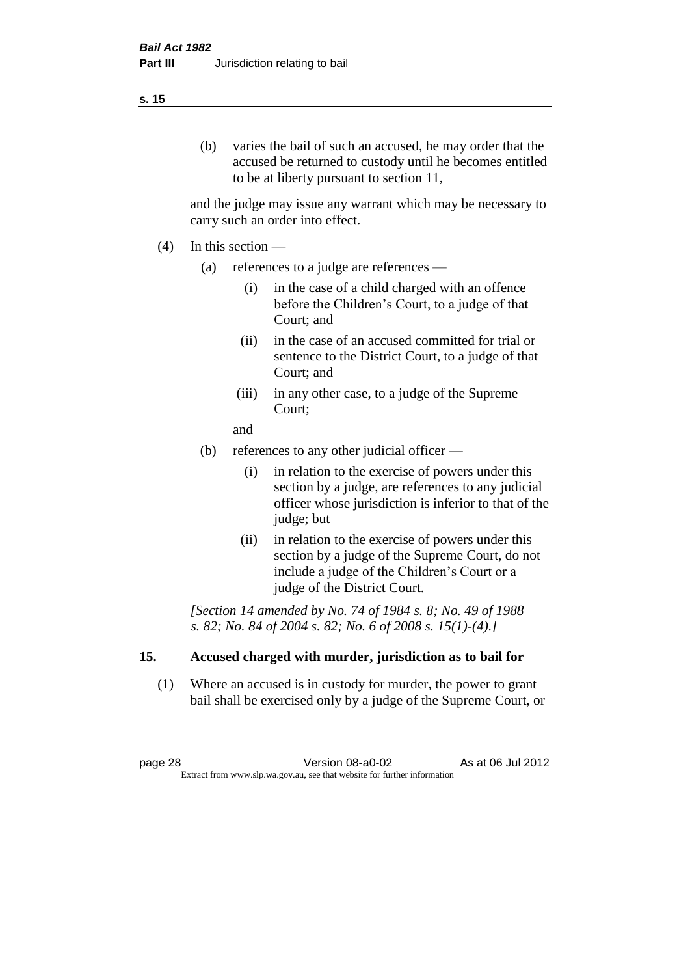#### (b) varies the bail of such an accused, he may order that the accused be returned to custody until he becomes entitled to be at liberty pursuant to section 11,

and the judge may issue any warrant which may be necessary to carry such an order into effect.

- (4) In this section
	- (a) references to a judge are references
		- (i) in the case of a child charged with an offence before the Children's Court, to a judge of that Court; and
		- (ii) in the case of an accused committed for trial or sentence to the District Court, to a judge of that Court; and
		- (iii) in any other case, to a judge of the Supreme Court;
		- and
	- (b) references to any other judicial officer
		- (i) in relation to the exercise of powers under this section by a judge, are references to any judicial officer whose jurisdiction is inferior to that of the judge; but
		- (ii) in relation to the exercise of powers under this section by a judge of the Supreme Court, do not include a judge of the Children's Court or a judge of the District Court.

*[Section 14 amended by No. 74 of 1984 s. 8; No. 49 of 1988 s. 82; No. 84 of 2004 s. 82; No. 6 of 2008 s. 15(1)-(4).]* 

#### **15. Accused charged with murder, jurisdiction as to bail for**

(1) Where an accused is in custody for murder, the power to grant bail shall be exercised only by a judge of the Supreme Court, or

page 28 **Version 08-a0-02** As at 06 Jul 2012 Extract from www.slp.wa.gov.au, see that website for further information

**s. 15**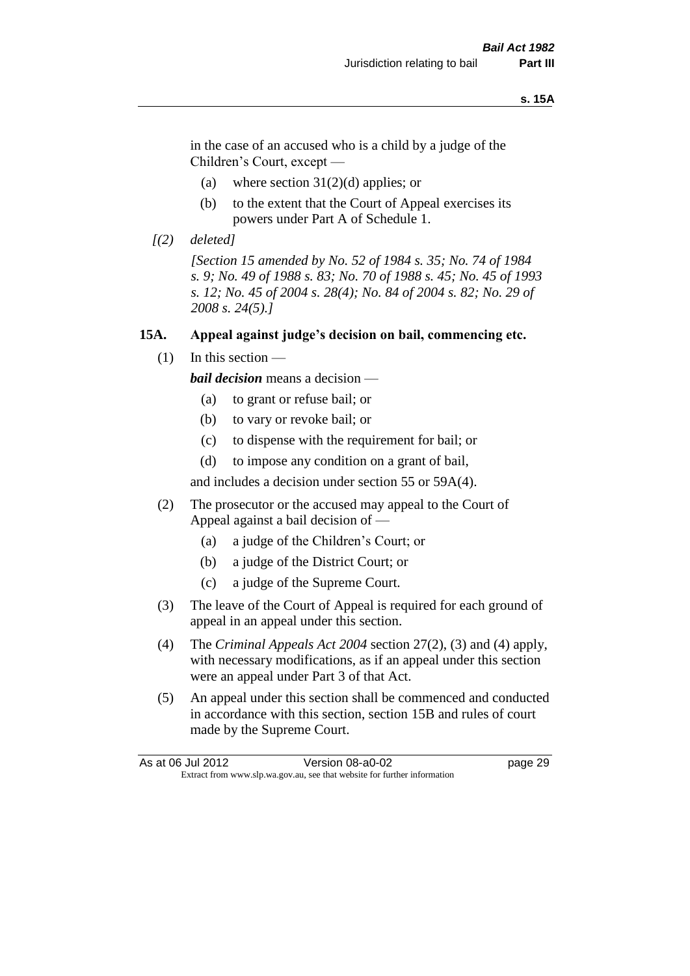#### **s. 15A**

in the case of an accused who is a child by a judge of the Children's Court, except —

- (a) where section  $31(2)(d)$  applies; or
- (b) to the extent that the Court of Appeal exercises its powers under Part A of Schedule 1.
- *[(2) deleted]*

*[Section 15 amended by No. 52 of 1984 s. 35; No. 74 of 1984 s. 9; No. 49 of 1988 s. 83; No. 70 of 1988 s. 45; No. 45 of 1993 s. 12; No. 45 of 2004 s. 28(4); No. 84 of 2004 s. 82; No. 29 of 2008 s. 24(5).]* 

#### **15A. Appeal against judge's decision on bail, commencing etc.**

 $(1)$  In this section —

*bail decision* means a decision —

- (a) to grant or refuse bail; or
- (b) to vary or revoke bail; or
- (c) to dispense with the requirement for bail; or
- (d) to impose any condition on a grant of bail,

and includes a decision under section 55 or 59A(4).

- (2) The prosecutor or the accused may appeal to the Court of Appeal against a bail decision of —
	- (a) a judge of the Children's Court; or
	- (b) a judge of the District Court; or
	- (c) a judge of the Supreme Court.
- (3) The leave of the Court of Appeal is required for each ground of appeal in an appeal under this section.
- (4) The *Criminal Appeals Act 2004* section 27(2), (3) and (4) apply, with necessary modifications, as if an appeal under this section were an appeal under Part 3 of that Act.
- (5) An appeal under this section shall be commenced and conducted in accordance with this section, section 15B and rules of court made by the Supreme Court.

| As at 06 Jul 2012 | Version 08-a0-02                                                         | page 29 |
|-------------------|--------------------------------------------------------------------------|---------|
|                   | Extract from www.slp.wa.gov.au, see that website for further information |         |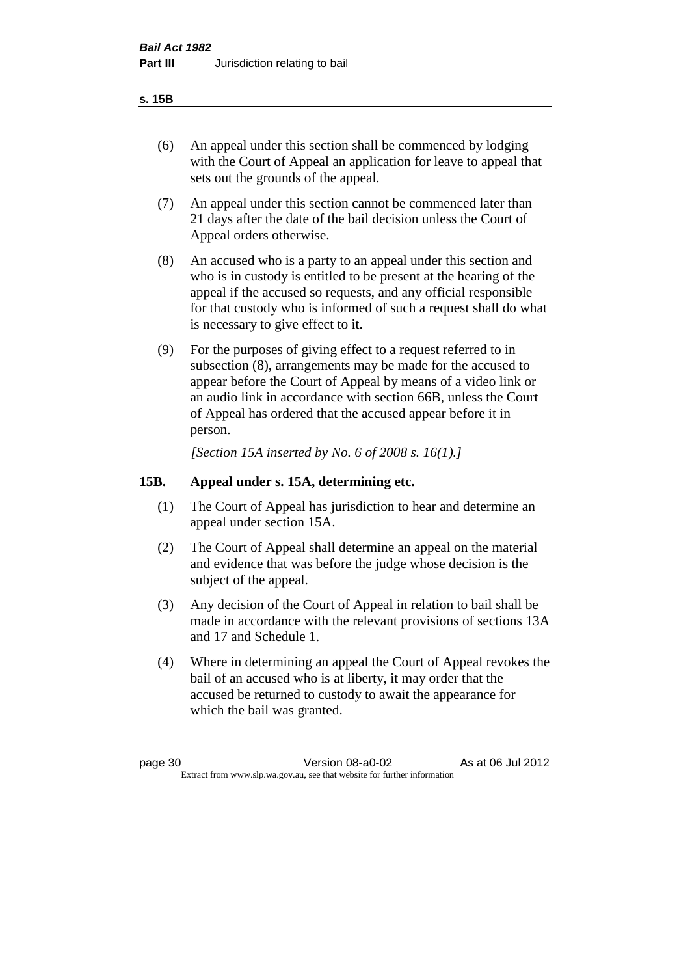#### **s. 15B**

- (6) An appeal under this section shall be commenced by lodging with the Court of Appeal an application for leave to appeal that sets out the grounds of the appeal.
- (7) An appeal under this section cannot be commenced later than 21 days after the date of the bail decision unless the Court of Appeal orders otherwise.
- (8) An accused who is a party to an appeal under this section and who is in custody is entitled to be present at the hearing of the appeal if the accused so requests, and any official responsible for that custody who is informed of such a request shall do what is necessary to give effect to it.
- (9) For the purposes of giving effect to a request referred to in subsection (8), arrangements may be made for the accused to appear before the Court of Appeal by means of a video link or an audio link in accordance with section 66B, unless the Court of Appeal has ordered that the accused appear before it in person.

*[Section 15A inserted by No. 6 of 2008 s. 16(1).]*

#### **15B. Appeal under s. 15A, determining etc.**

- (1) The Court of Appeal has jurisdiction to hear and determine an appeal under section 15A.
- (2) The Court of Appeal shall determine an appeal on the material and evidence that was before the judge whose decision is the subject of the appeal.
- (3) Any decision of the Court of Appeal in relation to bail shall be made in accordance with the relevant provisions of sections 13A and 17 and Schedule 1.
- (4) Where in determining an appeal the Court of Appeal revokes the bail of an accused who is at liberty, it may order that the accused be returned to custody to await the appearance for which the bail was granted.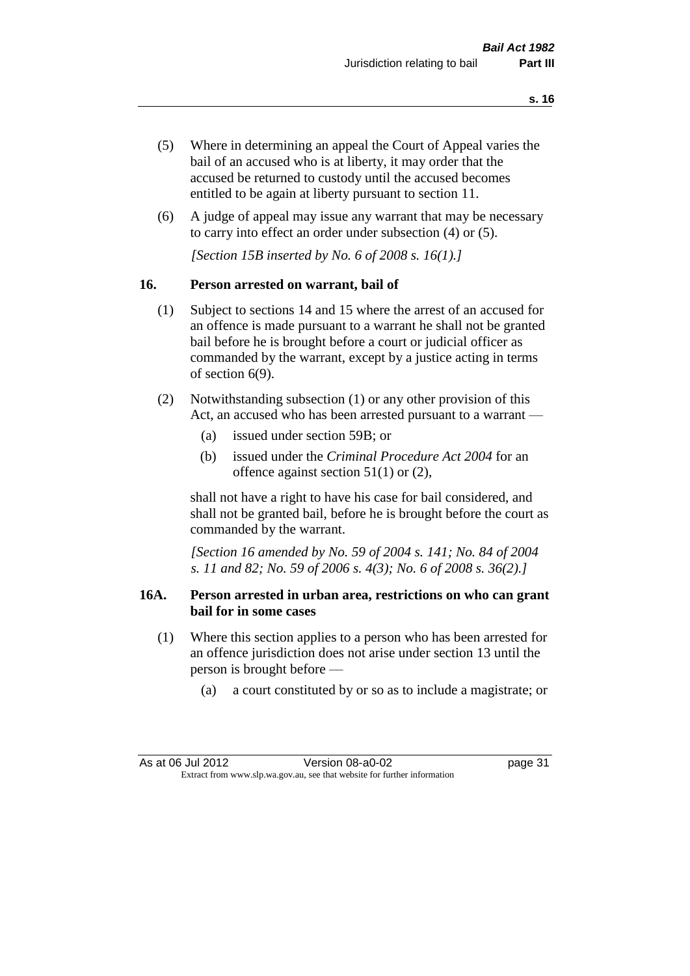- (5) Where in determining an appeal the Court of Appeal varies the bail of an accused who is at liberty, it may order that the accused be returned to custody until the accused becomes entitled to be again at liberty pursuant to section 11.
- (6) A judge of appeal may issue any warrant that may be necessary to carry into effect an order under subsection (4) or (5).

*[Section 15B inserted by No. 6 of 2008 s. 16(1).]*

#### **16. Person arrested on warrant, bail of**

- (1) Subject to sections 14 and 15 where the arrest of an accused for an offence is made pursuant to a warrant he shall not be granted bail before he is brought before a court or judicial officer as commanded by the warrant, except by a justice acting in terms of section 6(9).
- (2) Notwithstanding subsection (1) or any other provision of this Act, an accused who has been arrested pursuant to a warrant —
	- (a) issued under section 59B; or
	- (b) issued under the *Criminal Procedure Act 2004* for an offence against section 51(1) or (2),

shall not have a right to have his case for bail considered, and shall not be granted bail, before he is brought before the court as commanded by the warrant.

*[Section 16 amended by No. 59 of 2004 s. 141; No. 84 of 2004 s. 11 and 82; No. 59 of 2006 s. 4(3); No. 6 of 2008 s. 36(2).]*

#### **16A. Person arrested in urban area, restrictions on who can grant bail for in some cases**

- (1) Where this section applies to a person who has been arrested for an offence jurisdiction does not arise under section 13 until the person is brought before —
	- (a) a court constituted by or so as to include a magistrate; or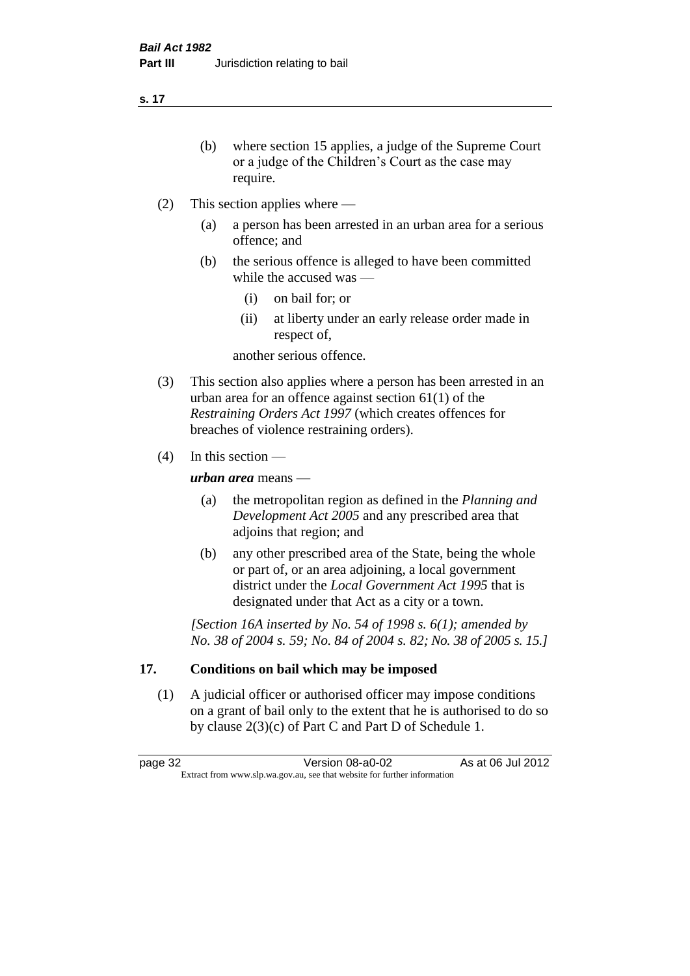**s. 17**

- (b) where section 15 applies, a judge of the Supreme Court or a judge of the Children's Court as the case may require.
- (2) This section applies where
	- (a) a person has been arrested in an urban area for a serious offence; and
	- (b) the serious offence is alleged to have been committed while the accused was —
		- (i) on bail for; or
		- (ii) at liberty under an early release order made in respect of,

another serious offence.

- (3) This section also applies where a person has been arrested in an urban area for an offence against section 61(1) of the *Restraining Orders Act 1997* (which creates offences for breaches of violence restraining orders).
- (4) In this section —

*urban area* means —

- (a) the metropolitan region as defined in the *Planning and Development Act 2005* and any prescribed area that adjoins that region; and
- (b) any other prescribed area of the State, being the whole or part of, or an area adjoining, a local government district under the *Local Government Act 1995* that is designated under that Act as a city or a town.

*[Section 16A inserted by No. 54 of 1998 s. 6(1); amended by No. 38 of 2004 s. 59; No. 84 of 2004 s. 82; No. 38 of 2005 s. 15.]*

# **17. Conditions on bail which may be imposed**

(1) A judicial officer or authorised officer may impose conditions on a grant of bail only to the extent that he is authorised to do so by clause 2(3)(c) of Part C and Part D of Schedule 1.

page 32 Version 08-a0-02 As at 06 Jul 2012 Extract from www.slp.wa.gov.au, see that website for further information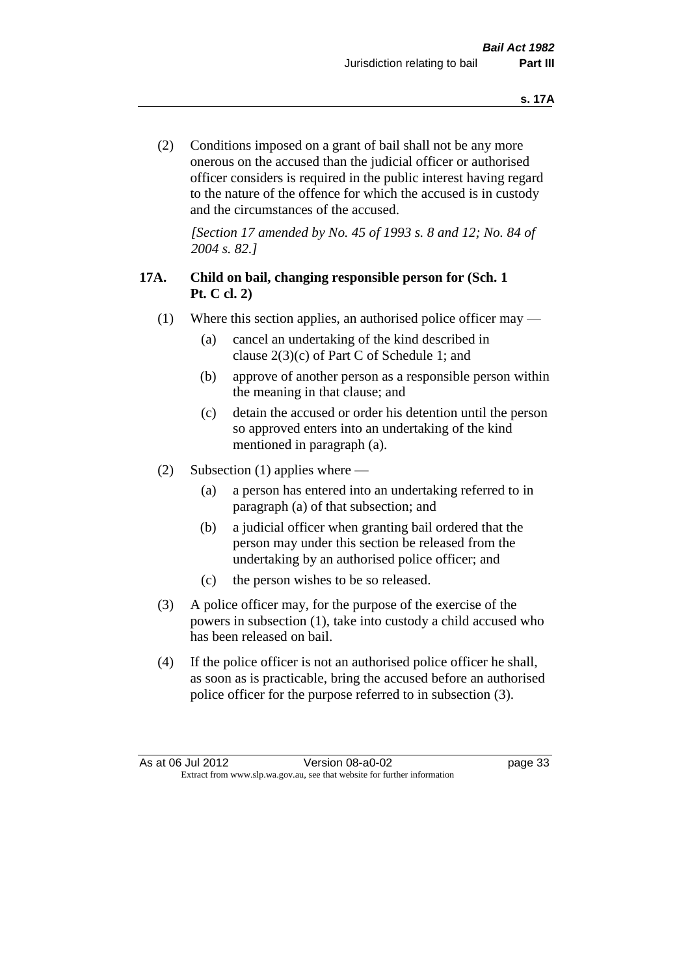(2) Conditions imposed on a grant of bail shall not be any more onerous on the accused than the judicial officer or authorised officer considers is required in the public interest having regard to the nature of the offence for which the accused is in custody and the circumstances of the accused.

*[Section 17 amended by No. 45 of 1993 s. 8 and 12; No. 84 of 2004 s. 82.]* 

# **17A. Child on bail, changing responsible person for (Sch. 1 Pt. C cl. 2)**

- (1) Where this section applies, an authorised police officer may
	- (a) cancel an undertaking of the kind described in clause 2(3)(c) of Part C of Schedule 1; and
	- (b) approve of another person as a responsible person within the meaning in that clause; and
	- (c) detain the accused or order his detention until the person so approved enters into an undertaking of the kind mentioned in paragraph (a).
- (2) Subsection (1) applies where
	- (a) a person has entered into an undertaking referred to in paragraph (a) of that subsection; and
	- (b) a judicial officer when granting bail ordered that the person may under this section be released from the undertaking by an authorised police officer; and
	- (c) the person wishes to be so released.
- (3) A police officer may, for the purpose of the exercise of the powers in subsection (1), take into custody a child accused who has been released on bail.
- (4) If the police officer is not an authorised police officer he shall, as soon as is practicable, bring the accused before an authorised police officer for the purpose referred to in subsection (3).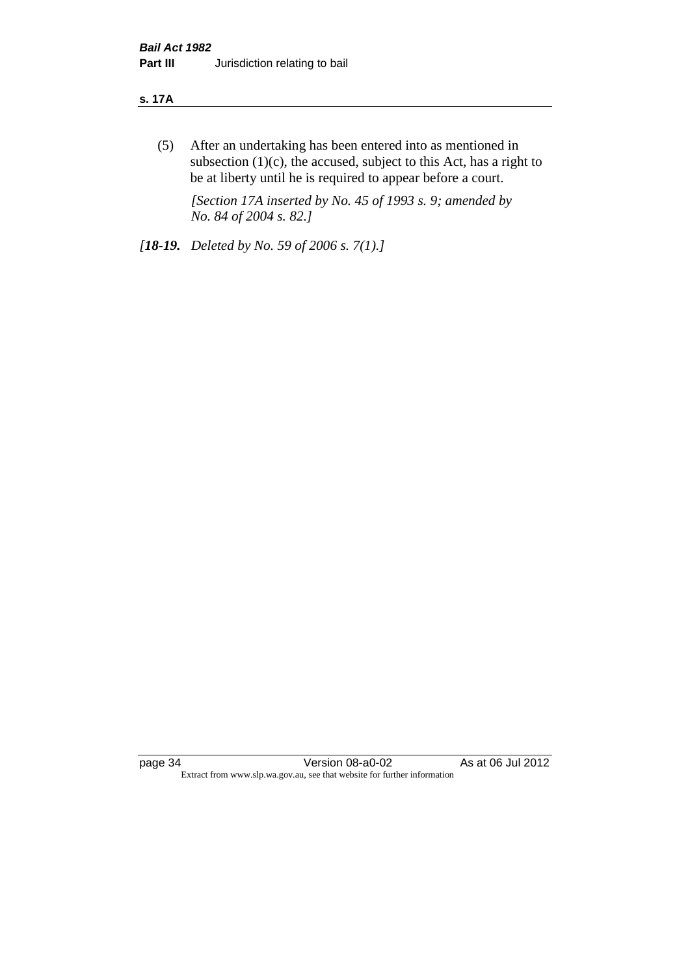#### **s. 17A**

(5) After an undertaking has been entered into as mentioned in subsection  $(1)(c)$ , the accused, subject to this Act, has a right to be at liberty until he is required to appear before a court.

*[Section 17A inserted by No. 45 of 1993 s. 9; amended by No. 84 of 2004 s. 82.]* 

*[18-19. Deleted by No. 59 of 2006 s. 7(1).]*

page 34 Version 08-a0-02 As at 06 Jul 2012 Extract from www.slp.wa.gov.au, see that website for further information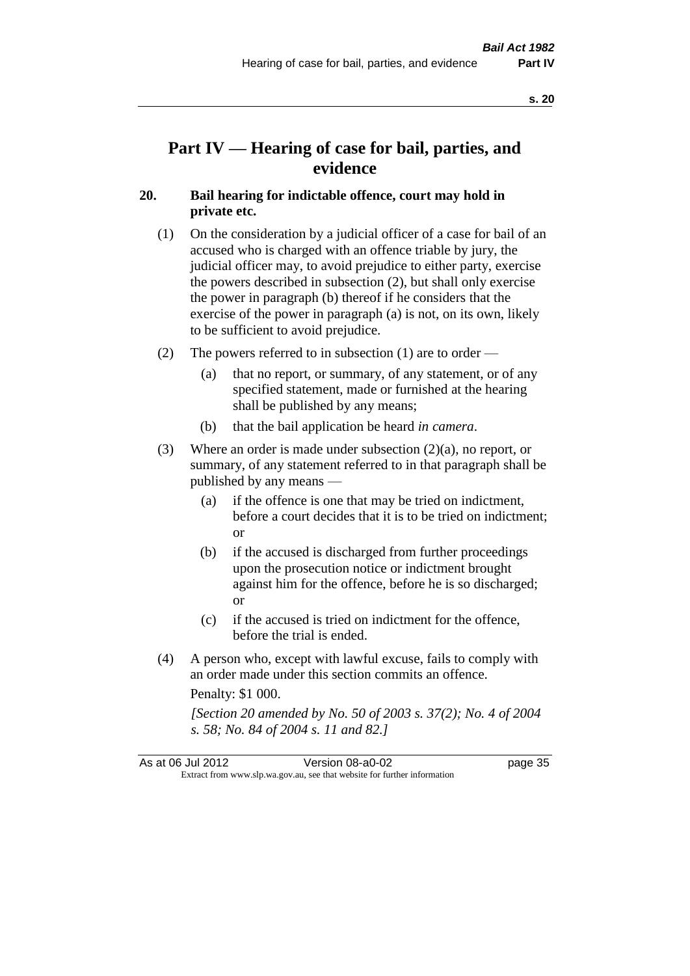# **Part IV — Hearing of case for bail, parties, and evidence**

### **20. Bail hearing for indictable offence, court may hold in private etc.**

- (1) On the consideration by a judicial officer of a case for bail of an accused who is charged with an offence triable by jury, the judicial officer may, to avoid prejudice to either party, exercise the powers described in subsection (2), but shall only exercise the power in paragraph (b) thereof if he considers that the exercise of the power in paragraph (a) is not, on its own, likely to be sufficient to avoid prejudice.
- (2) The powers referred to in subsection (1) are to order
	- (a) that no report, or summary, of any statement, or of any specified statement, made or furnished at the hearing shall be published by any means;
	- (b) that the bail application be heard *in camera*.
- (3) Where an order is made under subsection (2)(a), no report, or summary, of any statement referred to in that paragraph shall be published by any means —
	- (a) if the offence is one that may be tried on indictment, before a court decides that it is to be tried on indictment; or
	- (b) if the accused is discharged from further proceedings upon the prosecution notice or indictment brought against him for the offence, before he is so discharged; or
	- (c) if the accused is tried on indictment for the offence, before the trial is ended.
- (4) A person who, except with lawful excuse, fails to comply with an order made under this section commits an offence.

Penalty: \$1 000.

*[Section 20 amended by No. 50 of 2003 s. 37(2); No. 4 of 2004 s. 58; No. 84 of 2004 s. 11 and 82.]*

| As at 06 Jul 2012 | Version 08-a0-02                                                         | page 35 |
|-------------------|--------------------------------------------------------------------------|---------|
|                   | Extract from www.slp.wa.gov.au, see that website for further information |         |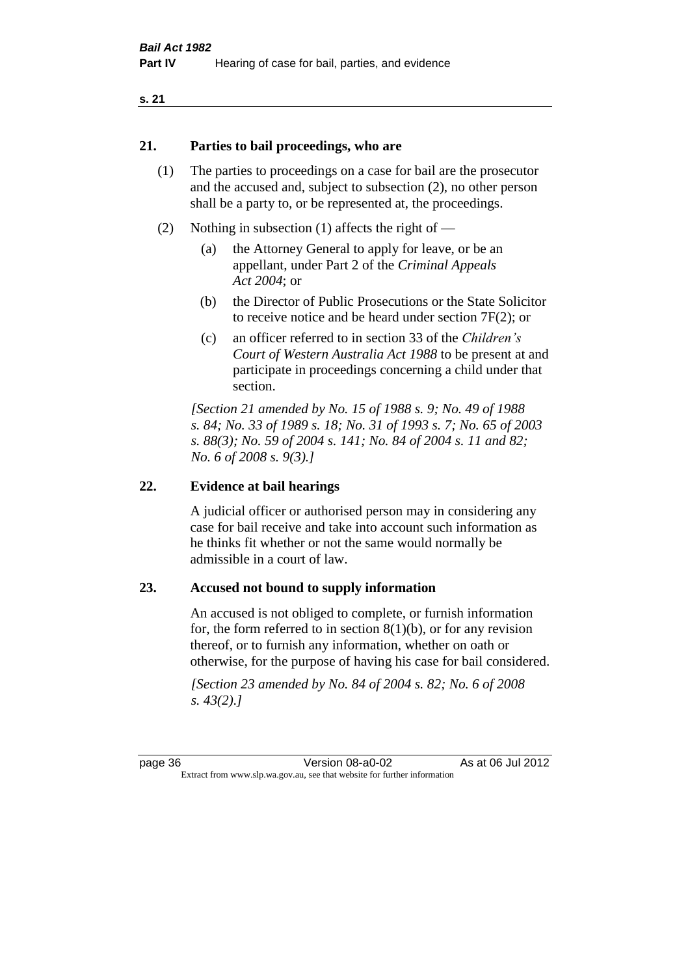#### **21. Parties to bail proceedings, who are**

- (1) The parties to proceedings on a case for bail are the prosecutor and the accused and, subject to subsection (2), no other person shall be a party to, or be represented at, the proceedings.
- (2) Nothing in subsection (1) affects the right of
	- (a) the Attorney General to apply for leave, or be an appellant, under Part 2 of the *Criminal Appeals Act 2004*; or
	- (b) the Director of Public Prosecutions or the State Solicitor to receive notice and be heard under section 7F(2); or
	- (c) an officer referred to in section 33 of the *Children's Court of Western Australia Act 1988* to be present at and participate in proceedings concerning a child under that section.

*[Section 21 amended by No. 15 of 1988 s. 9; No. 49 of 1988 s. 84; No. 33 of 1989 s. 18; No. 31 of 1993 s. 7; No. 65 of 2003 s. 88(3); No. 59 of 2004 s. 141; No. 84 of 2004 s. 11 and 82; No. 6 of 2008 s. 9(3).]* 

#### **22. Evidence at bail hearings**

A judicial officer or authorised person may in considering any case for bail receive and take into account such information as he thinks fit whether or not the same would normally be admissible in a court of law.

#### **23. Accused not bound to supply information**

An accused is not obliged to complete, or furnish information for, the form referred to in section  $8(1)(b)$ , or for any revision thereof, or to furnish any information, whether on oath or otherwise, for the purpose of having his case for bail considered.

*[Section 23 amended by No. 84 of 2004 s. 82; No. 6 of 2008 s. 43(2).]*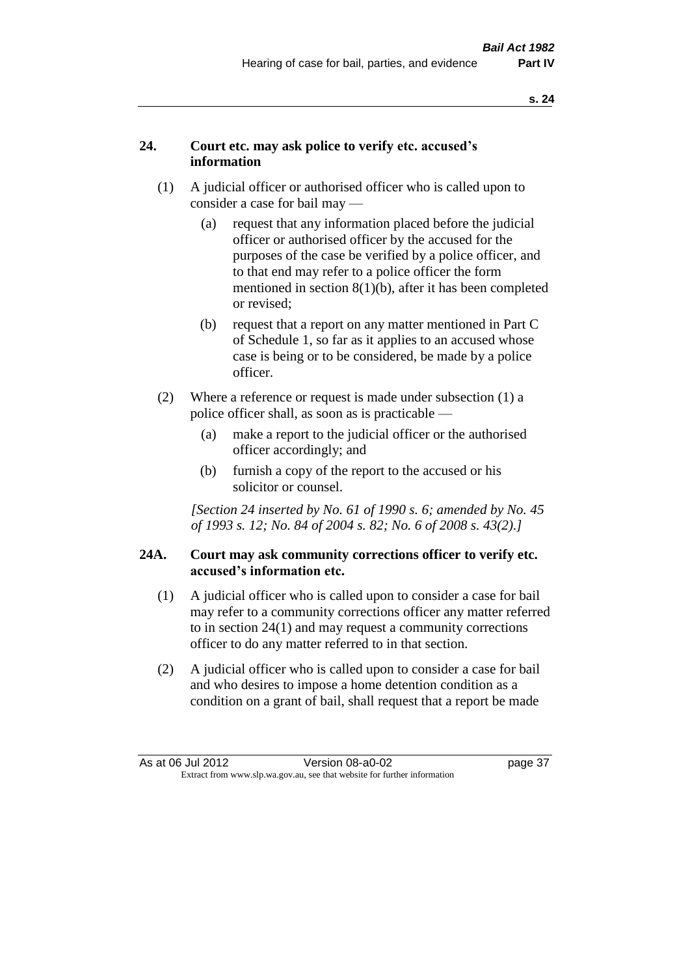# **24. Court etc. may ask police to verify etc. accused's information**

- (1) A judicial officer or authorised officer who is called upon to consider a case for bail may —
	- (a) request that any information placed before the judicial officer or authorised officer by the accused for the purposes of the case be verified by a police officer, and to that end may refer to a police officer the form mentioned in section 8(1)(b), after it has been completed or revised;
	- (b) request that a report on any matter mentioned in Part C of Schedule 1, so far as it applies to an accused whose case is being or to be considered, be made by a police officer.
- (2) Where a reference or request is made under subsection (1) a police officer shall, as soon as is practicable —
	- (a) make a report to the judicial officer or the authorised officer accordingly; and
	- (b) furnish a copy of the report to the accused or his solicitor or counsel.

*[Section 24 inserted by No. 61 of 1990 s. 6; amended by No. 45 of 1993 s. 12; No. 84 of 2004 s. 82; No. 6 of 2008 s. 43(2).]* 

#### **24A. Court may ask community corrections officer to verify etc. accused's information etc.**

- (1) A judicial officer who is called upon to consider a case for bail may refer to a community corrections officer any matter referred to in section 24(1) and may request a community corrections officer to do any matter referred to in that section.
- (2) A judicial officer who is called upon to consider a case for bail and who desires to impose a home detention condition as a condition on a grant of bail, shall request that a report be made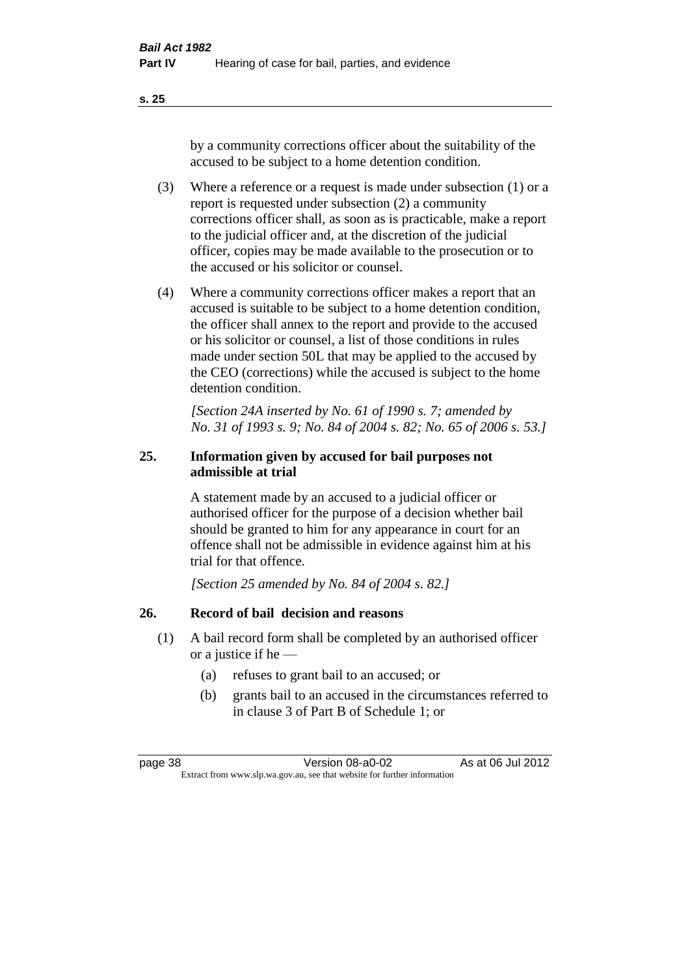**s. 25**

by a community corrections officer about the suitability of the accused to be subject to a home detention condition.

- (3) Where a reference or a request is made under subsection (1) or a report is requested under subsection (2) a community corrections officer shall, as soon as is practicable, make a report to the judicial officer and, at the discretion of the judicial officer, copies may be made available to the prosecution or to the accused or his solicitor or counsel.
- (4) Where a community corrections officer makes a report that an accused is suitable to be subject to a home detention condition, the officer shall annex to the report and provide to the accused or his solicitor or counsel, a list of those conditions in rules made under section 50L that may be applied to the accused by the CEO (corrections) while the accused is subject to the home detention condition.

*[Section 24A inserted by No. 61 of 1990 s. 7; amended by No. 31 of 1993 s. 9; No. 84 of 2004 s. 82; No. 65 of 2006 s. 53.]* 

# **25. Information given by accused for bail purposes not admissible at trial**

A statement made by an accused to a judicial officer or authorised officer for the purpose of a decision whether bail should be granted to him for any appearance in court for an offence shall not be admissible in evidence against him at his trial for that offence.

*[Section 25 amended by No. 84 of 2004 s. 82.]* 

# **26. Record of bail decision and reasons**

- (1) A bail record form shall be completed by an authorised officer or a justice if he —
	- (a) refuses to grant bail to an accused; or
	- (b) grants bail to an accused in the circumstances referred to in clause 3 of Part B of Schedule 1; or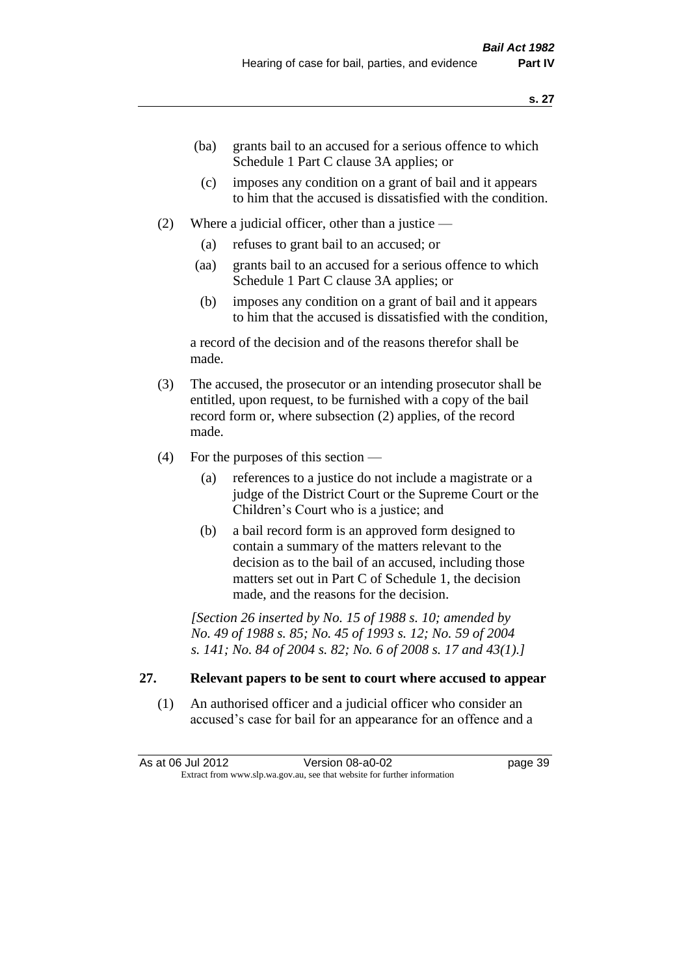- (ba) grants bail to an accused for a serious offence to which Schedule 1 Part C clause 3A applies; or
- (c) imposes any condition on a grant of bail and it appears to him that the accused is dissatisfied with the condition.
- (2) Where a judicial officer, other than a justice
	- (a) refuses to grant bail to an accused; or
	- (aa) grants bail to an accused for a serious offence to which Schedule 1 Part C clause 3A applies; or
	- (b) imposes any condition on a grant of bail and it appears to him that the accused is dissatisfied with the condition,

a record of the decision and of the reasons therefor shall be made.

- (3) The accused, the prosecutor or an intending prosecutor shall be entitled, upon request, to be furnished with a copy of the bail record form or, where subsection (2) applies, of the record made.
- (4) For the purposes of this section
	- (a) references to a justice do not include a magistrate or a judge of the District Court or the Supreme Court or the Children's Court who is a justice; and
	- (b) a bail record form is an approved form designed to contain a summary of the matters relevant to the decision as to the bail of an accused, including those matters set out in Part C of Schedule 1, the decision made, and the reasons for the decision.

*[Section 26 inserted by No. 15 of 1988 s. 10; amended by No. 49 of 1988 s. 85; No. 45 of 1993 s. 12; No. 59 of 2004 s. 141; No. 84 of 2004 s. 82; No. 6 of 2008 s. 17 and 43(1).]* 

# **27. Relevant papers to be sent to court where accused to appear**

(1) An authorised officer and a judicial officer who consider an accused's case for bail for an appearance for an offence and a

As at 06 Jul 2012 Version 08-a0-02 page 39 Extract from www.slp.wa.gov.au, see that website for further information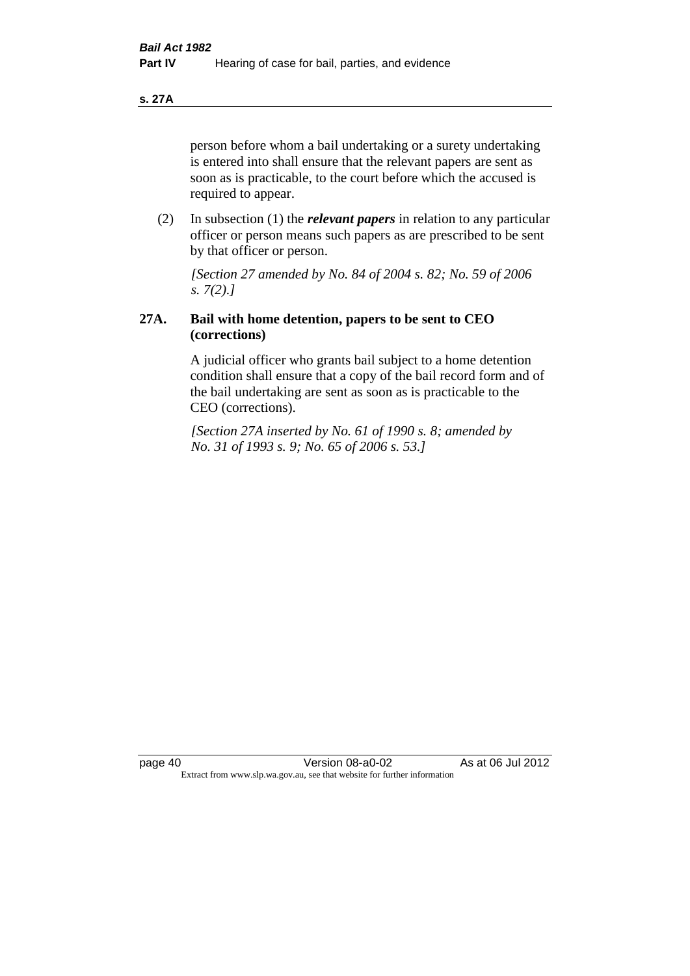**s. 27A**

person before whom a bail undertaking or a surety undertaking is entered into shall ensure that the relevant papers are sent as soon as is practicable, to the court before which the accused is required to appear.

(2) In subsection (1) the *relevant papers* in relation to any particular officer or person means such papers as are prescribed to be sent by that officer or person.

*[Section 27 amended by No. 84 of 2004 s. 82; No. 59 of 2006 s. 7(2).]* 

# **27A. Bail with home detention, papers to be sent to CEO (corrections)**

A judicial officer who grants bail subject to a home detention condition shall ensure that a copy of the bail record form and of the bail undertaking are sent as soon as is practicable to the CEO (corrections).

*[Section 27A inserted by No. 61 of 1990 s. 8; amended by No. 31 of 1993 s. 9; No. 65 of 2006 s. 53.]*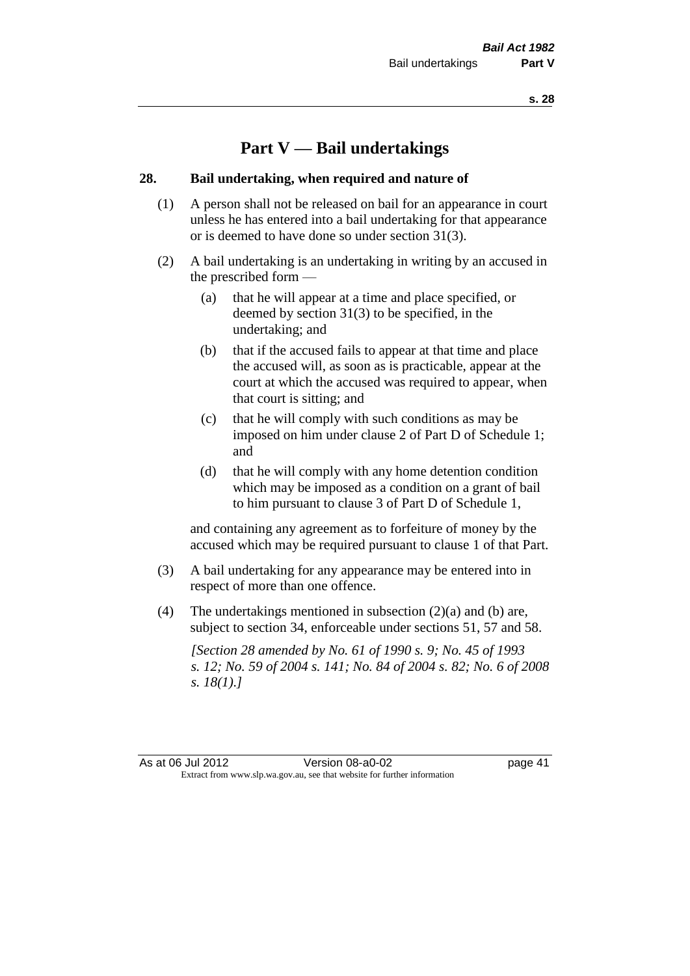# **Part V — Bail undertakings**

#### **28. Bail undertaking, when required and nature of**

- (1) A person shall not be released on bail for an appearance in court unless he has entered into a bail undertaking for that appearance or is deemed to have done so under section 31(3).
- (2) A bail undertaking is an undertaking in writing by an accused in the prescribed form —
	- (a) that he will appear at a time and place specified, or deemed by section 31(3) to be specified, in the undertaking; and
	- (b) that if the accused fails to appear at that time and place the accused will, as soon as is practicable, appear at the court at which the accused was required to appear, when that court is sitting; and
	- (c) that he will comply with such conditions as may be imposed on him under clause 2 of Part D of Schedule 1; and
	- (d) that he will comply with any home detention condition which may be imposed as a condition on a grant of bail to him pursuant to clause 3 of Part D of Schedule 1,

and containing any agreement as to forfeiture of money by the accused which may be required pursuant to clause 1 of that Part.

- (3) A bail undertaking for any appearance may be entered into in respect of more than one offence.
- (4) The undertakings mentioned in subsection  $(2)(a)$  and  $(b)$  are, subject to section 34, enforceable under sections 51, 57 and 58.

*[Section 28 amended by No. 61 of 1990 s. 9; No. 45 of 1993 s. 12; No. 59 of 2004 s. 141; No. 84 of 2004 s. 82; No. 6 of 2008 s. 18(1).]*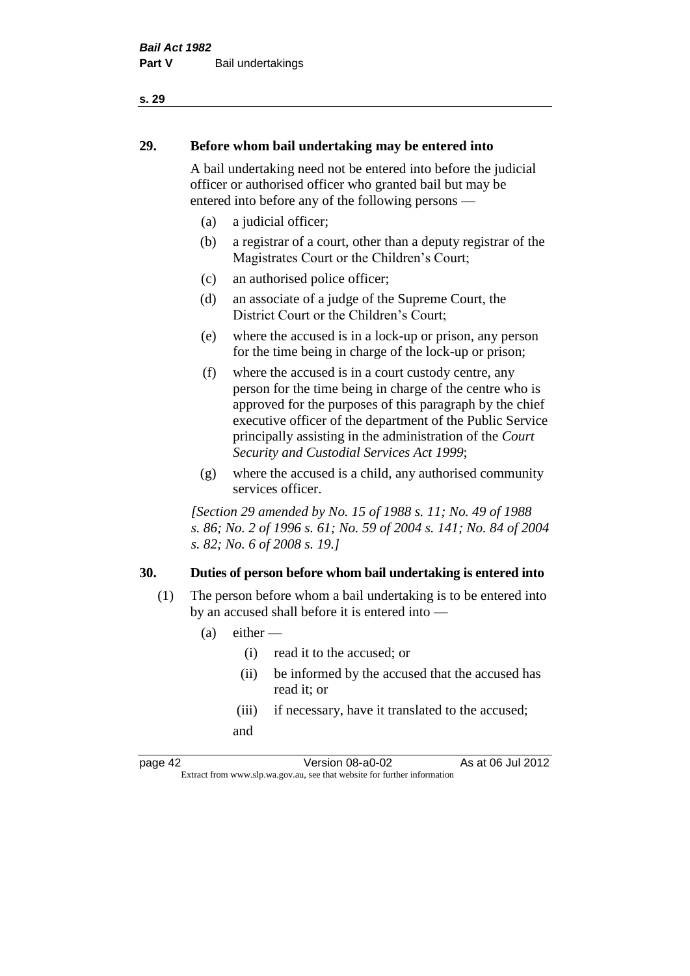# **29. Before whom bail undertaking may be entered into**

A bail undertaking need not be entered into before the judicial officer or authorised officer who granted bail but may be entered into before any of the following persons —

- (a) a judicial officer;
- (b) a registrar of a court, other than a deputy registrar of the Magistrates Court or the Children's Court;
- (c) an authorised police officer;
- (d) an associate of a judge of the Supreme Court, the District Court or the Children's Court;
- (e) where the accused is in a lock-up or prison, any person for the time being in charge of the lock-up or prison;
- (f) where the accused is in a court custody centre, any person for the time being in charge of the centre who is approved for the purposes of this paragraph by the chief executive officer of the department of the Public Service principally assisting in the administration of the *Court Security and Custodial Services Act 1999*;
- (g) where the accused is a child, any authorised community services officer.

*[Section 29 amended by No. 15 of 1988 s. 11; No. 49 of 1988 s. 86; No. 2 of 1996 s. 61; No. 59 of 2004 s. 141; No. 84 of 2004 s. 82; No. 6 of 2008 s. 19.]* 

#### **30. Duties of person before whom bail undertaking is entered into**

- (1) The person before whom a bail undertaking is to be entered into by an accused shall before it is entered into —
	- $(a)$  either
		- (i) read it to the accused; or
		- (ii) be informed by the accused that the accused has read it; or
		- (iii) if necessary, have it translated to the accused; and

page 42 Version 08-a0-02 As at 06 Jul 2012 Extract from www.slp.wa.gov.au, see that website for further information

#### **s. 29**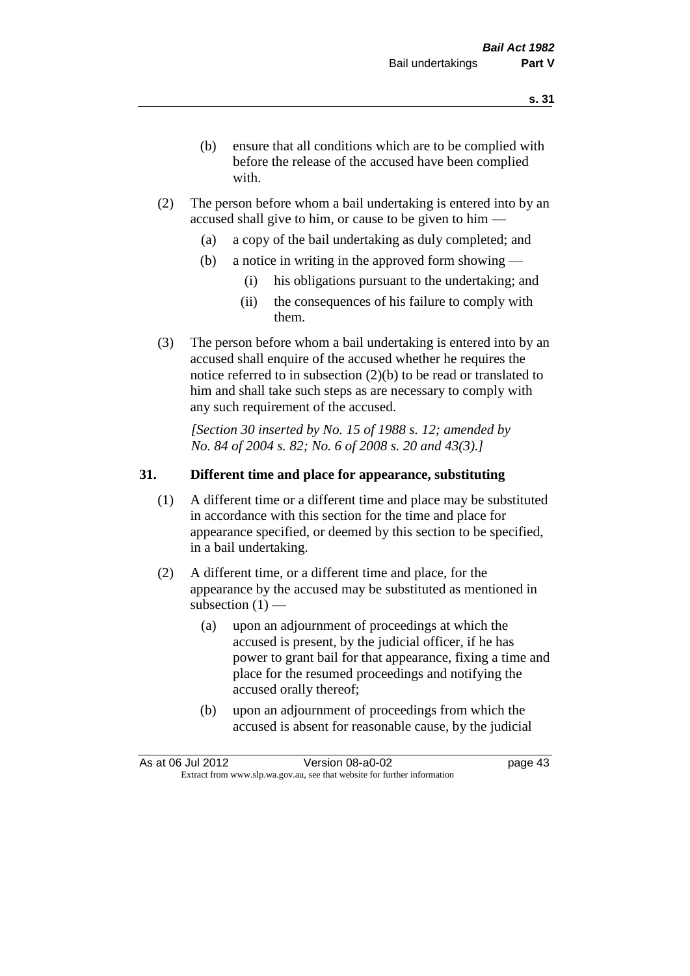- (b) ensure that all conditions which are to be complied with before the release of the accused have been complied with.
- (2) The person before whom a bail undertaking is entered into by an accused shall give to him, or cause to be given to him —
	- (a) a copy of the bail undertaking as duly completed; and
	- (b) a notice in writing in the approved form showing
		- (i) his obligations pursuant to the undertaking; and
		- (ii) the consequences of his failure to comply with them.
- (3) The person before whom a bail undertaking is entered into by an accused shall enquire of the accused whether he requires the notice referred to in subsection (2)(b) to be read or translated to him and shall take such steps as are necessary to comply with any such requirement of the accused.

*[Section 30 inserted by No. 15 of 1988 s. 12; amended by No. 84 of 2004 s. 82; No. 6 of 2008 s. 20 and 43(3).]* 

## **31. Different time and place for appearance, substituting**

- (1) A different time or a different time and place may be substituted in accordance with this section for the time and place for appearance specified, or deemed by this section to be specified, in a bail undertaking.
- (2) A different time, or a different time and place, for the appearance by the accused may be substituted as mentioned in subsection  $(1)$  —
	- (a) upon an adjournment of proceedings at which the accused is present, by the judicial officer, if he has power to grant bail for that appearance, fixing a time and place for the resumed proceedings and notifying the accused orally thereof;
	- (b) upon an adjournment of proceedings from which the accused is absent for reasonable cause, by the judicial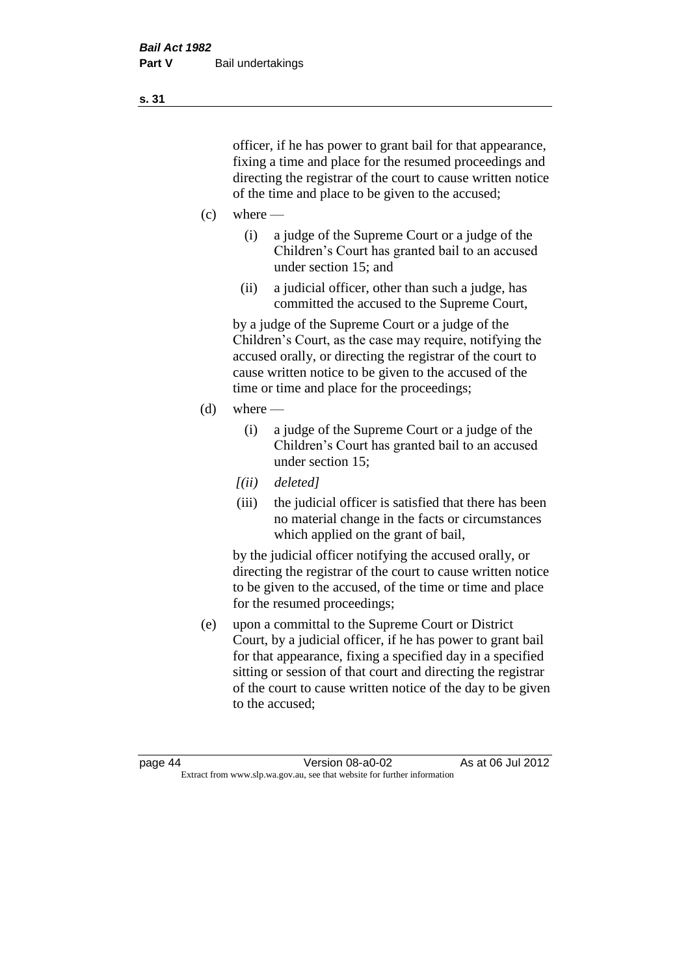officer, if he has power to grant bail for that appearance, fixing a time and place for the resumed proceedings and directing the registrar of the court to cause written notice of the time and place to be given to the accused;

- $(c)$  where
	- (i) a judge of the Supreme Court or a judge of the Children's Court has granted bail to an accused under section 15; and
	- (ii) a judicial officer, other than such a judge, has committed the accused to the Supreme Court,

by a judge of the Supreme Court or a judge of the Children's Court, as the case may require, notifying the accused orally, or directing the registrar of the court to cause written notice to be given to the accused of the time or time and place for the proceedings;

- $(d)$  where
	- (i) a judge of the Supreme Court or a judge of the Children's Court has granted bail to an accused under section 15;
	- *[(ii) deleted]*
	- (iii) the judicial officer is satisfied that there has been no material change in the facts or circumstances which applied on the grant of bail,

by the judicial officer notifying the accused orally, or directing the registrar of the court to cause written notice to be given to the accused, of the time or time and place for the resumed proceedings;

(e) upon a committal to the Supreme Court or District Court, by a judicial officer, if he has power to grant bail for that appearance, fixing a specified day in a specified sitting or session of that court and directing the registrar of the court to cause written notice of the day to be given to the accused;

**s. 31**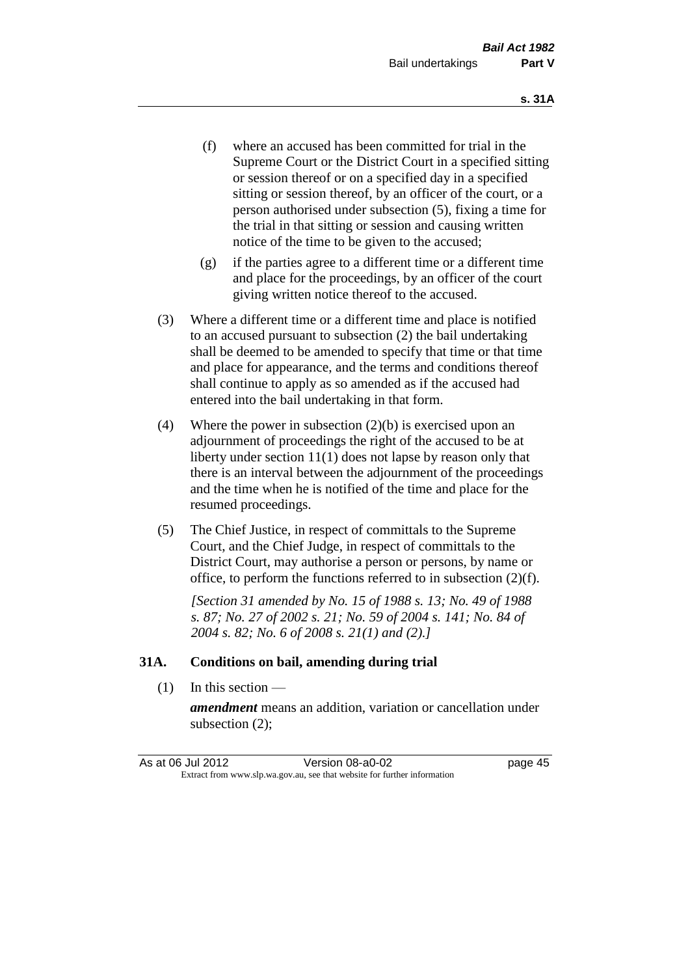- (f) where an accused has been committed for trial in the Supreme Court or the District Court in a specified sitting or session thereof or on a specified day in a specified sitting or session thereof, by an officer of the court, or a person authorised under subsection (5), fixing a time for the trial in that sitting or session and causing written notice of the time to be given to the accused;
- (g) if the parties agree to a different time or a different time and place for the proceedings, by an officer of the court giving written notice thereof to the accused.
- (3) Where a different time or a different time and place is notified to an accused pursuant to subsection (2) the bail undertaking shall be deemed to be amended to specify that time or that time and place for appearance, and the terms and conditions thereof shall continue to apply as so amended as if the accused had entered into the bail undertaking in that form.
- (4) Where the power in subsection (2)(b) is exercised upon an adjournment of proceedings the right of the accused to be at liberty under section 11(1) does not lapse by reason only that there is an interval between the adjournment of the proceedings and the time when he is notified of the time and place for the resumed proceedings.
- (5) The Chief Justice, in respect of committals to the Supreme Court, and the Chief Judge, in respect of committals to the District Court, may authorise a person or persons, by name or office, to perform the functions referred to in subsection (2)(f).

*[Section 31 amended by No. 15 of 1988 s. 13; No. 49 of 1988 s. 87; No. 27 of 2002 s. 21; No. 59 of 2004 s. 141; No. 84 of 2004 s. 82; No. 6 of 2008 s. 21(1) and (2).]* 

#### **31A. Conditions on bail, amending during trial**

(1) In this section —

*amendment* means an addition, variation or cancellation under subsection (2);

| As at 06 Jul 2012 | Version 08-a0-02                                                         | page 45 |
|-------------------|--------------------------------------------------------------------------|---------|
|                   | Extract from www.slp.wa.gov.au, see that website for further information |         |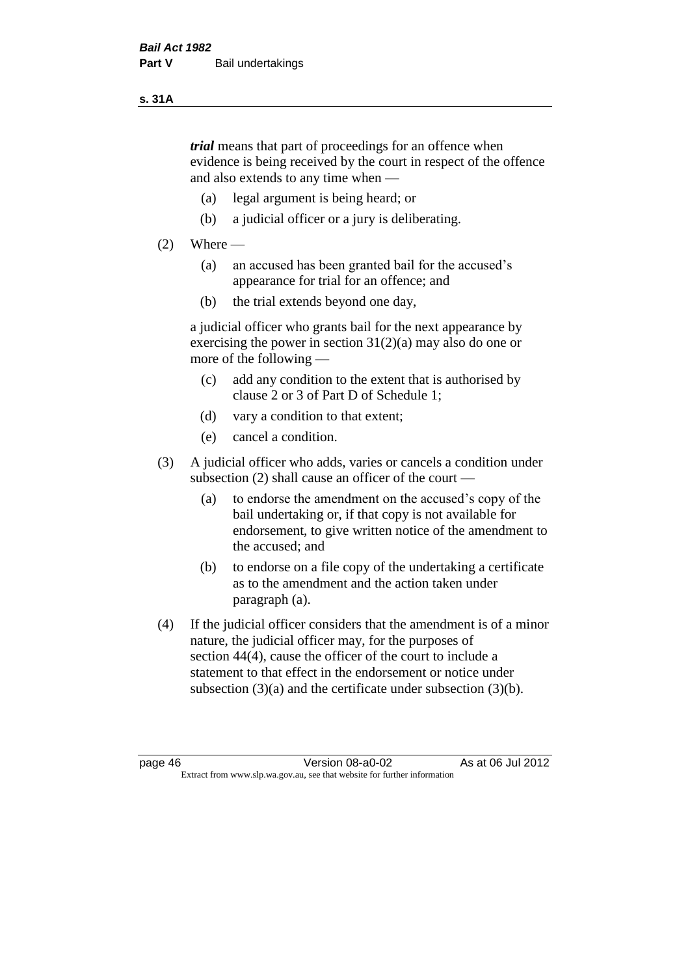#### **s. 31A**

*trial* means that part of proceedings for an offence when evidence is being received by the court in respect of the offence and also extends to any time when —

- (a) legal argument is being heard; or
- (b) a judicial officer or a jury is deliberating.

### $(2)$  Where —

- (a) an accused has been granted bail for the accused's appearance for trial for an offence; and
- (b) the trial extends beyond one day,

a judicial officer who grants bail for the next appearance by exercising the power in section  $31(2)(a)$  may also do one or more of the following —

- (c) add any condition to the extent that is authorised by clause 2 or 3 of Part D of Schedule 1;
- (d) vary a condition to that extent;
- (e) cancel a condition.
- (3) A judicial officer who adds, varies or cancels a condition under subsection (2) shall cause an officer of the court —
	- (a) to endorse the amendment on the accused's copy of the bail undertaking or, if that copy is not available for endorsement, to give written notice of the amendment to the accused; and
	- (b) to endorse on a file copy of the undertaking a certificate as to the amendment and the action taken under paragraph (a).
- (4) If the judicial officer considers that the amendment is of a minor nature, the judicial officer may, for the purposes of section 44(4), cause the officer of the court to include a statement to that effect in the endorsement or notice under subsection (3)(a) and the certificate under subsection (3)(b).

page 46 Version 08-a0-02 As at 06 Jul 2012 Extract from www.slp.wa.gov.au, see that website for further information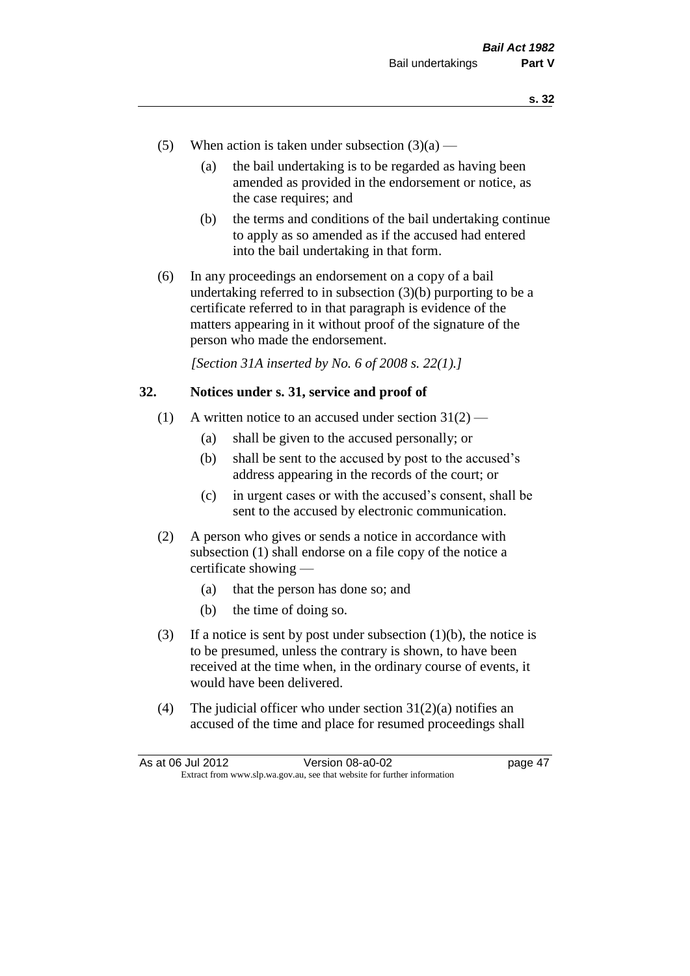- (5) When action is taken under subsection  $(3)(a)$ 
	- (a) the bail undertaking is to be regarded as having been amended as provided in the endorsement or notice, as the case requires; and
	- (b) the terms and conditions of the bail undertaking continue to apply as so amended as if the accused had entered into the bail undertaking in that form.
- (6) In any proceedings an endorsement on a copy of a bail undertaking referred to in subsection (3)(b) purporting to be a certificate referred to in that paragraph is evidence of the matters appearing in it without proof of the signature of the person who made the endorsement.

*[Section 31A inserted by No. 6 of 2008 s. 22(1).]*

#### **32. Notices under s. 31, service and proof of**

- (1) A written notice to an accused under section  $31(2)$ 
	- (a) shall be given to the accused personally; or
	- (b) shall be sent to the accused by post to the accused's address appearing in the records of the court; or
	- (c) in urgent cases or with the accused's consent, shall be sent to the accused by electronic communication.
- (2) A person who gives or sends a notice in accordance with subsection (1) shall endorse on a file copy of the notice a certificate showing —
	- (a) that the person has done so; and
	- (b) the time of doing so.
- (3) If a notice is sent by post under subsection  $(1)(b)$ , the notice is to be presumed, unless the contrary is shown, to have been received at the time when, in the ordinary course of events, it would have been delivered.
- (4) The judicial officer who under section  $31(2)(a)$  notifies an accused of the time and place for resumed proceedings shall

| As at 06 Jul 2012 | Version 08-a0-02                                                         | page 47 |
|-------------------|--------------------------------------------------------------------------|---------|
|                   | Extract from www.slp.wa.gov.au, see that website for further information |         |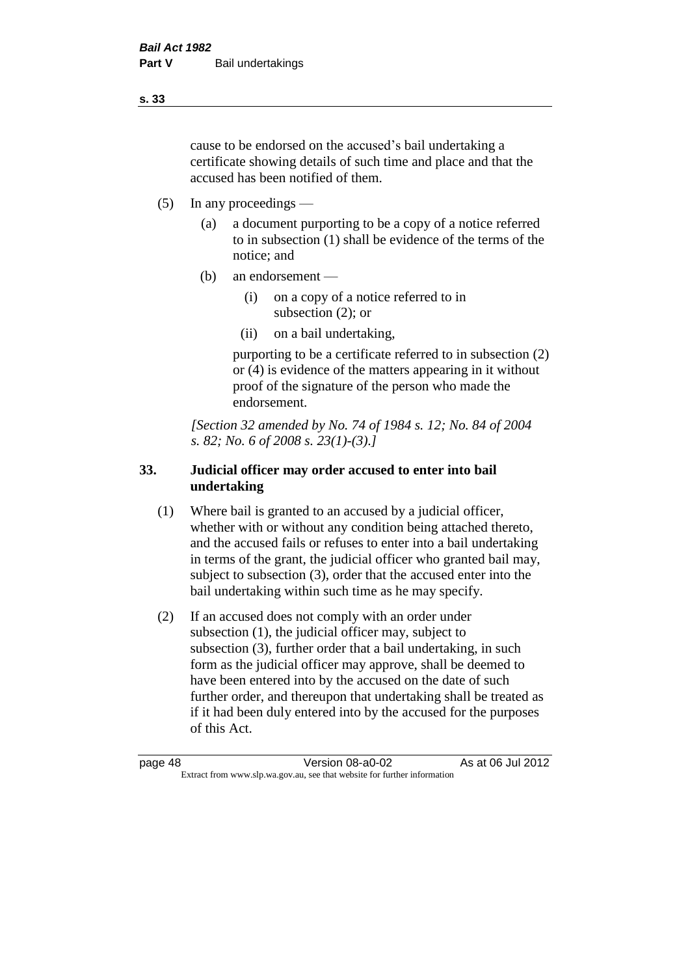cause to be endorsed on the accused's bail undertaking a certificate showing details of such time and place and that the accused has been notified of them.

- (5) In any proceedings
	- (a) a document purporting to be a copy of a notice referred to in subsection (1) shall be evidence of the terms of the notice; and
	- (b) an endorsement
		- (i) on a copy of a notice referred to in subsection (2); or
		- (ii) on a bail undertaking,

purporting to be a certificate referred to in subsection (2) or (4) is evidence of the matters appearing in it without proof of the signature of the person who made the endorsement.

*[Section 32 amended by No. 74 of 1984 s. 12; No. 84 of 2004 s. 82; No. 6 of 2008 s. 23(1)-(3).]* 

## **33. Judicial officer may order accused to enter into bail undertaking**

- (1) Where bail is granted to an accused by a judicial officer, whether with or without any condition being attached thereto, and the accused fails or refuses to enter into a bail undertaking in terms of the grant, the judicial officer who granted bail may, subject to subsection (3), order that the accused enter into the bail undertaking within such time as he may specify.
- (2) If an accused does not comply with an order under subsection (1), the judicial officer may, subject to subsection (3), further order that a bail undertaking, in such form as the judicial officer may approve, shall be deemed to have been entered into by the accused on the date of such further order, and thereupon that undertaking shall be treated as if it had been duly entered into by the accused for the purposes of this Act.

page 48 Version 08-a0-02 As at 06 Jul 2012 Extract from www.slp.wa.gov.au, see that website for further information

**s. 33**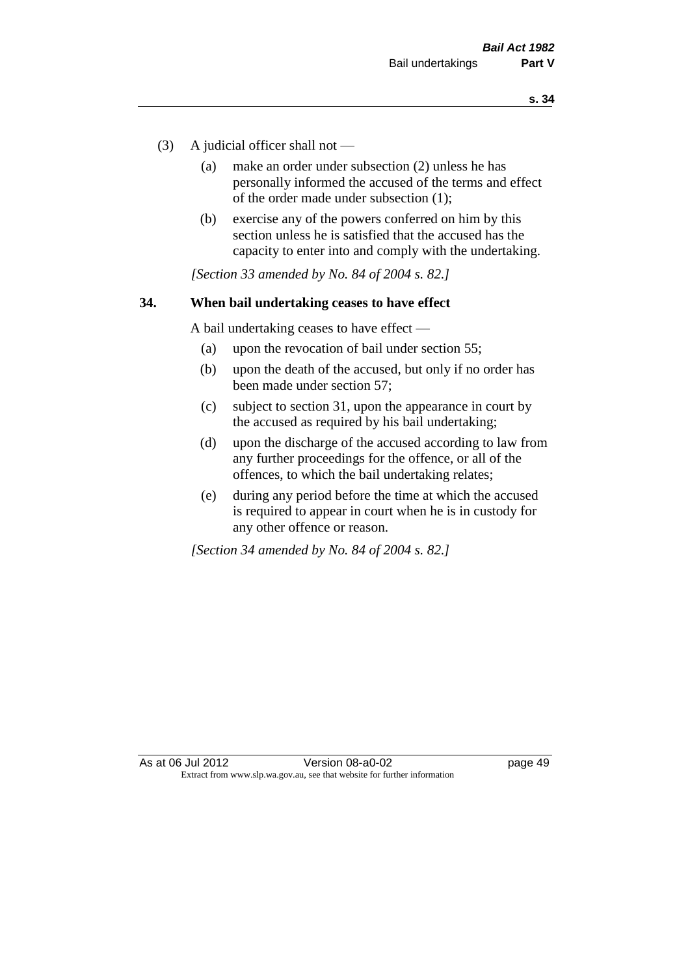- (3) A judicial officer shall not
	- (a) make an order under subsection (2) unless he has personally informed the accused of the terms and effect of the order made under subsection (1);
	- (b) exercise any of the powers conferred on him by this section unless he is satisfied that the accused has the capacity to enter into and comply with the undertaking.

*[Section 33 amended by No. 84 of 2004 s. 82.]* 

#### **34. When bail undertaking ceases to have effect**

A bail undertaking ceases to have effect —

- (a) upon the revocation of bail under section 55;
- (b) upon the death of the accused, but only if no order has been made under section 57;
- (c) subject to section 31, upon the appearance in court by the accused as required by his bail undertaking;
- (d) upon the discharge of the accused according to law from any further proceedings for the offence, or all of the offences, to which the bail undertaking relates;
- (e) during any period before the time at which the accused is required to appear in court when he is in custody for any other offence or reason.

*[Section 34 amended by No. 84 of 2004 s. 82.]*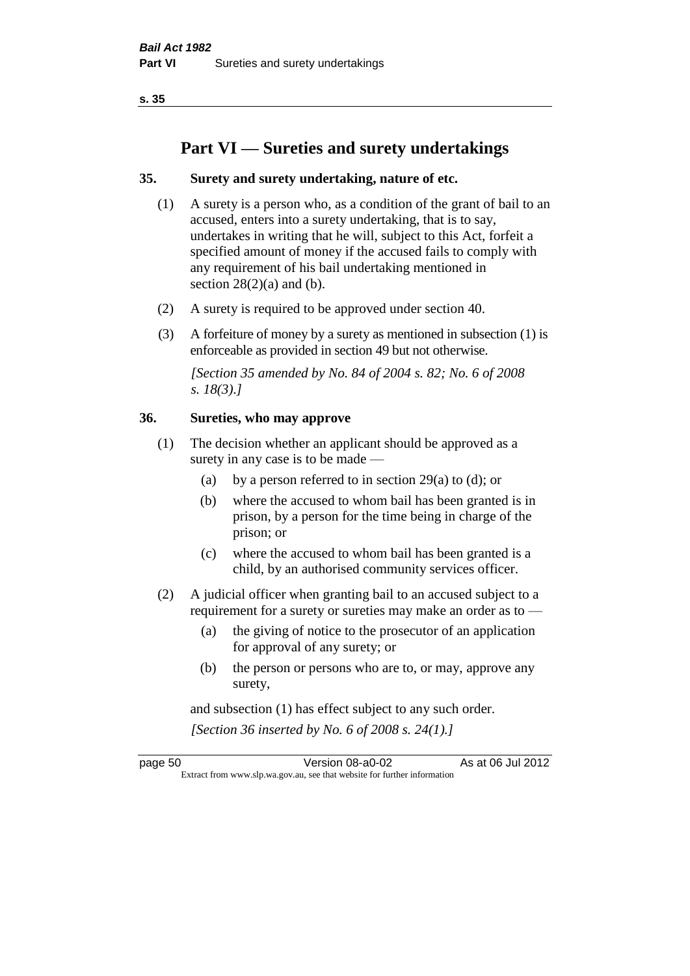**s. 35**

# **Part VI — Sureties and surety undertakings**

### **35. Surety and surety undertaking, nature of etc.**

- (1) A surety is a person who, as a condition of the grant of bail to an accused, enters into a surety undertaking, that is to say, undertakes in writing that he will, subject to this Act, forfeit a specified amount of money if the accused fails to comply with any requirement of his bail undertaking mentioned in section  $28(2)(a)$  and (b).
- (2) A surety is required to be approved under section 40.
- (3) A forfeiture of money by a surety as mentioned in subsection (1) is enforceable as provided in section 49 but not otherwise.

*[Section 35 amended by No. 84 of 2004 s. 82; No. 6 of 2008 s. 18(3).]* 

#### **36. Sureties, who may approve**

- (1) The decision whether an applicant should be approved as a surety in any case is to be made —
	- (a) by a person referred to in section 29(a) to (d); or
	- (b) where the accused to whom bail has been granted is in prison, by a person for the time being in charge of the prison; or
	- (c) where the accused to whom bail has been granted is a child, by an authorised community services officer.
- (2) A judicial officer when granting bail to an accused subject to a requirement for a surety or sureties may make an order as to —
	- (a) the giving of notice to the prosecutor of an application for approval of any surety; or
	- (b) the person or persons who are to, or may, approve any surety,

and subsection (1) has effect subject to any such order. *[Section 36 inserted by No. 6 of 2008 s. 24(1).]*

page 50 Version 08-a0-02 As at 06 Jul 2012 Extract from www.slp.wa.gov.au, see that website for further information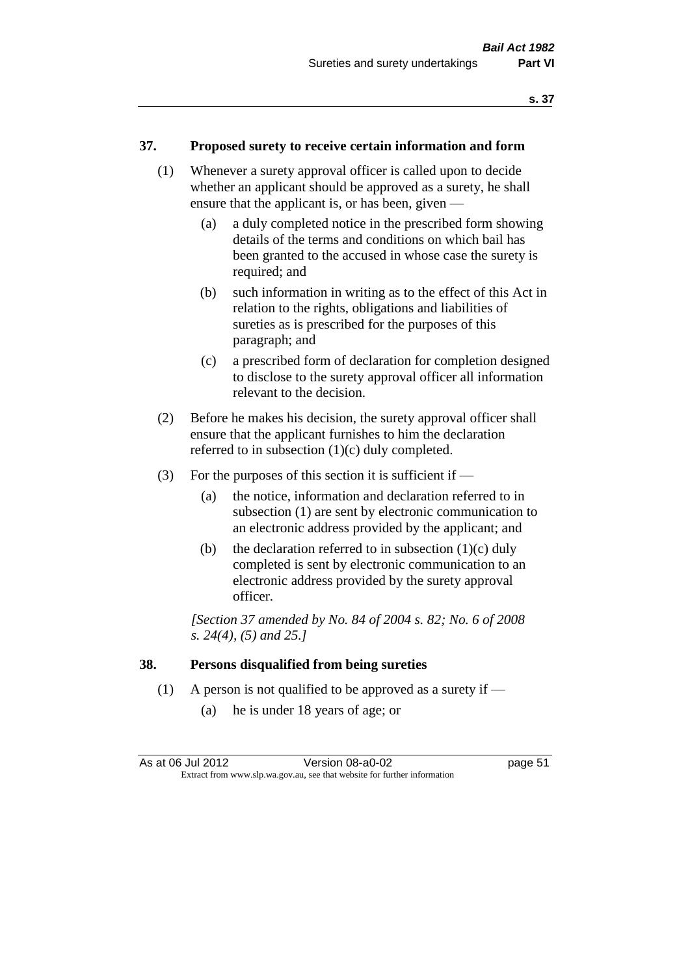#### **37. Proposed surety to receive certain information and form**

- (1) Whenever a surety approval officer is called upon to decide whether an applicant should be approved as a surety, he shall ensure that the applicant is, or has been, given —
	- (a) a duly completed notice in the prescribed form showing details of the terms and conditions on which bail has been granted to the accused in whose case the surety is required; and
	- (b) such information in writing as to the effect of this Act in relation to the rights, obligations and liabilities of sureties as is prescribed for the purposes of this paragraph; and
	- (c) a prescribed form of declaration for completion designed to disclose to the surety approval officer all information relevant to the decision.
- (2) Before he makes his decision, the surety approval officer shall ensure that the applicant furnishes to him the declaration referred to in subsection (1)(c) duly completed.
- (3) For the purposes of this section it is sufficient if  $-$ 
	- (a) the notice, information and declaration referred to in subsection (1) are sent by electronic communication to an electronic address provided by the applicant; and
	- (b) the declaration referred to in subsection  $(1)(c)$  duly completed is sent by electronic communication to an electronic address provided by the surety approval officer.

*[Section 37 amended by No. 84 of 2004 s. 82; No. 6 of 2008 s. 24(4), (5) and 25.]* 

#### **38. Persons disqualified from being sureties**

- (1) A person is not qualified to be approved as a surety if  $-$ 
	- (a) he is under 18 years of age; or

| As at 06 Jul 2012 | Version 08-a0-02                                                         | page 51 |
|-------------------|--------------------------------------------------------------------------|---------|
|                   | Extract from www.slp.wa.gov.au, see that website for further information |         |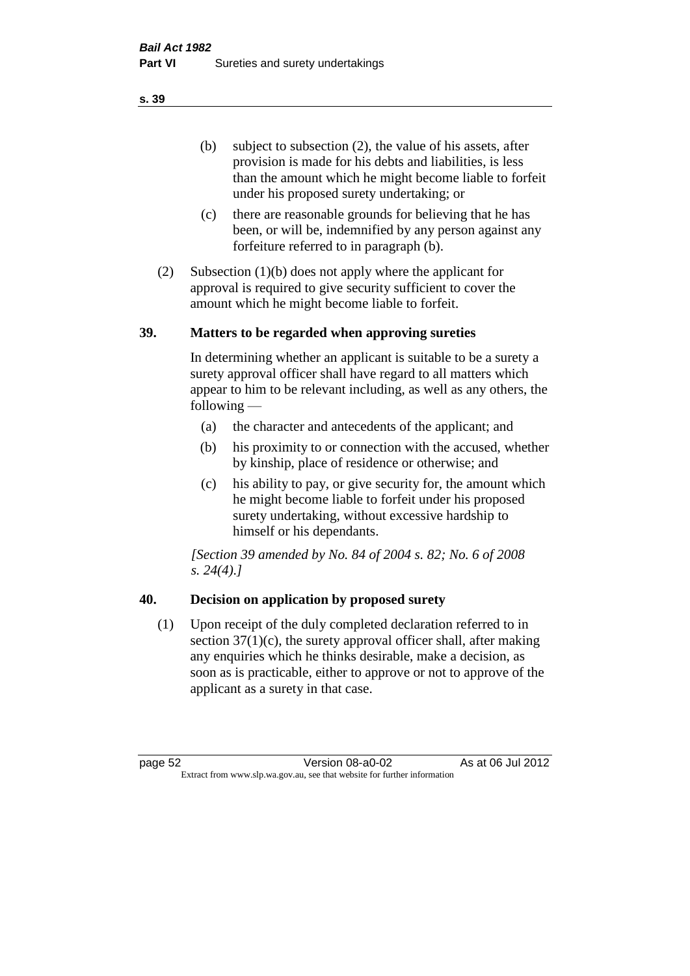(b) subject to subsection (2), the value of his assets, after provision is made for his debts and liabilities, is less than the amount which he might become liable to forfeit under his proposed surety undertaking; or

- (c) there are reasonable grounds for believing that he has been, or will be, indemnified by any person against any forfeiture referred to in paragraph (b).
- (2) Subsection (1)(b) does not apply where the applicant for approval is required to give security sufficient to cover the amount which he might become liable to forfeit.

#### **39. Matters to be regarded when approving sureties**

In determining whether an applicant is suitable to be a surety a surety approval officer shall have regard to all matters which appear to him to be relevant including, as well as any others, the following —

- (a) the character and antecedents of the applicant; and
- (b) his proximity to or connection with the accused, whether by kinship, place of residence or otherwise; and
- (c) his ability to pay, or give security for, the amount which he might become liable to forfeit under his proposed surety undertaking, without excessive hardship to himself or his dependants.

*[Section 39 amended by No. 84 of 2004 s. 82; No. 6 of 2008 s. 24(4).]* 

# **40. Decision on application by proposed surety**

(1) Upon receipt of the duly completed declaration referred to in section  $37(1)(c)$ , the surety approval officer shall, after making any enquiries which he thinks desirable, make a decision, as soon as is practicable, either to approve or not to approve of the applicant as a surety in that case.

page 52 Version 08-a0-02 As at 06 Jul 2012 Extract from www.slp.wa.gov.au, see that website for further information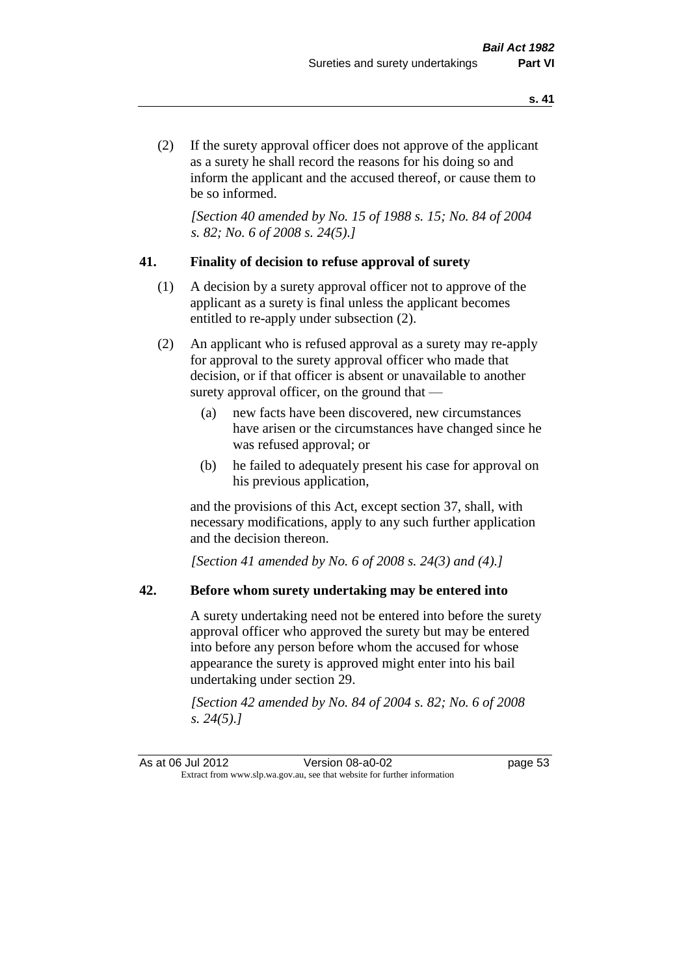(2) If the surety approval officer does not approve of the applicant as a surety he shall record the reasons for his doing so and inform the applicant and the accused thereof, or cause them to be so informed.

*[Section 40 amended by No. 15 of 1988 s. 15; No. 84 of 2004 s. 82; No. 6 of 2008 s. 24(5).]* 

### **41. Finality of decision to refuse approval of surety**

- (1) A decision by a surety approval officer not to approve of the applicant as a surety is final unless the applicant becomes entitled to re-apply under subsection (2).
- (2) An applicant who is refused approval as a surety may re-apply for approval to the surety approval officer who made that decision, or if that officer is absent or unavailable to another surety approval officer, on the ground that —
	- (a) new facts have been discovered, new circumstances have arisen or the circumstances have changed since he was refused approval; or
	- (b) he failed to adequately present his case for approval on his previous application,

and the provisions of this Act, except section 37, shall, with necessary modifications, apply to any such further application and the decision thereon.

*[Section 41 amended by No. 6 of 2008 s. 24(3) and (4).]*

### **42. Before whom surety undertaking may be entered into**

A surety undertaking need not be entered into before the surety approval officer who approved the surety but may be entered into before any person before whom the accused for whose appearance the surety is approved might enter into his bail undertaking under section 29.

*[Section 42 amended by No. 84 of 2004 s. 82; No. 6 of 2008 s. 24(5).]*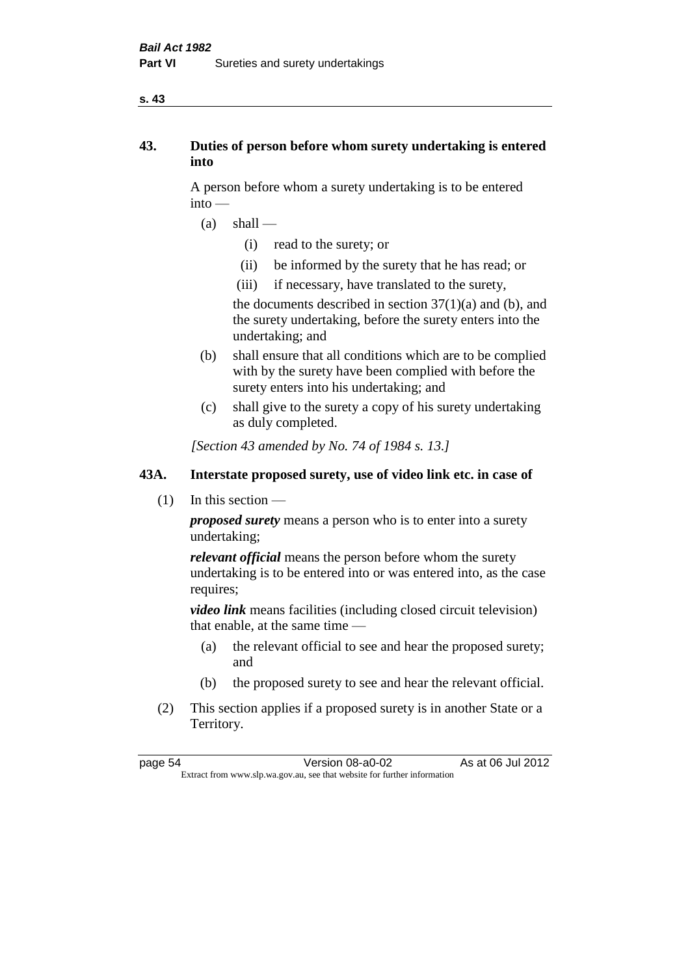#### **s. 43**

# **43. Duties of person before whom surety undertaking is entered into**

A person before whom a surety undertaking is to be entered into —

- $(a)$  shall
	- (i) read to the surety; or
	- (ii) be informed by the surety that he has read; or
	- (iii) if necessary, have translated to the surety,

the documents described in section  $37(1)(a)$  and (b), and the surety undertaking, before the surety enters into the undertaking; and

- (b) shall ensure that all conditions which are to be complied with by the surety have been complied with before the surety enters into his undertaking; and
- (c) shall give to the surety a copy of his surety undertaking as duly completed.

*[Section 43 amended by No. 74 of 1984 s. 13.]* 

# **43A. Interstate proposed surety, use of video link etc. in case of**

(1) In this section —

*proposed surety* means a person who is to enter into a surety undertaking;

*relevant official* means the person before whom the surety undertaking is to be entered into or was entered into, as the case requires;

*video link* means facilities (including closed circuit television) that enable, at the same time —

- (a) the relevant official to see and hear the proposed surety; and
- (b) the proposed surety to see and hear the relevant official.
- (2) This section applies if a proposed surety is in another State or a Territory.

page 54 Version 08-a0-02 As at 06 Jul 2012 Extract from www.slp.wa.gov.au, see that website for further information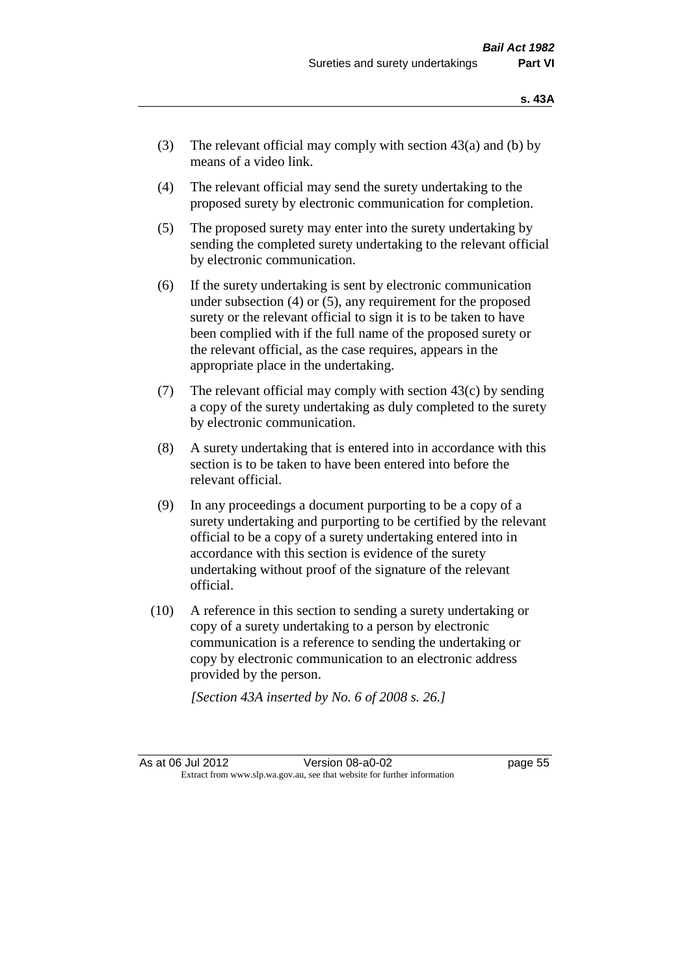- (3) The relevant official may comply with section  $43(a)$  and (b) by means of a video link.
- (4) The relevant official may send the surety undertaking to the proposed surety by electronic communication for completion.
- (5) The proposed surety may enter into the surety undertaking by sending the completed surety undertaking to the relevant official by electronic communication.
- (6) If the surety undertaking is sent by electronic communication under subsection (4) or (5), any requirement for the proposed surety or the relevant official to sign it is to be taken to have been complied with if the full name of the proposed surety or the relevant official, as the case requires, appears in the appropriate place in the undertaking.
- (7) The relevant official may comply with section  $43(c)$  by sending a copy of the surety undertaking as duly completed to the surety by electronic communication.
- (8) A surety undertaking that is entered into in accordance with this section is to be taken to have been entered into before the relevant official.
- (9) In any proceedings a document purporting to be a copy of a surety undertaking and purporting to be certified by the relevant official to be a copy of a surety undertaking entered into in accordance with this section is evidence of the surety undertaking without proof of the signature of the relevant official.
- (10) A reference in this section to sending a surety undertaking or copy of a surety undertaking to a person by electronic communication is a reference to sending the undertaking or copy by electronic communication to an electronic address provided by the person.

*[Section 43A inserted by No. 6 of 2008 s. 26.]*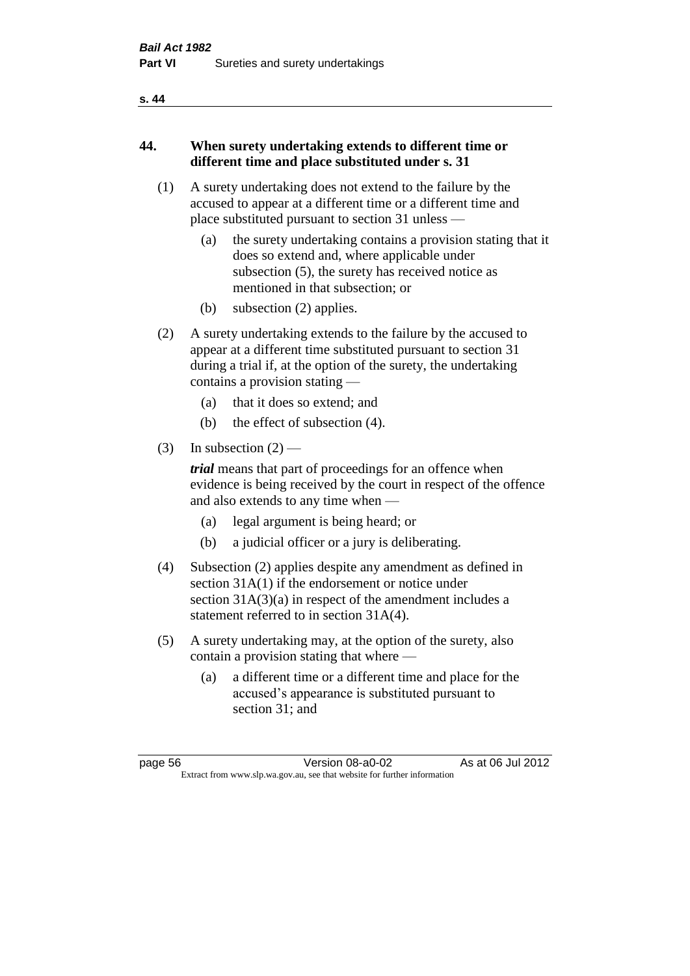#### **s. 44**

# **44. When surety undertaking extends to different time or different time and place substituted under s. 31**

- (1) A surety undertaking does not extend to the failure by the accused to appear at a different time or a different time and place substituted pursuant to section 31 unless —
	- (a) the surety undertaking contains a provision stating that it does so extend and, where applicable under subsection (5), the surety has received notice as mentioned in that subsection; or
	- (b) subsection (2) applies.
- (2) A surety undertaking extends to the failure by the accused to appear at a different time substituted pursuant to section 31 during a trial if, at the option of the surety, the undertaking contains a provision stating —
	- (a) that it does so extend; and
	- (b) the effect of subsection (4).
- (3) In subsection  $(2)$  —

*trial* means that part of proceedings for an offence when evidence is being received by the court in respect of the offence and also extends to any time when —

- (a) legal argument is being heard; or
- (b) a judicial officer or a jury is deliberating.
- (4) Subsection (2) applies despite any amendment as defined in section 31A(1) if the endorsement or notice under section 31A(3)(a) in respect of the amendment includes a statement referred to in section 31A(4).
- (5) A surety undertaking may, at the option of the surety, also contain a provision stating that where —
	- (a) a different time or a different time and place for the accused's appearance is substituted pursuant to section 31; and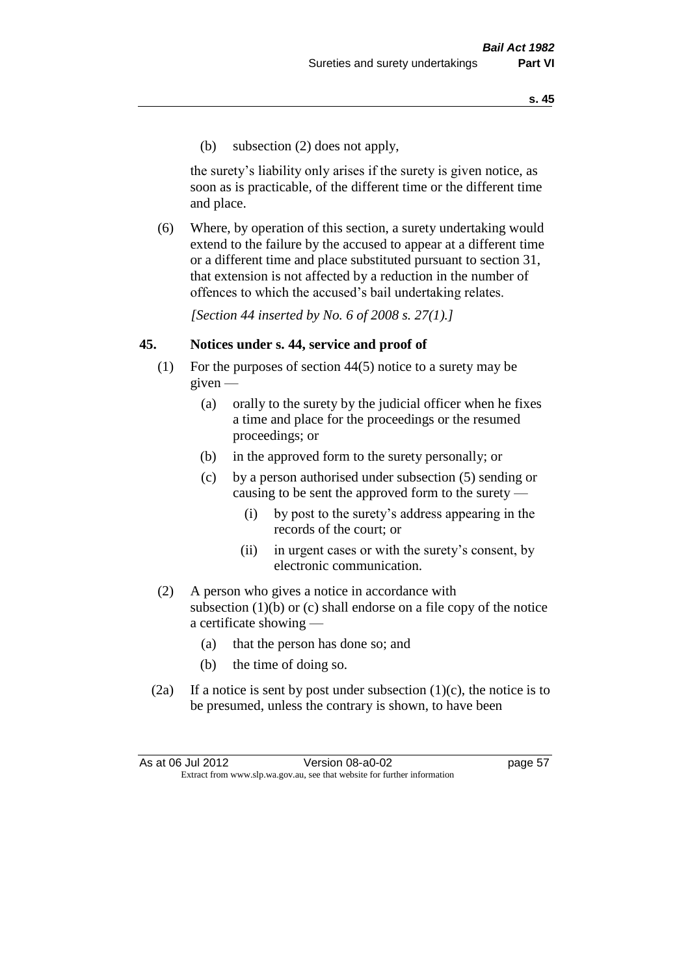(b) subsection (2) does not apply,

the surety's liability only arises if the surety is given notice, as soon as is practicable, of the different time or the different time and place.

(6) Where, by operation of this section, a surety undertaking would extend to the failure by the accused to appear at a different time or a different time and place substituted pursuant to section 31, that extension is not affected by a reduction in the number of offences to which the accused's bail undertaking relates.

*[Section 44 inserted by No. 6 of 2008 s. 27(1).]*

#### **45. Notices under s. 44, service and proof of**

- (1) For the purposes of section 44(5) notice to a surety may be given —
	- (a) orally to the surety by the judicial officer when he fixes a time and place for the proceedings or the resumed proceedings; or
	- (b) in the approved form to the surety personally; or
	- (c) by a person authorised under subsection (5) sending or causing to be sent the approved form to the surety —
		- (i) by post to the surety's address appearing in the records of the court; or
		- (ii) in urgent cases or with the surety's consent, by electronic communication.
- (2) A person who gives a notice in accordance with subsection  $(1)(b)$  or  $(c)$  shall endorse on a file copy of the notice a certificate showing —
	- (a) that the person has done so; and
	- (b) the time of doing so.
- (2a) If a notice is sent by post under subsection  $(1)(c)$ , the notice is to be presumed, unless the contrary is shown, to have been

As at 06 Jul 2012 Version 08-a0-02 page 57 Extract from www.slp.wa.gov.au, see that website for further information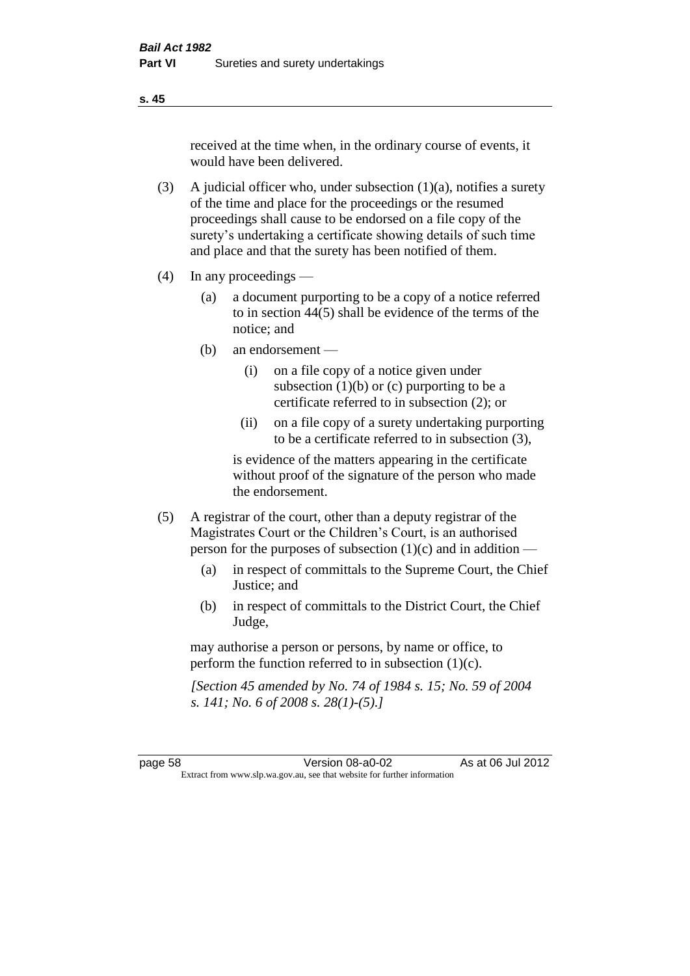received at the time when, in the ordinary course of events, it would have been delivered.

- (3) A judicial officer who, under subsection  $(1)(a)$ , notifies a surety of the time and place for the proceedings or the resumed proceedings shall cause to be endorsed on a file copy of the surety's undertaking a certificate showing details of such time and place and that the surety has been notified of them.
- (4) In any proceedings
	- (a) a document purporting to be a copy of a notice referred to in section 44(5) shall be evidence of the terms of the notice; and
	- (b) an endorsement
		- (i) on a file copy of a notice given under subsection  $(1)(b)$  or  $(c)$  purporting to be a certificate referred to in subsection (2); or
		- (ii) on a file copy of a surety undertaking purporting to be a certificate referred to in subsection (3),

is evidence of the matters appearing in the certificate without proof of the signature of the person who made the endorsement.

- (5) A registrar of the court, other than a deputy registrar of the Magistrates Court or the Children's Court, is an authorised person for the purposes of subsection (1)(c) and in addition —
	- (a) in respect of committals to the Supreme Court, the Chief Justice; and
	- (b) in respect of committals to the District Court, the Chief Judge,

may authorise a person or persons, by name or office, to perform the function referred to in subsection (1)(c).

*[Section 45 amended by No. 74 of 1984 s. 15; No. 59 of 2004 s. 141; No. 6 of 2008 s. 28(1)-(5).]* 

page 58 Version 08-a0-02 As at 06 Jul 2012 Extract from www.slp.wa.gov.au, see that website for further information

**s. 45**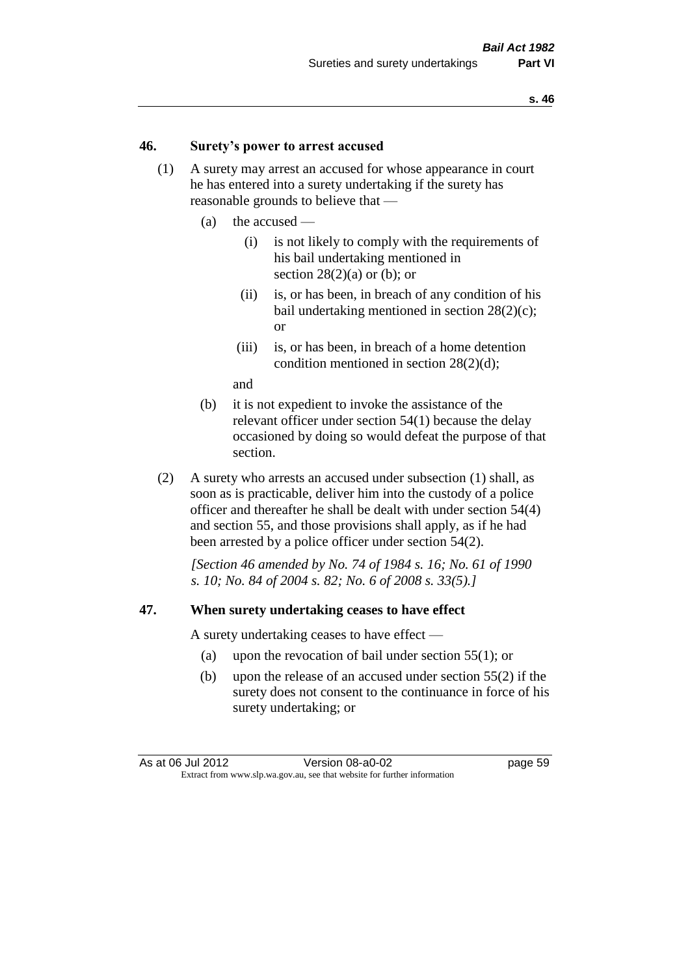#### **46. Surety's power to arrest accused**

- (1) A surety may arrest an accused for whose appearance in court he has entered into a surety undertaking if the surety has reasonable grounds to believe that —
	- (a) the accused
		- (i) is not likely to comply with the requirements of his bail undertaking mentioned in section  $28(2)(a)$  or (b); or
		- (ii) is, or has been, in breach of any condition of his bail undertaking mentioned in section 28(2)(c); or
		- (iii) is, or has been, in breach of a home detention condition mentioned in section 28(2)(d);

and

- (b) it is not expedient to invoke the assistance of the relevant officer under section 54(1) because the delay occasioned by doing so would defeat the purpose of that section.
- (2) A surety who arrests an accused under subsection (1) shall, as soon as is practicable, deliver him into the custody of a police officer and thereafter he shall be dealt with under section 54(4) and section 55, and those provisions shall apply, as if he had been arrested by a police officer under section 54(2).

*[Section 46 amended by No. 74 of 1984 s. 16; No. 61 of 1990 s. 10; No. 84 of 2004 s. 82; No. 6 of 2008 s. 33(5).]* 

#### **47. When surety undertaking ceases to have effect**

A surety undertaking ceases to have effect —

- (a) upon the revocation of bail under section 55(1); or
- (b) upon the release of an accused under section 55(2) if the surety does not consent to the continuance in force of his surety undertaking; or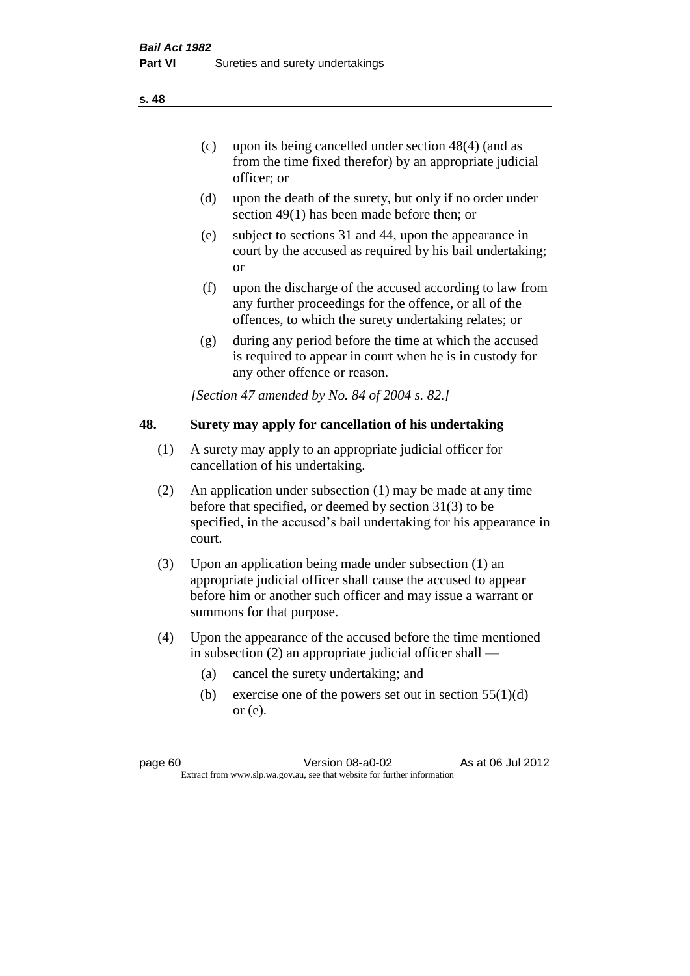- (d) upon the death of the surety, but only if no order under section 49(1) has been made before then; or
- (e) subject to sections 31 and 44, upon the appearance in court by the accused as required by his bail undertaking; or
- (f) upon the discharge of the accused according to law from any further proceedings for the offence, or all of the offences, to which the surety undertaking relates; or
- (g) during any period before the time at which the accused is required to appear in court when he is in custody for any other offence or reason.

*[Section 47 amended by No. 84 of 2004 s. 82.]* 

# **48. Surety may apply for cancellation of his undertaking**

- (1) A surety may apply to an appropriate judicial officer for cancellation of his undertaking.
- (2) An application under subsection (1) may be made at any time before that specified, or deemed by section 31(3) to be specified, in the accused's bail undertaking for his appearance in court.
- (3) Upon an application being made under subsection (1) an appropriate judicial officer shall cause the accused to appear before him or another such officer and may issue a warrant or summons for that purpose.
- (4) Upon the appearance of the accused before the time mentioned in subsection (2) an appropriate judicial officer shall —
	- (a) cancel the surety undertaking; and
	- (b) exercise one of the powers set out in section  $55(1)(d)$ or (e).

**s. 48**

page 60 Version 08-a0-02 As at 06 Jul 2012 Extract from www.slp.wa.gov.au, see that website for further information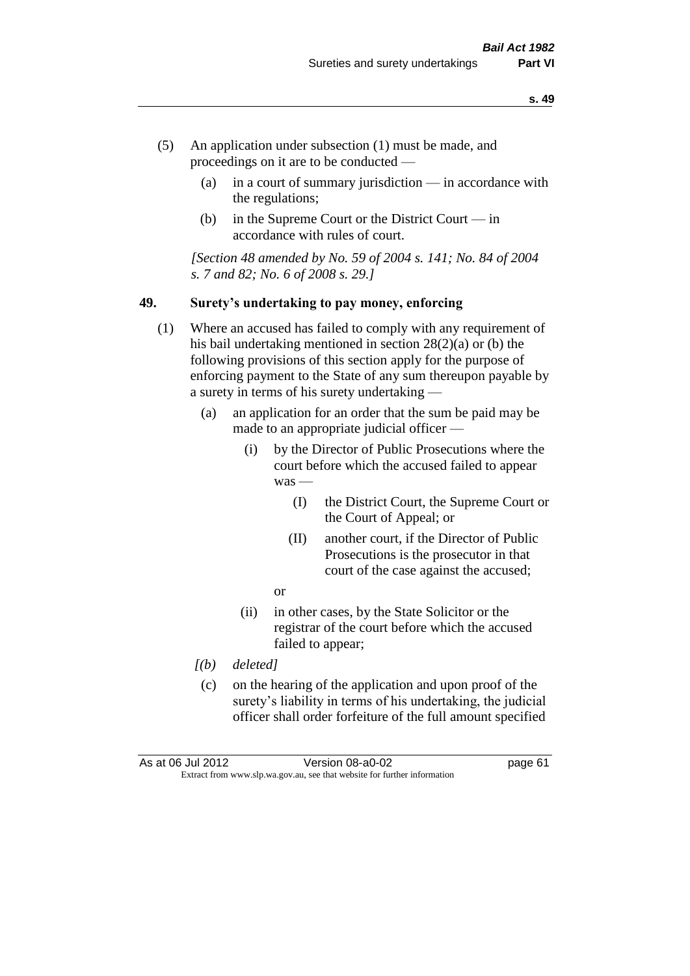- (5) An application under subsection (1) must be made, and proceedings on it are to be conducted —
	- (a) in a court of summary jurisdiction in accordance with the regulations;
	- (b) in the Supreme Court or the District Court in accordance with rules of court.

*[Section 48 amended by No. 59 of 2004 s. 141; No. 84 of 2004 s. 7 and 82; No. 6 of 2008 s. 29.]* 

#### **49. Surety's undertaking to pay money, enforcing**

- (1) Where an accused has failed to comply with any requirement of his bail undertaking mentioned in section 28(2)(a) or (b) the following provisions of this section apply for the purpose of enforcing payment to the State of any sum thereupon payable by a surety in terms of his surety undertaking —
	- (a) an application for an order that the sum be paid may be made to an appropriate judicial officer —
		- (i) by the Director of Public Prosecutions where the court before which the accused failed to appear was —
			- (I) the District Court, the Supreme Court or the Court of Appeal; or
			- (II) another court, if the Director of Public Prosecutions is the prosecutor in that court of the case against the accused;
			- or
		- (ii) in other cases, by the State Solicitor or the registrar of the court before which the accused failed to appear;
	- *[(b) deleted]*
	- (c) on the hearing of the application and upon proof of the surety's liability in terms of his undertaking, the judicial officer shall order forfeiture of the full amount specified

| As at 06 Jul 2012 | Version 08-a0-02                                                         | page 61 |
|-------------------|--------------------------------------------------------------------------|---------|
|                   | Extract from www.slp.wa.gov.au, see that website for further information |         |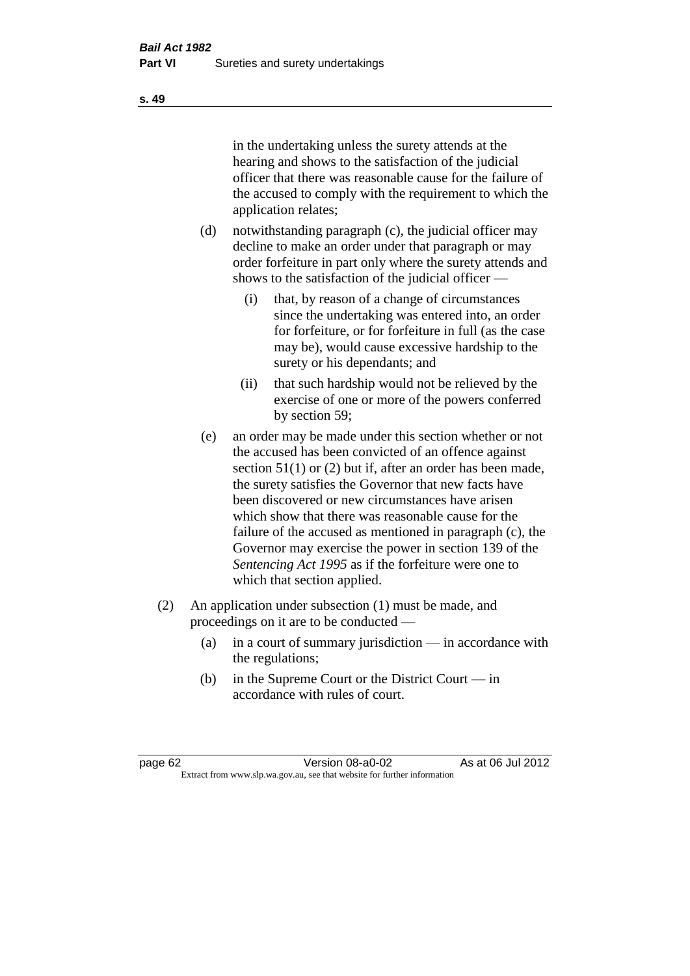in the undertaking unless the surety attends at the hearing and shows to the satisfaction of the judicial officer that there was reasonable cause for the failure of the accused to comply with the requirement to which the application relates;

- (d) notwithstanding paragraph (c), the judicial officer may decline to make an order under that paragraph or may order forfeiture in part only where the surety attends and shows to the satisfaction of the judicial officer —
	- (i) that, by reason of a change of circumstances since the undertaking was entered into, an order for forfeiture, or for forfeiture in full (as the case may be), would cause excessive hardship to the surety or his dependants; and
	- (ii) that such hardship would not be relieved by the exercise of one or more of the powers conferred by section 59;
- (e) an order may be made under this section whether or not the accused has been convicted of an offence against section 51(1) or (2) but if, after an order has been made, the surety satisfies the Governor that new facts have been discovered or new circumstances have arisen which show that there was reasonable cause for the failure of the accused as mentioned in paragraph (c), the Governor may exercise the power in section 139 of the *Sentencing Act 1995* as if the forfeiture were one to which that section applied.
- (2) An application under subsection (1) must be made, and proceedings on it are to be conducted —
	- (a) in a court of summary jurisdiction in accordance with the regulations;
	- (b) in the Supreme Court or the District Court in accordance with rules of court.

page 62 Version 08-a0-02 As at 06 Jul 2012 Extract from www.slp.wa.gov.au, see that website for further information

**s. 49**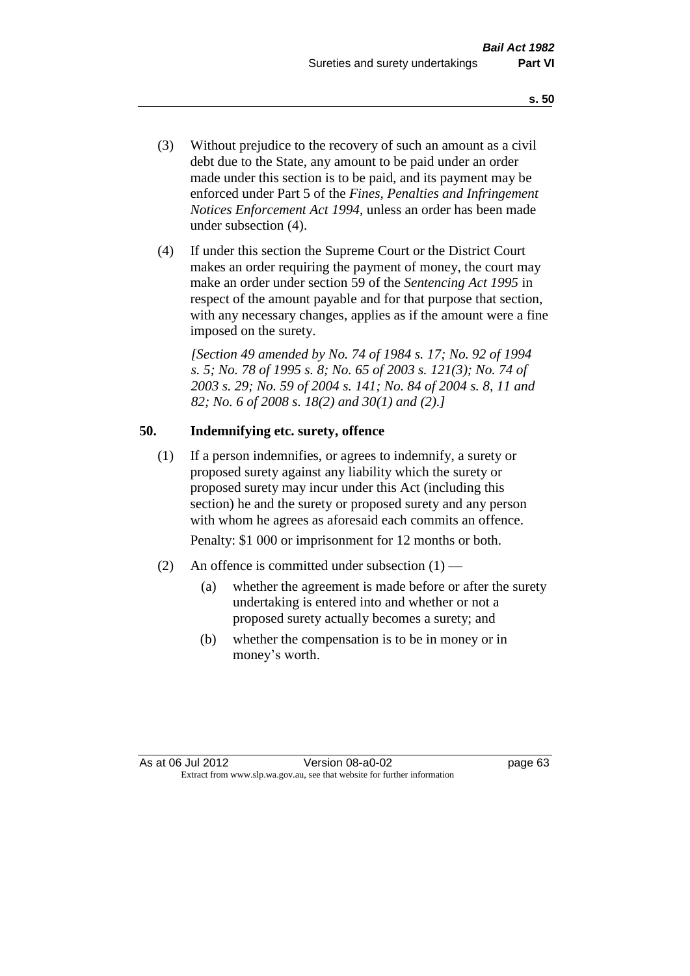- (3) Without prejudice to the recovery of such an amount as a civil debt due to the State, any amount to be paid under an order made under this section is to be paid, and its payment may be enforced under Part 5 of the *Fines, Penalties and Infringement Notices Enforcement Act 1994*, unless an order has been made under subsection (4).
- (4) If under this section the Supreme Court or the District Court makes an order requiring the payment of money, the court may make an order under section 59 of the *Sentencing Act 1995* in respect of the amount payable and for that purpose that section, with any necessary changes, applies as if the amount were a fine imposed on the surety.

*[Section 49 amended by No. 74 of 1984 s. 17; No. 92 of 1994 s. 5; No. 78 of 1995 s. 8; No. 65 of 2003 s. 121(3); No. 74 of 2003 s. 29; No. 59 of 2004 s. 141; No. 84 of 2004 s. 8, 11 and 82; No. 6 of 2008 s. 18(2) and 30(1) and (2).]* 

# **50. Indemnifying etc. surety, offence**

(1) If a person indemnifies, or agrees to indemnify, a surety or proposed surety against any liability which the surety or proposed surety may incur under this Act (including this section) he and the surety or proposed surety and any person with whom he agrees as aforesaid each commits an offence.

Penalty: \$1 000 or imprisonment for 12 months or both.

- (2) An offence is committed under subsection  $(1)$ 
	- (a) whether the agreement is made before or after the surety undertaking is entered into and whether or not a proposed surety actually becomes a surety; and
	- (b) whether the compensation is to be in money or in money's worth.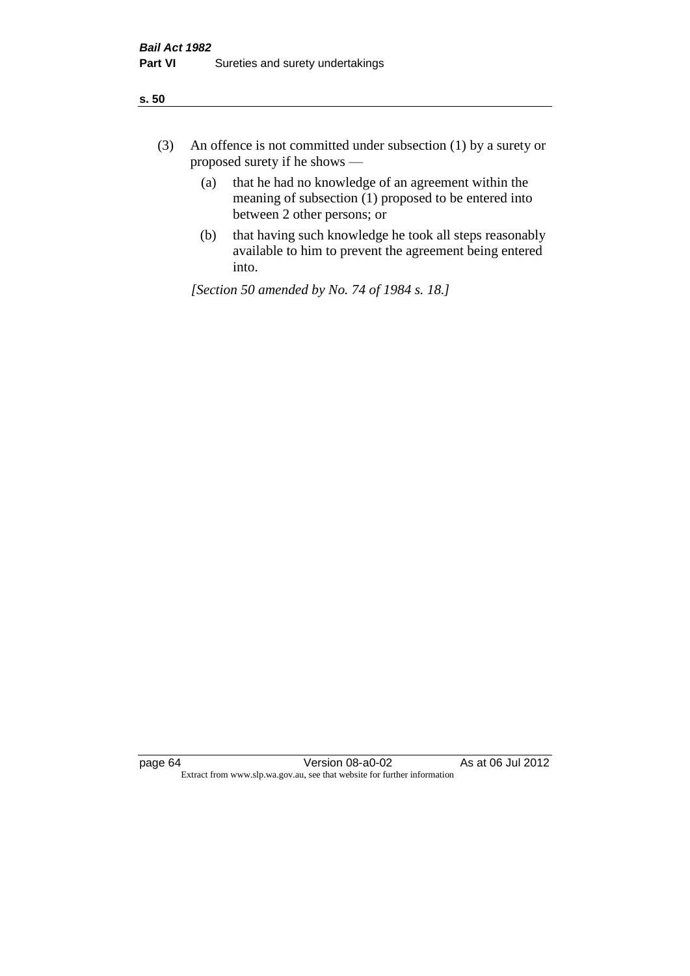| ÷<br>×<br>I<br>. .<br>×<br>۰.<br>×<br>۰.<br>v |
|-----------------------------------------------|
|-----------------------------------------------|

- (3) An offence is not committed under subsection (1) by a surety or proposed surety if he shows —
	- (a) that he had no knowledge of an agreement within the meaning of subsection  $(1)$  proposed to be entered into between 2 other persons; or
	- (b) that having such knowledge he took all steps reasonably available to him to prevent the agreement being entered into.

*[Section 50 amended by No. 74 of 1984 s. 18.]*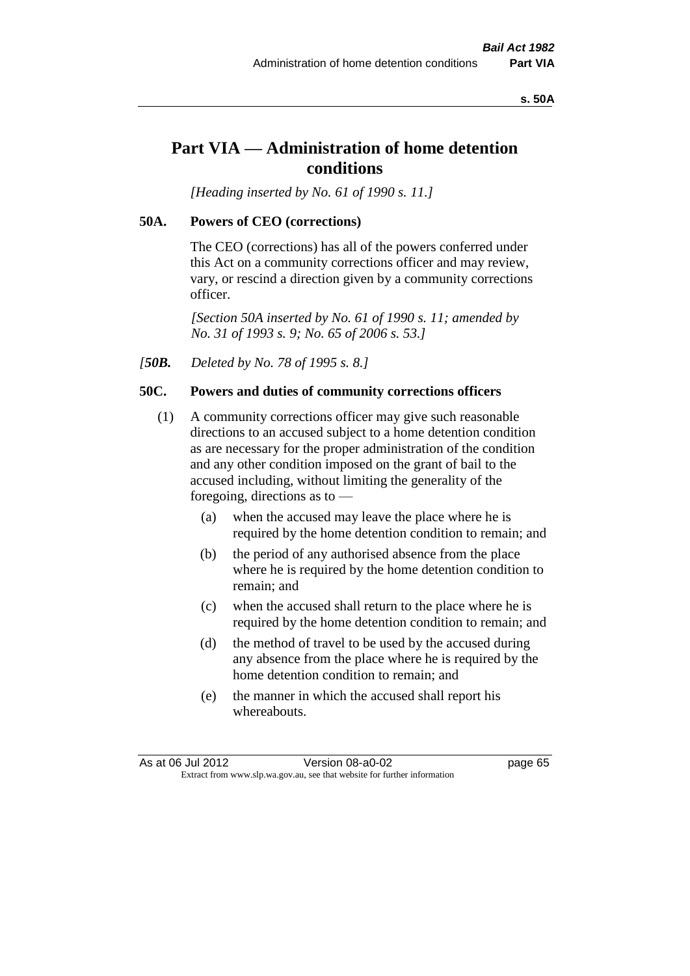#### **s. 50A**

# **Part VIA — Administration of home detention conditions**

*[Heading inserted by No. 61 of 1990 s. 11.]* 

## **50A. Powers of CEO (corrections)**

The CEO (corrections) has all of the powers conferred under this Act on a community corrections officer and may review, vary, or rescind a direction given by a community corrections officer.

*[Section 50A inserted by No. 61 of 1990 s. 11; amended by No. 31 of 1993 s. 9; No. 65 of 2006 s. 53.]* 

*[50B. Deleted by No. 78 of 1995 s. 8.]* 

## **50C. Powers and duties of community corrections officers**

- (1) A community corrections officer may give such reasonable directions to an accused subject to a home detention condition as are necessary for the proper administration of the condition and any other condition imposed on the grant of bail to the accused including, without limiting the generality of the foregoing, directions as to —
	- (a) when the accused may leave the place where he is required by the home detention condition to remain; and
	- (b) the period of any authorised absence from the place where he is required by the home detention condition to remain; and
	- (c) when the accused shall return to the place where he is required by the home detention condition to remain; and
	- (d) the method of travel to be used by the accused during any absence from the place where he is required by the home detention condition to remain; and
	- (e) the manner in which the accused shall report his whereabouts.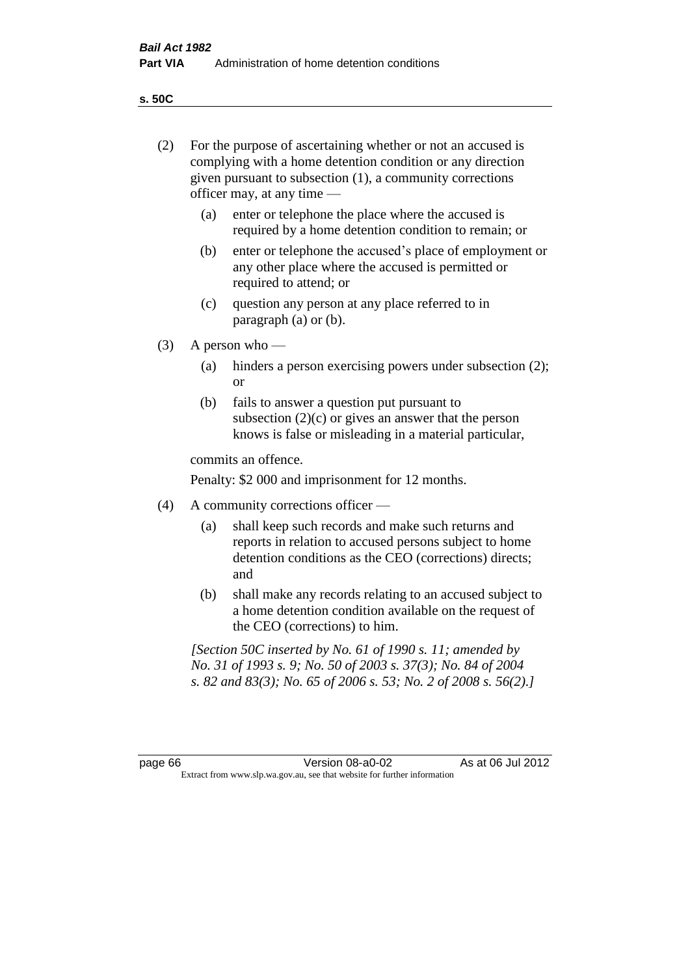**s. 50C**

| (2)     | For the purpose of ascertaining whether or not an accused is<br>complying with a home detention condition or any direction<br>given pursuant to subsection (1), a community corrections<br>officer may, at any time — |                                                                                                                                                                                              |  |  |
|---------|-----------------------------------------------------------------------------------------------------------------------------------------------------------------------------------------------------------------------|----------------------------------------------------------------------------------------------------------------------------------------------------------------------------------------------|--|--|
|         | (a)                                                                                                                                                                                                                   | enter or telephone the place where the accused is<br>required by a home detention condition to remain; or                                                                                    |  |  |
|         | (b)                                                                                                                                                                                                                   | enter or telephone the accused's place of employment or<br>any other place where the accused is permitted or<br>required to attend; or                                                       |  |  |
|         | (c)                                                                                                                                                                                                                   | question any person at any place referred to in<br>paragraph $(a)$ or $(b)$ .                                                                                                                |  |  |
| (3)     |                                                                                                                                                                                                                       | A person who $-$                                                                                                                                                                             |  |  |
|         | (a)                                                                                                                                                                                                                   | hinders a person exercising powers under subsection (2);<br><sub>or</sub>                                                                                                                    |  |  |
|         | (b)                                                                                                                                                                                                                   | fails to answer a question put pursuant to<br>subsection $(2)(c)$ or gives an answer that the person<br>knows is false or misleading in a material particular,                               |  |  |
|         |                                                                                                                                                                                                                       | commits an offence.                                                                                                                                                                          |  |  |
|         |                                                                                                                                                                                                                       | Penalty: \$2 000 and imprisonment for 12 months.                                                                                                                                             |  |  |
| (4)     | A community corrections officer —                                                                                                                                                                                     |                                                                                                                                                                                              |  |  |
|         | (a)                                                                                                                                                                                                                   | shall keep such records and make such returns and<br>reports in relation to accused persons subject to home<br>detention conditions as the CEO (corrections) directs;<br>and                 |  |  |
|         | (b)                                                                                                                                                                                                                   | shall make any records relating to an accused subject to<br>a home detention condition available on the request of<br>the CEO (corrections) to him.                                          |  |  |
|         |                                                                                                                                                                                                                       | [Section 50C inserted by No. 61 of 1990 s. 11; amended by<br>No. 31 of 1993 s. 9; No. 50 of 2003 s. 37(3); No. 84 of 2004<br>s. 82 and 83(3); No. 65 of 2006 s. 53; No. 2 of 2008 s. 56(2).] |  |  |
|         |                                                                                                                                                                                                                       |                                                                                                                                                                                              |  |  |
| page 66 |                                                                                                                                                                                                                       | As at 06 Jul 2012<br>Version 08-a0-02<br>Extract from www.slp.wa.gov.au, see that website for further information                                                                            |  |  |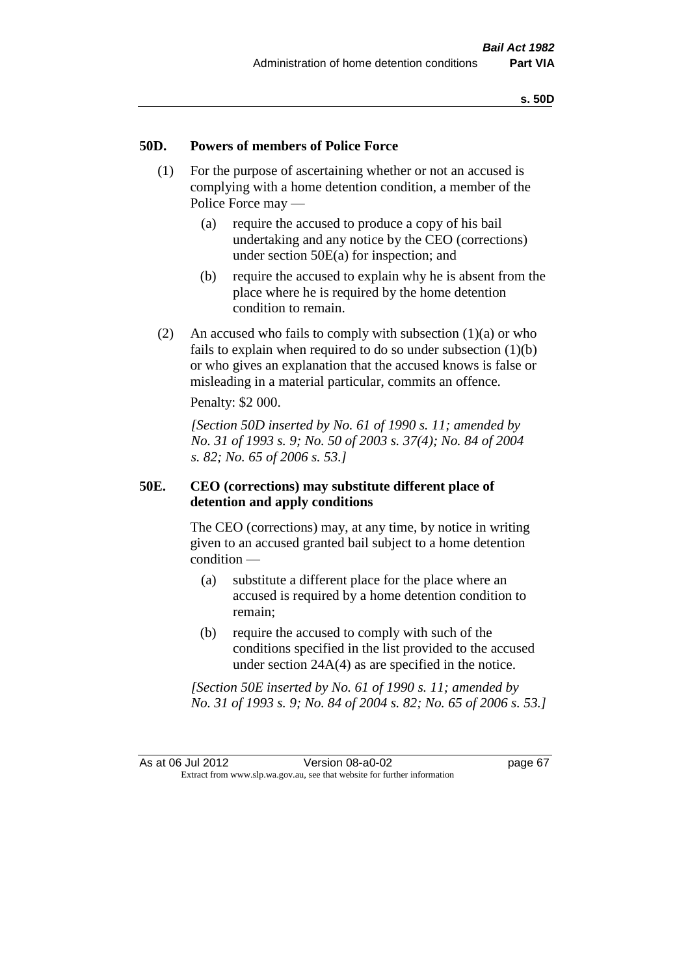## **50D. Powers of members of Police Force**

- (1) For the purpose of ascertaining whether or not an accused is complying with a home detention condition, a member of the Police Force may —
	- (a) require the accused to produce a copy of his bail undertaking and any notice by the CEO (corrections) under section 50E(a) for inspection; and
	- (b) require the accused to explain why he is absent from the place where he is required by the home detention condition to remain.
- (2) An accused who fails to comply with subsection  $(1)(a)$  or who fails to explain when required to do so under subsection  $(1)(b)$ or who gives an explanation that the accused knows is false or misleading in a material particular, commits an offence.

Penalty: \$2 000.

*[Section 50D inserted by No. 61 of 1990 s. 11; amended by No. 31 of 1993 s. 9; No. 50 of 2003 s. 37(4); No. 84 of 2004 s. 82; No. 65 of 2006 s. 53.]* 

## **50E. CEO (corrections) may substitute different place of detention and apply conditions**

The CEO (corrections) may, at any time, by notice in writing given to an accused granted bail subject to a home detention condition —

- (a) substitute a different place for the place where an accused is required by a home detention condition to remain;
- (b) require the accused to comply with such of the conditions specified in the list provided to the accused under section 24A(4) as are specified in the notice.

*[Section 50E inserted by No. 61 of 1990 s. 11; amended by No. 31 of 1993 s. 9; No. 84 of 2004 s. 82; No. 65 of 2006 s. 53.]*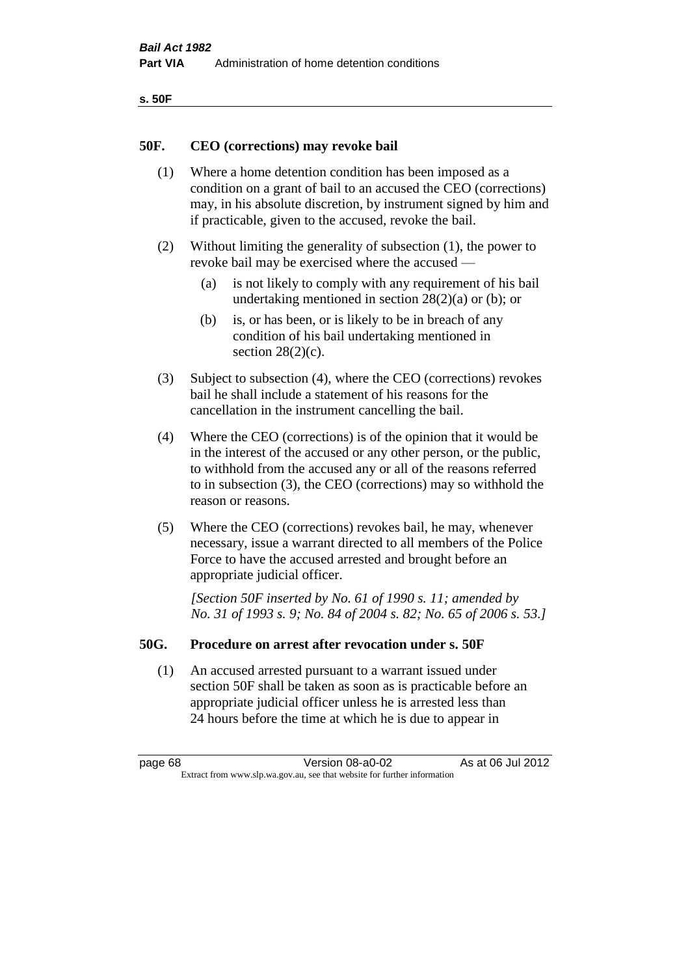| ۰.<br>×<br>-<br>۰.<br>× |  |
|-------------------------|--|
|-------------------------|--|

## **50F. CEO (corrections) may revoke bail**

- (1) Where a home detention condition has been imposed as a condition on a grant of bail to an accused the CEO (corrections) may, in his absolute discretion, by instrument signed by him and if practicable, given to the accused, revoke the bail.
- (2) Without limiting the generality of subsection (1), the power to revoke bail may be exercised where the accused —
	- (a) is not likely to comply with any requirement of his bail undertaking mentioned in section 28(2)(a) or (b); or
	- (b) is, or has been, or is likely to be in breach of any condition of his bail undertaking mentioned in section  $28(2)(c)$ .
- (3) Subject to subsection (4), where the CEO (corrections) revokes bail he shall include a statement of his reasons for the cancellation in the instrument cancelling the bail.
- (4) Where the CEO (corrections) is of the opinion that it would be in the interest of the accused or any other person, or the public, to withhold from the accused any or all of the reasons referred to in subsection (3), the CEO (corrections) may so withhold the reason or reasons.
- (5) Where the CEO (corrections) revokes bail, he may, whenever necessary, issue a warrant directed to all members of the Police Force to have the accused arrested and brought before an appropriate judicial officer.

*[Section 50F inserted by No. 61 of 1990 s. 11; amended by No. 31 of 1993 s. 9; No. 84 of 2004 s. 82; No. 65 of 2006 s. 53.]* 

## **50G. Procedure on arrest after revocation under s. 50F**

(1) An accused arrested pursuant to a warrant issued under section 50F shall be taken as soon as is practicable before an appropriate judicial officer unless he is arrested less than 24 hours before the time at which he is due to appear in

page 68 Version 08-a0-02 As at 06 Jul 2012 Extract from www.slp.wa.gov.au, see that website for further information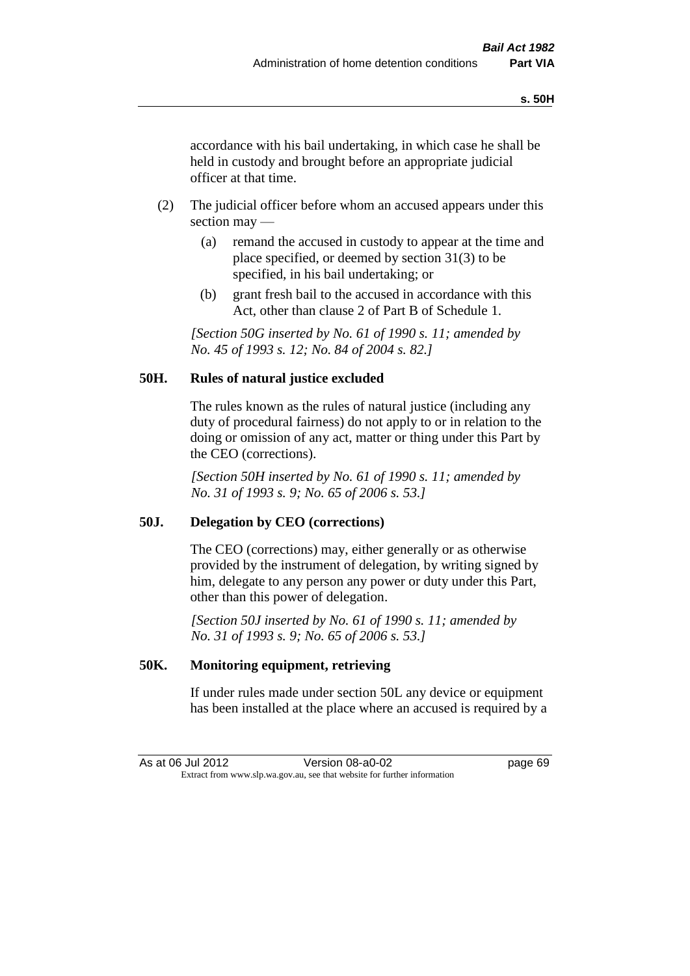accordance with his bail undertaking, in which case he shall be held in custody and brought before an appropriate judicial officer at that time.

- (2) The judicial officer before whom an accused appears under this section may —
	- (a) remand the accused in custody to appear at the time and place specified, or deemed by section 31(3) to be specified, in his bail undertaking; or
	- (b) grant fresh bail to the accused in accordance with this Act, other than clause 2 of Part B of Schedule 1.

*[Section 50G inserted by No. 61 of 1990 s. 11; amended by No. 45 of 1993 s. 12; No. 84 of 2004 s. 82.]* 

# **50H. Rules of natural justice excluded**

The rules known as the rules of natural justice (including any duty of procedural fairness) do not apply to or in relation to the doing or omission of any act, matter or thing under this Part by the CEO (corrections).

*[Section 50H inserted by No. 61 of 1990 s. 11; amended by No. 31 of 1993 s. 9; No. 65 of 2006 s. 53.]* 

## **50J. Delegation by CEO (corrections)**

The CEO (corrections) may, either generally or as otherwise provided by the instrument of delegation, by writing signed by him, delegate to any person any power or duty under this Part, other than this power of delegation.

*[Section 50J inserted by No. 61 of 1990 s. 11; amended by No. 31 of 1993 s. 9; No. 65 of 2006 s. 53.]* 

## **50K. Monitoring equipment, retrieving**

If under rules made under section 50L any device or equipment has been installed at the place where an accused is required by a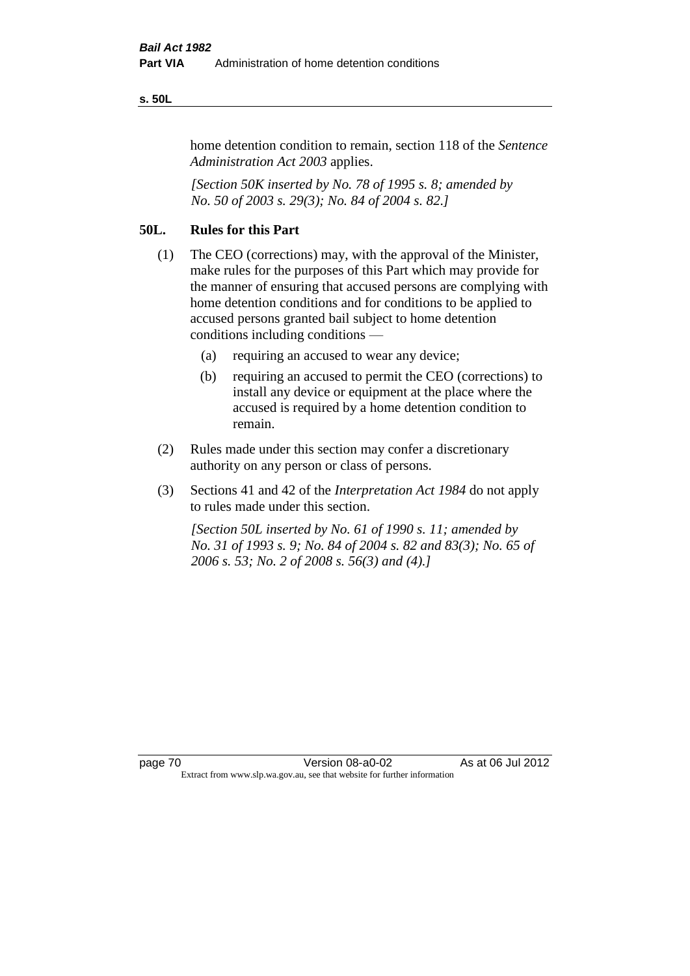#### **s. 50L**

home detention condition to remain, section 118 of the *Sentence Administration Act 2003* applies.

*[Section 50K inserted by No. 78 of 1995 s. 8; amended by No. 50 of 2003 s. 29(3); No. 84 of 2004 s. 82.]* 

# **50L. Rules for this Part**

- (1) The CEO (corrections) may, with the approval of the Minister, make rules for the purposes of this Part which may provide for the manner of ensuring that accused persons are complying with home detention conditions and for conditions to be applied to accused persons granted bail subject to home detention conditions including conditions —
	- (a) requiring an accused to wear any device;
	- (b) requiring an accused to permit the CEO (corrections) to install any device or equipment at the place where the accused is required by a home detention condition to remain.
- (2) Rules made under this section may confer a discretionary authority on any person or class of persons.
- (3) Sections 41 and 42 of the *Interpretation Act 1984* do not apply to rules made under this section.

*[Section 50L inserted by No. 61 of 1990 s. 11; amended by No. 31 of 1993 s. 9; No. 84 of 2004 s. 82 and 83(3); No. 65 of 2006 s. 53; No. 2 of 2008 s. 56(3) and (4).]*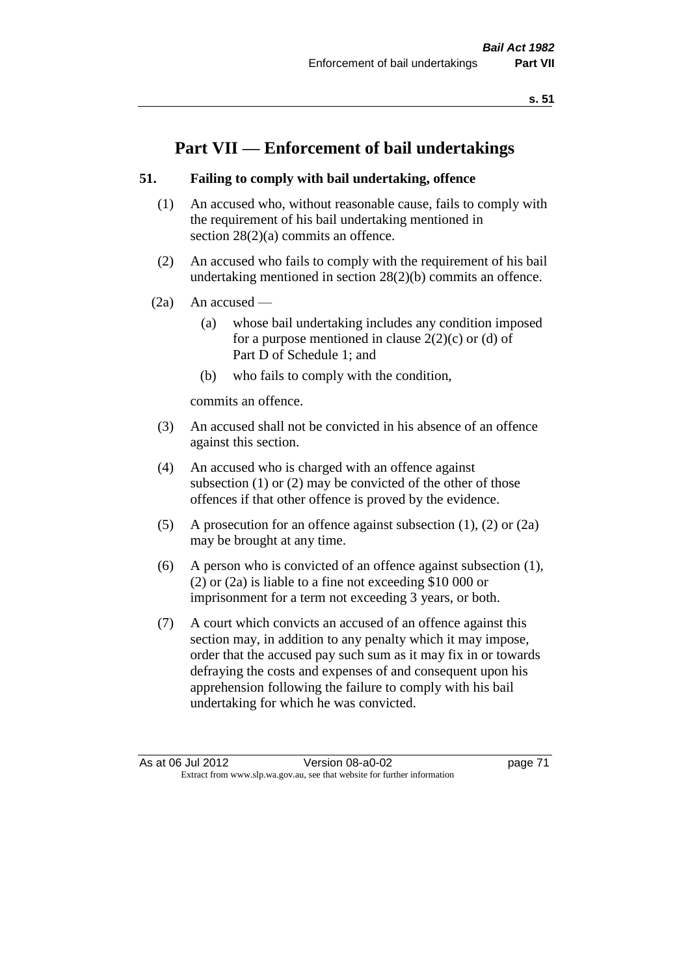# **Part VII — Enforcement of bail undertakings**

## **51. Failing to comply with bail undertaking, offence**

- (1) An accused who, without reasonable cause, fails to comply with the requirement of his bail undertaking mentioned in section 28(2)(a) commits an offence.
- (2) An accused who fails to comply with the requirement of his bail undertaking mentioned in section 28(2)(b) commits an offence.
- $(2a)$  An accused
	- (a) whose bail undertaking includes any condition imposed for a purpose mentioned in clause  $2(2)(c)$  or (d) of Part D of Schedule 1; and
	- (b) who fails to comply with the condition,

commits an offence.

- (3) An accused shall not be convicted in his absence of an offence against this section.
- (4) An accused who is charged with an offence against subsection (1) or (2) may be convicted of the other of those offences if that other offence is proved by the evidence.
- (5) A prosecution for an offence against subsection (1), (2) or (2a) may be brought at any time.
- (6) A person who is convicted of an offence against subsection (1), (2) or (2a) is liable to a fine not exceeding \$10 000 or imprisonment for a term not exceeding 3 years, or both.
- (7) A court which convicts an accused of an offence against this section may, in addition to any penalty which it may impose, order that the accused pay such sum as it may fix in or towards defraying the costs and expenses of and consequent upon his apprehension following the failure to comply with his bail undertaking for which he was convicted.

As at 06 Jul 2012 Version 08-a0-02 page 71 Extract from www.slp.wa.gov.au, see that website for further information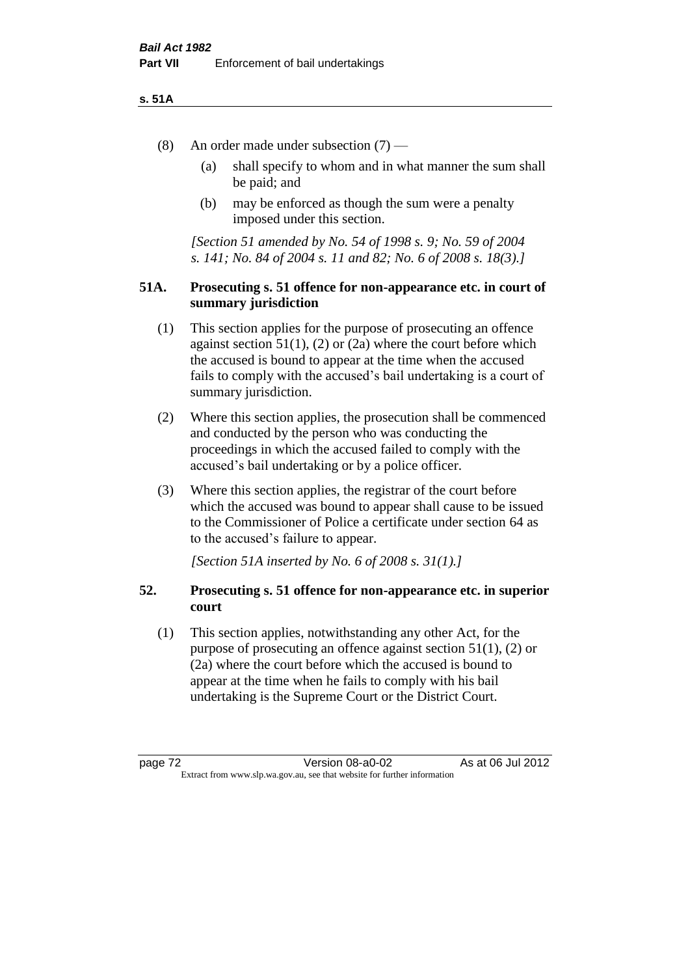#### **s. 51A**

- (8) An order made under subsection (7)
	- (a) shall specify to whom and in what manner the sum shall be paid; and
	- (b) may be enforced as though the sum were a penalty imposed under this section.

*[Section 51 amended by No. 54 of 1998 s. 9; No. 59 of 2004 s. 141; No. 84 of 2004 s. 11 and 82; No. 6 of 2008 s. 18(3).]*

## **51A. Prosecuting s. 51 offence for non-appearance etc. in court of summary jurisdiction**

- (1) This section applies for the purpose of prosecuting an offence against section  $51(1)$ ,  $(2)$  or  $(2a)$  where the court before which the accused is bound to appear at the time when the accused fails to comply with the accused's bail undertaking is a court of summary jurisdiction.
- (2) Where this section applies, the prosecution shall be commenced and conducted by the person who was conducting the proceedings in which the accused failed to comply with the accused's bail undertaking or by a police officer.
- (3) Where this section applies, the registrar of the court before which the accused was bound to appear shall cause to be issued to the Commissioner of Police a certificate under section 64 as to the accused's failure to appear.

*[Section 51A inserted by No. 6 of 2008 s. 31(1).]*

## **52. Prosecuting s. 51 offence for non-appearance etc. in superior court**

(1) This section applies, notwithstanding any other Act, for the purpose of prosecuting an offence against section 51(1), (2) or (2a) where the court before which the accused is bound to appear at the time when he fails to comply with his bail undertaking is the Supreme Court or the District Court.

page 72 Version 08-a0-02 As at 06 Jul 2012 Extract from www.slp.wa.gov.au, see that website for further information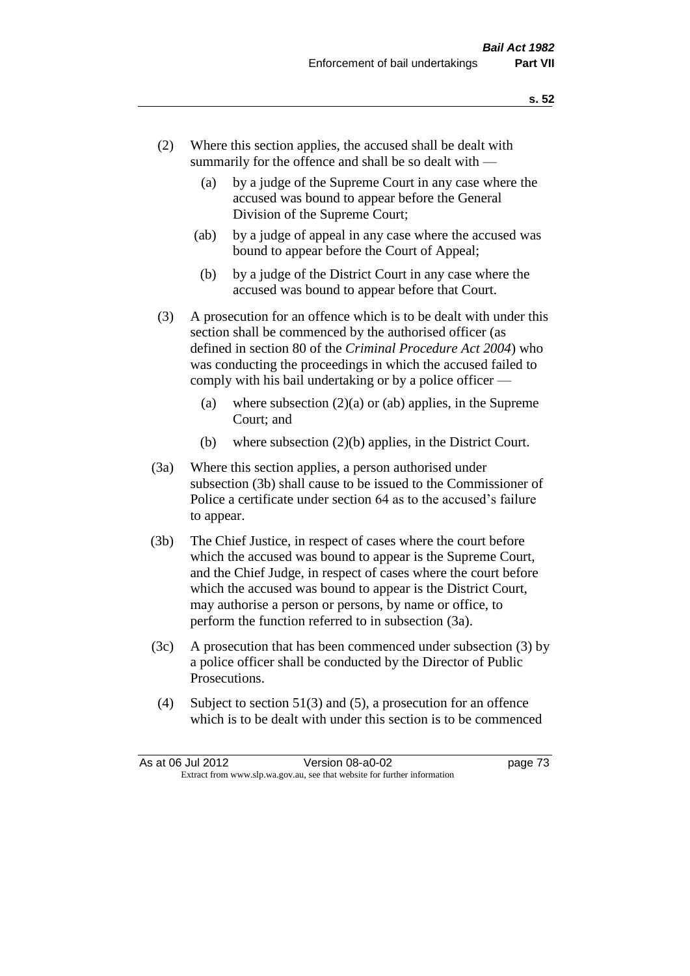- (2) Where this section applies, the accused shall be dealt with summarily for the offence and shall be so dealt with —
	- (a) by a judge of the Supreme Court in any case where the accused was bound to appear before the General Division of the Supreme Court;
	- (ab) by a judge of appeal in any case where the accused was bound to appear before the Court of Appeal;
	- (b) by a judge of the District Court in any case where the accused was bound to appear before that Court.
- (3) A prosecution for an offence which is to be dealt with under this section shall be commenced by the authorised officer (as defined in section 80 of the *Criminal Procedure Act 2004*) who was conducting the proceedings in which the accused failed to comply with his bail undertaking or by a police officer —
	- (a) where subsection  $(2)(a)$  or (ab) applies, in the Supreme Court; and
	- (b) where subsection (2)(b) applies, in the District Court.
- (3a) Where this section applies, a person authorised under subsection (3b) shall cause to be issued to the Commissioner of Police a certificate under section 64 as to the accused's failure to appear.
- (3b) The Chief Justice, in respect of cases where the court before which the accused was bound to appear is the Supreme Court, and the Chief Judge, in respect of cases where the court before which the accused was bound to appear is the District Court, may authorise a person or persons, by name or office, to perform the function referred to in subsection (3a).
- (3c) A prosecution that has been commenced under subsection (3) by a police officer shall be conducted by the Director of Public Prosecutions.
- (4) Subject to section 51(3) and (5), a prosecution for an offence which is to be dealt with under this section is to be commenced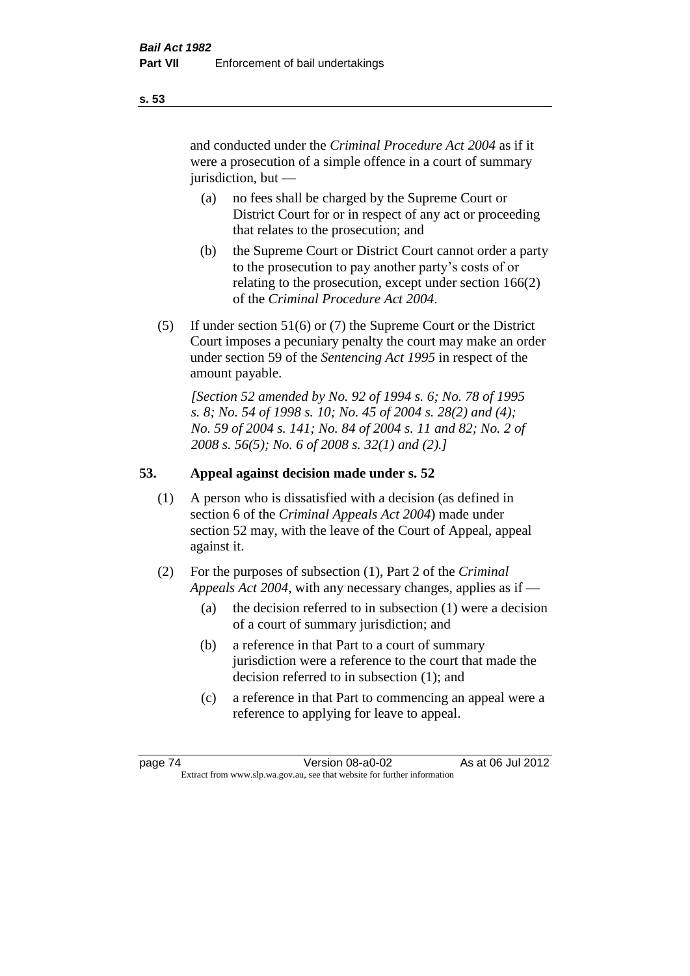and conducted under the *Criminal Procedure Act 2004* as if it were a prosecution of a simple offence in a court of summary jurisdiction, but —

- (a) no fees shall be charged by the Supreme Court or District Court for or in respect of any act or proceeding that relates to the prosecution; and
- (b) the Supreme Court or District Court cannot order a party to the prosecution to pay another party's costs of or relating to the prosecution, except under section 166(2) of the *Criminal Procedure Act 2004*.
- (5) If under section 51(6) or (7) the Supreme Court or the District Court imposes a pecuniary penalty the court may make an order under section 59 of the *Sentencing Act 1995* in respect of the amount payable.

*[Section 52 amended by No. 92 of 1994 s. 6; No. 78 of 1995 s. 8; No. 54 of 1998 s. 10; No. 45 of 2004 s. 28(2) and (4); No. 59 of 2004 s. 141; No. 84 of 2004 s. 11 and 82; No. 2 of 2008 s. 56(5); No. 6 of 2008 s. 32(1) and (2).]* 

# **53. Appeal against decision made under s. 52**

- (1) A person who is dissatisfied with a decision (as defined in section 6 of the *Criminal Appeals Act 2004*) made under section 52 may, with the leave of the Court of Appeal, appeal against it.
- (2) For the purposes of subsection (1), Part 2 of the *Criminal Appeals Act 2004*, with any necessary changes, applies as if —
	- (a) the decision referred to in subsection (1) were a decision of a court of summary jurisdiction; and
	- (b) a reference in that Part to a court of summary jurisdiction were a reference to the court that made the decision referred to in subsection (1); and
	- (c) a reference in that Part to commencing an appeal were a reference to applying for leave to appeal.

**s. 53**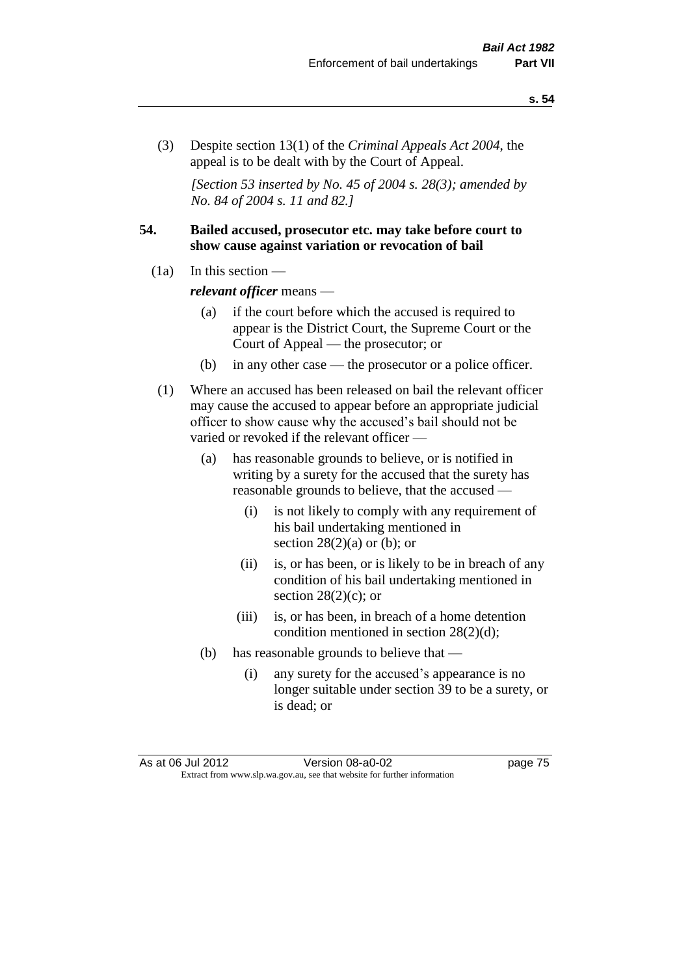(3) Despite section 13(1) of the *Criminal Appeals Act 2004*, the appeal is to be dealt with by the Court of Appeal.

*[Section 53 inserted by No. 45 of 2004 s. 28(3); amended by No. 84 of 2004 s. 11 and 82.]*

## **54. Bailed accused, prosecutor etc. may take before court to show cause against variation or revocation of bail**

 $(1a)$  In this section —

*relevant officer* means —

- (a) if the court before which the accused is required to appear is the District Court, the Supreme Court or the Court of Appeal — the prosecutor; or
- (b) in any other case the prosecutor or a police officer.
- (1) Where an accused has been released on bail the relevant officer may cause the accused to appear before an appropriate judicial officer to show cause why the accused's bail should not be varied or revoked if the relevant officer —
	- (a) has reasonable grounds to believe, or is notified in writing by a surety for the accused that the surety has reasonable grounds to believe, that the accused —
		- (i) is not likely to comply with any requirement of his bail undertaking mentioned in section  $28(2)(a)$  or (b); or
		- (ii) is, or has been, or is likely to be in breach of any condition of his bail undertaking mentioned in section  $28(2)(c)$ ; or
		- (iii) is, or has been, in breach of a home detention condition mentioned in section 28(2)(d);
	- (b) has reasonable grounds to believe that
		- (i) any surety for the accused's appearance is no longer suitable under section 39 to be a surety, or is dead; or

As at 06 Jul 2012 Version 08-a0-02 page 75 Extract from www.slp.wa.gov.au, see that website for further information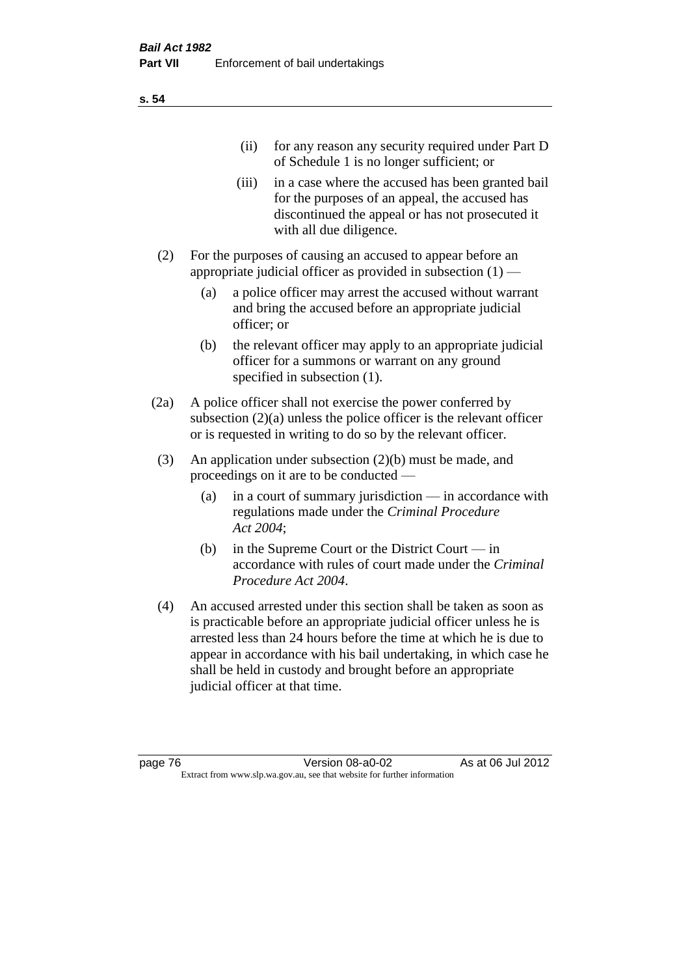| (11)  | for any reason any security required under Part D<br>of Schedule 1 is no longer sufficient; or                                                                                     |
|-------|------------------------------------------------------------------------------------------------------------------------------------------------------------------------------------|
| (iii) | in a case where the accused has been granted bail<br>for the purposes of an appeal, the accused has<br>discontinued the appeal or has not prosecuted it<br>with all due diligence. |
|       | For the purposes of causing an accused to appear before an<br>appropriate judicial officer as provided in subsection $(1)$ —                                                       |

- (a) a police officer may arrest the accused without warrant and bring the accused before an appropriate judicial officer; or
- (b) the relevant officer may apply to an appropriate judicial officer for a summons or warrant on any ground specified in subsection  $(1)$ .
- (2a) A police officer shall not exercise the power conferred by subsection (2)(a) unless the police officer is the relevant officer or is requested in writing to do so by the relevant officer.
- (3) An application under subsection (2)(b) must be made, and proceedings on it are to be conducted —
	- (a) in a court of summary jurisdiction in accordance with regulations made under the *Criminal Procedure Act 2004*;
	- (b) in the Supreme Court or the District Court in accordance with rules of court made under the *Criminal Procedure Act 2004*.
- (4) An accused arrested under this section shall be taken as soon as is practicable before an appropriate judicial officer unless he is arrested less than 24 hours before the time at which he is due to appear in accordance with his bail undertaking, in which case he shall be held in custody and brought before an appropriate judicial officer at that time.

**s. 54**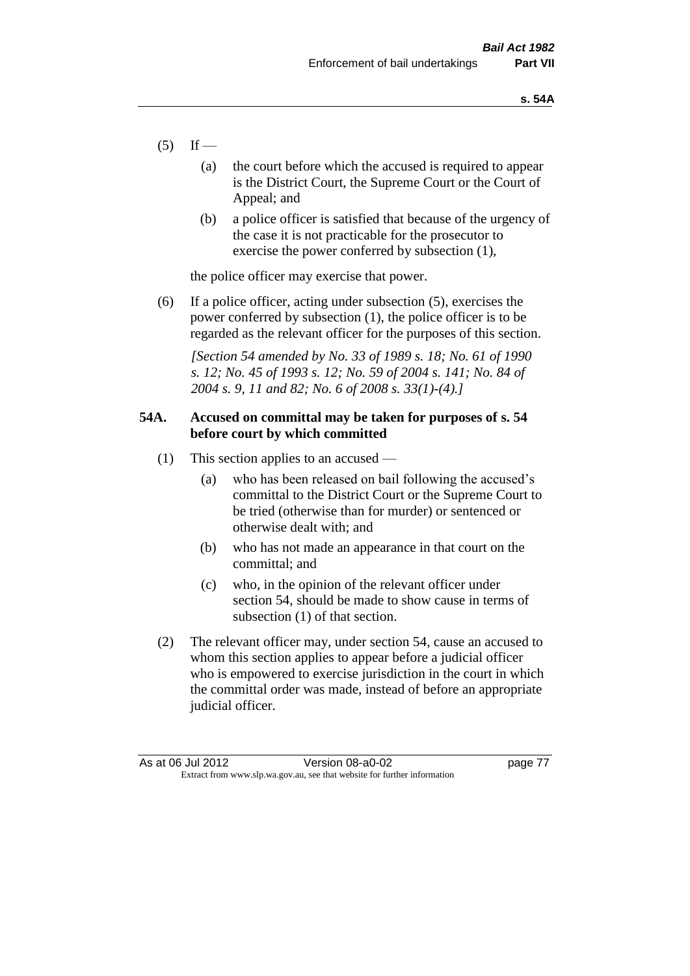- $(5)$  If
	- (a) the court before which the accused is required to appear is the District Court, the Supreme Court or the Court of Appeal; and
	- (b) a police officer is satisfied that because of the urgency of the case it is not practicable for the prosecutor to exercise the power conferred by subsection (1),

the police officer may exercise that power.

(6) If a police officer, acting under subsection (5), exercises the power conferred by subsection (1), the police officer is to be regarded as the relevant officer for the purposes of this section.

*[Section 54 amended by No. 33 of 1989 s. 18; No. 61 of 1990 s. 12; No. 45 of 1993 s. 12; No. 59 of 2004 s. 141; No. 84 of 2004 s. 9, 11 and 82; No. 6 of 2008 s. 33(1)-(4).]* 

## **54A. Accused on committal may be taken for purposes of s. 54 before court by which committed**

- (1) This section applies to an accused
	- (a) who has been released on bail following the accused's committal to the District Court or the Supreme Court to be tried (otherwise than for murder) or sentenced or otherwise dealt with; and
	- (b) who has not made an appearance in that court on the committal; and
	- (c) who, in the opinion of the relevant officer under section 54, should be made to show cause in terms of subsection (1) of that section.
- (2) The relevant officer may, under section 54, cause an accused to whom this section applies to appear before a judicial officer who is empowered to exercise jurisdiction in the court in which the committal order was made, instead of before an appropriate judicial officer.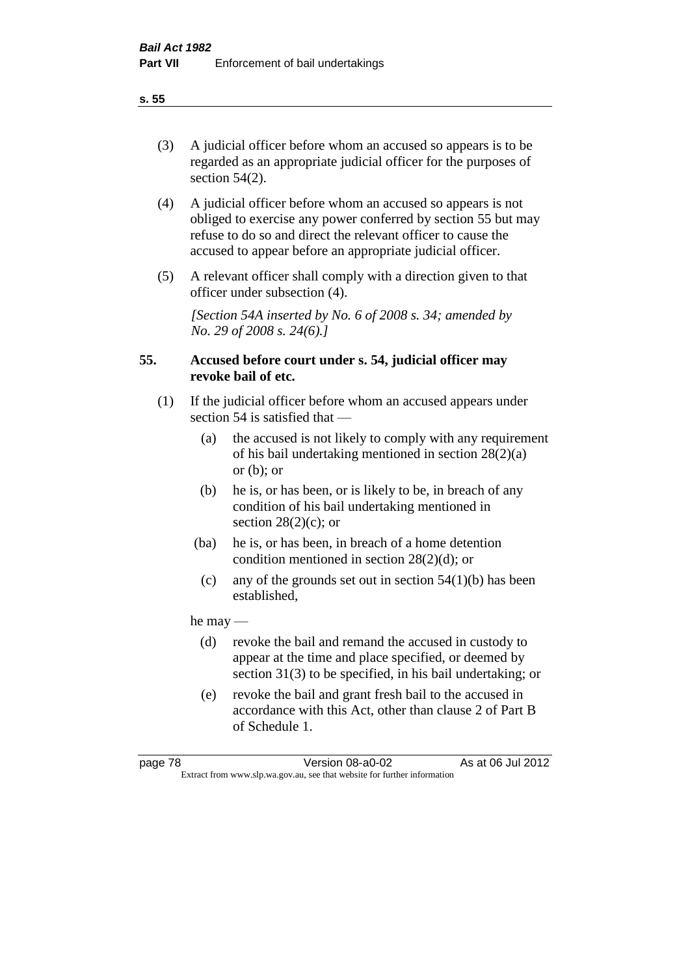(3) A judicial officer before whom an accused so appears is to be regarded as an appropriate judicial officer for the purposes of section 54(2).

- (4) A judicial officer before whom an accused so appears is not obliged to exercise any power conferred by section 55 but may refuse to do so and direct the relevant officer to cause the accused to appear before an appropriate judicial officer.
- (5) A relevant officer shall comply with a direction given to that officer under subsection (4).

*[Section 54A inserted by No. 6 of 2008 s. 34; amended by No. 29 of 2008 s. 24(6).]*

## **55. Accused before court under s. 54, judicial officer may revoke bail of etc.**

- (1) If the judicial officer before whom an accused appears under section 54 is satisfied that —
	- (a) the accused is not likely to comply with any requirement of his bail undertaking mentioned in section 28(2)(a) or  $(b)$ ; or
	- (b) he is, or has been, or is likely to be, in breach of any condition of his bail undertaking mentioned in section  $28(2)(c)$ ; or
	- (ba) he is, or has been, in breach of a home detention condition mentioned in section 28(2)(d); or
	- (c) any of the grounds set out in section  $54(1)(b)$  has been established,

he may —

- (d) revoke the bail and remand the accused in custody to appear at the time and place specified, or deemed by section 31(3) to be specified, in his bail undertaking; or
- (e) revoke the bail and grant fresh bail to the accused in accordance with this Act, other than clause 2 of Part B of Schedule 1.

**s. 55**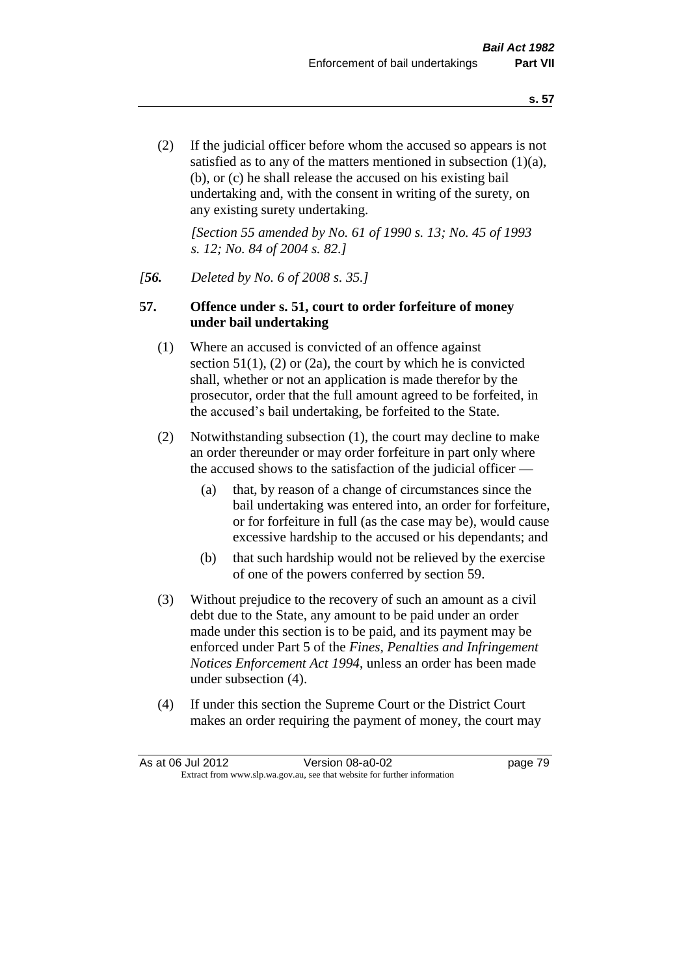(2) If the judicial officer before whom the accused so appears is not satisfied as to any of the matters mentioned in subsection (1)(a), (b), or (c) he shall release the accused on his existing bail undertaking and, with the consent in writing of the surety, on any existing surety undertaking.

*[Section 55 amended by No. 61 of 1990 s. 13; No. 45 of 1993 s. 12; No. 84 of 2004 s. 82.]* 

## *[56. Deleted by No. 6 of 2008 s. 35.]*

## **57. Offence under s. 51, court to order forfeiture of money under bail undertaking**

- (1) Where an accused is convicted of an offence against section  $51(1)$ ,  $(2)$  or  $(2a)$ , the court by which he is convicted shall, whether or not an application is made therefor by the prosecutor, order that the full amount agreed to be forfeited, in the accused's bail undertaking, be forfeited to the State.
- (2) Notwithstanding subsection (1), the court may decline to make an order thereunder or may order forfeiture in part only where the accused shows to the satisfaction of the judicial officer —
	- (a) that, by reason of a change of circumstances since the bail undertaking was entered into, an order for forfeiture, or for forfeiture in full (as the case may be), would cause excessive hardship to the accused or his dependants; and
	- (b) that such hardship would not be relieved by the exercise of one of the powers conferred by section 59.
- (3) Without prejudice to the recovery of such an amount as a civil debt due to the State, any amount to be paid under an order made under this section is to be paid, and its payment may be enforced under Part 5 of the *Fines, Penalties and Infringement Notices Enforcement Act 1994*, unless an order has been made under subsection (4).
- (4) If under this section the Supreme Court or the District Court makes an order requiring the payment of money, the court may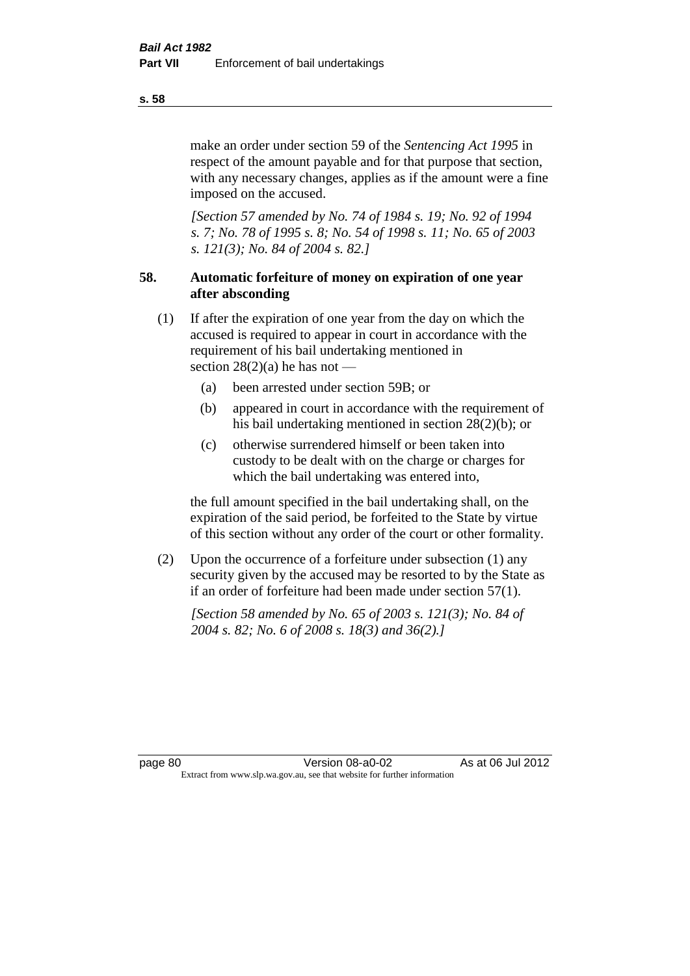make an order under section 59 of the *Sentencing Act 1995* in respect of the amount payable and for that purpose that section, with any necessary changes, applies as if the amount were a fine imposed on the accused.

*[Section 57 amended by No. 74 of 1984 s. 19; No. 92 of 1994 s. 7; No. 78 of 1995 s. 8; No. 54 of 1998 s. 11; No. 65 of 2003 s. 121(3); No. 84 of 2004 s. 82.]* 

## **58. Automatic forfeiture of money on expiration of one year after absconding**

- (1) If after the expiration of one year from the day on which the accused is required to appear in court in accordance with the requirement of his bail undertaking mentioned in section  $28(2)(a)$  he has not —
	- (a) been arrested under section 59B; or
	- (b) appeared in court in accordance with the requirement of his bail undertaking mentioned in section 28(2)(b); or
	- (c) otherwise surrendered himself or been taken into custody to be dealt with on the charge or charges for which the bail undertaking was entered into,

the full amount specified in the bail undertaking shall, on the expiration of the said period, be forfeited to the State by virtue of this section without any order of the court or other formality.

(2) Upon the occurrence of a forfeiture under subsection (1) any security given by the accused may be resorted to by the State as if an order of forfeiture had been made under section 57(1).

*[Section 58 amended by No. 65 of 2003 s. 121(3); No. 84 of 2004 s. 82; No. 6 of 2008 s. 18(3) and 36(2).]*

page 80 Version 08-a0-02 As at 06 Jul 2012 Extract from www.slp.wa.gov.au, see that website for further information

**s. 58**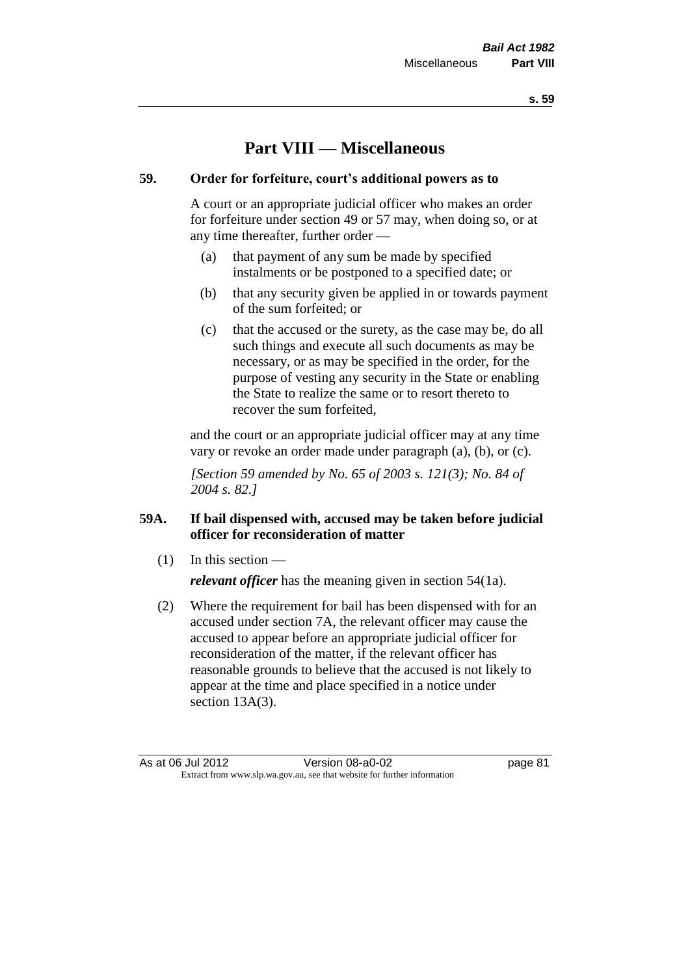# **Part VIII — Miscellaneous**

## **59. Order for forfeiture, court's additional powers as to**

A court or an appropriate judicial officer who makes an order for forfeiture under section 49 or 57 may, when doing so, or at any time thereafter, further order —

- (a) that payment of any sum be made by specified instalments or be postponed to a specified date; or
- (b) that any security given be applied in or towards payment of the sum forfeited; or
- (c) that the accused or the surety, as the case may be, do all such things and execute all such documents as may be necessary, or as may be specified in the order, for the purpose of vesting any security in the State or enabling the State to realize the same or to resort thereto to recover the sum forfeited,

and the court or an appropriate judicial officer may at any time vary or revoke an order made under paragraph (a), (b), or (c).

*[Section 59 amended by No. 65 of 2003 s. 121(3); No. 84 of 2004 s. 82.]*

# **59A. If bail dispensed with, accused may be taken before judicial officer for reconsideration of matter**

(1) In this section —

*relevant officer* has the meaning given in section 54(1a).

(2) Where the requirement for bail has been dispensed with for an accused under section 7A, the relevant officer may cause the accused to appear before an appropriate judicial officer for reconsideration of the matter, if the relevant officer has reasonable grounds to believe that the accused is not likely to appear at the time and place specified in a notice under section 13A(3).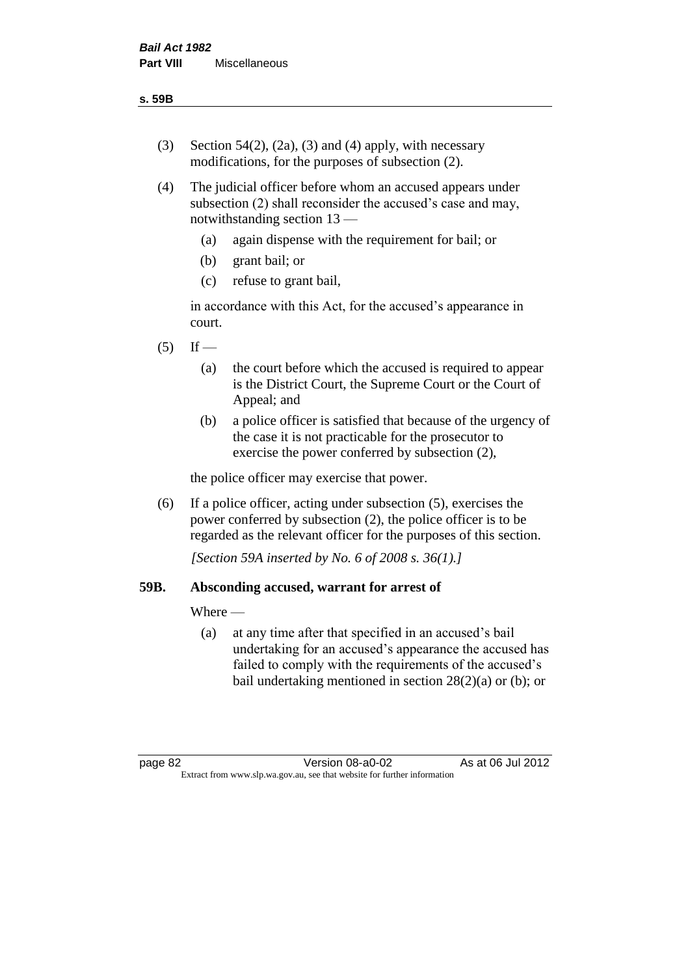- (3) Section 54(2), (2a), (3) and (4) apply, with necessary modifications, for the purposes of subsection (2).
- (4) The judicial officer before whom an accused appears under subsection (2) shall reconsider the accused's case and may, notwithstanding section 13 —
	- (a) again dispense with the requirement for bail; or
	- (b) grant bail; or
	- (c) refuse to grant bail,

in accordance with this Act, for the accused's appearance in court.

- $(5)$  If
	- (a) the court before which the accused is required to appear is the District Court, the Supreme Court or the Court of Appeal; and
	- (b) a police officer is satisfied that because of the urgency of the case it is not practicable for the prosecutor to exercise the power conferred by subsection (2),

the police officer may exercise that power.

(6) If a police officer, acting under subsection (5), exercises the power conferred by subsection (2), the police officer is to be regarded as the relevant officer for the purposes of this section.

*[Section 59A inserted by No. 6 of 2008 s. 36(1).]*

## **59B. Absconding accused, warrant for arrest of**

Where —

(a) at any time after that specified in an accused's bail undertaking for an accused's appearance the accused has failed to comply with the requirements of the accused's bail undertaking mentioned in section  $28(2)(a)$  or (b); or

page 82 Version 08-a0-02 As at 06 Jul 2012 Extract from www.slp.wa.gov.au, see that website for further information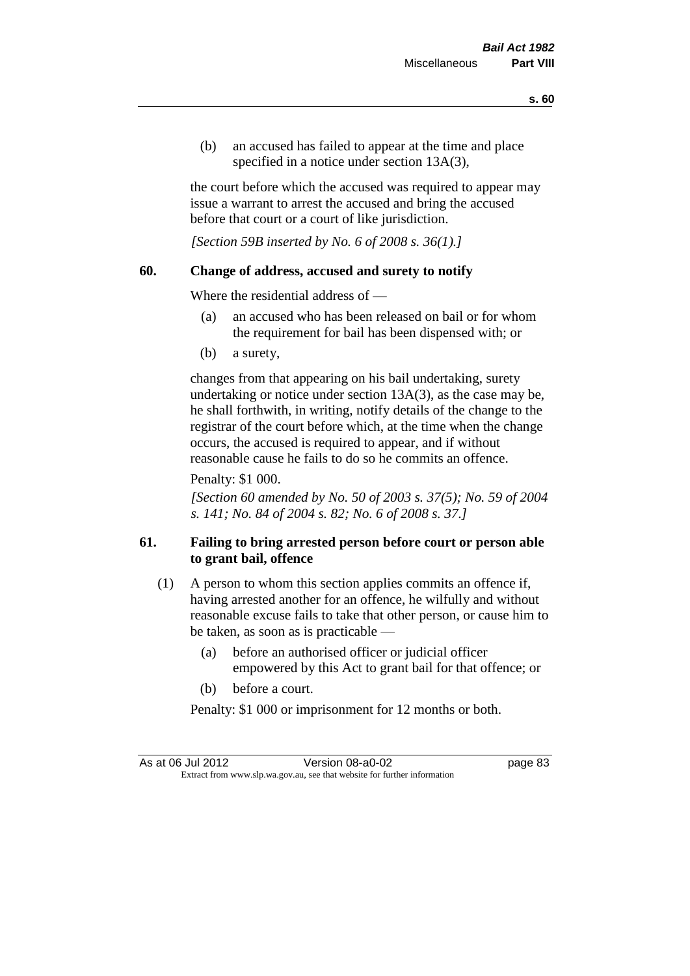(b) an accused has failed to appear at the time and place specified in a notice under section 13A(3).

the court before which the accused was required to appear may issue a warrant to arrest the accused and bring the accused before that court or a court of like jurisdiction.

*[Section 59B inserted by No. 6 of 2008 s. 36(1).]*

## **60. Change of address, accused and surety to notify**

Where the residential address of —

- (a) an accused who has been released on bail or for whom the requirement for bail has been dispensed with; or
- (b) a surety,

changes from that appearing on his bail undertaking, surety undertaking or notice under section 13A(3), as the case may be, he shall forthwith, in writing, notify details of the change to the registrar of the court before which, at the time when the change occurs, the accused is required to appear, and if without reasonable cause he fails to do so he commits an offence.

Penalty: \$1 000.

*[Section 60 amended by No. 50 of 2003 s. 37(5); No. 59 of 2004 s. 141; No. 84 of 2004 s. 82; No. 6 of 2008 s. 37.]*

# **61. Failing to bring arrested person before court or person able to grant bail, offence**

- (1) A person to whom this section applies commits an offence if, having arrested another for an offence, he wilfully and without reasonable excuse fails to take that other person, or cause him to be taken, as soon as is practicable —
	- (a) before an authorised officer or judicial officer empowered by this Act to grant bail for that offence; or
	- (b) before a court.

Penalty: \$1 000 or imprisonment for 12 months or both.

As at 06 Jul 2012 Version 08-a0-02 page 83 Extract from www.slp.wa.gov.au, see that website for further information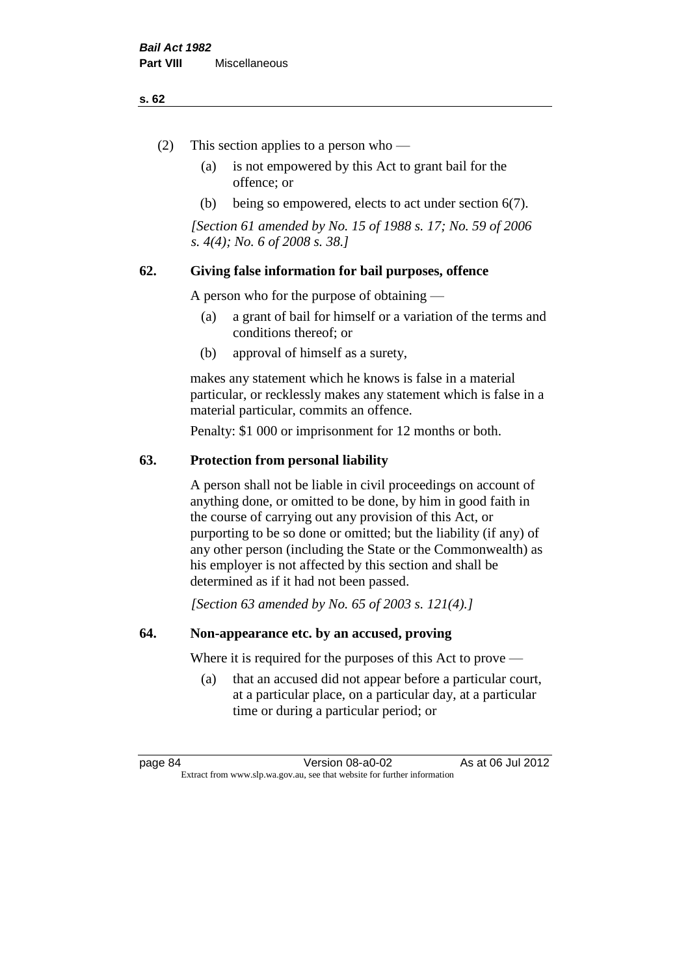#### **s. 62**

- (2) This section applies to a person who
	- (a) is not empowered by this Act to grant bail for the offence; or
	- (b) being so empowered, elects to act under section 6(7).

*[Section 61 amended by No. 15 of 1988 s. 17; No. 59 of 2006 s. 4(4); No. 6 of 2008 s. 38.]* 

## **62. Giving false information for bail purposes, offence**

A person who for the purpose of obtaining —

- (a) a grant of bail for himself or a variation of the terms and conditions thereof; or
- (b) approval of himself as a surety,

makes any statement which he knows is false in a material particular, or recklessly makes any statement which is false in a material particular, commits an offence.

Penalty: \$1 000 or imprisonment for 12 months or both.

## **63. Protection from personal liability**

A person shall not be liable in civil proceedings on account of anything done, or omitted to be done, by him in good faith in the course of carrying out any provision of this Act, or purporting to be so done or omitted; but the liability (if any) of any other person (including the State or the Commonwealth) as his employer is not affected by this section and shall be determined as if it had not been passed.

*[Section 63 amended by No. 65 of 2003 s. 121(4).]*

## **64. Non-appearance etc. by an accused, proving**

Where it is required for the purposes of this Act to prove —

(a) that an accused did not appear before a particular court, at a particular place, on a particular day, at a particular time or during a particular period; or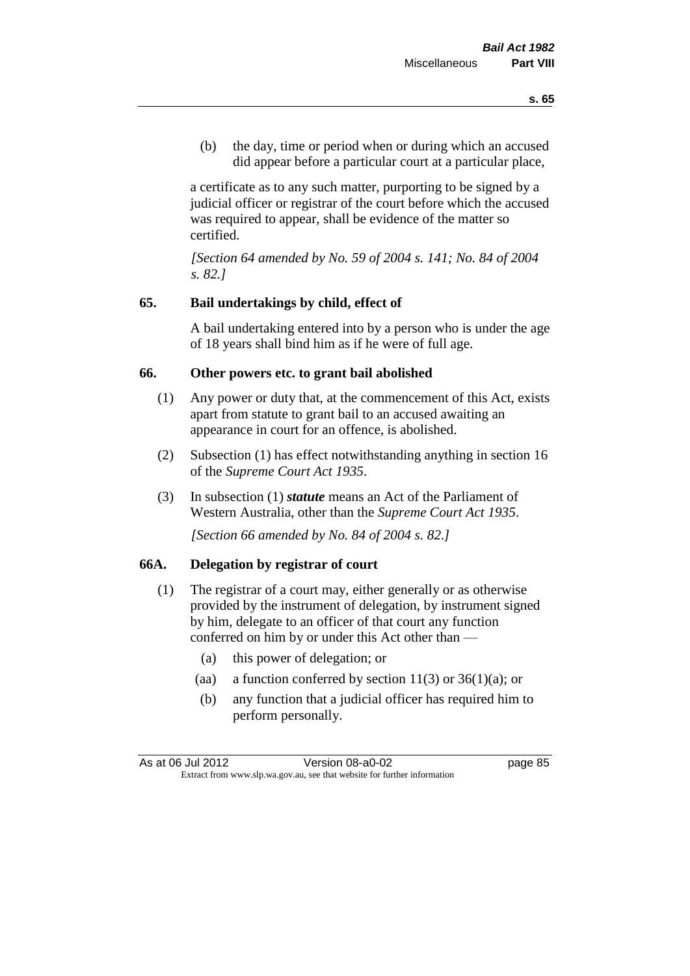(b) the day, time or period when or during which an accused did appear before a particular court at a particular place,

a certificate as to any such matter, purporting to be signed by a judicial officer or registrar of the court before which the accused was required to appear, shall be evidence of the matter so certified.

*[Section 64 amended by No. 59 of 2004 s. 141; No. 84 of 2004 s. 82.]* 

## **65. Bail undertakings by child, effect of**

A bail undertaking entered into by a person who is under the age of 18 years shall bind him as if he were of full age.

#### **66. Other powers etc. to grant bail abolished**

- (1) Any power or duty that, at the commencement of this Act, exists apart from statute to grant bail to an accused awaiting an appearance in court for an offence, is abolished.
- (2) Subsection (1) has effect notwithstanding anything in section 16 of the *Supreme Court Act 1935*.
- (3) In subsection (1) *statute* means an Act of the Parliament of Western Australia, other than the *Supreme Court Act 1935*.

*[Section 66 amended by No. 84 of 2004 s. 82.]*

## **66A. Delegation by registrar of court**

- (1) The registrar of a court may, either generally or as otherwise provided by the instrument of delegation, by instrument signed by him, delegate to an officer of that court any function conferred on him by or under this Act other than —
	- (a) this power of delegation; or
	- (aa) a function conferred by section  $11(3)$  or  $36(1)(a)$ ; or
	- (b) any function that a judicial officer has required him to perform personally.

As at 06 Jul 2012 Version 08-a0-02 page 85 Extract from www.slp.wa.gov.au, see that website for further information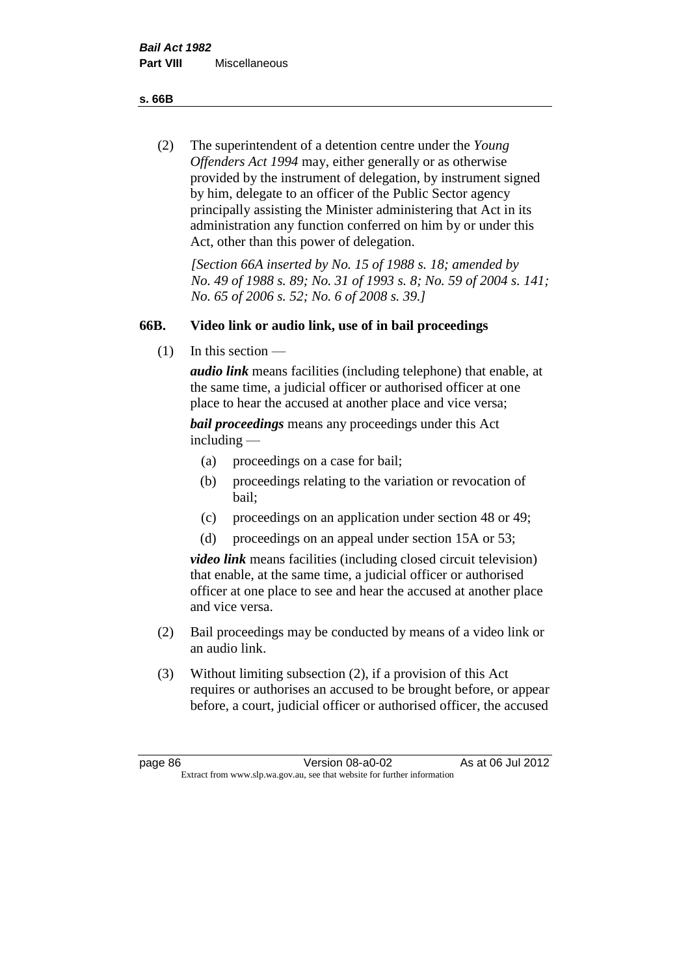**s. 66B**

(2) The superintendent of a detention centre under the *Young Offenders Act 1994* may, either generally or as otherwise provided by the instrument of delegation, by instrument signed by him, delegate to an officer of the Public Sector agency principally assisting the Minister administering that Act in its administration any function conferred on him by or under this Act, other than this power of delegation.

*[Section 66A inserted by No. 15 of 1988 s. 18; amended by No. 49 of 1988 s. 89; No. 31 of 1993 s. 8; No. 59 of 2004 s. 141; No. 65 of 2006 s. 52; No. 6 of 2008 s. 39.]* 

# **66B. Video link or audio link, use of in bail proceedings**

(1) In this section —

*audio link* means facilities (including telephone) that enable, at the same time, a judicial officer or authorised officer at one place to hear the accused at another place and vice versa;

*bail proceedings* means any proceedings under this Act including —

- (a) proceedings on a case for bail;
- (b) proceedings relating to the variation or revocation of bail;
- (c) proceedings on an application under section 48 or 49;
- (d) proceedings on an appeal under section 15A or 53;

*video link* means facilities (including closed circuit television) that enable, at the same time, a judicial officer or authorised officer at one place to see and hear the accused at another place and vice versa.

- (2) Bail proceedings may be conducted by means of a video link or an audio link.
- (3) Without limiting subsection (2), if a provision of this Act requires or authorises an accused to be brought before, or appear before, a court, judicial officer or authorised officer, the accused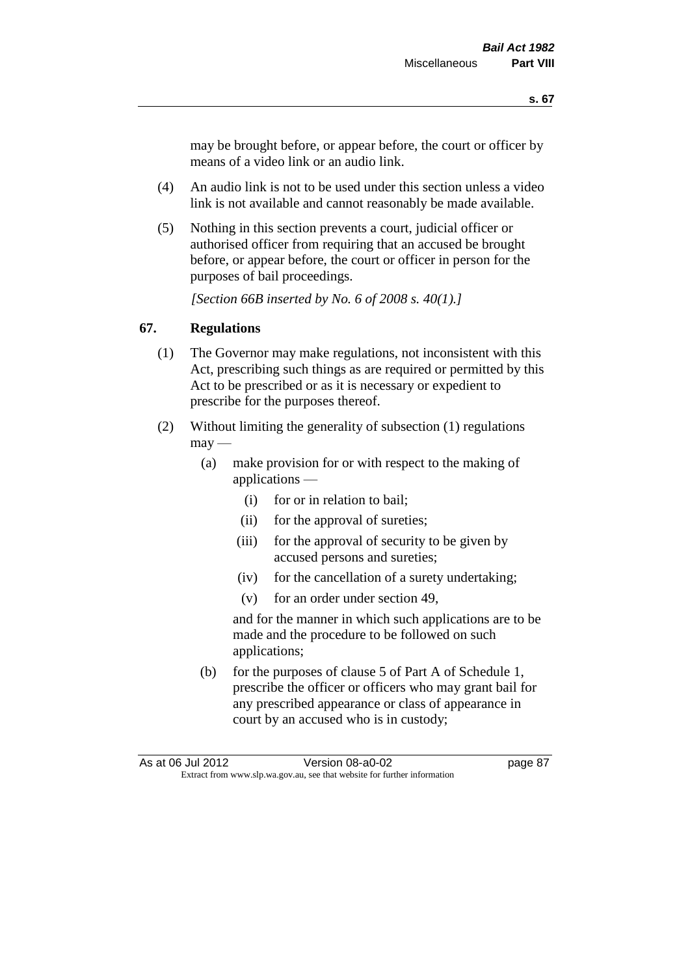may be brought before, or appear before, the court or officer by means of a video link or an audio link.

- (4) An audio link is not to be used under this section unless a video link is not available and cannot reasonably be made available.
- (5) Nothing in this section prevents a court, judicial officer or authorised officer from requiring that an accused be brought before, or appear before, the court or officer in person for the purposes of bail proceedings.

*[Section 66B inserted by No. 6 of 2008 s. 40(1).]*

## **67. Regulations**

- (1) The Governor may make regulations, not inconsistent with this Act, prescribing such things as are required or permitted by this Act to be prescribed or as it is necessary or expedient to prescribe for the purposes thereof.
- (2) Without limiting the generality of subsection (1) regulations  $\text{max}$  —
	- (a) make provision for or with respect to the making of applications —
		- (i) for or in relation to bail;
		- (ii) for the approval of sureties;
		- (iii) for the approval of security to be given by accused persons and sureties;
		- (iv) for the cancellation of a surety undertaking;
		- (v) for an order under section 49,

and for the manner in which such applications are to be made and the procedure to be followed on such applications;

(b) for the purposes of clause 5 of Part A of Schedule 1, prescribe the officer or officers who may grant bail for any prescribed appearance or class of appearance in court by an accused who is in custody;

As at 06 Jul 2012 Version 08-a0-02 page 87 Extract from www.slp.wa.gov.au, see that website for further information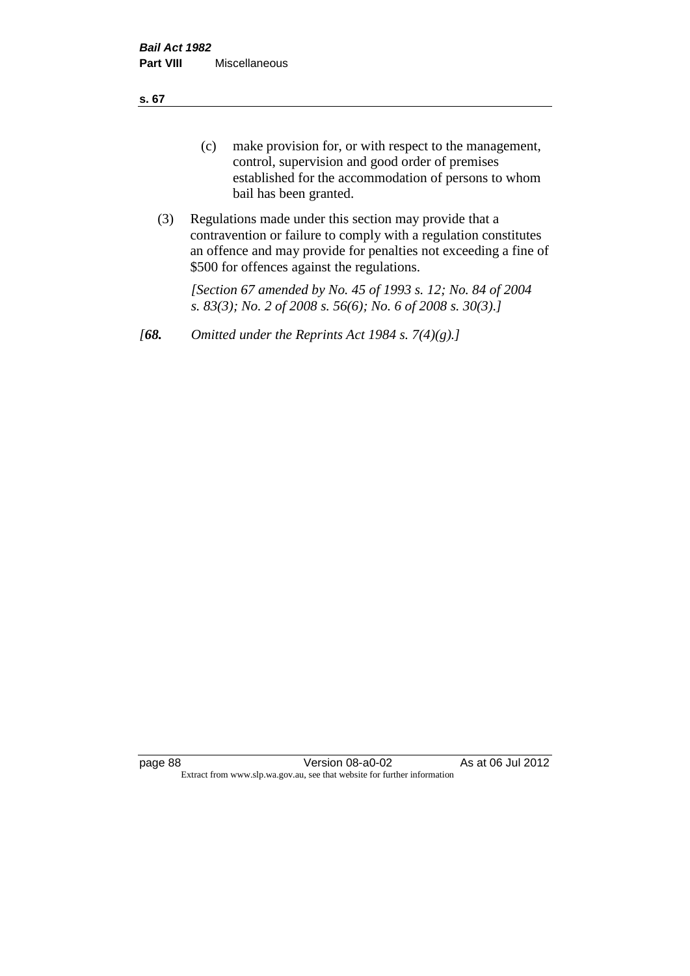**s. 67**

- (c) make provision for, or with respect to the management, control, supervision and good order of premises established for the accommodation of persons to whom bail has been granted.
- (3) Regulations made under this section may provide that a contravention or failure to comply with a regulation constitutes an offence and may provide for penalties not exceeding a fine of \$500 for offences against the regulations.

*[Section 67 amended by No. 45 of 1993 s. 12; No. 84 of 2004 s. 83(3); No. 2 of 2008 s. 56(6); No. 6 of 2008 s. 30(3).]* 

*[68. Omitted under the Reprints Act 1984 s. 7(4)(g).]*

page 88 Version 08-a0-02 As at 06 Jul 2012 Extract from www.slp.wa.gov.au, see that website for further information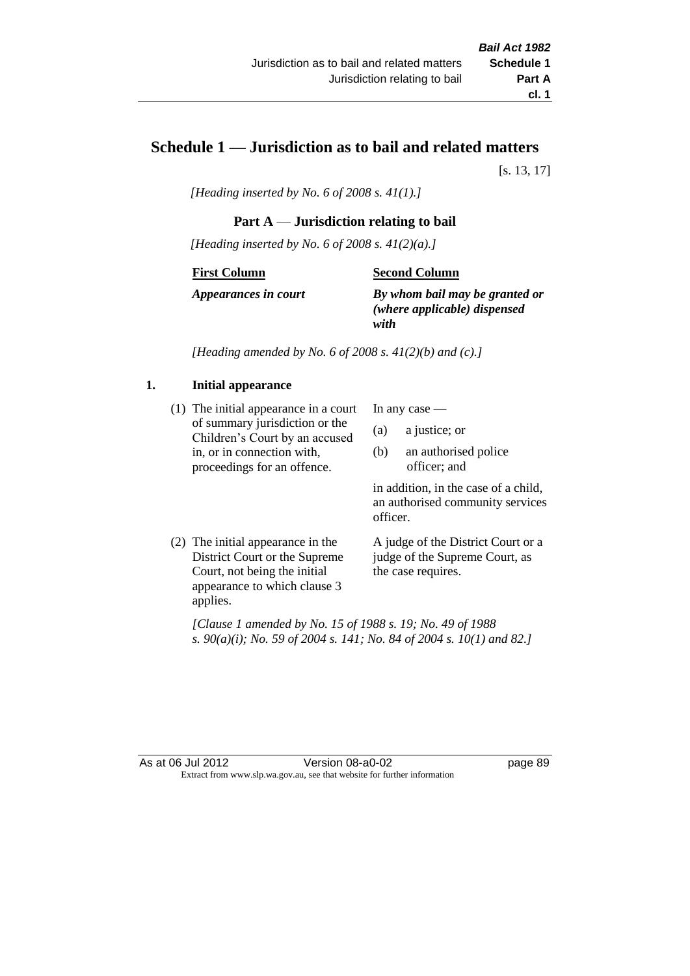# **Schedule 1 — Jurisdiction as to bail and related matters**

[s. 13, 17]

*[Heading inserted by No. 6 of 2008 s. 41(1).]*

## **Part A** — **Jurisdiction relating to bail**

*[Heading inserted by No. 6 of 2008 s. 41(2)(a).]*

#### **First Column**

#### **Second Column**

*Appearances in court*

*By whom bail may be granted or (where applicable) dispensed with*

*[Heading amended by No. 6 of 2008 s. 41(2)(b) and (c).]*

## **1. Initial appearance**

(1) The initial appearance in a court of summary jurisdiction or the Children's Court by an accused in, or in connection with, proceedings for an offence.

In any case —

- (a) a justice; or
- (b) an authorised police officer; and

in addition, in the case of a child, an authorised community services officer.

(2) The initial appearance in the District Court or the Supreme Court, not being the initial appearance to which clause 3 applies.

A judge of the District Court or a judge of the Supreme Court, as the case requires.

*[Clause 1 amended by No. 15 of 1988 s. 19; No. 49 of 1988 s. 90(a)(i); No. 59 of 2004 s. 141; No. 84 of 2004 s. 10(1) and 82.]*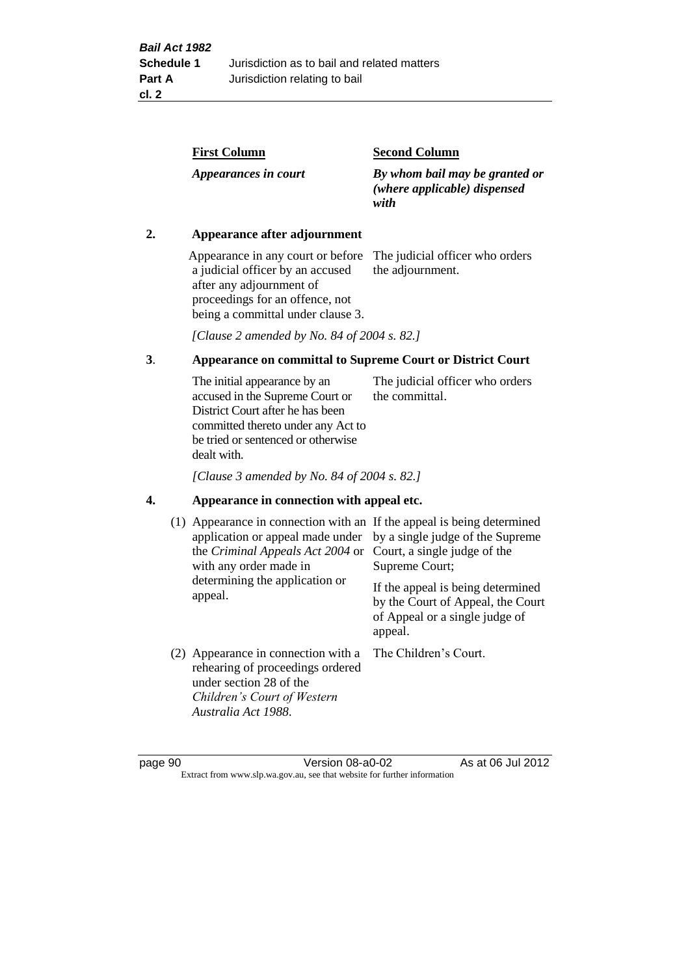| <b>First Column</b>  | <b>Second Column</b>                                                   |
|----------------------|------------------------------------------------------------------------|
| Appearances in court | By whom bail may be granted or<br>(where applicable) dispensed<br>with |

## **2. Appearance after adjournment**

Appearance in any court or before The judicial officer who orders a judicial officer by an accused after any adjournment of proceedings for an offence, not being a committal under clause 3.

the adjournment.

*[Clause 2 amended by No. 84 of 2004 s. 82.]*

## **3**. **Appearance on committal to Supreme Court or District Court**

The initial appearance by an accused in the Supreme Court or District Court after he has been committed thereto under any Act to be tried or sentenced or otherwise dealt with. The judicial officer who orders the committal.

*[Clause 3 amended by No. 84 of 2004 s. 82.]*

#### **4. Appearance in connection with appeal etc.**

| (1) Appearance in connection with an If the appeal is being determined<br>application or appeal made under<br>the Criminal Appeals Act 2004 or<br>with any order made in<br>determining the application or<br>appeal. | by a single judge of the Supreme<br>Court, a single judge of the<br>Supreme Court;<br>If the appeal is being determined<br>by the Court of Appeal, the Court<br>of Appeal or a single judge of<br>appeal. |
|-----------------------------------------------------------------------------------------------------------------------------------------------------------------------------------------------------------------------|-----------------------------------------------------------------------------------------------------------------------------------------------------------------------------------------------------------|
| (2) Appearance in connection with a<br>rehearing of proceedings ordered<br>under section 28 of the<br>Children's Court of Western<br>Australia Act 1988.                                                              | The Children's Court.                                                                                                                                                                                     |

page 90 Version 08-a0-02 As at 06 Jul 2012 Extract from www.slp.wa.gov.au, see that website for further information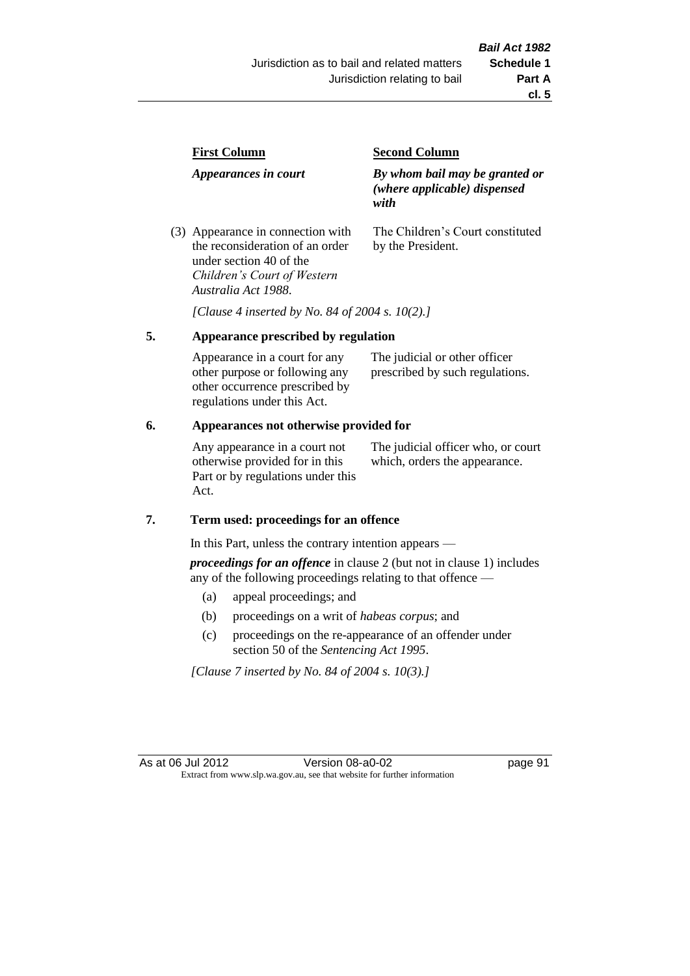| <b>First Column</b>                                                  | <b>Second Column</b>                                                   |  |
|----------------------------------------------------------------------|------------------------------------------------------------------------|--|
| Appearances in court                                                 | By whom bail may be granted or<br>(where applicable) dispensed<br>with |  |
| (3) Appearance in connection with<br>the reconsideration of an order | The Children's Court constituted<br>by the President.                  |  |

*[Clause 4 inserted by No. 84 of 2004 s. 10(2).]*

## **5. Appearance prescribed by regulation**

under section 40 of the *Children's Court of Western* 

*Australia Act 1988*.

| Appearance in a court for any  | The judicial or other officer   |
|--------------------------------|---------------------------------|
| other purpose or following any | prescribed by such regulations. |
| other occurrence prescribed by |                                 |
| regulations under this Act.    |                                 |

## **6. Appearances not otherwise provided for**

Any appearance in a court not otherwise provided for in this Part or by regulations under this Act.

The judicial officer who, or court which, orders the appearance.

#### **7. Term used: proceedings for an offence**

In this Part, unless the contrary intention appears —

*proceedings for an offence* in clause 2 (but not in clause 1) includes any of the following proceedings relating to that offence —

- (a) appeal proceedings; and
- (b) proceedings on a writ of *habeas corpus*; and
- (c) proceedings on the re-appearance of an offender under section 50 of the *Sentencing Act 1995*.

*[Clause 7 inserted by No. 84 of 2004 s. 10(3).]*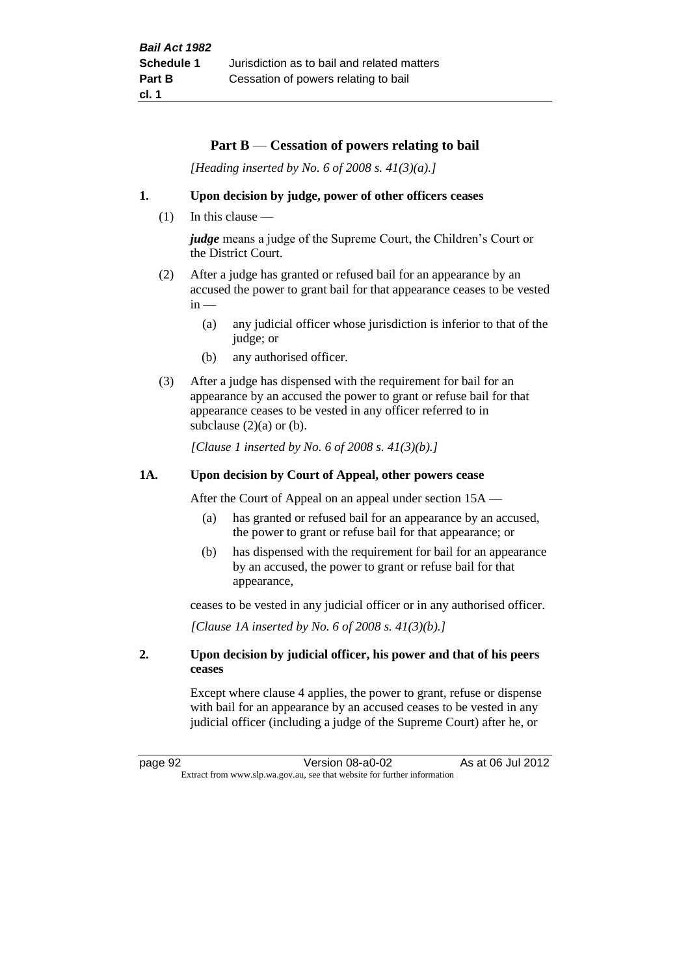## **Part B** — **Cessation of powers relating to bail**

*[Heading inserted by No. 6 of 2008 s. 41(3)(a).]*

#### **1. Upon decision by judge, power of other officers ceases**

 $(1)$  In this clause —

*judge* means a judge of the Supreme Court, the Children's Court or the District Court.

- (2) After a judge has granted or refused bail for an appearance by an accused the power to grant bail for that appearance ceases to be vested  $in -$ 
	- (a) any judicial officer whose jurisdiction is inferior to that of the judge; or
	- (b) any authorised officer.
- (3) After a judge has dispensed with the requirement for bail for an appearance by an accused the power to grant or refuse bail for that appearance ceases to be vested in any officer referred to in subclause  $(2)(a)$  or  $(b)$ .

*[Clause 1 inserted by No. 6 of 2008 s. 41(3)(b).]*

#### **1A. Upon decision by Court of Appeal, other powers cease**

After the Court of Appeal on an appeal under section 15A —

- (a) has granted or refused bail for an appearance by an accused, the power to grant or refuse bail for that appearance; or
- (b) has dispensed with the requirement for bail for an appearance by an accused, the power to grant or refuse bail for that appearance,

ceases to be vested in any judicial officer or in any authorised officer.

*[Clause 1A inserted by No. 6 of 2008 s. 41(3)(b).]*

#### **2. Upon decision by judicial officer, his power and that of his peers ceases**

Except where clause 4 applies, the power to grant, refuse or dispense with bail for an appearance by an accused ceases to be vested in any judicial officer (including a judge of the Supreme Court) after he, or

page 92 Version 08-a0-02 As at 06 Jul 2012 Extract from www.slp.wa.gov.au, see that website for further information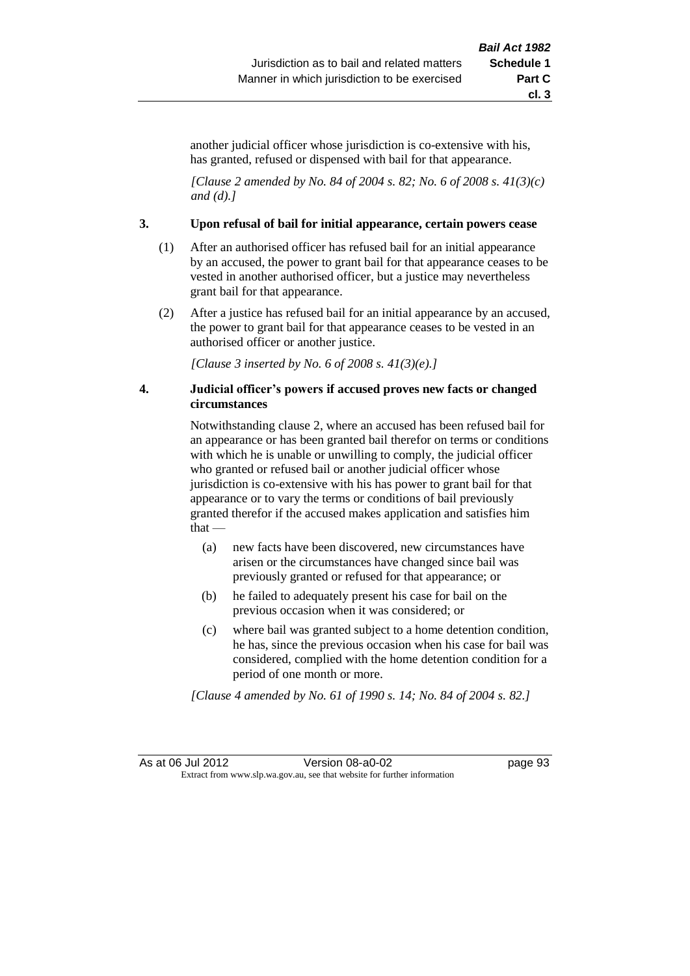another judicial officer whose jurisdiction is co-extensive with his, has granted, refused or dispensed with bail for that appearance.

*[Clause 2 amended by No. 84 of 2004 s. 82; No. 6 of 2008 s. 41(3)(c) and (d).]*

#### **3. Upon refusal of bail for initial appearance, certain powers cease**

- (1) After an authorised officer has refused bail for an initial appearance by an accused, the power to grant bail for that appearance ceases to be vested in another authorised officer, but a justice may nevertheless grant bail for that appearance.
- (2) After a justice has refused bail for an initial appearance by an accused, the power to grant bail for that appearance ceases to be vested in an authorised officer or another justice.

*[Clause 3 inserted by No. 6 of 2008 s. 41(3)(e).]*

#### **4. Judicial officer's powers if accused proves new facts or changed circumstances**

Notwithstanding clause 2, where an accused has been refused bail for an appearance or has been granted bail therefor on terms or conditions with which he is unable or unwilling to comply, the judicial officer who granted or refused bail or another judicial officer whose jurisdiction is co-extensive with his has power to grant bail for that appearance or to vary the terms or conditions of bail previously granted therefor if the accused makes application and satisfies him that —

- (a) new facts have been discovered, new circumstances have arisen or the circumstances have changed since bail was previously granted or refused for that appearance; or
- (b) he failed to adequately present his case for bail on the previous occasion when it was considered; or
- (c) where bail was granted subject to a home detention condition, he has, since the previous occasion when his case for bail was considered, complied with the home detention condition for a period of one month or more.

*[Clause 4 amended by No. 61 of 1990 s. 14; No. 84 of 2004 s. 82.]*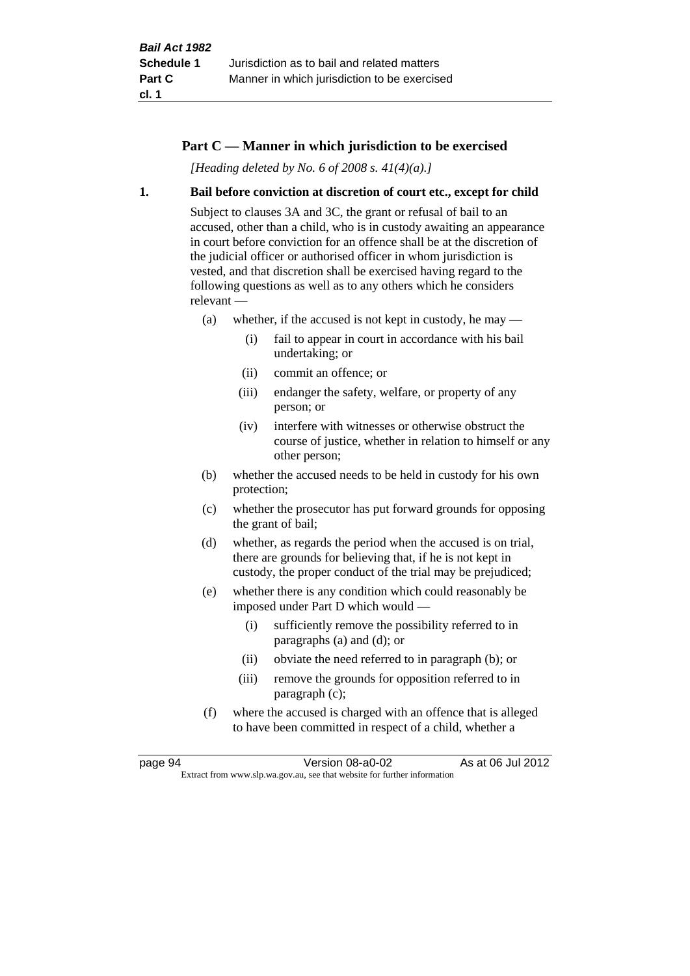## **Part C — Manner in which jurisdiction to be exercised**

*[Heading deleted by No. 6 of 2008 s. 41(4)(a).]*

#### **1. Bail before conviction at discretion of court etc., except for child**

Subject to clauses 3A and 3C, the grant or refusal of bail to an accused, other than a child, who is in custody awaiting an appearance in court before conviction for an offence shall be at the discretion of the judicial officer or authorised officer in whom jurisdiction is vested, and that discretion shall be exercised having regard to the following questions as well as to any others which he considers relevant —

- (a) whether, if the accused is not kept in custody, he may
	- (i) fail to appear in court in accordance with his bail undertaking; or
	- (ii) commit an offence; or
	- (iii) endanger the safety, welfare, or property of any person; or
	- (iv) interfere with witnesses or otherwise obstruct the course of justice, whether in relation to himself or any other person;
- (b) whether the accused needs to be held in custody for his own protection;
- (c) whether the prosecutor has put forward grounds for opposing the grant of bail;
- (d) whether, as regards the period when the accused is on trial, there are grounds for believing that, if he is not kept in custody, the proper conduct of the trial may be prejudiced;
- (e) whether there is any condition which could reasonably be imposed under Part D which would —
	- (i) sufficiently remove the possibility referred to in paragraphs (a) and (d); or
	- (ii) obviate the need referred to in paragraph (b); or
	- (iii) remove the grounds for opposition referred to in paragraph (c);
- (f) where the accused is charged with an offence that is alleged to have been committed in respect of a child, whether a

page 94 Version 08-a0-02 As at 06 Jul 2012 Extract from www.slp.wa.gov.au, see that website for further information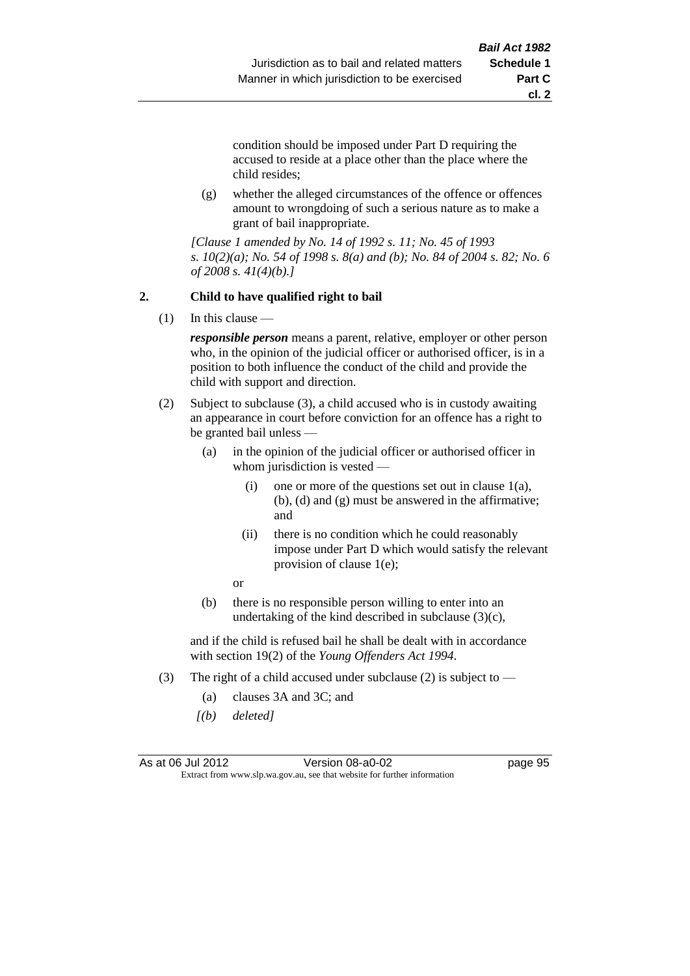**cl. 2**

condition should be imposed under Part D requiring the accused to reside at a place other than the place where the child resides;

(g) whether the alleged circumstances of the offence or offences amount to wrongdoing of such a serious nature as to make a grant of bail inappropriate.

*[Clause 1 amended by No. 14 of 1992 s. 11; No. 45 of 1993 s. 10(2)(a); No. 54 of 1998 s. 8(a) and (b); No. 84 of 2004 s. 82; No. 6 of 2008 s. 41(4)(b).]*

## **2. Child to have qualified right to bail**

(1) In this clause —

*responsible person* means a parent, relative, employer or other person who, in the opinion of the judicial officer or authorised officer, is in a position to both influence the conduct of the child and provide the child with support and direction.

- (2) Subject to subclause (3), a child accused who is in custody awaiting an appearance in court before conviction for an offence has a right to be granted bail unless —
	- (a) in the opinion of the judicial officer or authorised officer in whom jurisdiction is vested —
		- (i) one or more of the questions set out in clause  $1(a)$ , (b), (d) and (g) must be answered in the affirmative; and
		- (ii) there is no condition which he could reasonably impose under Part D which would satisfy the relevant provision of clause 1(e);

or

(b) there is no responsible person willing to enter into an undertaking of the kind described in subclause  $(3)(c)$ ,

and if the child is refused bail he shall be dealt with in accordance with section 19(2) of the *Young Offenders Act 1994*.

- (3) The right of a child accused under subclause (2) is subject to  $-$ 
	- (a) clauses 3A and 3C; and
	- *[(b) deleted]*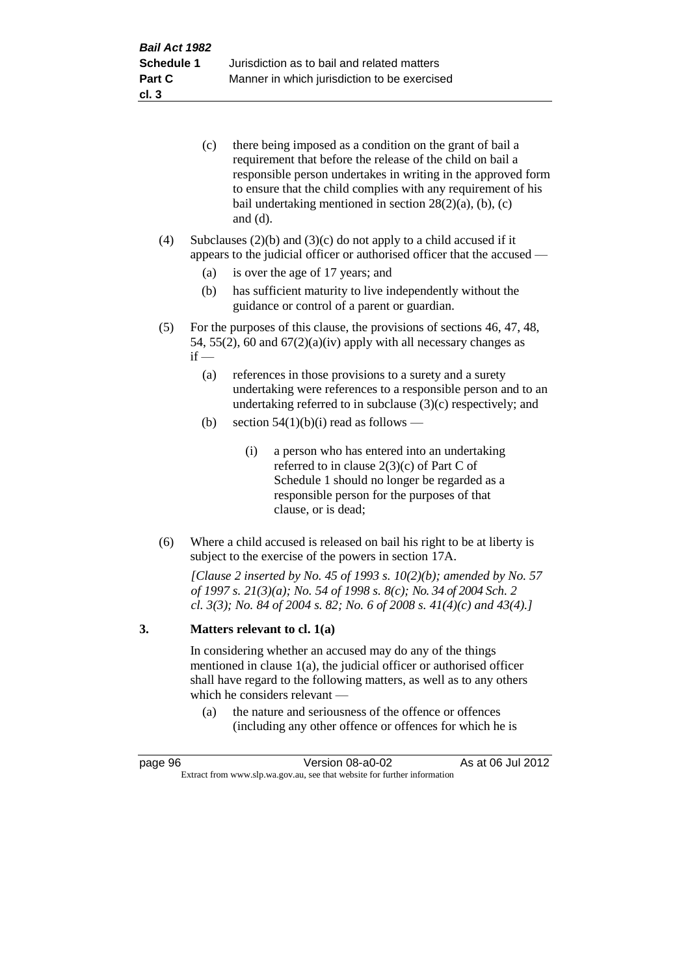| (c) | there being imposed as a condition on the grant of bail a     |
|-----|---------------------------------------------------------------|
|     | requirement that before the release of the child on bail a    |
|     | responsible person undertakes in writing in the approved form |
|     | to ensure that the child complies with any requirement of his |
|     | bail undertaking mentioned in section $28(2)(a)$ , (b), (c)   |
|     | and $(d)$ .                                                   |

(4) Subclauses  $(2)(b)$  and  $(3)(c)$  do not apply to a child accused if it appears to the judicial officer or authorised officer that the accused —

- (a) is over the age of 17 years; and
- (b) has sufficient maturity to live independently without the guidance or control of a parent or guardian.
- (5) For the purposes of this clause, the provisions of sections 46, 47, 48, 54, 55(2), 60 and  $67(2)(a)(iv)$  apply with all necessary changes as  $if -$ 
	- (a) references in those provisions to a surety and a surety undertaking were references to a responsible person and to an undertaking referred to in subclause (3)(c) respectively; and
	- (b) section  $54(1)(b)(i)$  read as follows
		- (i) a person who has entered into an undertaking referred to in clause 2(3)(c) of Part C of Schedule 1 should no longer be regarded as a responsible person for the purposes of that clause, or is dead;
- (6) Where a child accused is released on bail his right to be at liberty is subject to the exercise of the powers in section 17A.

*[Clause 2 inserted by No. 45 of 1993 s. 10(2)(b); amended by No. 57 of 1997 s. 21(3)(a); No. 54 of 1998 s. 8(c); No. 34 of 2004 Sch. 2 cl. 3(3); No. 84 of 2004 s. 82; No. 6 of 2008 s. 41(4)(c) and 43(4).]*

#### **3. Matters relevant to cl. 1(a)**

In considering whether an accused may do any of the things mentioned in clause 1(a), the judicial officer or authorised officer shall have regard to the following matters, as well as to any others which he considers relevant —

(a) the nature and seriousness of the offence or offences (including any other offence or offences for which he is

| page 96                                                                  | Version 08-a0-02 | As at 06 Jul 2012 |
|--------------------------------------------------------------------------|------------------|-------------------|
| Extract from www.slp.wa.gov.au, see that website for further information |                  |                   |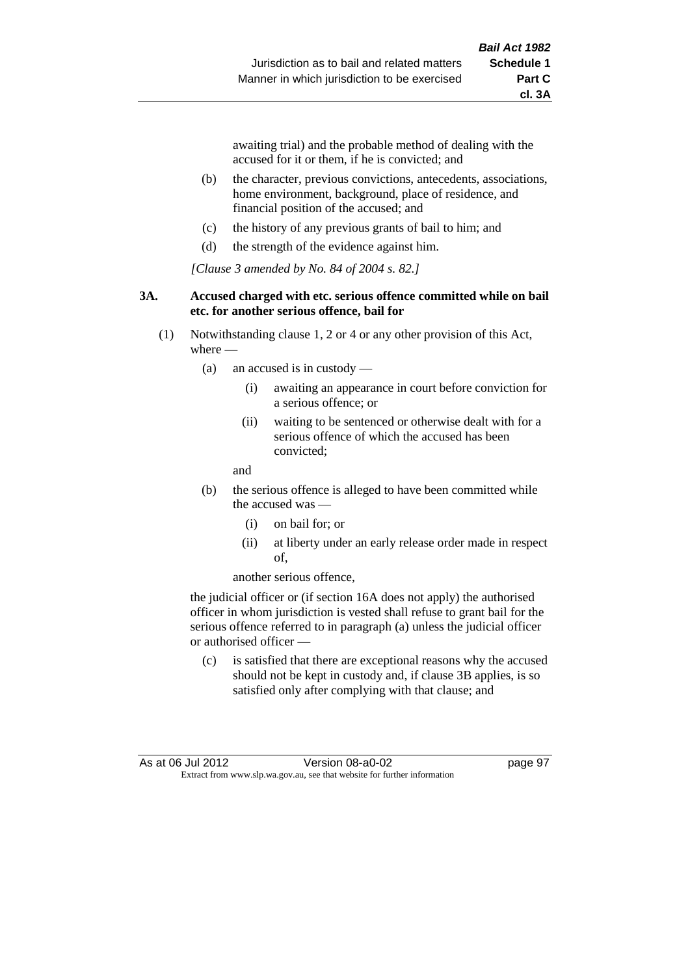awaiting trial) and the probable method of dealing with the accused for it or them, if he is convicted; and

- (b) the character, previous convictions, antecedents, associations, home environment, background, place of residence, and financial position of the accused; and
- (c) the history of any previous grants of bail to him; and
- (d) the strength of the evidence against him.

*[Clause 3 amended by No. 84 of 2004 s. 82.]*

#### **3A. Accused charged with etc. serious offence committed while on bail etc. for another serious offence, bail for**

- (1) Notwithstanding clause 1, 2 or 4 or any other provision of this Act, where -
	- (a) an accused is in custody
		- (i) awaiting an appearance in court before conviction for a serious offence; or
		- (ii) waiting to be sentenced or otherwise dealt with for a serious offence of which the accused has been convicted;

and

- (b) the serious offence is alleged to have been committed while the accused was
	- (i) on bail for; or
	- (ii) at liberty under an early release order made in respect of,

another serious offence,

the judicial officer or (if section 16A does not apply) the authorised officer in whom jurisdiction is vested shall refuse to grant bail for the serious offence referred to in paragraph (a) unless the judicial officer or authorised officer —

(c) is satisfied that there are exceptional reasons why the accused should not be kept in custody and, if clause 3B applies, is so satisfied only after complying with that clause; and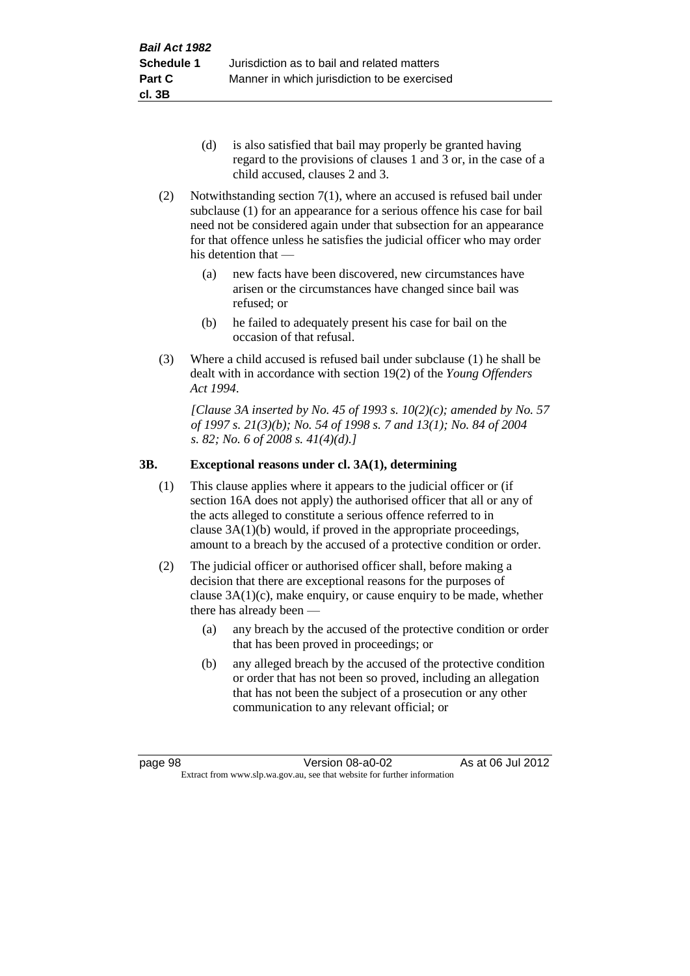- (d) is also satisfied that bail may properly be granted having regard to the provisions of clauses 1 and 3 or, in the case of a child accused, clauses 2 and 3.
- (2) Notwithstanding section 7(1), where an accused is refused bail under subclause (1) for an appearance for a serious offence his case for bail need not be considered again under that subsection for an appearance for that offence unless he satisfies the judicial officer who may order his detention that —
	- (a) new facts have been discovered, new circumstances have arisen or the circumstances have changed since bail was refused; or
	- (b) he failed to adequately present his case for bail on the occasion of that refusal.
- (3) Where a child accused is refused bail under subclause (1) he shall be dealt with in accordance with section 19(2) of the *Young Offenders Act 1994*.

*[Clause 3A inserted by No. 45 of 1993 s. 10(2)(c); amended by No. 57 of 1997 s. 21(3)(b); No. 54 of 1998 s. 7 and 13(1); No. 84 of 2004 s. 82; No. 6 of 2008 s. 41(4)(d).]*

## **3B. Exceptional reasons under cl. 3A(1), determining**

- (1) This clause applies where it appears to the judicial officer or (if section 16A does not apply) the authorised officer that all or any of the acts alleged to constitute a serious offence referred to in clause 3A(1)(b) would, if proved in the appropriate proceedings, amount to a breach by the accused of a protective condition or order.
- (2) The judicial officer or authorised officer shall, before making a decision that there are exceptional reasons for the purposes of clause  $3A(1)(c)$ , make enquiry, or cause enquiry to be made, whether there has already been —
	- (a) any breach by the accused of the protective condition or order that has been proved in proceedings; or
	- (b) any alleged breach by the accused of the protective condition or order that has not been so proved, including an allegation that has not been the subject of a prosecution or any other communication to any relevant official; or

page 98 Version 08-a0-02 As at 06 Jul 2012 Extract from www.slp.wa.gov.au, see that website for further information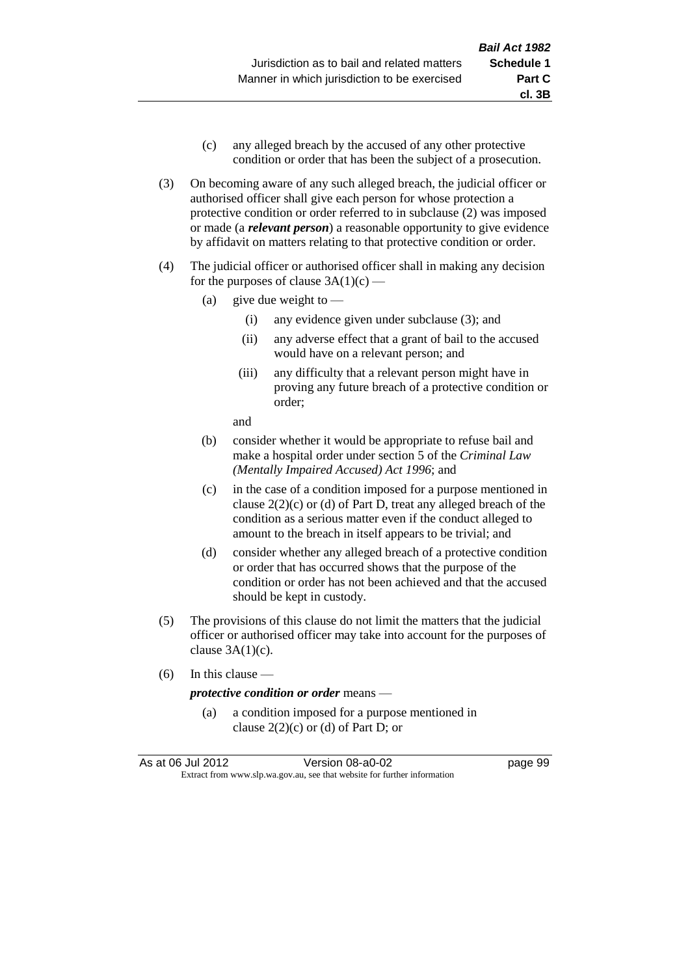- (c) any alleged breach by the accused of any other protective condition or order that has been the subject of a prosecution.
- (3) On becoming aware of any such alleged breach, the judicial officer or authorised officer shall give each person for whose protection a protective condition or order referred to in subclause (2) was imposed or made (a *relevant person*) a reasonable opportunity to give evidence by affidavit on matters relating to that protective condition or order.
- (4) The judicial officer or authorised officer shall in making any decision for the purposes of clause  $3A(1)(c)$  —
	- (a) give due weight to  $-$ 
		- (i) any evidence given under subclause (3); and
		- (ii) any adverse effect that a grant of bail to the accused would have on a relevant person; and
		- (iii) any difficulty that a relevant person might have in proving any future breach of a protective condition or order;

and

- (b) consider whether it would be appropriate to refuse bail and make a hospital order under section 5 of the *Criminal Law (Mentally Impaired Accused) Act 1996*; and
- (c) in the case of a condition imposed for a purpose mentioned in clause 2(2)(c) or (d) of Part D, treat any alleged breach of the condition as a serious matter even if the conduct alleged to amount to the breach in itself appears to be trivial; and
- (d) consider whether any alleged breach of a protective condition or order that has occurred shows that the purpose of the condition or order has not been achieved and that the accused should be kept in custody.
- (5) The provisions of this clause do not limit the matters that the judicial officer or authorised officer may take into account for the purposes of clause  $3A(1)(c)$ .
- (6) In this clause —

#### *protective condition or order* means —

(a) a condition imposed for a purpose mentioned in clause  $2(2)(c)$  or (d) of Part D; or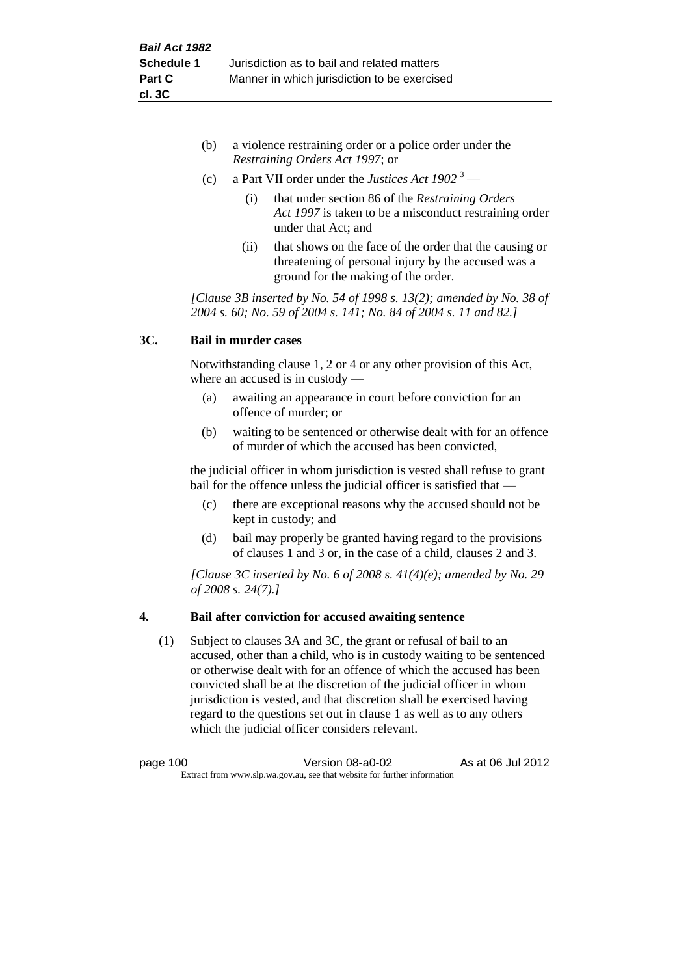- (b) a violence restraining order or a police order under the *Restraining Orders Act 1997*; or
- (c) a Part VII order under the *Justices Act 1902* <sup>3</sup>
	- (i) that under section 86 of the *Restraining Orders Act 1997* is taken to be a misconduct restraining order under that Act; and
	- (ii) that shows on the face of the order that the causing or threatening of personal injury by the accused was a ground for the making of the order.

*[Clause 3B inserted by No. 54 of 1998 s. 13(2); amended by No. 38 of 2004 s. 60; No. 59 of 2004 s. 141; No. 84 of 2004 s. 11 and 82.]*

## **3C. Bail in murder cases**

Notwithstanding clause 1, 2 or 4 or any other provision of this Act, where an accused is in custody —

- (a) awaiting an appearance in court before conviction for an offence of murder; or
- (b) waiting to be sentenced or otherwise dealt with for an offence of murder of which the accused has been convicted,

the judicial officer in whom jurisdiction is vested shall refuse to grant bail for the offence unless the judicial officer is satisfied that —

- (c) there are exceptional reasons why the accused should not be kept in custody; and
- (d) bail may properly be granted having regard to the provisions of clauses 1 and 3 or, in the case of a child, clauses 2 and 3.

*[Clause 3C inserted by No. 6 of 2008 s. 41(4)(e); amended by No. 29 of 2008 s. 24(7).]*

## **4. Bail after conviction for accused awaiting sentence**

(1) Subject to clauses 3A and 3C, the grant or refusal of bail to an accused, other than a child, who is in custody waiting to be sentenced or otherwise dealt with for an offence of which the accused has been convicted shall be at the discretion of the judicial officer in whom jurisdiction is vested, and that discretion shall be exercised having regard to the questions set out in clause 1 as well as to any others which the judicial officer considers relevant.

page 100 Version 08-a0-02 As at 06 Jul 2012 Extract from www.slp.wa.gov.au, see that website for further information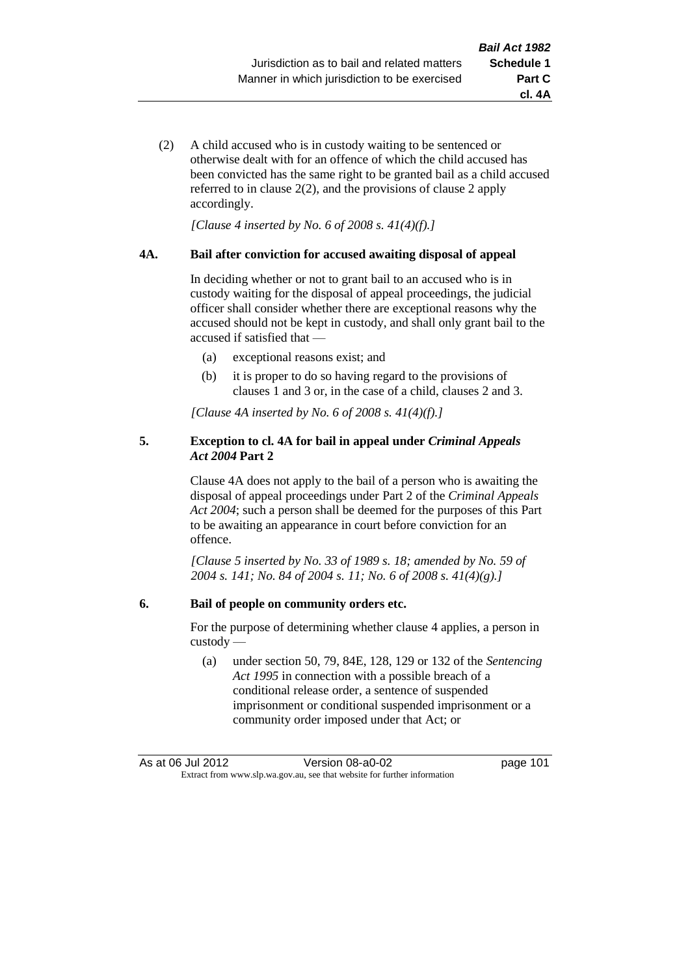- **cl. 4A**
- (2) A child accused who is in custody waiting to be sentenced or otherwise dealt with for an offence of which the child accused has been convicted has the same right to be granted bail as a child accused referred to in clause 2(2), and the provisions of clause 2 apply accordingly.

*[Clause 4 inserted by No. 6 of 2008 s. 41(4)(f).]*

### **4A. Bail after conviction for accused awaiting disposal of appeal**

In deciding whether or not to grant bail to an accused who is in custody waiting for the disposal of appeal proceedings, the judicial officer shall consider whether there are exceptional reasons why the accused should not be kept in custody, and shall only grant bail to the accused if satisfied that —

- (a) exceptional reasons exist; and
- (b) it is proper to do so having regard to the provisions of clauses 1 and 3 or, in the case of a child, clauses 2 and 3.

*[Clause 4A inserted by No. 6 of 2008 s. 41(4)(f).]*

## **5. Exception to cl. 4A for bail in appeal under** *Criminal Appeals Act 2004* **Part 2**

Clause 4A does not apply to the bail of a person who is awaiting the disposal of appeal proceedings under Part 2 of the *Criminal Appeals Act 2004*; such a person shall be deemed for the purposes of this Part to be awaiting an appearance in court before conviction for an offence.

*[Clause 5 inserted by No. 33 of 1989 s. 18; amended by No. 59 of 2004 s. 141; No. 84 of 2004 s. 11; No. 6 of 2008 s. 41(4)(g).]*

## **6. Bail of people on community orders etc.**

For the purpose of determining whether clause 4 applies, a person in custody —

(a) under section 50, 79, 84E, 128, 129 or 132 of the *Sentencing Act 1995* in connection with a possible breach of a conditional release order, a sentence of suspended imprisonment or conditional suspended imprisonment or a community order imposed under that Act; or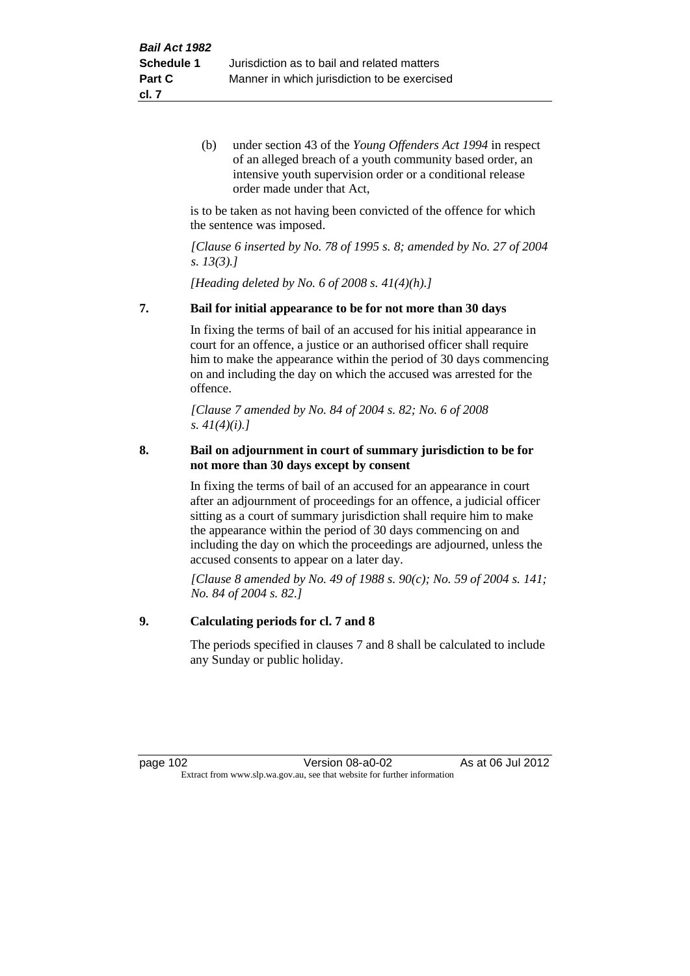(b) under section 43 of the *Young Offenders Act 1994* in respect of an alleged breach of a youth community based order, an intensive youth supervision order or a conditional release order made under that Act,

is to be taken as not having been convicted of the offence for which the sentence was imposed.

*[Clause 6 inserted by No. 78 of 1995 s. 8; amended by No. 27 of 2004 s. 13(3).]*

*[Heading deleted by No. 6 of 2008 s. 41(4)(h).]*

### **7. Bail for initial appearance to be for not more than 30 days**

In fixing the terms of bail of an accused for his initial appearance in court for an offence, a justice or an authorised officer shall require him to make the appearance within the period of 30 days commencing on and including the day on which the accused was arrested for the offence.

*[Clause 7 amended by No. 84 of 2004 s. 82; No. 6 of 2008 s. 41(4)(i).]*

### **8. Bail on adjournment in court of summary jurisdiction to be for not more than 30 days except by consent**

In fixing the terms of bail of an accused for an appearance in court after an adjournment of proceedings for an offence, a judicial officer sitting as a court of summary jurisdiction shall require him to make the appearance within the period of 30 days commencing on and including the day on which the proceedings are adjourned, unless the accused consents to appear on a later day.

*[Clause 8 amended by No. 49 of 1988 s. 90(c); No. 59 of 2004 s. 141; No. 84 of 2004 s. 82.]*

## **9. Calculating periods for cl. 7 and 8**

The periods specified in clauses 7 and 8 shall be calculated to include any Sunday or public holiday.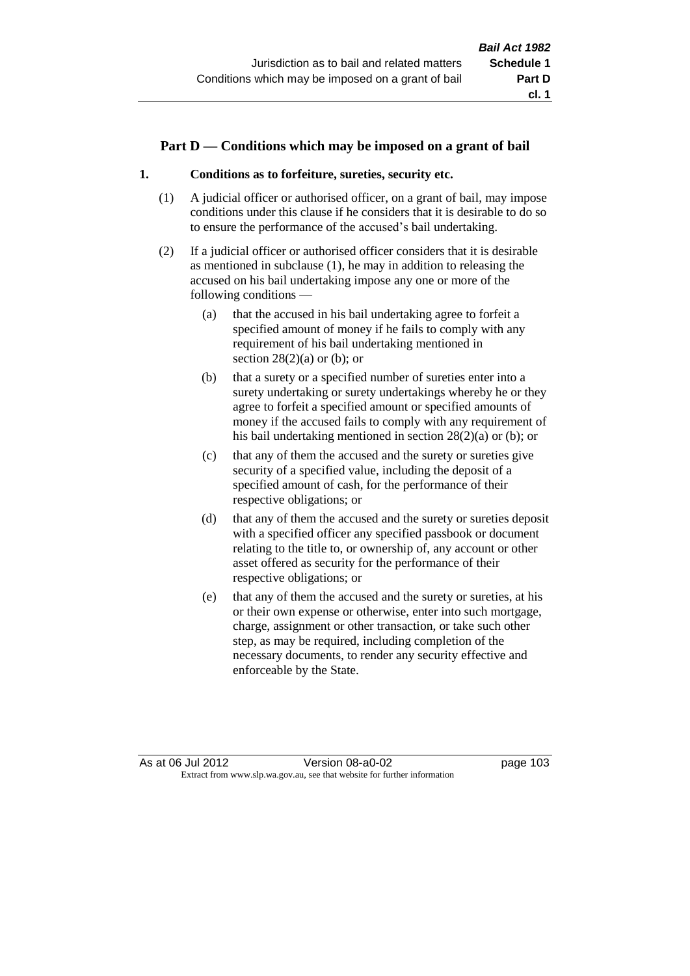## **Part D — Conditions which may be imposed on a grant of bail**

## **1. Conditions as to forfeiture, sureties, security etc.**

- (1) A judicial officer or authorised officer, on a grant of bail, may impose conditions under this clause if he considers that it is desirable to do so to ensure the performance of the accused's bail undertaking.
- (2) If a judicial officer or authorised officer considers that it is desirable as mentioned in subclause (1), he may in addition to releasing the accused on his bail undertaking impose any one or more of the following conditions —
	- (a) that the accused in his bail undertaking agree to forfeit a specified amount of money if he fails to comply with any requirement of his bail undertaking mentioned in section  $28(2)(a)$  or (b); or
	- (b) that a surety or a specified number of sureties enter into a surety undertaking or surety undertakings whereby he or they agree to forfeit a specified amount or specified amounts of money if the accused fails to comply with any requirement of his bail undertaking mentioned in section 28(2)(a) or (b); or
	- (c) that any of them the accused and the surety or sureties give security of a specified value, including the deposit of a specified amount of cash, for the performance of their respective obligations; or
	- (d) that any of them the accused and the surety or sureties deposit with a specified officer any specified passbook or document relating to the title to, or ownership of, any account or other asset offered as security for the performance of their respective obligations; or
	- (e) that any of them the accused and the surety or sureties, at his or their own expense or otherwise, enter into such mortgage, charge, assignment or other transaction, or take such other step, as may be required, including completion of the necessary documents, to render any security effective and enforceable by the State.

As at 06 Jul 2012 Version 08-a0-02 page 103 Extract from www.slp.wa.gov.au, see that website for further information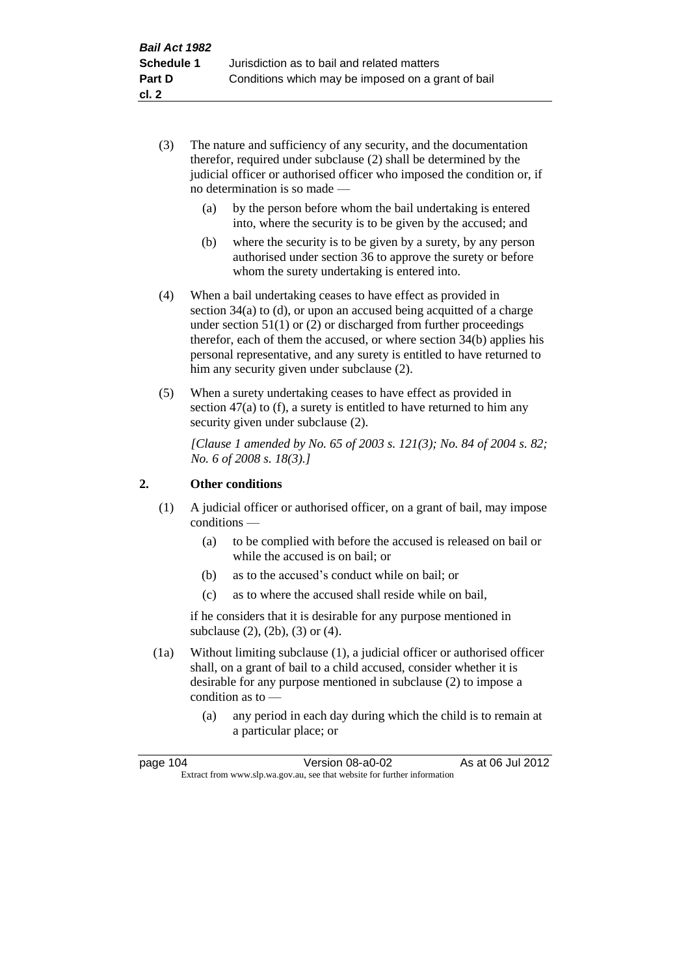- (3) The nature and sufficiency of any security, and the documentation therefor, required under subclause (2) shall be determined by the judicial officer or authorised officer who imposed the condition or, if no determination is so made —
	- (a) by the person before whom the bail undertaking is entered into, where the security is to be given by the accused; and
	- (b) where the security is to be given by a surety, by any person authorised under section 36 to approve the surety or before whom the surety undertaking is entered into.
- (4) When a bail undertaking ceases to have effect as provided in section 34(a) to (d), or upon an accused being acquitted of a charge under section 51(1) or (2) or discharged from further proceedings therefor, each of them the accused, or where section 34(b) applies his personal representative, and any surety is entitled to have returned to him any security given under subclause (2).
- (5) When a surety undertaking ceases to have effect as provided in section 47(a) to (f), a surety is entitled to have returned to him any security given under subclause  $(2)$ .

*[Clause 1 amended by No. 65 of 2003 s. 121(3); No. 84 of 2004 s. 82; No. 6 of 2008 s. 18(3).]*

# **2. Other conditions**

- (1) A judicial officer or authorised officer, on a grant of bail, may impose conditions —
	- (a) to be complied with before the accused is released on bail or while the accused is on bail; or
	- (b) as to the accused's conduct while on bail; or
	- (c) as to where the accused shall reside while on bail,

if he considers that it is desirable for any purpose mentioned in subclause (2), (2b), (3) or (4).

- (1a) Without limiting subclause (1), a judicial officer or authorised officer shall, on a grant of bail to a child accused, consider whether it is desirable for any purpose mentioned in subclause (2) to impose a condition as to —
	- (a) any period in each day during which the child is to remain at a particular place; or

| page 104 | Version 08-a0-02                                                         | As at 06 Jul 2012 |  |  |  |
|----------|--------------------------------------------------------------------------|-------------------|--|--|--|
|          | Extract from www.slp.wa.gov.au, see that website for further information |                   |  |  |  |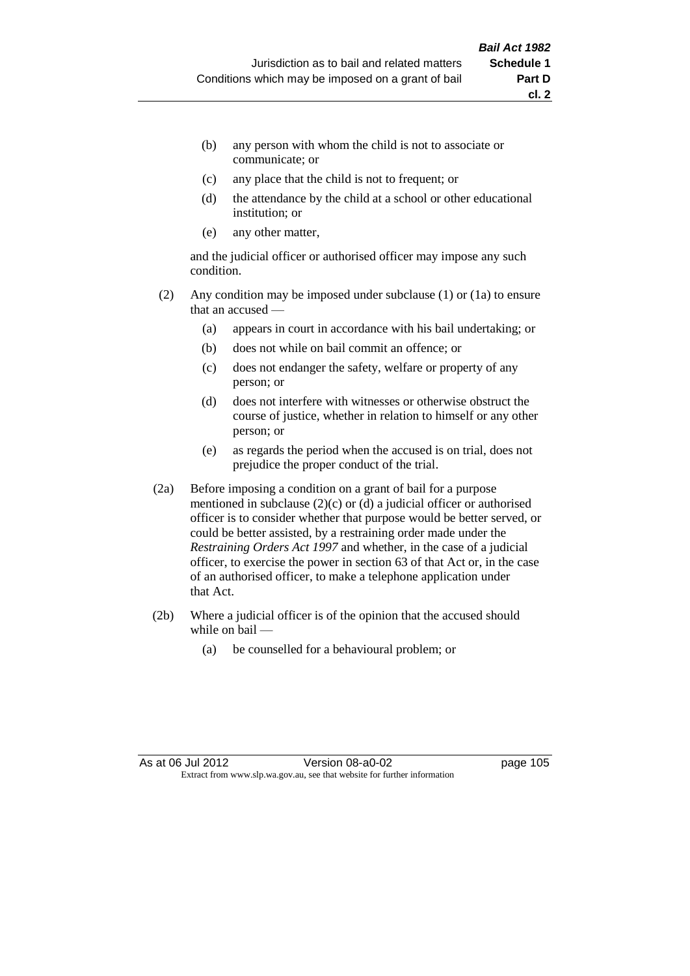- (b) any person with whom the child is not to associate or communicate; or
- (c) any place that the child is not to frequent; or
- (d) the attendance by the child at a school or other educational institution; or
- (e) any other matter,

and the judicial officer or authorised officer may impose any such condition.

- (2) Any condition may be imposed under subclause (1) or (1a) to ensure that an accused —
	- (a) appears in court in accordance with his bail undertaking; or
	- (b) does not while on bail commit an offence; or
	- (c) does not endanger the safety, welfare or property of any person; or
	- (d) does not interfere with witnesses or otherwise obstruct the course of justice, whether in relation to himself or any other person; or
	- (e) as regards the period when the accused is on trial, does not prejudice the proper conduct of the trial.
- (2a) Before imposing a condition on a grant of bail for a purpose mentioned in subclause (2)(c) or (d) a judicial officer or authorised officer is to consider whether that purpose would be better served, or could be better assisted, by a restraining order made under the *Restraining Orders Act 1997* and whether, in the case of a judicial officer, to exercise the power in section 63 of that Act or, in the case of an authorised officer, to make a telephone application under that Act.
- (2b) Where a judicial officer is of the opinion that the accused should while on bail —
	- (a) be counselled for a behavioural problem; or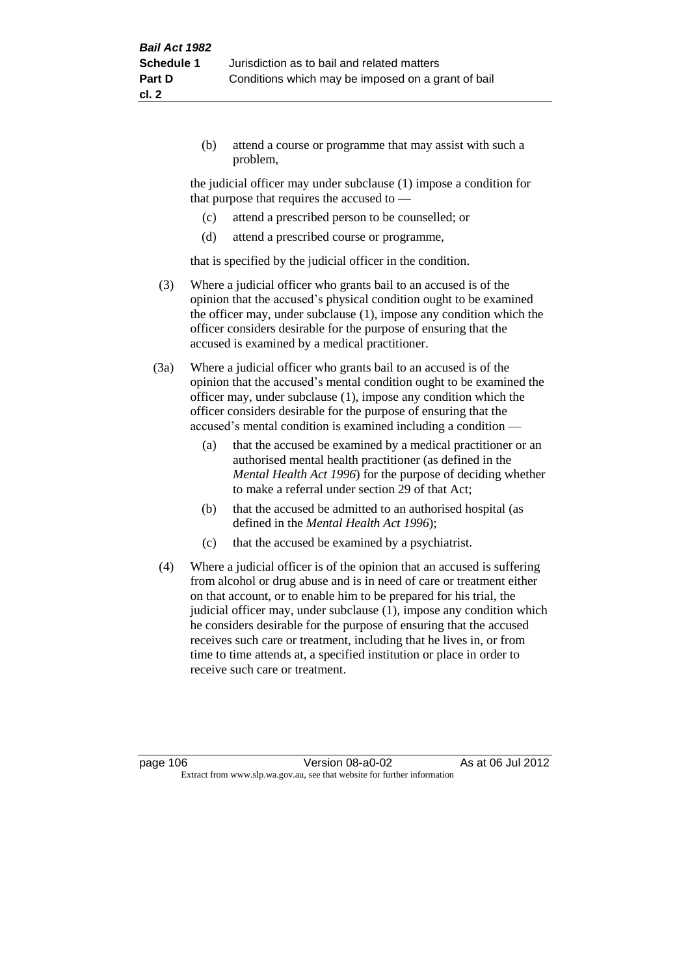(b) attend a course or programme that may assist with such a problem,

the judicial officer may under subclause (1) impose a condition for that purpose that requires the accused to —

- (c) attend a prescribed person to be counselled; or
- (d) attend a prescribed course or programme,

that is specified by the judicial officer in the condition.

- (3) Where a judicial officer who grants bail to an accused is of the opinion that the accused's physical condition ought to be examined the officer may, under subclause (1), impose any condition which the officer considers desirable for the purpose of ensuring that the accused is examined by a medical practitioner.
- (3a) Where a judicial officer who grants bail to an accused is of the opinion that the accused's mental condition ought to be examined the officer may, under subclause (1), impose any condition which the officer considers desirable for the purpose of ensuring that the accused's mental condition is examined including a condition —
	- (a) that the accused be examined by a medical practitioner or an authorised mental health practitioner (as defined in the *Mental Health Act 1996*) for the purpose of deciding whether to make a referral under section 29 of that Act;
	- (b) that the accused be admitted to an authorised hospital (as defined in the *Mental Health Act 1996*);
	- (c) that the accused be examined by a psychiatrist.
- (4) Where a judicial officer is of the opinion that an accused is suffering from alcohol or drug abuse and is in need of care or treatment either on that account, or to enable him to be prepared for his trial, the judicial officer may, under subclause (1), impose any condition which he considers desirable for the purpose of ensuring that the accused receives such care or treatment, including that he lives in, or from time to time attends at, a specified institution or place in order to receive such care or treatment.

page 106 **Version 08-a0-02** As at 06 Jul 2012 Extract from www.slp.wa.gov.au, see that website for further information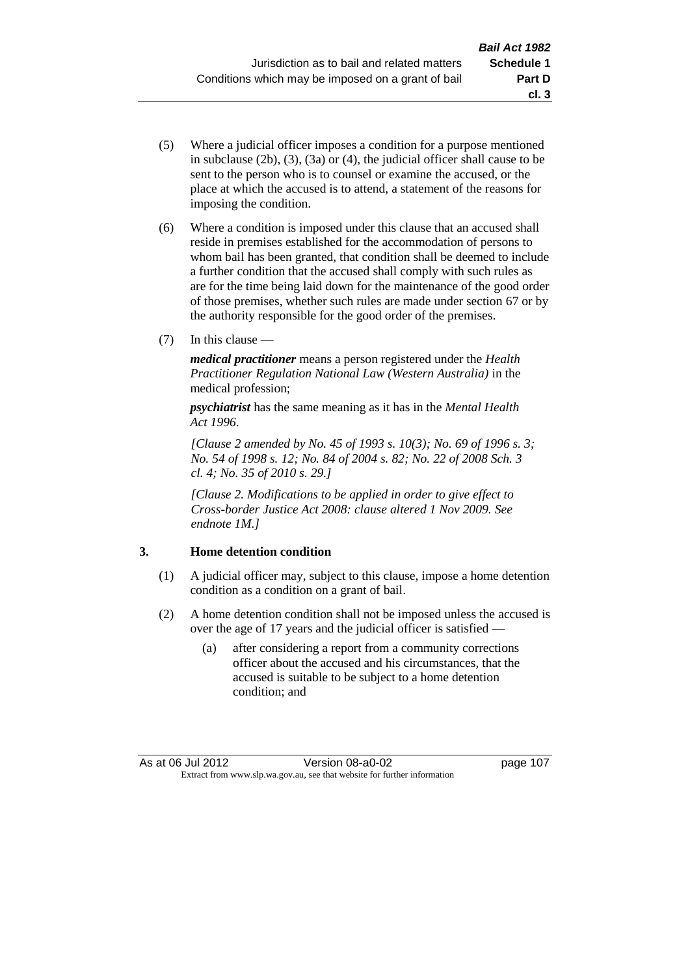- (5) Where a judicial officer imposes a condition for a purpose mentioned in subclause (2b), (3), (3a) or (4), the judicial officer shall cause to be sent to the person who is to counsel or examine the accused, or the place at which the accused is to attend, a statement of the reasons for imposing the condition.
- (6) Where a condition is imposed under this clause that an accused shall reside in premises established for the accommodation of persons to whom bail has been granted, that condition shall be deemed to include a further condition that the accused shall comply with such rules as are for the time being laid down for the maintenance of the good order of those premises, whether such rules are made under section 67 or by the authority responsible for the good order of the premises.
- (7) In this clause —

*medical practitioner* means a person registered under the *Health Practitioner Regulation National Law (Western Australia)* in the medical profession;

*psychiatrist* has the same meaning as it has in the *Mental Health Act 1996*.

*[Clause 2 amended by No. 45 of 1993 s. 10(3); No. 69 of 1996 s. 3; No. 54 of 1998 s. 12; No. 84 of 2004 s. 82; No. 22 of 2008 Sch. 3 cl. 4; No. 35 of 2010 s. 29.]*

*[Clause 2. Modifications to be applied in order to give effect to Cross-border Justice Act 2008: clause altered 1 Nov 2009. See endnote 1M.]*

# **3. Home detention condition**

- (1) A judicial officer may, subject to this clause, impose a home detention condition as a condition on a grant of bail.
- (2) A home detention condition shall not be imposed unless the accused is over the age of 17 years and the judicial officer is satisfied —
	- (a) after considering a report from a community corrections officer about the accused and his circumstances, that the accused is suitable to be subject to a home detention condition; and

**cl. 3**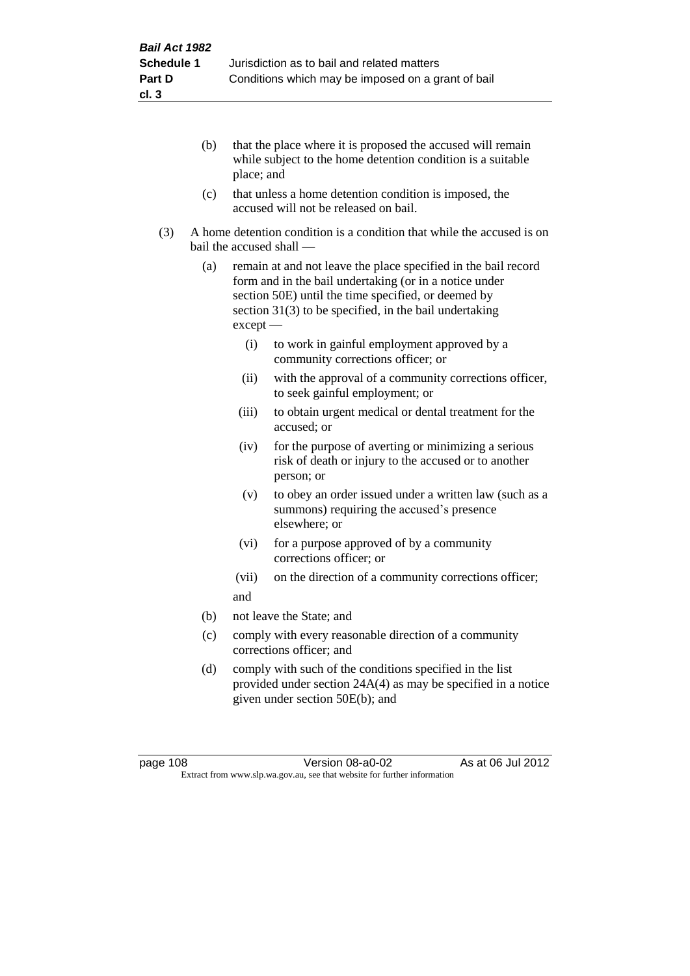- (b) that the place where it is proposed the accused will remain while subject to the home detention condition is a suitable place; and
- (c) that unless a home detention condition is imposed, the accused will not be released on bail.
- (3) A home detention condition is a condition that while the accused is on bail the accused shall —
	- (a) remain at and not leave the place specified in the bail record form and in the bail undertaking (or in a notice under section 50E) until the time specified, or deemed by section 31(3) to be specified, in the bail undertaking except —
		- (i) to work in gainful employment approved by a community corrections officer; or
		- (ii) with the approval of a community corrections officer, to seek gainful employment; or
		- (iii) to obtain urgent medical or dental treatment for the accused; or
		- (iv) for the purpose of averting or minimizing a serious risk of death or injury to the accused or to another person; or
		- (v) to obey an order issued under a written law (such as a summons) requiring the accused's presence elsewhere; or
		- (vi) for a purpose approved of by a community corrections officer; or
		- (vii) on the direction of a community corrections officer; and
	- (b) not leave the State; and
	- (c) comply with every reasonable direction of a community corrections officer; and
	- (d) comply with such of the conditions specified in the list provided under section 24A(4) as may be specified in a notice given under section 50E(b); and

page 108 **Version 08-a0-02** As at 06 Jul 2012 Extract from www.slp.wa.gov.au, see that website for further information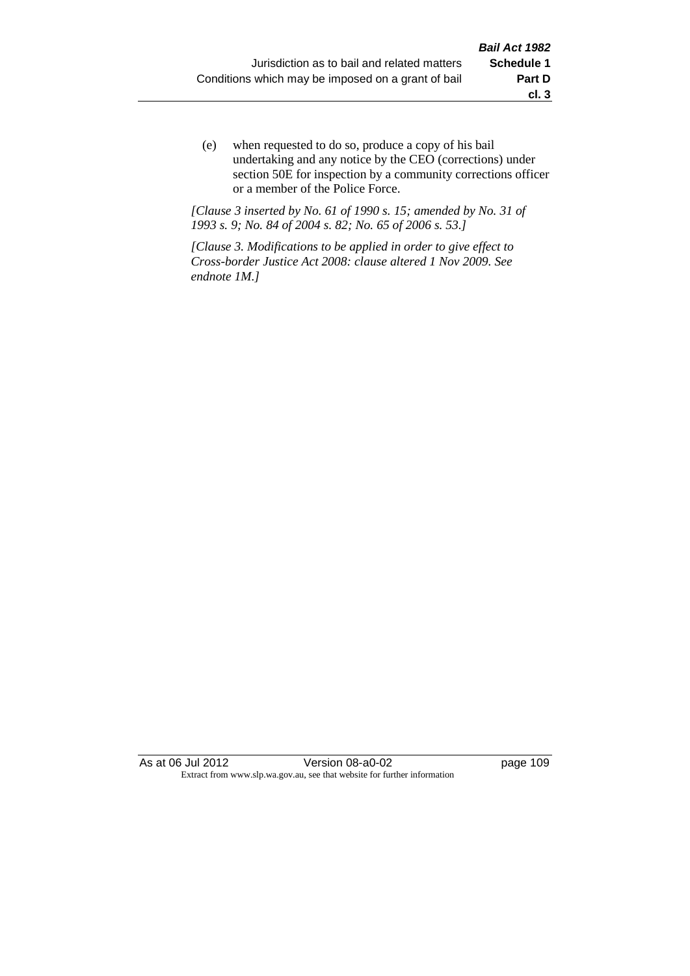(e) when requested to do so, produce a copy of his bail undertaking and any notice by the CEO (corrections) under section 50E for inspection by a community corrections officer or a member of the Police Force.

*[Clause 3 inserted by No. 61 of 1990 s. 15; amended by No. 31 of 1993 s. 9; No. 84 of 2004 s. 82; No. 65 of 2006 s. 53.]*

*[Clause 3. Modifications to be applied in order to give effect to Cross-border Justice Act 2008: clause altered 1 Nov 2009. See endnote 1M.]*

As at 06 Jul 2012 Version 08-a0-02 page 109 Extract from www.slp.wa.gov.au, see that website for further information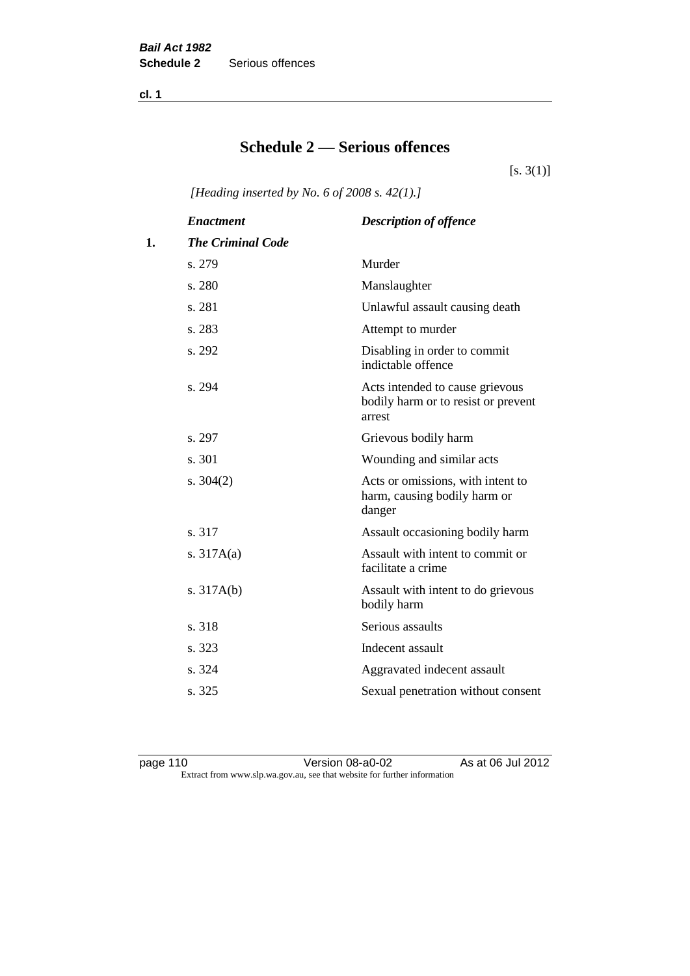**cl. 1**

# **Schedule 2 — Serious offences**

 $[s. 3(1)]$ 

*[Heading inserted by No. 6 of 2008 s. 42(1).]*

|    | <b>Enactment</b>         | <b>Description of offence</b>                                                    |
|----|--------------------------|----------------------------------------------------------------------------------|
| 1. | <b>The Criminal Code</b> |                                                                                  |
|    | s. 279                   | Murder                                                                           |
|    | s. 280                   | Manslaughter                                                                     |
|    | s. 281                   | Unlawful assault causing death                                                   |
|    | s. 283                   | Attempt to murder                                                                |
|    | s. 292                   | Disabling in order to commit<br>indictable offence                               |
|    | s. 294                   | Acts intended to cause grievous<br>bodily harm or to resist or prevent<br>arrest |
|    | s. 297                   | Grievous bodily harm                                                             |
|    | s. 301                   | Wounding and similar acts                                                        |
|    | s. $304(2)$              | Acts or omissions, with intent to<br>harm, causing bodily harm or<br>danger      |
|    | s. 317                   | Assault occasioning bodily harm                                                  |
|    | s. $317A(a)$             | Assault with intent to commit or<br>facilitate a crime                           |
|    | s. $317A(b)$             | Assault with intent to do grievous<br>bodily harm                                |
|    | s. 318                   | Serious assaults                                                                 |
|    | s. 323                   | Indecent assault                                                                 |
|    | s. 324                   | Aggravated indecent assault                                                      |
|    | s. 325                   | Sexual penetration without consent                                               |
|    |                          |                                                                                  |

page 110 Version 08-a0-02 As at 06 Jul 2012 Extract from www.slp.wa.gov.au, see that website for further information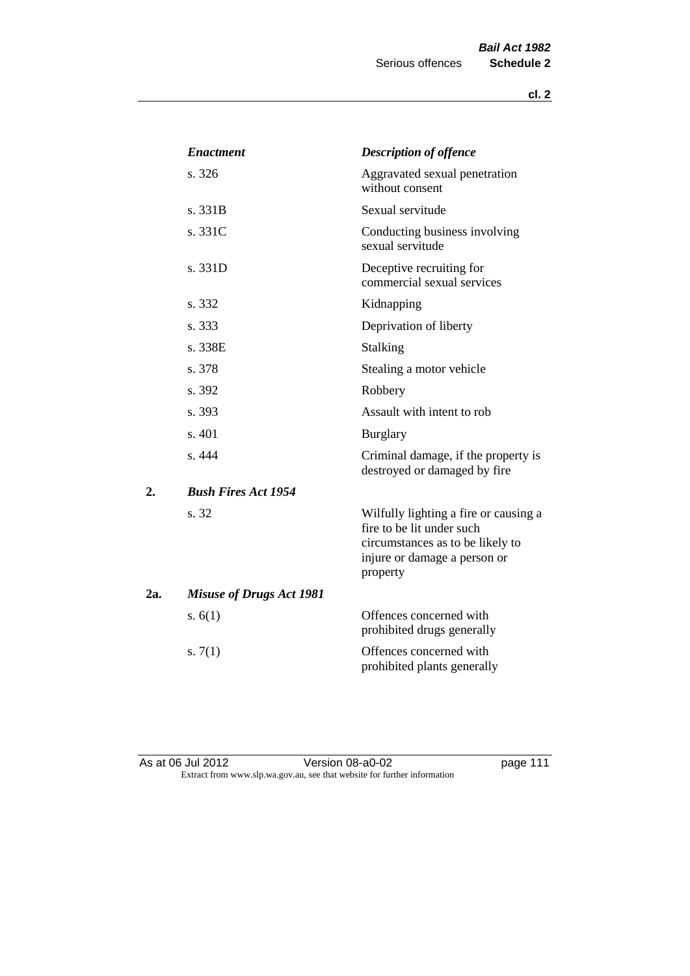|     | <b>Enactment</b>                | <b>Description of offence</b>                                                                                                                      |
|-----|---------------------------------|----------------------------------------------------------------------------------------------------------------------------------------------------|
|     | s. 326                          | Aggravated sexual penetration<br>without consent                                                                                                   |
|     | s. 331B                         | Sexual servitude                                                                                                                                   |
|     | s. 331C                         | Conducting business involving<br>sexual servitude                                                                                                  |
|     | s. 331D                         | Deceptive recruiting for<br>commercial sexual services                                                                                             |
|     | s. 332                          | Kidnapping                                                                                                                                         |
|     | s. 333                          | Deprivation of liberty                                                                                                                             |
|     | s. 338E                         | Stalking                                                                                                                                           |
|     | s. 378                          | Stealing a motor vehicle                                                                                                                           |
|     | s. 392                          | Robbery                                                                                                                                            |
|     | s. 393                          | Assault with intent to rob                                                                                                                         |
|     | s. 401                          | <b>Burglary</b>                                                                                                                                    |
|     | s. 444                          | Criminal damage, if the property is<br>destroyed or damaged by fire                                                                                |
| 2.  | <b>Bush Fires Act 1954</b>      |                                                                                                                                                    |
|     | s. 32                           | Wilfully lighting a fire or causing a<br>fire to be lit under such<br>circumstances as to be likely to<br>injure or damage a person or<br>property |
| 2a. | <b>Misuse of Drugs Act 1981</b> |                                                                                                                                                    |
|     | s. $6(1)$                       | Offences concerned with<br>prohibited drugs generally                                                                                              |
|     | s. $7(1)$                       | Offences concerned with<br>prohibited plants generally                                                                                             |

As at 06 Jul 2012 **Disk Contract Contract Version 08-a0-02 page 111** Extract from www.slp.wa.gov.au, see that website for further information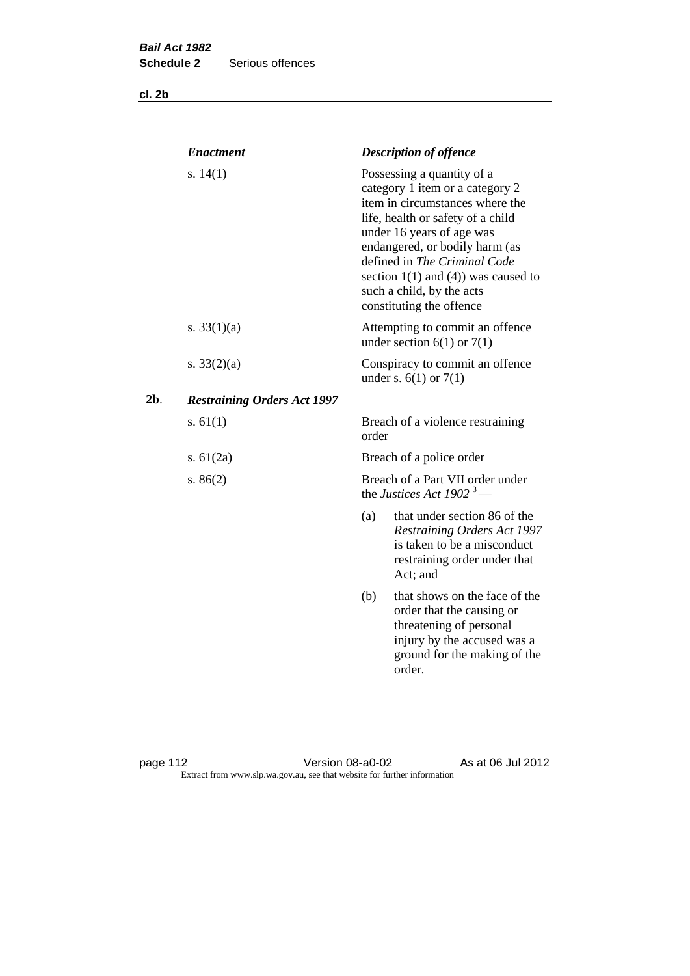**cl. 2b**

|     | <b>Enactment</b>                   |       | <b>Description of offence</b>                                                                                                                                                                                                                                                                                                             |
|-----|------------------------------------|-------|-------------------------------------------------------------------------------------------------------------------------------------------------------------------------------------------------------------------------------------------------------------------------------------------------------------------------------------------|
|     | s. $14(1)$                         |       | Possessing a quantity of a<br>category 1 item or a category 2<br>item in circumstances where the<br>life, health or safety of a child<br>under 16 years of age was<br>endangered, or bodily harm (as<br>defined in The Criminal Code<br>section $1(1)$ and $(4)$ ) was caused to<br>such a child, by the acts<br>constituting the offence |
|     | s. $33(1)(a)$                      |       | Attempting to commit an offence<br>under section $6(1)$ or $7(1)$                                                                                                                                                                                                                                                                         |
|     | s. $33(2)(a)$                      |       | Conspiracy to commit an offence<br>under s. $6(1)$ or $7(1)$                                                                                                                                                                                                                                                                              |
| 2b. | <b>Restraining Orders Act 1997</b> |       |                                                                                                                                                                                                                                                                                                                                           |
|     | s. $61(1)$                         | order | Breach of a violence restraining                                                                                                                                                                                                                                                                                                          |
|     | s. $61(2a)$                        |       | Breach of a police order                                                                                                                                                                                                                                                                                                                  |
|     | s. $86(2)$                         |       | Breach of a Part VII order under<br>the Justices Act 1902 <sup>3</sup> —                                                                                                                                                                                                                                                                  |
|     |                                    | (a)   | that under section 86 of the<br>Restraining Orders Act 1997<br>is taken to be a misconduct<br>restraining order under that<br>Act; and                                                                                                                                                                                                    |
|     |                                    | (b)   | that shows on the face of the<br>order that the causing or<br>threatening of personal<br>injury by the accused was a<br>ground for the making of the<br>order.                                                                                                                                                                            |
|     |                                    |       |                                                                                                                                                                                                                                                                                                                                           |

page 112 Version 08-a0-02 As at 06 Jul 2012 Extract from www.slp.wa.gov.au, see that website for further information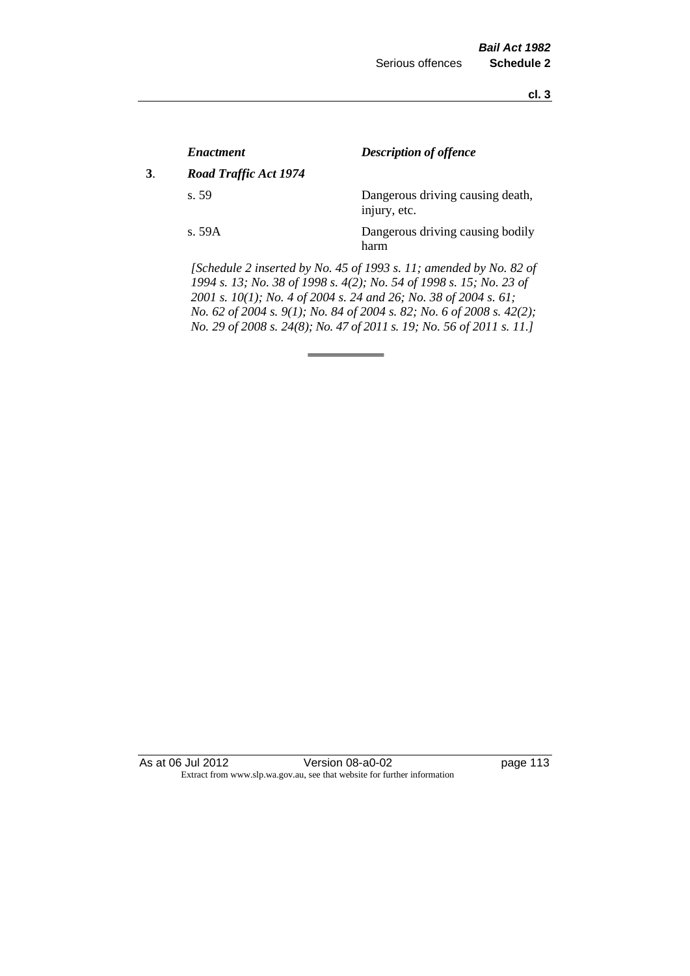**cl. 3**

|    | <i><b>Enactment</b></i> | <b>Description of offence</b>                                                                                                                                                                                                                                                          |
|----|-------------------------|----------------------------------------------------------------------------------------------------------------------------------------------------------------------------------------------------------------------------------------------------------------------------------------|
| 3. | Road Traffic Act 1974   |                                                                                                                                                                                                                                                                                        |
|    | s. 59                   | Dangerous driving causing death,<br>injury, etc.                                                                                                                                                                                                                                       |
|    | s. 59A                  | Dangerous driving causing bodily<br>harm                                                                                                                                                                                                                                               |
|    |                         | [Schedule 2 inserted by No. 45 of 1993 s. 11; amended by No. 82 of<br>1994 s. 13; No. 38 of 1998 s. 4(2); No. 54 of 1998 s. 15; No. 23 of<br>2001 s. 10(1); No. 4 of 2004 s. 24 and 26; No. 38 of 2004 s. 61;<br>No. 62 of 2004 s. 9(1); No. 84 of 2004 s. 82; No. 6 of 2008 s. 42(2); |

*No. 29 of 2008 s. 24(8); No. 47 of 2011 s. 19; No. 56 of 2011 s. 11.]* 

As at 06 Jul 2012 Version 08-a0-02 page 113 Extract from www.slp.wa.gov.au, see that website for further information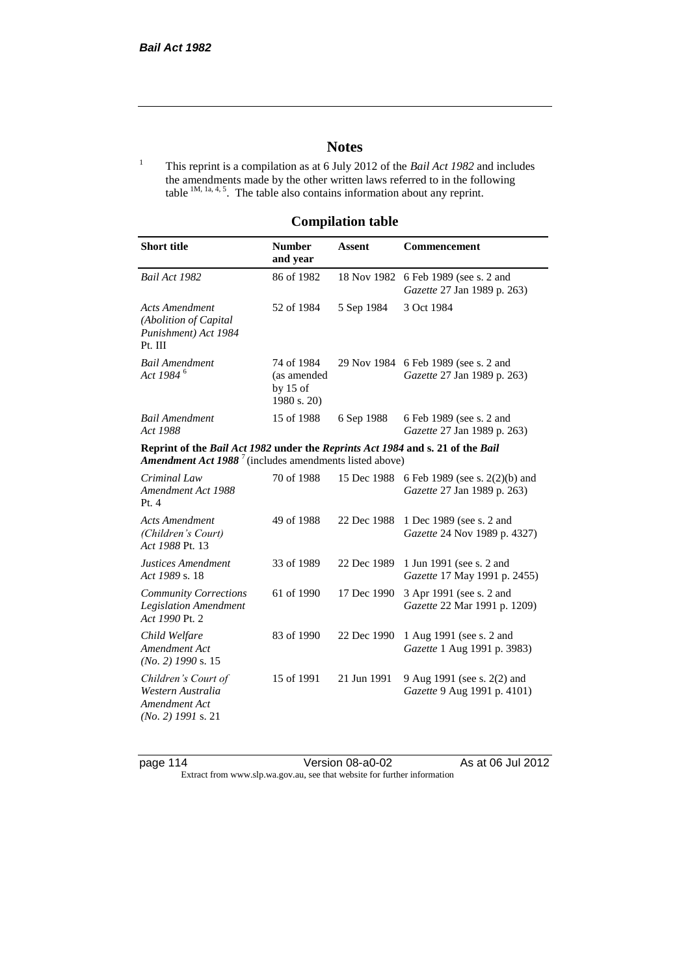# **Notes**

<sup>1</sup> This reprint is a compilation as at 6 July 2012 of the *Bail Act 1982* and includes the amendments made by the other written laws referred to in the following table  $1M$ ,  $1a$ ,  $4$ ,  $5$ . The table also contains information about any reprint.

## **Compilation table**

| <b>Short title</b>                                                                                                                                  | <b>Number</b><br>and year                              | <b>Assent</b> | <b>Commencement</b>                                                 |
|-----------------------------------------------------------------------------------------------------------------------------------------------------|--------------------------------------------------------|---------------|---------------------------------------------------------------------|
| Bail Act 1982                                                                                                                                       | 86 of 1982                                             | 18 Nov 1982   | 6 Feb 1989 (see s. 2 and<br>Gazette 27 Jan 1989 p. 263)             |
| <b>Acts Amendment</b><br>(Abolition of Capital<br>Punishment) Act 1984<br>Pt. III                                                                   | 52 of 1984                                             | 5 Sep 1984    | 3 Oct 1984                                                          |
| <b>Bail Amendment</b><br>Act 1984 <sup>6</sup>                                                                                                      | 74 of 1984<br>(as amended<br>by $15$ of<br>1980 s. 20) |               | 29 Nov 1984 6 Feb 1989 (see s. 2 and<br>Gazette 27 Jan 1989 p. 263) |
| <b>Bail Amendment</b><br>Act 1988                                                                                                                   | 15 of 1988                                             | 6 Sep 1988    | 6 Feb 1989 (see s. 2 and<br>Gazette 27 Jan 1989 p. 263)             |
| Reprint of the Bail Act 1982 under the Reprints Act 1984 and s. 21 of the Bail<br><b>Amendment Act 1988</b> $^7$ (includes amendments listed above) |                                                        |               |                                                                     |
| Criminal Law<br>Amendment Act 1988<br>Pt.4                                                                                                          | 70 of 1988                                             | 15 Dec 1988   | 6 Feb 1989 (see s. 2(2)(b) and<br>Gazette 27 Jan 1989 p. 263)       |
| <b>Acts Amendment</b><br>(Children's Court)<br>Act 1988 Pt. 13                                                                                      | 49 of 1988                                             | 22 Dec 1988   | 1 Dec 1989 (see s. 2 and<br>Gazette 24 Nov 1989 p. 4327)            |
| Justices Amendment<br>Act 1989 s. 18                                                                                                                | 33 of 1989                                             | 22 Dec 1989   | 1 Jun 1991 (see s. 2 and<br>Gazette 17 May 1991 p. 2455)            |
| <b>Community Corrections</b><br><b>Legislation Amendment</b><br>Act 1990 Pt. 2                                                                      | 61 of 1990                                             | 17 Dec 1990   | 3 Apr 1991 (see s. 2 and<br>Gazette 22 Mar 1991 p. 1209)            |
| Child Welfare<br>Amendment Act<br>$(No. 2)$ 1990 s. 15                                                                                              | 83 of 1990                                             | 22 Dec 1990   | 1 Aug 1991 (see s. 2 and<br>Gazette 1 Aug 1991 p. 3983)             |
| Children's Court of<br>Western Australia<br>Amendment Act<br>$(No. 2)$ 1991 s. 21                                                                   | 15 of 1991                                             | 21 Jun 1991   | 9 Aug 1991 (see s. 2(2) and<br>Gazette 9 Aug 1991 p. 4101)          |

page 114 Version 08-a0-02 As at 06 Jul 2012 Extract from www.slp.wa.gov.au, see that website for further information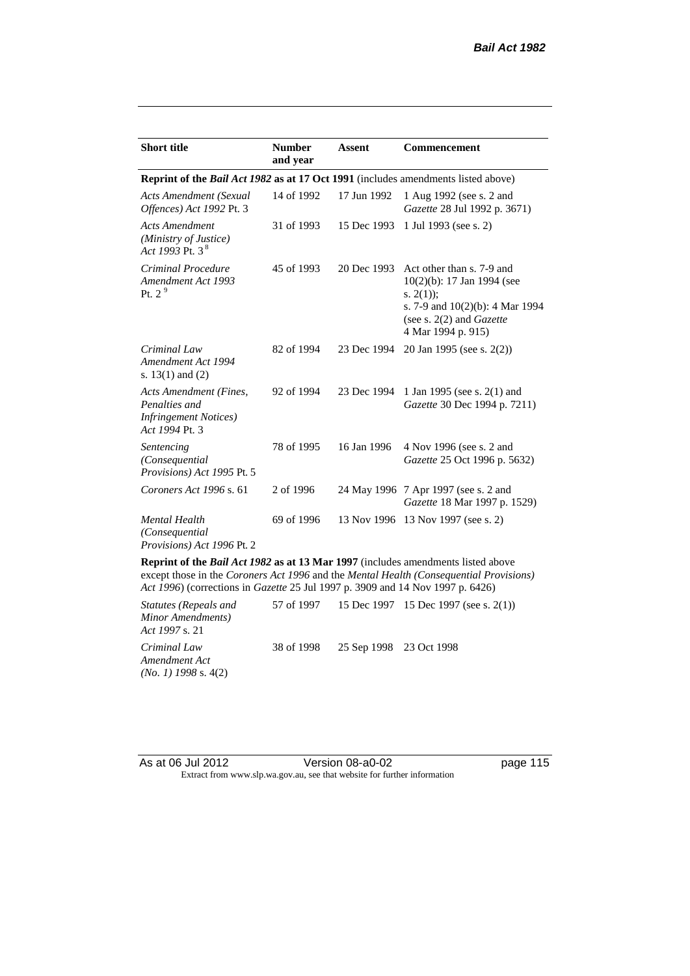| <b>Short title</b>                                                                         | <b>Number</b><br>and year | Assent      | <b>Commencement</b>                                                                                                                                                        |
|--------------------------------------------------------------------------------------------|---------------------------|-------------|----------------------------------------------------------------------------------------------------------------------------------------------------------------------------|
| Reprint of the <i>Bail Act 1982</i> as at 17 Oct 1991 (includes amendments listed above)   |                           |             |                                                                                                                                                                            |
| <b>Acts Amendment (Sexual</b><br>Offences) Act 1992 Pt. 3                                  | 14 of 1992                | 17 Jun 1992 | 1 Aug 1992 (see s. 2 and<br>Gazette 28 Jul 1992 p. 3671)                                                                                                                   |
| <b>Acts Amendment</b><br>(Ministry of Justice)<br>Act 1993 Pt. 3 $^{8}$                    | 31 of 1993                | 15 Dec 1993 | 1 Jul 1993 (see s. 2)                                                                                                                                                      |
| Criminal Procedure<br>Amendment Act 1993<br>Pt. $2^9$                                      | 45 of 1993                | 20 Dec 1993 | Act other than s. 7-9 and<br>$10(2)(b)$ : 17 Jan 1994 (see<br>s. $2(1)$ ;<br>s. 7-9 and $10(2)(b)$ : 4 Mar 1994<br>(see s. $2(2)$ and <i>Gazette</i><br>4 Mar 1994 p. 915) |
| Criminal Law<br>Amendment Act 1994<br>s. $13(1)$ and $(2)$                                 | 82 of 1994                | 23 Dec 1994 | 20 Jan 1995 (see s. 2(2))                                                                                                                                                  |
| Acts Amendment (Fines,<br>Penalties and<br><b>Infringement Notices</b> )<br>Act 1994 Pt. 3 | 92 of 1994                | 23 Dec 1994 | 1 Jan 1995 (see s. 2(1) and<br>Gazette 30 Dec 1994 p. 7211)                                                                                                                |
| Sentencing<br>(Consequential<br>Provisions) Act 1995 Pt. 5                                 | 78 of 1995                | 16 Jan 1996 | 4 Nov 1996 (see s. 2 and<br><i>Gazette</i> 25 Oct 1996 p. 5632)                                                                                                            |
| Coroners Act 1996 s. 61                                                                    | 2 of 1996                 |             | 24 May 1996 7 Apr 1997 (see s. 2 and<br>Gazette 18 Mar 1997 p. 1529)                                                                                                       |
| <b>Mental Health</b><br>(Consequential<br>Provisions) Act 1996 Pt. 2                       | 69 of 1996                | 13 Nov 1996 | 13 Nov 1997 (see s. 2)                                                                                                                                                     |

**Reprint of the** *Bail Act 1982* **as at 13 Mar 1997** (includes amendments listed above except those in the *Coroners Act 1996* and the *Mental Health (Consequential Provisions) Act 1996*) (corrections in *Gazette* 25 Jul 1997 p. 3909 and 14 Nov 1997 p. 6426)

*Statutes (Repeals and Minor Amendments) Act 1997* s. 21 57 of 1997 15 Dec 1997 15 Dec 1997 (see s. 2(1)) *Criminal Law Amendment Act (No. 1) 1998* s. 4(2) 38 of 1998 25 Sep 1998 23 Oct 1998

| As at 06 Jul 2012 | Version 08-a0-02                                                         |
|-------------------|--------------------------------------------------------------------------|
|                   | Extract from www.slp.wa.gov.au, see that website for further information |

page 115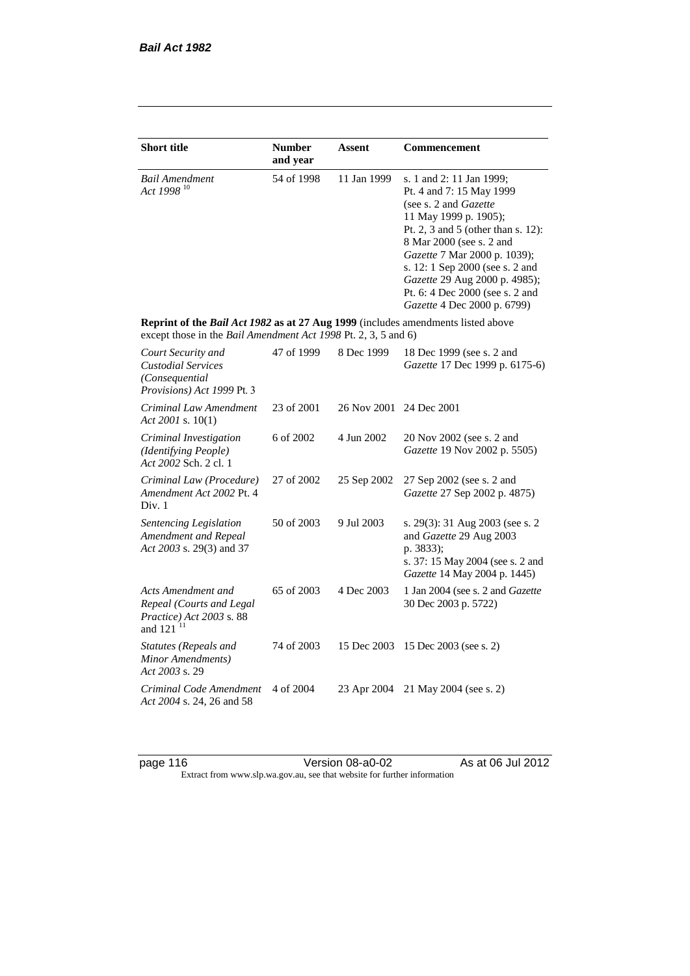| <b>Short title</b>                                                                                                                                 | <b>Number</b> | Assent      | Commencement                                                                                                                                                                                                                                                                                                                                            |
|----------------------------------------------------------------------------------------------------------------------------------------------------|---------------|-------------|---------------------------------------------------------------------------------------------------------------------------------------------------------------------------------------------------------------------------------------------------------------------------------------------------------------------------------------------------------|
|                                                                                                                                                    | and year      |             |                                                                                                                                                                                                                                                                                                                                                         |
| <b>Bail Amendment</b><br>Act 1998 <sup>10</sup>                                                                                                    | 54 of 1998    | 11 Jan 1999 | s. 1 and 2: 11 Jan 1999;<br>Pt. 4 and 7: 15 May 1999<br>(see s. 2 and <i>Gazette</i> )<br>11 May 1999 p. 1905);<br>Pt. 2, 3 and 5 (other than s. 12):<br>8 Mar 2000 (see s. 2 and<br>Gazette 7 Mar 2000 p. 1039);<br>s. 12: 1 Sep 2000 (see s. 2 and<br>Gazette 29 Aug 2000 p. 4985);<br>Pt. 6: 4 Dec 2000 (see s. 2 and<br>Gazette 4 Dec 2000 p. 6799) |
| Reprint of the Bail Act 1982 as at 27 Aug 1999 (includes amendments listed above<br>except those in the Bail Amendment Act 1998 Pt. 2, 3, 5 and 6) |               |             |                                                                                                                                                                                                                                                                                                                                                         |
| Court Security and<br><b>Custodial Services</b><br>(Consequential)<br>Provisions) Act 1999 Pt. 3                                                   | 47 of 1999    | 8 Dec 1999  | 18 Dec 1999 (see s. 2 and<br>Gazette 17 Dec 1999 p. 6175-6)                                                                                                                                                                                                                                                                                             |
| Criminal Law Amendment<br>Act 2001 s. $10(1)$                                                                                                      | 23 of 2001    | 26 Nov 2001 | 24 Dec 2001                                                                                                                                                                                                                                                                                                                                             |
| Criminal Investigation<br>(Identifying People)<br>Act 2002 Sch. 2 cl. 1                                                                            | 6 of 2002     | 4 Jun 2002  | 20 Nov 2002 (see s. 2 and<br>Gazette 19 Nov 2002 p. 5505)                                                                                                                                                                                                                                                                                               |
| Criminal Law (Procedure)<br>Amendment Act 2002 Pt. 4<br>Div. 1                                                                                     | 27 of 2002    | 25 Sep 2002 | 27 Sep 2002 (see s. 2 and<br>Gazette 27 Sep 2002 p. 4875)                                                                                                                                                                                                                                                                                               |
| Sentencing Legislation<br>Amendment and Repeal<br>Act 2003 s. 29(3) and 37                                                                         | 50 of 2003    | 9 Jul 2003  | s. 29(3): 31 Aug 2003 (see s. 2<br>and Gazette 29 Aug 2003<br>p. 3833);<br>s. 37: 15 May 2004 (see s. 2 and<br>Gazette 14 May 2004 p. 1445)                                                                                                                                                                                                             |
| Acts Amendment and<br>Repeal (Courts and Legal<br>Practice) Act 2003 s. 88<br>and 121 <sup>11</sup>                                                | 65 of 2003    | 4 Dec 2003  | 1 Jan 2004 (see s. 2 and Gazette<br>30 Dec 2003 p. 5722)                                                                                                                                                                                                                                                                                                |
| <b>Statutes (Repeals and</b><br>Minor Amendments)<br>Act 2003 s. 29                                                                                | 74 of 2003    | 15 Dec 2003 | 15 Dec 2003 (see s. 2)                                                                                                                                                                                                                                                                                                                                  |
| Criminal Code Amendment<br>Act 2004 s. 24, 26 and 58                                                                                               | 4 of 2004     | 23 Apr 2004 | 21 May 2004 (see s. 2)                                                                                                                                                                                                                                                                                                                                  |

page 116 Version 08-a0-02 As at 06 Jul 2012 Extract from www.slp.wa.gov.au, see that website for further information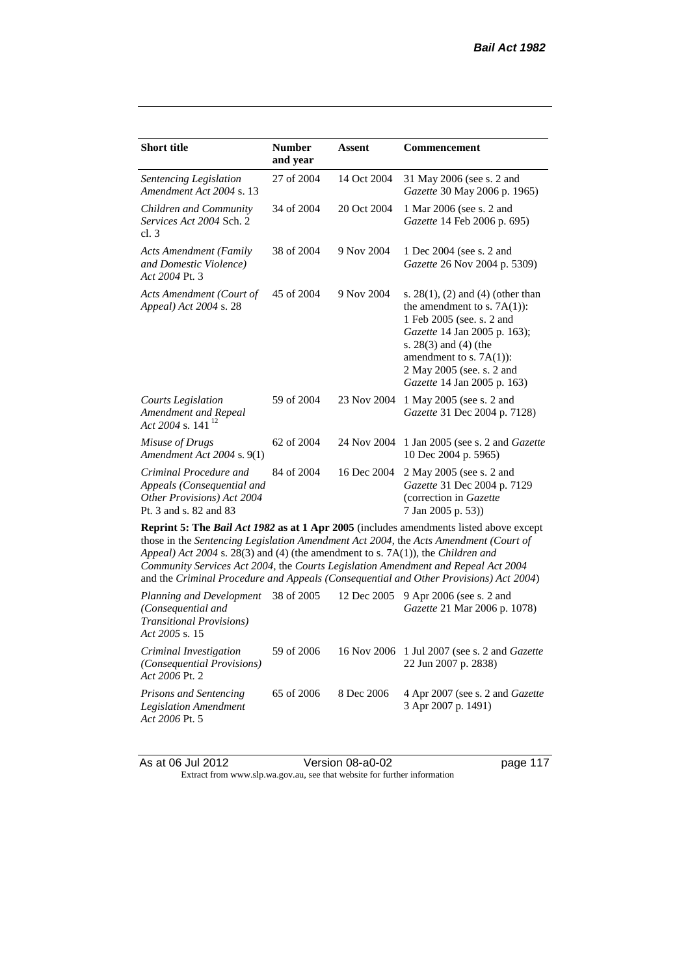| <b>Short title</b>                                                                                                                                                                                                                                                                                                                                                                                                                              | <b>Number</b><br>and year | <b>Assent</b> | <b>Commencement</b>                                                                                                                                                                                                                                      |  |
|-------------------------------------------------------------------------------------------------------------------------------------------------------------------------------------------------------------------------------------------------------------------------------------------------------------------------------------------------------------------------------------------------------------------------------------------------|---------------------------|---------------|----------------------------------------------------------------------------------------------------------------------------------------------------------------------------------------------------------------------------------------------------------|--|
| Sentencing Legislation<br>Amendment Act 2004 s. 13                                                                                                                                                                                                                                                                                                                                                                                              | 27 of 2004                | 14 Oct 2004   | 31 May 2006 (see s. 2 and<br>Gazette 30 May 2006 p. 1965)                                                                                                                                                                                                |  |
| Children and Community<br>Services Act 2004 Sch. 2<br>cl.3                                                                                                                                                                                                                                                                                                                                                                                      | 34 of 2004                | 20 Oct 2004   | 1 Mar 2006 (see s. 2 and<br>Gazette 14 Feb 2006 p. 695)                                                                                                                                                                                                  |  |
| <b>Acts Amendment (Family</b><br>and Domestic Violence)<br>Act 2004 Pt. 3                                                                                                                                                                                                                                                                                                                                                                       | 38 of 2004                | 9 Nov 2004    | 1 Dec 2004 (see s. 2 and<br>Gazette 26 Nov 2004 p. 5309)                                                                                                                                                                                                 |  |
| Acts Amendment (Court of<br>Appeal) Act 2004 s. 28                                                                                                                                                                                                                                                                                                                                                                                              | 45 of 2004                | 9 Nov 2004    | s. $28(1)$ , (2) and (4) (other than<br>the amendment to s. $7A(1)$ :<br>1 Feb 2005 (see. s. 2 and<br>Gazette 14 Jan 2005 p. 163);<br>s. $28(3)$ and $(4)$ (the<br>amendment to s. $7A(1)$ :<br>2 May 2005 (see. s. 2 and<br>Gazette 14 Jan 2005 p. 163) |  |
| Courts Legislation<br>Amendment and Repeal<br>Act 2004 s. 141 <sup>12</sup>                                                                                                                                                                                                                                                                                                                                                                     | 59 of 2004                | 23 Nov 2004   | 1 May 2005 (see s. 2 and<br>Gazette 31 Dec 2004 p. 7128)                                                                                                                                                                                                 |  |
| Misuse of Drugs<br>Amendment Act 2004 s. 9(1)                                                                                                                                                                                                                                                                                                                                                                                                   | 62 of 2004                | 24 Nov 2004   | 1 Jan 2005 (see s. 2 and <i>Gazette</i><br>10 Dec 2004 p. 5965)                                                                                                                                                                                          |  |
| Criminal Procedure and<br>Appeals (Consequential and<br>Other Provisions) Act 2004<br>Pt. 3 and s. 82 and 83                                                                                                                                                                                                                                                                                                                                    | 84 of 2004                | 16 Dec 2004   | 2 May 2005 (see s. 2 and<br>Gazette 31 Dec 2004 p. 7129<br>(correction in Gazette)<br>7 Jan 2005 p. 53))                                                                                                                                                 |  |
| Reprint 5: The Bail Act 1982 as at 1 Apr 2005 (includes amendments listed above except<br>those in the Sentencing Legislation Amendment Act 2004, the Acts Amendment (Court of<br>Appeal) Act 2004 s. 28(3) and (4) (the amendment to s. 7A(1)), the Children and<br>Community Services Act 2004, the Courts Legislation Amendment and Repeal Act 2004<br>and the Criminal Procedure and Appeals (Consequential and Other Provisions) Act 2004) |                           |               |                                                                                                                                                                                                                                                          |  |
| Planning and Development<br>(Consequential and<br><b>Transitional Provisions</b> )<br>Act 2005 s. 15                                                                                                                                                                                                                                                                                                                                            | 38 of 2005                | 12 Dec 2005   | 9 Apr 2006 (see s. 2 and<br>Gazette 21 Mar 2006 p. 1078)                                                                                                                                                                                                 |  |
|                                                                                                                                                                                                                                                                                                                                                                                                                                                 |                           |               |                                                                                                                                                                                                                                                          |  |

*Criminal Investigation (Consequential Provisions) Act 2006* Pt. 2 59 of 2006 16 Nov 2006 1 Jul 2007 (see s. 2 and *Gazette* 22 Jun 2007 p. 2838) *Prisons and Sentencing Legislation Amendment Act 2006* Pt. 5 65 of 2006 8 Dec 2006 4 Apr 2007 (see s. 2 and *Gazette* 3 Apr 2007 p. 1491)

As at 06 Jul 2012 Version 08-a0-02 page 117 Extract from www.slp.wa.gov.au, see that website for further information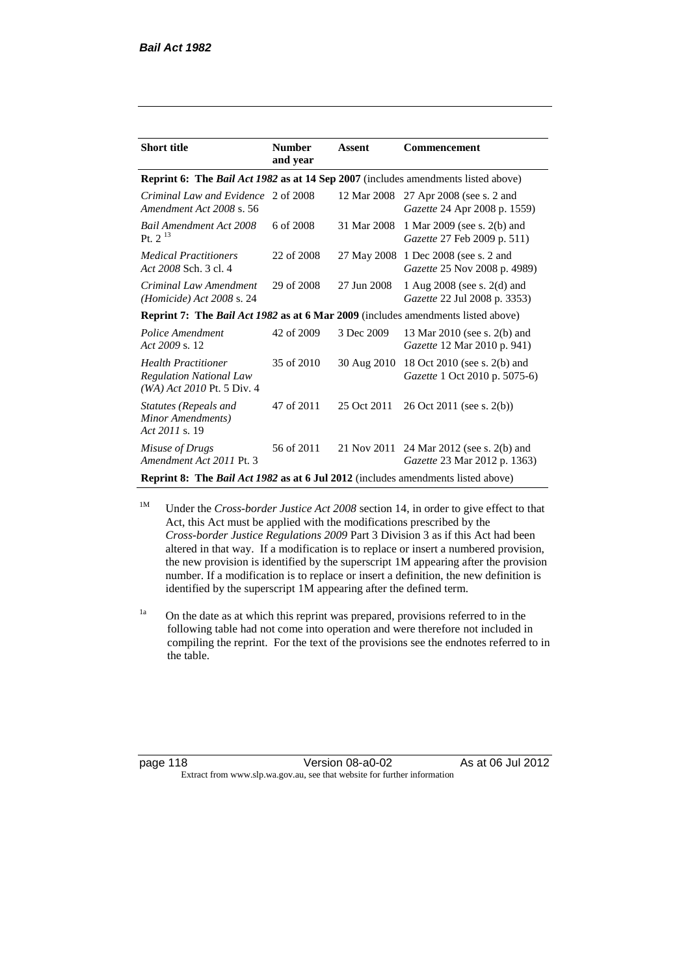| <b>Short title</b>                                                                         | <b>Number</b><br>and year | Assent      | Commencement                                                         |  |  |
|--------------------------------------------------------------------------------------------|---------------------------|-------------|----------------------------------------------------------------------|--|--|
| Reprint 6: The Bail Act 1982 as at 14 Sep 2007 (includes amendments listed above)          |                           |             |                                                                      |  |  |
| Criminal Law and Evidence 2 of 2008<br>Amendment Act 2008 s. 56                            |                           | 12 Mar 2008 | 27 Apr 2008 (see s. 2 and<br>Gazette 24 Apr 2008 p. 1559)            |  |  |
| <b>Bail Amendment Act 2008</b><br>Pt. $2^{13}$                                             | 6 of 2008                 | 31 Mar 2008 | 1 Mar 2009 (see s. 2(b) and<br>Gazette 27 Feb 2009 p. 511)           |  |  |
| <i>Medical Practitioners</i><br>Act 2008 Sch. 3 cl. 4                                      | 22 of 2008                |             | 27 May 2008 1 Dec 2008 (see s. 2 and<br>Gazette 25 Nov 2008 p. 4989) |  |  |
| Criminal Law Amendment<br>( <i>Homicide</i> ) Act $2008$ s. 24                             | 29 of 2008                | 27 Jun 2008 | 1 Aug 2008 (see s. 2(d) and<br>Gazette 22 Jul 2008 p. 3353)          |  |  |
| <b>Reprint 7: The Bail Act 1982 as at 6 Mar 2009</b> (includes amendments listed above)    |                           |             |                                                                      |  |  |
| Police Amendment<br>Act 2009 s. 12                                                         | 42 of 2009                | 3 Dec 2009  | 13 Mar 2010 (see s. 2(b) and<br>Gazette 12 Mar 2010 p. 941)          |  |  |
| <b>Health Practitioner</b><br><b>Regulation National Law</b><br>(WA) Act 2010 Pt. 5 Div. 4 | 35 of 2010                | 30 Aug 2010 | 18 Oct 2010 (see s. 2(b) and<br>Gazette 1 Oct 2010 p. 5075-6)        |  |  |
| Statutes (Repeals and<br>Minor Amendments)<br>Act 2011 s. 19                               | 47 of 2011                | 25 Oct 2011 | 26 Oct 2011 (see s. 2(b))                                            |  |  |
| Misuse of Drugs<br>Amendment Act 2011 Pt. 3                                                | 56 of 2011                | 21 Nov 2011 | 24 Mar 2012 (see s. 2(b) and<br>Gazette 23 Mar 2012 p. 1363)         |  |  |
| <b>Reprint 8: The Bail Act 1982 as at 6 Jul 2012</b> (includes amendments listed above)    |                           |             |                                                                      |  |  |

<sup>1M</sup> Under the *Cross-border Justice Act 2008* section 14, in order to give effect to that Act, this Act must be applied with the modifications prescribed by the *Cross-border Justice Regulations 2009* Part 3 Division 3 as if this Act had been altered in that way. If a modification is to replace or insert a numbered provision, the new provision is identified by the superscript 1M appearing after the provision number. If a modification is to replace or insert a definition, the new definition is identified by the superscript 1M appearing after the defined term.

<sup>1a</sup> On the date as at which this reprint was prepared, provisions referred to in the following table had not come into operation and were therefore not included in compiling the reprint. For the text of the provisions see the endnotes referred to in the table.

page 118 Version 08-a0-02 As at 06 Jul 2012 Extract from www.slp.wa.gov.au, see that website for further information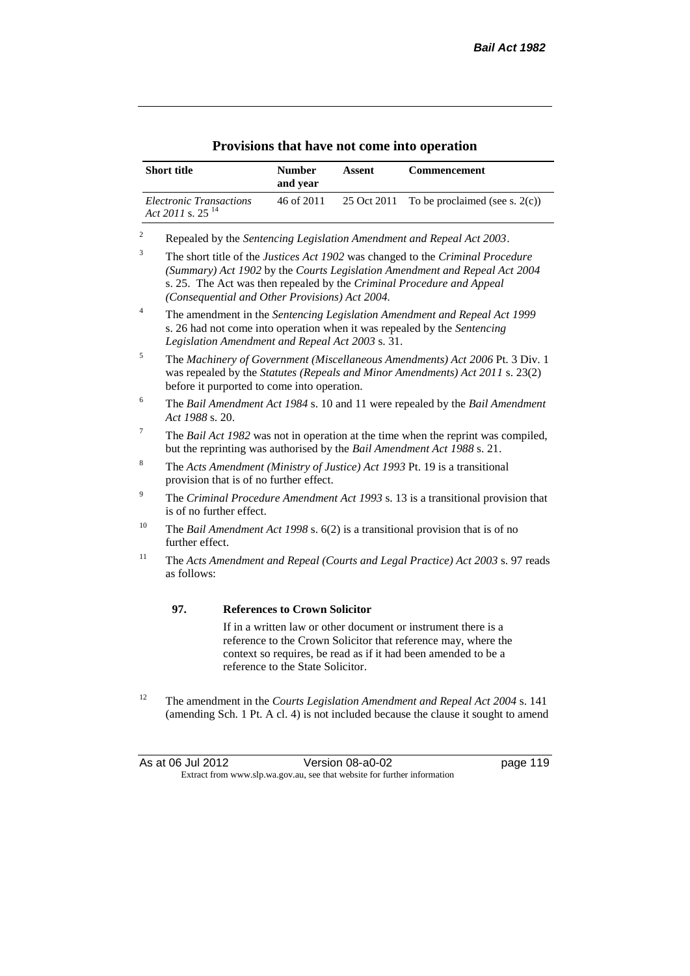| <b>Short title</b>                                      | <b>Number</b><br>and year | Assent | <b>Commencement</b>                           |
|---------------------------------------------------------|---------------------------|--------|-----------------------------------------------|
| Electronic Transactions<br>Act 2011 s. 25 <sup>14</sup> | 46 of 2011                |        | 25 Oct 2011 To be proclaimed (see s. $2(c)$ ) |

### **Provisions that have not come into operation**

<sup>2</sup> Repealed by the *Sentencing Legislation Amendment and Repeal Act 2003*.

<sup>3</sup> The short title of the *Justices Act 1902* was changed to the *Criminal Procedure (Summary) Act 1902* by the *Courts Legislation Amendment and Repeal Act 2004*  s. 25. The Act was then repealed by the *Criminal Procedure and Appeal (Consequential and Other Provisions) Act 2004.*

- <sup>4</sup> The amendment in the *Sentencing Legislation Amendment and Repeal Act 1999* s. 26 had not come into operation when it was repealed by the *Sentencing Legislation Amendment and Repeal Act 2003* s. 31.
- <sup>5</sup> The *Machinery of Government (Miscellaneous Amendments) Act 2006* Pt. 3 Div. 1 was repealed by the *Statutes (Repeals and Minor Amendments) Act 2011* s. 23(2) before it purported to come into operation.
- <sup>6</sup> The *Bail Amendment Act 1984* s. 10 and 11 were repealed by the *Bail Amendment Act 1988* s. 20.
- <sup>7</sup> The *Bail Act 1982* was not in operation at the time when the reprint was compiled, but the reprinting was authorised by the *Bail Amendment Act 1988* s. 21.
- <sup>8</sup> The *Acts Amendment (Ministry of Justice) Act 1993* Pt. 19 is a transitional provision that is of no further effect.
- <sup>9</sup> The *Criminal Procedure Amendment Act 1993* s. 13 is a transitional provision that is of no further effect.
- <sup>10</sup> The *Bail Amendment Act 1998* s. 6(2) is a transitional provision that is of no further effect.
- <sup>11</sup> The *Acts Amendment and Repeal (Courts and Legal Practice) Act 2003* s. 97 reads as follows:

#### **97. References to Crown Solicitor**

If in a written law or other document or instrument there is a reference to the Crown Solicitor that reference may, where the context so requires, be read as if it had been amended to be a reference to the State Solicitor.

<sup>12</sup> The amendment in the *Courts Legislation Amendment and Repeal Act 2004* s. 141 (amending Sch. 1 Pt. A cl. 4) is not included because the clause it sought to amend

As at 06 Jul 2012 Version 08-a0-02 page 119 Extract from www.slp.wa.gov.au, see that website for further information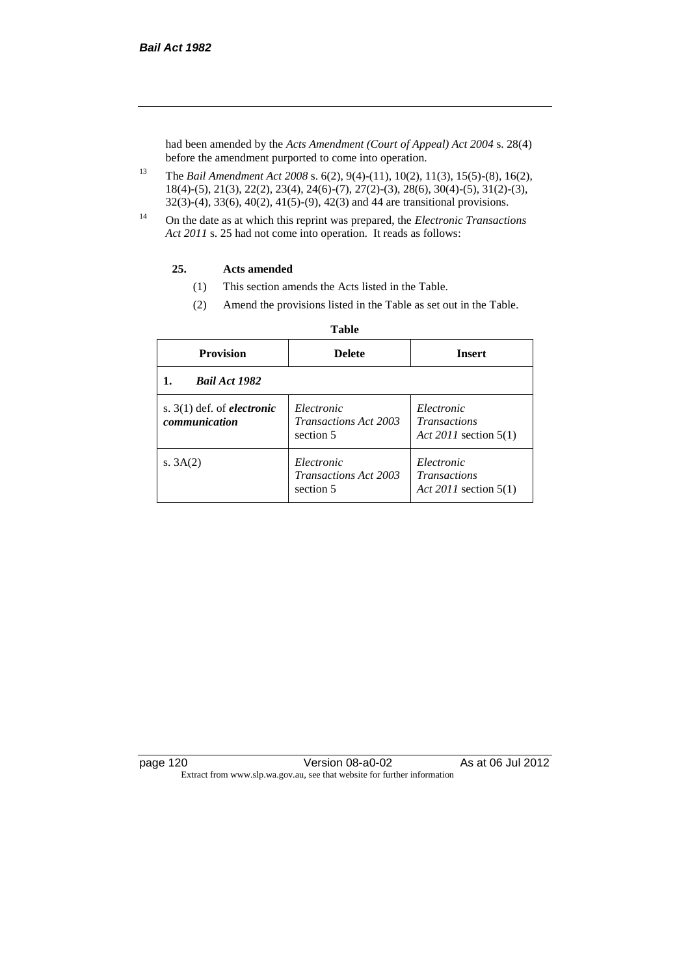had been amended by the *Acts Amendment (Court of Appeal) Act 2004* s. 28(4) before the amendment purported to come into operation.

- <sup>13</sup> The *Bail Amendment Act 2008* s. 6(2), 9(4)-(11), 10(2), 11(3), 15(5)-(8), 16(2), 18(4)-(5), 21(3), 22(2), 23(4), 24(6)-(7), 27(2)-(3), 28(6), 30(4)-(5), 31(2)-(3), 32(3)-(4), 33(6), 40(2), 41(5)-(9), 42(3) and 44 are transitional provisions.
- <sup>14</sup> On the date as at which this reprint was prepared, the *Electronic Transactions Act 2011* s. 25 had not come into operation. It reads as follows:

#### **25. Acts amended**

- (1) This section amends the Acts listed in the Table.
- (2) Amend the provisions listed in the Table as set out in the Table.

| <b>Provision</b>                                     | <b>Delete</b>                                           | <b>Insert</b>                                                |
|------------------------------------------------------|---------------------------------------------------------|--------------------------------------------------------------|
| <b>Bail Act 1982</b>                                 |                                                         |                                                              |
| s. $3(1)$ def. of <i>electronic</i><br>communication | Electronic<br><b>Transactions Act 2003</b><br>section 5 | Electronic<br><i>Transactions</i><br>Act 2011 section $5(1)$ |
| s. $3A(2)$                                           | Electronic<br><b>Transactions Act 2003</b><br>section 5 | Electronic<br><b>Transactions</b><br>Act 2011 section $5(1)$ |

#### **Table**

| page 120 | Version 08-a0-02                                                         | As at 06 Jul 2012 |
|----------|--------------------------------------------------------------------------|-------------------|
|          | Extract from www.slp.wa.gov.au, see that website for further information |                   |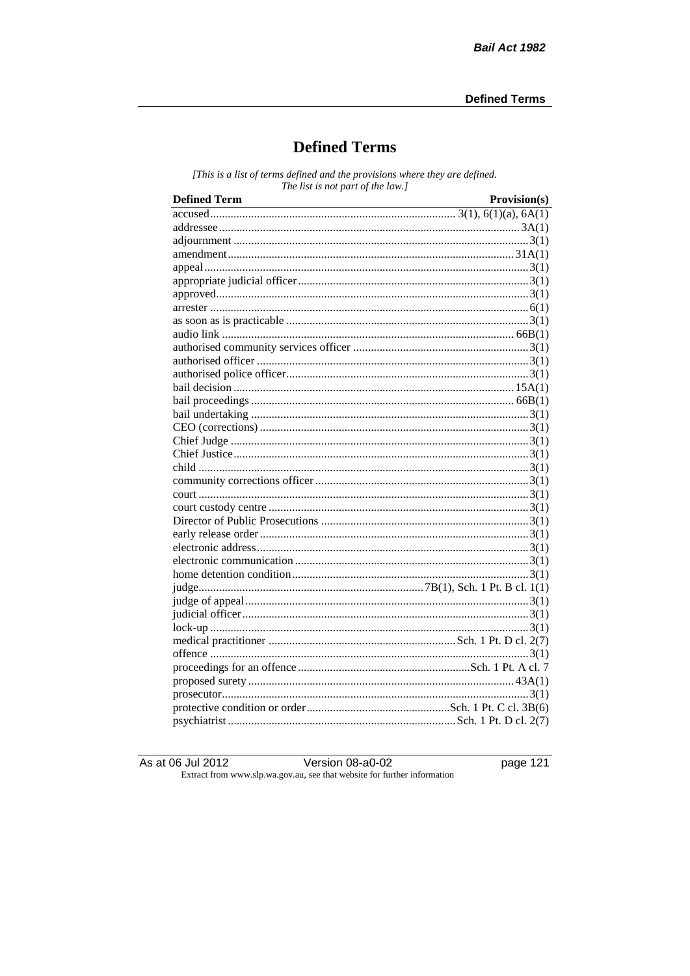# **Defined Terms**

[This is a list of terms defined and the provisions where they are defined. The list is not part of the law.]

| <b>Defined Term</b> | Provision(s) |
|---------------------|--------------|
|                     |              |
|                     |              |
|                     |              |
|                     |              |
|                     |              |
|                     |              |
|                     |              |
|                     |              |
|                     |              |
|                     |              |
|                     |              |
|                     |              |
|                     |              |
|                     |              |
|                     |              |
|                     |              |
|                     |              |
|                     |              |
|                     |              |
|                     |              |
|                     |              |
|                     |              |
|                     |              |
|                     |              |
|                     |              |
|                     |              |
|                     |              |
|                     |              |
|                     |              |
|                     |              |
|                     |              |
|                     |              |
|                     |              |
|                     |              |
|                     |              |
|                     |              |
|                     |              |
|                     |              |
|                     |              |

As at 06 Jul 2012

Version  $08-a0-02$ 

page 121

Extract from www.slp.wa.gov.au, see that website for further information